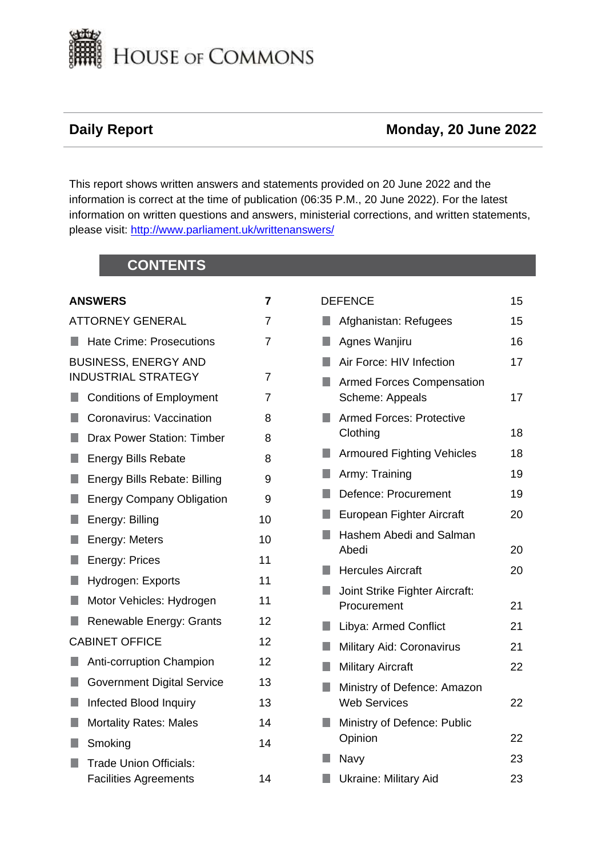

# **Daily Report Monday, 20 June 2022**

This report shows written answers and statements provided on 20 June 2022 and the information is correct at the time of publication (06:35 P.M., 20 June 2022). For the latest information on written questions and answers, ministerial corrections, and written statements, please visit: [http://www.parliament.uk/writtenanswers/](http://www.parliament.uk/writtenanswers)

# **CONTENTS**

# **[ANSWERS](#page-6-0) 7**

|    | <b>ATTORNEY GENERAL</b>                                       | 7  |
|----|---------------------------------------------------------------|----|
| ш  | <b>Hate Crime: Prosecutions</b>                               | 7  |
|    | <b>BUSINESS, ENERGY AND</b><br><b>INDUSTRIAL STRATEGY</b>     | 7  |
| b. | <b>Conditions of Employment</b>                               | 7  |
| ٠  | Coronavirus: Vaccination                                      | 8  |
| H. | <b>Drax Power Station: Timber</b>                             | 8  |
| п  | <b>Energy Bills Rebate</b>                                    | 8  |
| П  | <b>Energy Bills Rebate: Billing</b>                           | 9  |
| п  | <b>Energy Company Obligation</b>                              | 9  |
| П  | Energy: Billing                                               | 10 |
| H  | Energy: Meters                                                | 10 |
| п  | Energy: Prices                                                | 11 |
| ٠  | Hydrogen: Exports                                             | 11 |
| n  | Motor Vehicles: Hydrogen                                      | 11 |
| ŋ  | Renewable Energy: Grants                                      | 12 |
|    | <b>CABINET OFFICE</b>                                         | 12 |
|    | Anti-corruption Champion                                      | 12 |
| п  | <b>Government Digital Service</b>                             | 13 |
| ŋ  | Infected Blood Inquiry                                        | 13 |
| H  | <b>Mortality Rates: Males</b>                                 | 14 |
|    | Smoking                                                       | 14 |
| u. | <b>Trade Union Officials:</b><br><b>Facilities Agreements</b> | 14 |
|    |                                                               |    |

| <b>DEFENCE</b> |                                                     | 15 |
|----------------|-----------------------------------------------------|----|
| ٠              | Afghanistan: Refugees                               | 15 |
| ٠              | Agnes Wanjiru                                       | 16 |
|                | Air Force: HIV Infection                            | 17 |
|                | <b>Armed Forces Compensation</b><br>Scheme: Appeals | 17 |
|                | <b>Armed Forces: Protective</b><br>Clothing         | 18 |
| ٠              | <b>Armoured Fighting Vehicles</b>                   | 18 |
| ŋ              | Army: Training                                      | 19 |
|                | Defence: Procurement                                | 19 |
|                | European Fighter Aircraft                           | 20 |
| ٠              | Hashem Abedi and Salman<br>Abedi                    | 20 |
| ٠              | <b>Hercules Aircraft</b>                            | 20 |
| ٠              | Joint Strike Fighter Aircraft:<br>Procurement       | 21 |
|                | Libya: Armed Conflict                               | 21 |
| n              | Military Aid: Coronavirus                           | 21 |
| ٠              | <b>Military Aircraft</b>                            | 22 |
| ۰              | Ministry of Defence: Amazon<br><b>Web Services</b>  | 22 |
| ŋ              | Ministry of Defence: Public<br>Opinion              | 22 |
|                | Navy                                                | 23 |
| H              | <b>Ukraine: Military Aid</b>                        | 23 |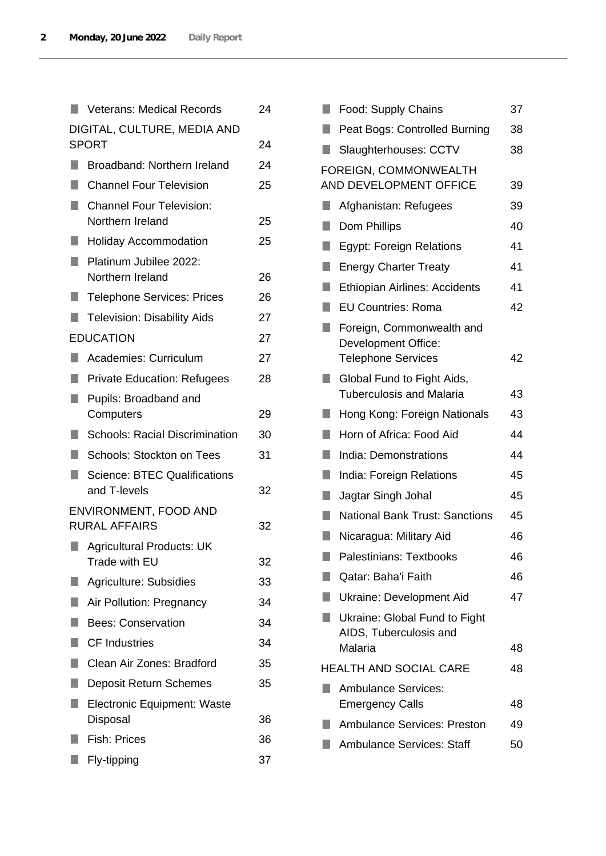|                             | <b>Veterans: Medical Records</b>                    | 24 |
|-----------------------------|-----------------------------------------------------|----|
| DIGITAL, CULTURE, MEDIA AND |                                                     |    |
|                             | <b>SPORT</b>                                        | 24 |
|                             | Broadband: Northern Ireland                         | 24 |
| ×.                          | <b>Channel Four Television</b>                      | 25 |
| ٠                           | <b>Channel Four Television:</b><br>Northern Ireland | 25 |
|                             | <b>Holiday Accommodation</b>                        | 25 |
|                             | Platinum Jubilee 2022:<br>Northern Ireland          | 26 |
|                             | <b>Telephone Services: Prices</b>                   | 26 |
| H                           | <b>Television: Disability Aids</b>                  | 27 |
|                             | <b>EDUCATION</b>                                    | 27 |
|                             | Academies: Curriculum                               | 27 |
|                             | <b>Private Education: Refugees</b>                  | 28 |
| ٠                           | Pupils: Broadband and                               |    |
|                             | Computers                                           | 29 |
| ٠                           | <b>Schools: Racial Discrimination</b>               | 30 |
| ٠                           | <b>Schools: Stockton on Tees</b>                    | 31 |
| H                           | <b>Science: BTEC Qualifications</b><br>and T-levels | 32 |
|                             | ENVIRONMENT, FOOD AND<br><b>RURAL AFFAIRS</b>       | 32 |
|                             | <b>Agricultural Products: UK</b><br>Trade with EU   | 32 |
|                             | <b>Agriculture: Subsidies</b>                       | 33 |
|                             | Air Pollution: Pregnancy                            | 34 |
|                             | <b>Bees: Conservation</b>                           | 34 |
| ×.                          | <b>CF Industries</b>                                | 34 |
|                             | Clean Air Zones: Bradford                           | 35 |
|                             | <b>Deposit Return Schemes</b>                       | 35 |
|                             | <b>Electronic Equipment: Waste</b>                  |    |
|                             | Disposal                                            | 36 |
|                             | <b>Fish: Prices</b>                                 | 36 |
|                             | Fly-tipping                                         | 37 |

| L, | Food: Supply Chains                                           | 37 |
|----|---------------------------------------------------------------|----|
|    | Peat Bogs: Controlled Burning                                 | 38 |
|    | Slaughterhouses: CCTV                                         | 38 |
|    | FOREIGN, COMMONWEALTH                                         |    |
|    | AND DEVELOPMENT OFFICE                                        | 39 |
| D, | Afghanistan: Refugees                                         | 39 |
|    | Dom Phillips                                                  | 40 |
| H. | <b>Egypt: Foreign Relations</b>                               | 41 |
| ŋ  | <b>Energy Charter Treaty</b>                                  | 41 |
|    | Ethiopian Airlines: Accidents                                 | 41 |
| ×. | <b>EU Countries: Roma</b>                                     | 42 |
|    | Foreign, Commonwealth and                                     |    |
|    | Development Office:                                           |    |
|    | <b>Telephone Services</b>                                     | 42 |
|    | Global Fund to Fight Aids,<br><b>Tuberculosis and Malaria</b> | 43 |
| ŋ  | Hong Kong: Foreign Nationals                                  | 43 |
|    | Horn of Africa: Food Aid                                      | 44 |
| ŋ  | <b>India: Demonstrations</b>                                  | 44 |
| ш  | India: Foreign Relations                                      | 45 |
| ŋ  | Jagtar Singh Johal                                            | 45 |
|    | <b>National Bank Trust: Sanctions</b>                         | 45 |
| ŋ  | Nicaragua: Military Aid                                       | 46 |
|    | Palestinians: Textbooks                                       | 46 |
|    | Qatar: Baha'i Faith                                           | 46 |
|    | Ukraine: Development Aid                                      | 47 |
|    | Ukraine: Global Fund to Fight                                 |    |
|    | AIDS, Tuberculosis and                                        |    |
|    | Malaria                                                       | 48 |
|    | <b>HEALTH AND SOCIAL CARE</b>                                 | 48 |
|    | <b>Ambulance Services:</b><br><b>Emergency Calls</b>          | 48 |
|    | <b>Ambulance Services: Preston</b>                            | 49 |
|    |                                                               |    |
|    | <b>Ambulance Services: Staff</b>                              | 50 |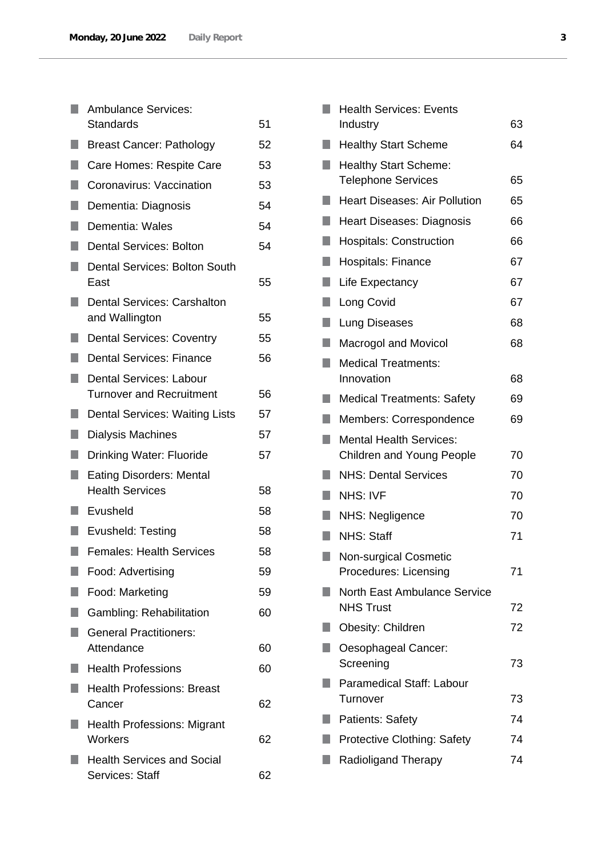|        | <b>Ambulance Services:</b><br><b>Standards</b>              | 51 |
|--------|-------------------------------------------------------------|----|
|        | <b>Breast Cancer: Pathology</b>                             | 52 |
| п      | Care Homes: Respite Care                                    | 53 |
| H      | Coronavirus: Vaccination                                    | 53 |
|        | Dementia: Diagnosis                                         | 54 |
| H      | Dementia: Wales                                             | 54 |
| n      | <b>Dental Services: Bolton</b>                              | 54 |
|        | <b>Dental Services: Bolton South</b><br>East                | 55 |
| H      | <b>Dental Services: Carshalton</b><br>and Wallington        | 55 |
|        | <b>Dental Services: Coventry</b>                            | 55 |
|        | <b>Dental Services: Finance</b>                             | 56 |
| H      | <b>Dental Services: Labour</b>                              |    |
|        | <b>Turnover and Recruitment</b>                             | 56 |
|        | <b>Dental Services: Waiting Lists</b>                       | 57 |
|        | Dialysis Machines                                           | 57 |
| $\Box$ | <b>Drinking Water: Fluoride</b>                             | 57 |
|        | <b>Eating Disorders: Mental</b><br><b>Health Services</b>   | 58 |
|        | Evusheld                                                    | 58 |
| u.     | Evusheld: Testing                                           | 58 |
|        | <b>Females: Health Services</b>                             | 58 |
|        | Food: Advertising                                           | 59 |
|        | Food: Marketing                                             | 59 |
|        | Gambling: Rehabilitation                                    | 60 |
|        | <b>General Practitioners:</b><br>Attendance                 | 60 |
|        | <b>Health Professions</b>                                   | 60 |
|        | <b>Health Professions: Breast</b><br>Cancer                 | 62 |
|        | <b>Health Professions: Migrant</b><br>Workers               | 62 |
|        | <b>Health Services and Social</b><br><b>Services: Staff</b> | 62 |

|    | <b>Health Services: Events</b>                                     |    |
|----|--------------------------------------------------------------------|----|
|    | Industry                                                           | 63 |
|    | <b>Healthy Start Scheme</b>                                        | 64 |
| ×. | <b>Healthy Start Scheme:</b><br><b>Telephone Services</b>          | 65 |
| ×. | <b>Heart Diseases: Air Pollution</b>                               | 65 |
| H. | Heart Diseases: Diagnosis                                          | 66 |
| F. | <b>Hospitals: Construction</b>                                     | 66 |
| I. | <b>Hospitals: Finance</b>                                          | 67 |
| I. | Life Expectancy                                                    | 67 |
| L. | Long Covid                                                         | 67 |
| ٠  | Lung Diseases                                                      | 68 |
| q  | <b>Macrogol and Movicol</b>                                        | 68 |
| n  | <b>Medical Treatments:</b>                                         |    |
|    | Innovation                                                         | 68 |
|    | <b>Medical Treatments: Safety</b>                                  | 69 |
| ×. | Members: Correspondence                                            | 69 |
| H. | <b>Mental Health Services:</b><br><b>Children and Young People</b> | 70 |
|    | <b>NHS: Dental Services</b>                                        | 70 |
| ٠  | NHS: IVF                                                           | 70 |
|    | NHS: Negligence                                                    | 70 |
| ٠  | <b>NHS: Staff</b>                                                  | 71 |
|    | <b>Non-surgical Cosmetic</b><br>Procedures: Licensing              | 71 |
|    | <b>North East Ambulance Service</b><br><b>NHS Trust</b>            | 72 |
|    | <b>Obesity: Children</b>                                           | 72 |
|    | Oesophageal Cancer:<br>Screening                                   | 73 |
|    | <b>Paramedical Staff: Labour</b><br>Turnover                       | 73 |
|    | <b>Patients: Safety</b>                                            | 74 |
|    | <b>Protective Clothing: Safety</b>                                 | 74 |
|    | <b>Radioligand Therapy</b>                                         | 74 |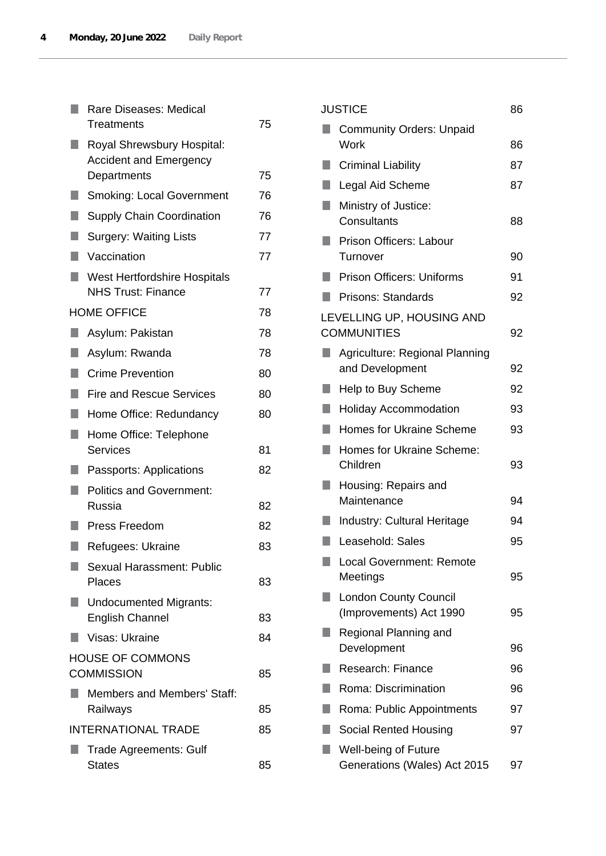|   | Rare Diseases: Medical<br>Treatments                             | 75 |
|---|------------------------------------------------------------------|----|
|   | Royal Shrewsbury Hospital:<br><b>Accident and Emergency</b>      |    |
|   | Departments                                                      | 75 |
|   | <b>Smoking: Local Government</b>                                 | 76 |
| ٠ | <b>Supply Chain Coordination</b>                                 | 76 |
| ٠ | <b>Surgery: Waiting Lists</b>                                    | 77 |
|   | Vaccination                                                      | 77 |
|   | <b>West Hertfordshire Hospitals</b><br><b>NHS Trust: Finance</b> | 77 |
|   | <b>HOME OFFICE</b>                                               | 78 |
| ٠ | Asylum: Pakistan                                                 | 78 |
| ٠ | Asylum: Rwanda                                                   | 78 |
| ٠ | <b>Crime Prevention</b>                                          | 80 |
| ٠ | <b>Fire and Rescue Services</b>                                  | 80 |
| ٠ | Home Office: Redundancy                                          | 80 |
| ۰ | Home Office: Telephone<br>Services                               | 81 |
|   | Passports: Applications                                          | 82 |
|   | <b>Politics and Government:</b><br>Russia                        | 82 |
|   | Press Freedom                                                    | 82 |
|   | Refugees: Ukraine                                                | 83 |
|   | Sexual Harassment: Public                                        |    |
|   | Places                                                           | 83 |
|   | <b>Undocumented Migrants:</b>                                    |    |
|   | <b>English Channel</b>                                           | 83 |
|   | Visas: Ukraine                                                   | 84 |
|   | <b>HOUSE OF COMMONS</b><br><b>COMMISSION</b>                     | 85 |
|   | <b>Members and Members' Staff:</b><br>Railways                   | 85 |
|   | <b>INTERNATIONAL TRADE</b>                                       | 85 |
|   | Trade Agreements: Gulf<br><b>States</b>                          | 85 |

|   | <b>JUSTICE</b>                                              | 86 |
|---|-------------------------------------------------------------|----|
|   | <b>Community Orders: Unpaid</b><br>Work                     | 86 |
|   | <b>Criminal Liability</b>                                   | 87 |
|   | Legal Aid Scheme                                            | 87 |
|   | Ministry of Justice:<br>Consultants                         | 88 |
|   | Prison Officers: Labour<br>Turnover                         | 90 |
|   | <b>Prison Officers: Uniforms</b>                            | 91 |
|   | <b>Prisons: Standards</b>                                   | 92 |
|   | LEVELLING UP, HOUSING AND<br><b>COMMUNITIES</b>             | 92 |
|   | Agriculture: Regional Planning<br>and Development           | 92 |
| ٠ | Help to Buy Scheme                                          | 92 |
|   | <b>Holiday Accommodation</b>                                | 93 |
|   | <b>Homes for Ukraine Scheme</b>                             | 93 |
| ٠ | Homes for Ukraine Scheme:<br>Children                       | 93 |
|   | Housing: Repairs and<br>Maintenance                         | 94 |
|   | <b>Industry: Cultural Heritage</b>                          | 94 |
|   | Leasehold: Sales                                            | 95 |
|   | Local Government: Remote<br>Meetings                        | 95 |
|   | <b>London County Council</b><br>(Improvements) Act 1990     | 95 |
|   | Regional Planning and<br>Development                        | 96 |
|   | Research: Finance                                           | 96 |
|   | Roma: Discrimination                                        | 96 |
|   | Roma: Public Appointments                                   | 97 |
|   | Social Rented Housing                                       | 97 |
|   | <b>Well-being of Future</b><br>Generations (Wales) Act 2015 | 97 |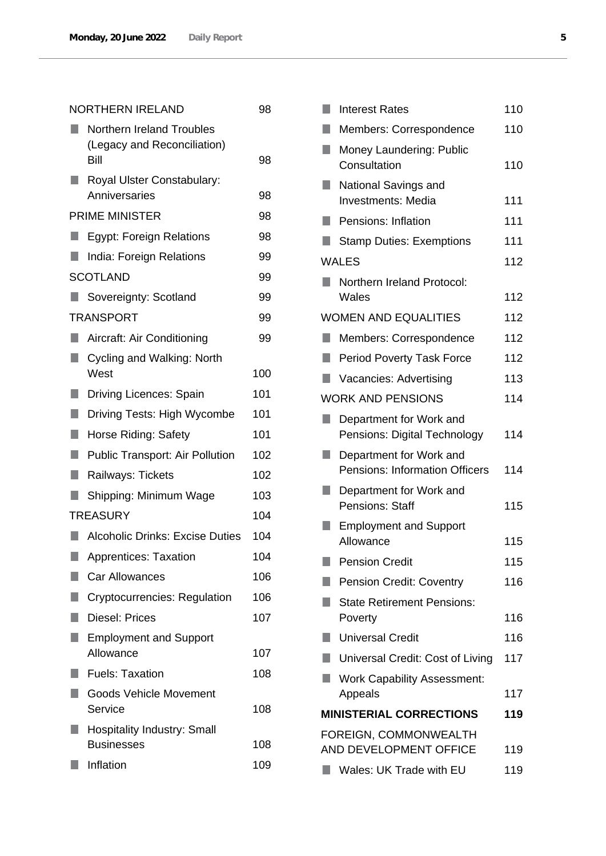| <b>NORTHERN IRELAND</b> |                                                                         | 98  |
|-------------------------|-------------------------------------------------------------------------|-----|
|                         | <b>Northern Ireland Troubles</b><br>(Legacy and Reconciliation)<br>Bill | 98  |
|                         | Royal Ulster Constabulary:<br>Anniversaries                             | 98  |
|                         | PRIME MINISTER                                                          | 98  |
|                         | <b>Egypt: Foreign Relations</b>                                         | 98  |
|                         | India: Foreign Relations                                                | 99  |
|                         | <b>SCOTLAND</b>                                                         | 99  |
|                         | Sovereignty: Scotland                                                   | 99  |
|                         | TRANSPORT                                                               | 99  |
| ٠                       | Aircraft: Air Conditioning                                              | 99  |
| П                       | Cycling and Walking: North<br>West                                      | 100 |
| ×.                      | <b>Driving Licences: Spain</b>                                          | 101 |
| L,                      | Driving Tests: High Wycombe                                             | 101 |
| U                       | Horse Riding: Safety                                                    | 101 |
| ٠                       | <b>Public Transport: Air Pollution</b>                                  | 102 |
| ŋ                       | Railways: Tickets                                                       | 102 |
| H                       | Shipping: Minimum Wage                                                  | 103 |
|                         | <b>TREASURY</b>                                                         | 104 |
|                         | <b>Alcoholic Drinks: Excise Duties</b>                                  | 104 |
|                         | Apprentices: Taxation                                                   | 104 |
|                         | <b>Car Allowances</b>                                                   | 106 |
|                         | Cryptocurrencies: Regulation                                            | 106 |
|                         | <b>Diesel: Prices</b>                                                   | 107 |
|                         | <b>Employment and Support</b><br>Allowance                              | 107 |
|                         | <b>Fuels: Taxation</b>                                                  | 108 |
| ٠                       |                                                                         |     |
|                         | <b>Goods Vehicle Movement</b><br>Service                                | 108 |
|                         | <b>Hospitality Industry: Small</b><br><b>Businesses</b>                 | 108 |
|                         | Inflation                                                               | 109 |

|     | <b>Interest Rates</b>                                            | 110 |
|-----|------------------------------------------------------------------|-----|
|     | Members: Correspondence                                          | 110 |
| ٠   | Money Laundering: Public<br>Consultation                         | 110 |
| ш   | National Savings and<br><b>Investments: Media</b>                | 111 |
|     | Pensions: Inflation                                              | 111 |
|     | <b>Stamp Duties: Exemptions</b>                                  | 111 |
|     | <b>WALES</b>                                                     | 112 |
|     | <b>Northern Ireland Protocol:</b><br>Wales                       | 112 |
|     | <b>WOMEN AND EQUALITIES</b>                                      | 112 |
| ٠   | Members: Correspondence                                          | 112 |
| ×.  | <b>Period Poverty Task Force</b>                                 | 112 |
|     | Vacancies: Advertising                                           | 113 |
|     | <b>WORK AND PENSIONS</b>                                         | 114 |
| ×.  | Department for Work and<br>Pensions: Digital Technology          | 114 |
|     | Department for Work and<br><b>Pensions: Information Officers</b> | 114 |
|     | Department for Work and<br>Pensions: Staff                       | 115 |
| ٠   | <b>Employment and Support</b><br>Allowance                       | 115 |
| L.  | <b>Pension Credit</b>                                            | 115 |
|     | <b>Pension Credit: Coventry</b>                                  | 116 |
|     | <b>State Retirement Pensions:</b><br>Poverty                     | 116 |
| m.  | <b>Universal Credit</b>                                          | 116 |
| a a | Universal Credit: Cost of Living                                 | 117 |
|     | <b>Work Capability Assessment:</b>                               |     |
|     | Appeals                                                          | 117 |
|     | <b>MINISTERIAL CORRECTIONS</b>                                   | 119 |
|     | FOREIGN, COMMONWEALTH<br>AND DEVELOPMENT OFFICE                  | 119 |
|     | Wales: UK Trade with EU                                          | 119 |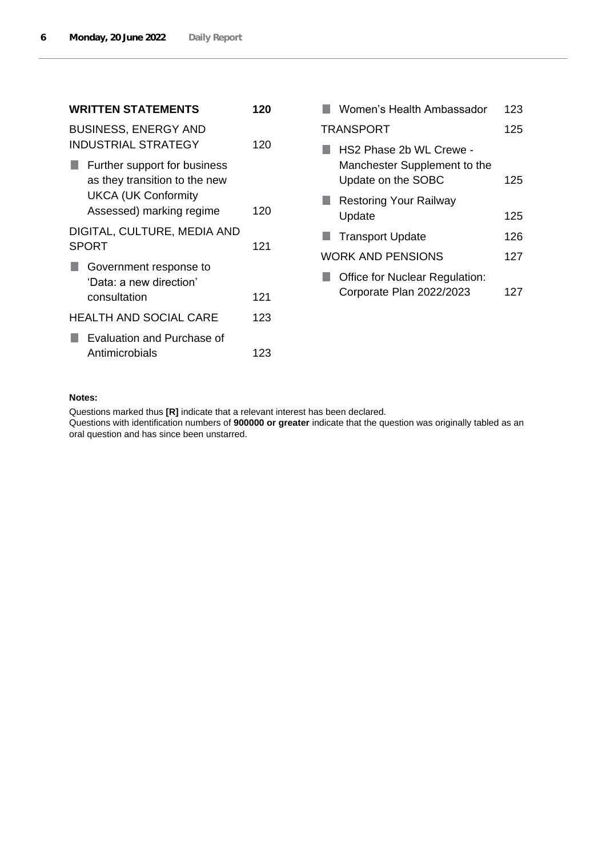| <b>WRITTEN STATEMENTS</b>                                                                                               | 120 |
|-------------------------------------------------------------------------------------------------------------------------|-----|
| <b>BUSINESS, ENERGY AND</b><br>INDUSTRIAL STRATEGY                                                                      | 120 |
| Further support for business<br>as they transition to the new<br><b>UKCA (UK Conformity</b><br>Assessed) marking regime | 120 |
| DIGITAL, CULTURE, MEDIA AND<br><b>SPORT</b>                                                                             | 121 |
| Government response to<br>'Data: a new direction'<br>consultation                                                       | 121 |
| <b>HEALTH AND SOCIAL CARE</b>                                                                                           | 123 |
| Evaluation and Purchase of<br>Antimicrobials                                                                            | 123 |

| Women's Health Ambassador                                                     | 123 |
|-------------------------------------------------------------------------------|-----|
| TRANSPORT                                                                     | 125 |
| HS2 Phase 2b WL Crewe -<br>Manchester Supplement to the<br>Update on the SOBC | 125 |
| <b>Restoring Your Railway</b><br>Update                                       | 125 |
| <b>Transport Update</b>                                                       | 126 |
| WORK AND PENSIONS                                                             | 127 |
| <b>Office for Nuclear Regulation:</b><br>Corporate Plan 2022/2023             | 127 |

## **Notes:**

Questions marked thus **[R]** indicate that a relevant interest has been declared.

Questions with identification numbers of **900000 or greater** indicate that the question was originally tabled as an oral question and has since been unstarred.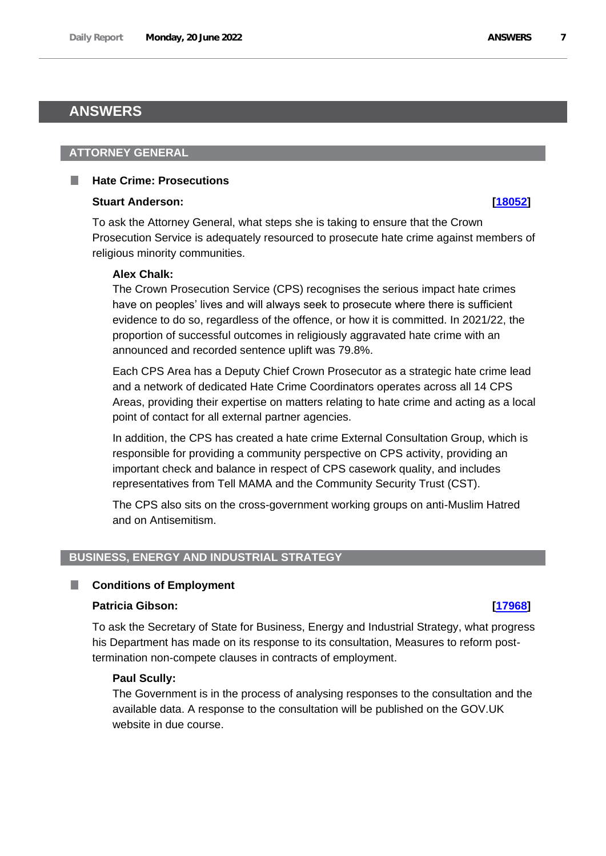# <span id="page-6-0"></span>**ANSWERS**

### <span id="page-6-1"></span>**ATTORNEY GENERAL**

## <span id="page-6-2"></span>**Hate Crime: Prosecutions**

#### **Stuart Anderson: [\[18052\]](http://www.parliament.uk/business/publications/written-questions-answers-statements/written-question/Commons/2022-06-14/18052)**

To ask the Attorney General, what steps she is taking to ensure that the Crown Prosecution Service is adequately resourced to prosecute hate crime against members of religious minority communities.

## **Alex Chalk:**

The Crown Prosecution Service (CPS) recognises the serious impact hate crimes have on peoples' lives and will always seek to prosecute where there is sufficient evidence to do so, regardless of the offence, or how it is committed. In 2021/22, the proportion of successful outcomes in religiously aggravated hate crime with an announced and recorded sentence uplift was 79.8%.

Each CPS Area has a Deputy Chief Crown Prosecutor as a strategic hate crime lead and a network of dedicated Hate Crime Coordinators operates across all 14 CPS Areas, providing their expertise on matters relating to hate crime and acting as a local point of contact for all external partner agencies.

In addition, the CPS has created a hate crime External Consultation Group, which is responsible for providing a community perspective on CPS activity, providing an important check and balance in respect of CPS casework quality, and includes representatives from Tell MAMA and the Community Security Trust (CST).

The CPS also sits on the cross-government working groups on anti-Muslim Hatred and on Antisemitism.

# <span id="page-6-3"></span>**BUSINESS, ENERGY AND INDUSTRIAL STRATEGY**

## <span id="page-6-4"></span>■ Conditions of Employment

## **Patricia Gibson: [\[17968\]](http://www.parliament.uk/business/publications/written-questions-answers-statements/written-question/Commons/2022-06-14/17968)**

To ask the Secretary of State for Business, Energy and Industrial Strategy, what progress his Department has made on its response to its consultation, Measures to reform posttermination non-compete clauses in contracts of employment.

#### **Paul Scully:**

The Government is in the process of analysing responses to the consultation and the available data. A response to the consultation will be published on the GOV.UK website in due course.

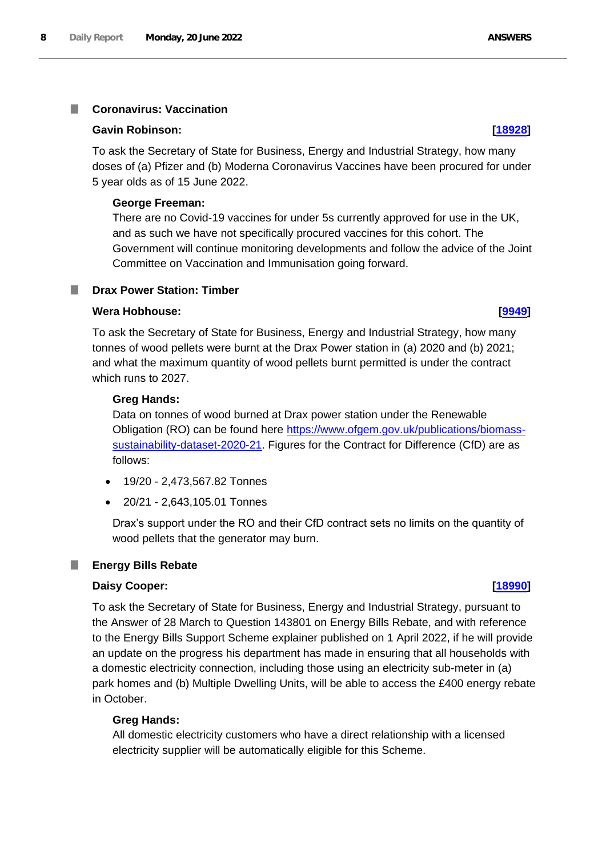#### <span id="page-7-0"></span>**Coronavirus: Vaccination** T.

#### **Gavin Robinson: [\[18928\]](http://www.parliament.uk/business/publications/written-questions-answers-statements/written-question/Commons/2022-06-15/18928)**

To ask the Secretary of State for Business, Energy and Industrial Strategy, how many doses of (a) Pfizer and (b) Moderna Coronavirus Vaccines have been procured for under 5 year olds as of 15 June 2022.

### **George Freeman:**

There are no Covid-19 vaccines for under 5s currently approved for use in the UK, and as such we have not specifically procured vaccines for this cohort. The Government will continue monitoring developments and follow the advice of the Joint Committee on Vaccination and Immunisation going forward.

## <span id="page-7-1"></span>**Drax Power Station: Timber**

### **Wera Hobhouse: [\[9949\]](http://www.parliament.uk/business/publications/written-questions-answers-statements/written-question/Commons/2022-05-26/9949)**

To ask the Secretary of State for Business, Energy and Industrial Strategy, how many tonnes of wood pellets were burnt at the Drax Power station in (a) 2020 and (b) 2021; and what the maximum quantity of wood pellets burnt permitted is under the contract which runs to 2027.

### **Greg Hands:**

Data on tonnes of wood burned at Drax power station under the Renewable Obligation (RO) can be found here https://www.ofgem.gov.uk/publications/biomasssustainability-dataset-2020-21. Figures for the Contract for Difference (CfD) are as follows:

- 19/20 2,473,567.82 Tonnes
- 20/21 2,643,105.01 Tonnes

Drax's support under the RO and their CfD contract sets no limits on the quantity of wood pellets that the generator may burn.

## <span id="page-7-2"></span>**Energy Bills Rebate**

#### **Daisy Cooper: [\[18990\]](http://www.parliament.uk/business/publications/written-questions-answers-statements/written-question/Commons/2022-06-15/18990)**

To ask the Secretary of State for Business, Energy and Industrial Strategy, pursuant to the Answer of 28 March to Question 143801 on Energy Bills Rebate, and with reference to the Energy Bills Support Scheme explainer published on 1 April 2022, if he will provide an update on the progress his department has made in ensuring that all households with a domestic electricity connection, including those using an electricity sub-meter in (a) park homes and (b) Multiple Dwelling Units, will be able to access the £400 energy rebate in October.

## **Greg Hands:**

All domestic electricity customers who have a direct relationship with a licensed electricity supplier will be automatically eligible for this Scheme.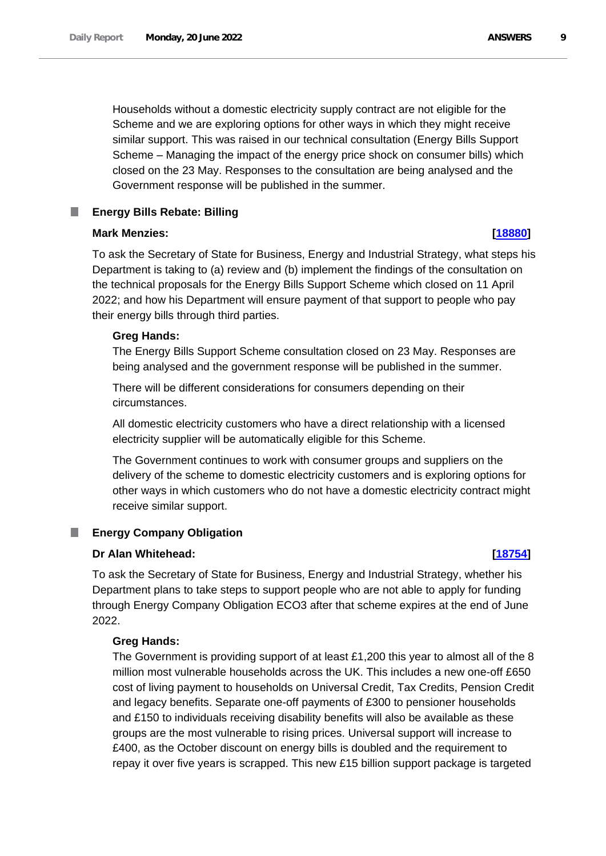Households without a domestic electricity supply contract are not eligible for the Scheme and we are exploring options for other ways in which they might receive similar support. This was raised in our technical consultation (Energy Bills Support Scheme – Managing the impact of the energy price shock on consumer bills) which closed on the 23 May. Responses to the consultation are being analysed and the Government response will be published in the summer.

#### <span id="page-8-0"></span>**Energy Bills Rebate: Billing** ш

## **Mark Menzies: [\[18880\]](http://www.parliament.uk/business/publications/written-questions-answers-statements/written-question/Commons/2022-06-15/18880)**

To ask the Secretary of State for Business, Energy and Industrial Strategy, what steps his Department is taking to (a) review and (b) implement the findings of the consultation on the technical proposals for the Energy Bills Support Scheme which closed on 11 April 2022; and how his Department will ensure payment of that support to people who pay their energy bills through third parties.

# **Greg Hands:**

The Energy Bills Support Scheme consultation closed on 23 May. Responses are being analysed and the government response will be published in the summer.

There will be different considerations for consumers depending on their circumstances.

All domestic electricity customers who have a direct relationship with a licensed electricity supplier will be automatically eligible for this Scheme.

The Government continues to work with consumer groups and suppliers on the delivery of the scheme to domestic electricity customers and is exploring options for other ways in which customers who do not have a domestic electricity contract might receive similar support.

#### <span id="page-8-1"></span>**Energy Company Obligation** ш

# **Dr Alan Whitehead: [\[18754\]](http://www.parliament.uk/business/publications/written-questions-answers-statements/written-question/Commons/2022-06-15/18754)**

To ask the Secretary of State for Business, Energy and Industrial Strategy, whether his Department plans to take steps to support people who are not able to apply for funding through Energy Company Obligation ECO3 after that scheme expires at the end of June 2022.

# **Greg Hands:**

The Government is providing support of at least £1,200 this year to almost all of the 8 million most vulnerable households across the UK. This includes a new one-off £650 cost of living payment to households on Universal Credit, Tax Credits, Pension Credit and legacy benefits. Separate one-off payments of £300 to pensioner households and £150 to individuals receiving disability benefits will also be available as these groups are the most vulnerable to rising prices. Universal support will increase to £400, as the October discount on energy bills is doubled and the requirement to repay it over five years is scrapped. This new £15 billion support package is targeted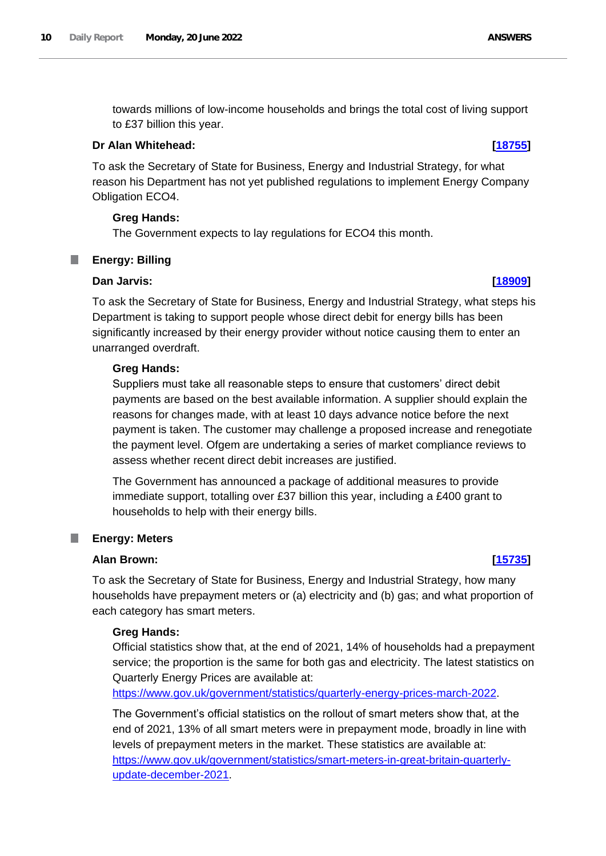towards millions of low-income households and brings the total cost of living support to £37 billion this year.

### **Dr Alan Whitehead: [\[18755\]](http://www.parliament.uk/business/publications/written-questions-answers-statements/written-question/Commons/2022-06-15/18755)**

To ask the Secretary of State for Business, Energy and Industrial Strategy, for what reason his Department has not yet published regulations to implement Energy Company Obligation ECO4.

## **Greg Hands:**

The Government expects to lay regulations for ECO4 this month.

# <span id="page-9-0"></span>**Energy: Billing**

### **Dan Jarvis: [\[18909\]](http://www.parliament.uk/business/publications/written-questions-answers-statements/written-question/Commons/2022-06-15/18909)**

To ask the Secretary of State for Business, Energy and Industrial Strategy, what steps his Department is taking to support people whose direct debit for energy bills has been significantly increased by their energy provider without notice causing them to enter an unarranged overdraft.

### **Greg Hands:**

Suppliers must take all reasonable steps to ensure that customers' direct debit payments are based on the best available information. A supplier should explain the reasons for changes made, with at least 10 days advance notice before the next payment is taken. The customer may challenge a proposed increase and renegotiate the payment level. Ofgem are undertaking a series of market compliance reviews to assess whether recent direct debit increases are justified.

The Government has announced a package of additional measures to provide immediate support, totalling over £37 billion this year, including a £400 grant to households to help with their energy bills.

#### <span id="page-9-1"></span>T. **Energy: Meters**

### **Alan Brown: [\[15735\]](http://www.parliament.uk/business/publications/written-questions-answers-statements/written-question/Commons/2022-06-10/15735)**

To ask the Secretary of State for Business, Energy and Industrial Strategy, how many households have prepayment meters or (a) electricity and (b) gas; and what proportion of each category has smart meters.

## **Greg Hands:**

Official statistics show that, at the end of 2021, 14% of households had a prepayment service; the proportion is the same for both gas and electricity. The latest statistics on Quarterly Energy Prices are available at:

https://www.gov.uk/government/statistics/quarterly-energy-prices-march-2022.

The Government's official statistics on the rollout of smart meters show that, at the end of 2021, 13% of all smart meters were in prepayment mode, broadly in line with levels of prepayment meters in the market. These statistics are available at: [https://www.gov.uk/government/statistics/smart-meters-in-great-britain-quarterly](https://www.gov.uk/government/statistics/smart-meters-in-great-britain-quarterly-update-december-2021)[update-december-2021.](https://www.gov.uk/government/statistics/smart-meters-in-great-britain-quarterly-update-december-2021)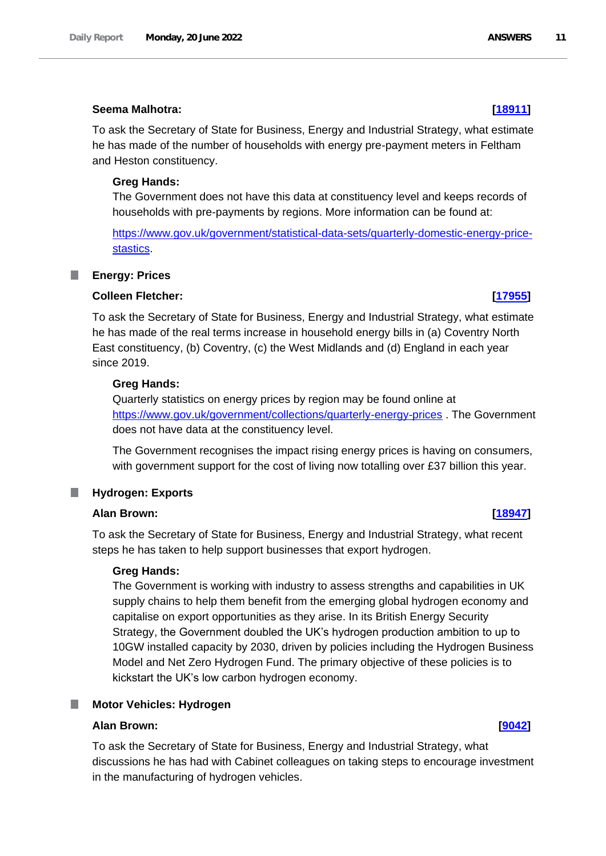### **Seema Malhotra: [\[18911\]](http://www.parliament.uk/business/publications/written-questions-answers-statements/written-question/Commons/2022-06-15/18911)**

To ask the Secretary of State for Business, Energy and Industrial Strategy, what estimate he has made of the number of households with energy pre-payment meters in Feltham and Heston constituency.

## **Greg Hands:**

The Government does not have this data at constituency level and keeps records of households with pre-payments by regions. More information can be found at:

[https://www.gov.uk/government/statistical-data-sets/quarterly-domestic-energy-price](https://www.gov.uk/government/statistical-data-sets/quarterly-domestic-energy-price-stastics)[stastics.](https://www.gov.uk/government/statistical-data-sets/quarterly-domestic-energy-price-stastics)

#### <span id="page-10-0"></span>**Energy: Prices** ш

#### **Colleen Fletcher: [\[17955\]](http://www.parliament.uk/business/publications/written-questions-answers-statements/written-question/Commons/2022-06-14/17955)**

To ask the Secretary of State for Business, Energy and Industrial Strategy, what estimate he has made of the real terms increase in household energy bills in (a) Coventry North East constituency, (b) Coventry, (c) the West Midlands and (d) England in each year since 2019.

#### **Greg Hands:**

Quarterly statistics on energy prices by region may be found online at https://www.gov.uk/government/collections/quarterly-energy-prices . The Government does not have data at the constituency level.

The Government recognises the impact rising energy prices is having on consumers, with government support for the cost of living now totalling over £37 billion this year.

#### <span id="page-10-1"></span>**Hydrogen: Exports**

### **Alan Brown: [\[18947\]](http://www.parliament.uk/business/publications/written-questions-answers-statements/written-question/Commons/2022-06-15/18947)**

To ask the Secretary of State for Business, Energy and Industrial Strategy, what recent steps he has taken to help support businesses that export hydrogen.

## **Greg Hands:**

The Government is working with industry to assess strengths and capabilities in UK supply chains to help them benefit from the emerging global hydrogen economy and capitalise on export opportunities as they arise. In its British Energy Security Strategy, the Government doubled the UK's hydrogen production ambition to up to 10GW installed capacity by 2030, driven by policies including the Hydrogen Business Model and Net Zero Hydrogen Fund. The primary objective of these policies is to kickstart the UK's low carbon hydrogen economy.

### <span id="page-10-2"></span>**Motor Vehicles: Hydrogen**

#### **Alan Brown: [\[9042\]](http://www.parliament.uk/business/publications/written-questions-answers-statements/written-question/Commons/2022-05-25/9042)**

To ask the Secretary of State for Business, Energy and Industrial Strategy, what discussions he has had with Cabinet colleagues on taking steps to encourage investment in the manufacturing of hydrogen vehicles.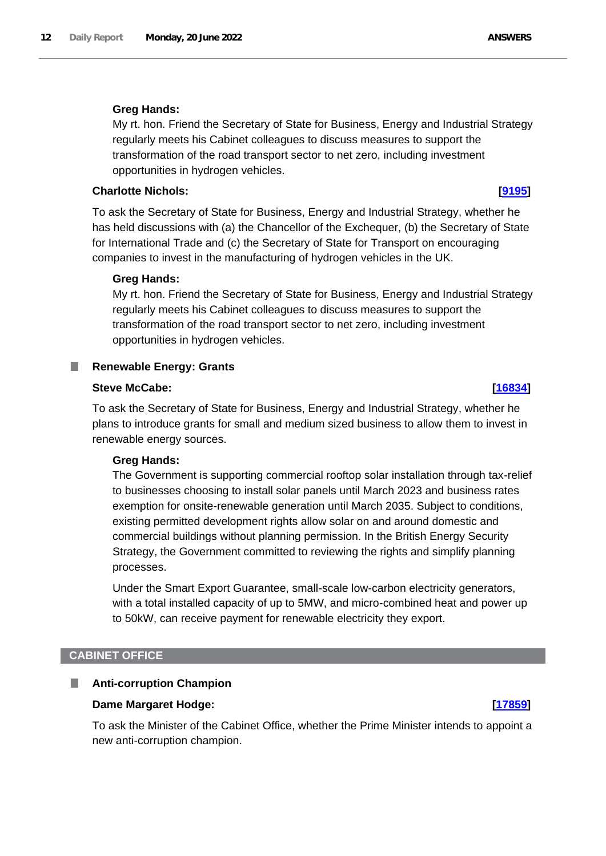# **Greg Hands:**

My rt. hon. Friend the Secretary of State for Business, Energy and Industrial Strategy regularly meets his Cabinet colleagues to discuss measures to support the transformation of the road transport sector to net zero, including investment opportunities in hydrogen vehicles.

## **Charlotte Nichols: [\[9195\]](http://www.parliament.uk/business/publications/written-questions-answers-statements/written-question/Commons/2022-05-25/9195)**

To ask the Secretary of State for Business, Energy and Industrial Strategy, whether he has held discussions with (a) the Chancellor of the Exchequer, (b) the Secretary of State for International Trade and (c) the Secretary of State for Transport on encouraging companies to invest in the manufacturing of hydrogen vehicles in the UK.

## **Greg Hands:**

My rt. hon. Friend the Secretary of State for Business, Energy and Industrial Strategy regularly meets his Cabinet colleagues to discuss measures to support the transformation of the road transport sector to net zero, including investment opportunities in hydrogen vehicles.

#### <span id="page-11-0"></span>**Renewable Energy: Grants** ш

## **Steve McCabe: [\[16834\]](http://www.parliament.uk/business/publications/written-questions-answers-statements/written-question/Commons/2022-06-13/16834)**

To ask the Secretary of State for Business, Energy and Industrial Strategy, whether he plans to introduce grants for small and medium sized business to allow them to invest in renewable energy sources.

## **Greg Hands:**

The Government is supporting commercial rooftop solar installation through tax-relief to businesses choosing to install solar panels until March 2023 and business rates exemption for onsite-renewable generation until March 2035. Subject to conditions, existing permitted development rights allow solar on and around domestic and commercial buildings without planning permission. In the British Energy Security Strategy, the Government committed to reviewing the rights and simplify planning processes.

Under the Smart Export Guarantee, small-scale low-carbon electricity generators, with a total installed capacity of up to 5MW, and micro-combined heat and power up to 50kW, can receive payment for renewable electricity they export.

## <span id="page-11-1"></span>**CABINET OFFICE**

#### <span id="page-11-2"></span>**Anti-corruption Champion** T.

## **Dame Margaret Hodge: [\[17859\]](http://www.parliament.uk/business/publications/written-questions-answers-statements/written-question/Commons/2022-06-14/17859)**

To ask the Minister of the Cabinet Office, whether the Prime Minister intends to appoint a new anti-corruption champion.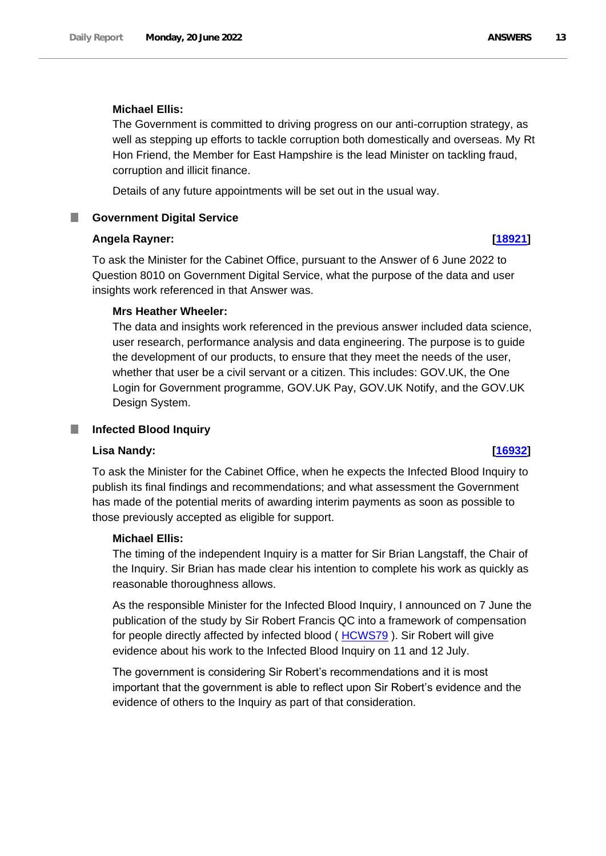### **Michael Ellis:**

The Government is committed to driving progress on our anti-corruption strategy, as well as stepping up efforts to tackle corruption both domestically and overseas. My Rt Hon Friend, the Member for East Hampshire is the lead Minister on tackling fraud, corruption and illicit finance.

Details of any future appointments will be set out in the usual way.

## <span id="page-12-0"></span>**E** Government Digital Service

### **Angela Rayner: [\[18921\]](http://www.parliament.uk/business/publications/written-questions-answers-statements/written-question/Commons/2022-06-15/18921)**

To ask the Minister for the Cabinet Office, pursuant to the Answer of 6 June 2022 to Question 8010 on Government Digital Service, what the purpose of the data and user insights work referenced in that Answer was.

### **Mrs Heather Wheeler:**

The data and insights work referenced in the previous answer included data science, user research, performance analysis and data engineering. The purpose is to guide the development of our products, to ensure that they meet the needs of the user, whether that user be a civil servant or a citizen. This includes: GOV.UK, the One Login for Government programme, GOV.UK Pay, GOV.UK Notify, and the GOV.UK Design System.

#### <span id="page-12-1"></span>T. **Infected Blood Inquiry**

### **Lisa Nandy: [\[16932\]](http://www.parliament.uk/business/publications/written-questions-answers-statements/written-question/Commons/2022-06-13/16932)**

To ask the Minister for the Cabinet Office, when he expects the Infected Blood Inquiry to publish its final findings and recommendations; and what assessment the Government has made of the potential merits of awarding interim payments as soon as possible to those previously accepted as eligible for support.

## **Michael Ellis:**

The timing of the independent Inquiry is a matter for Sir Brian Langstaff, the Chair of the Inquiry. Sir Brian has made clear his intention to complete his work as quickly as reasonable thoroughness allows.

As the responsible Minister for the Infected Blood Inquiry, I announced on 7 June the publication of the study by Sir Robert Francis QC into a framework of compensation for people directly affected by infected blood ( [HCWS79](https://questions-statements.parliament.uk/written-statements/detail/2022-06-07/hcws79) ). Sir Robert will give evidence about his work to the Infected Blood Inquiry on 11 and 12 July.

The government is considering Sir Robert's recommendations and it is most important that the government is able to reflect upon Sir Robert's evidence and the evidence of others to the Inquiry as part of that consideration.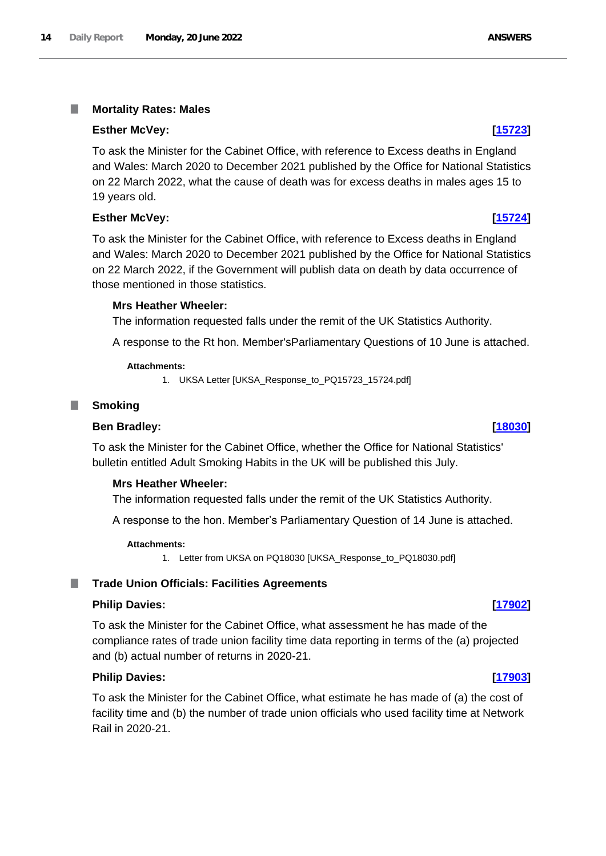#### <span id="page-13-0"></span>I. **Mortality Rates: Males**

#### **Esther McVey: [\[15723\]](http://www.parliament.uk/business/publications/written-questions-answers-statements/written-question/Commons/2022-06-10/15723)**

To ask the Minister for the Cabinet Office, with reference to Excess deaths in England and Wales: March 2020 to December 2021 published by the Office for National Statistics on 22 March 2022, what the cause of death was for excess deaths in males ages 15 to 19 years old.

### **Esther McVey: [\[15724\]](http://www.parliament.uk/business/publications/written-questions-answers-statements/written-question/Commons/2022-06-10/15724)**

To ask the Minister for the Cabinet Office, with reference to Excess deaths in England and Wales: March 2020 to December 2021 published by the Office for National Statistics on 22 March 2022, if the Government will publish data on death by data occurrence of those mentioned in those statistics.

#### **Mrs Heather Wheeler:**

The information requested falls under the remit of the UK Statistics Authority.

A response to the Rt hon. Member'sParliamentary Questions of 10 June is attached.

#### **Attachments:**

1. UKSA Letter [UKSA\_Response\_to\_PQ15723\_15724.pdf]

#### <span id="page-13-1"></span>**Smoking**

#### **Ben Bradley: [\[18030\]](http://www.parliament.uk/business/publications/written-questions-answers-statements/written-question/Commons/2022-06-14/18030)**

To ask the Minister for the Cabinet Office, whether the Office for National Statistics' bulletin entitled Adult Smoking Habits in the UK will be published this July.

#### **Mrs Heather Wheeler:**

The information requested falls under the remit of the UK Statistics Authority.

A response to the hon. Member's Parliamentary Question of 14 June is attached.

#### **Attachments:**

1. Letter from UKSA on PQ18030 [UKSA\_Response\_to\_PQ18030.pdf]

### <span id="page-13-2"></span>**Trade Union Officials: Facilities Agreements**

#### **Philip Davies: [\[17902\]](http://www.parliament.uk/business/publications/written-questions-answers-statements/written-question/Commons/2022-06-14/17902)**

To ask the Minister for the Cabinet Office, what assessment he has made of the compliance rates of trade union facility time data reporting in terms of the (a) projected and (b) actual number of returns in 2020-21.

#### **Philip Davies: [\[17903\]](http://www.parliament.uk/business/publications/written-questions-answers-statements/written-question/Commons/2022-06-14/17903)**

To ask the Minister for the Cabinet Office, what estimate he has made of (a) the cost of facility time and (b) the number of trade union officials who used facility time at Network Rail in 2020-21.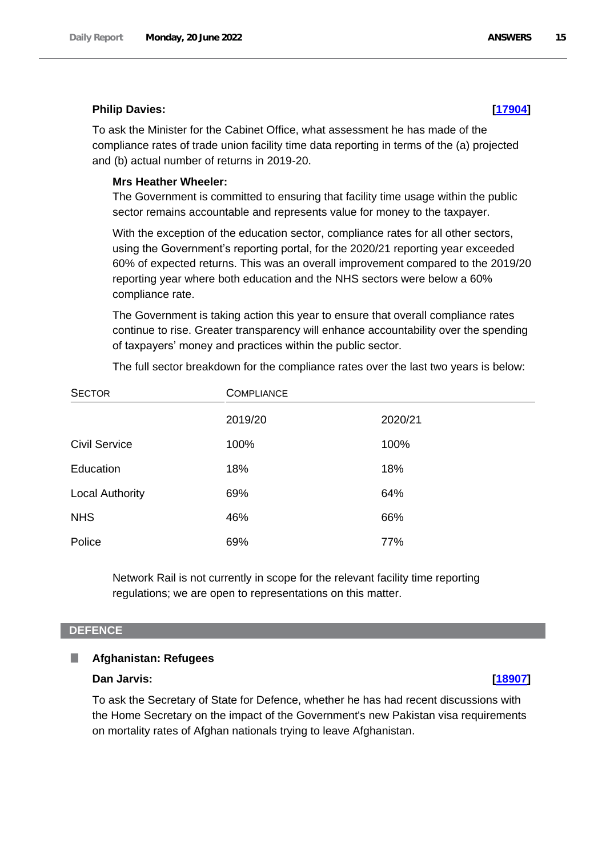# **Philip Davies: [\[17904\]](http://www.parliament.uk/business/publications/written-questions-answers-statements/written-question/Commons/2022-06-14/17904)**

To ask the Minister for the Cabinet Office, what assessment he has made of the compliance rates of trade union facility time data reporting in terms of the (a) projected and (b) actual number of returns in 2019-20.

### **Mrs Heather Wheeler:**

The Government is committed to ensuring that facility time usage within the public sector remains accountable and represents value for money to the taxpayer.

With the exception of the education sector, compliance rates for all other sectors, using the Government's reporting portal, for the 2020/21 reporting year exceeded 60% of expected returns. This was an overall improvement compared to the 2019/20 reporting year where both education and the NHS sectors were below a 60% compliance rate.

The Government is taking action this year to ensure that overall compliance rates continue to rise. Greater transparency will enhance accountability over the spending of taxpayers' money and practices within the public sector.

| The full sector breakdown for the compliance rates over the last two years is below: |  |  |  |
|--------------------------------------------------------------------------------------|--|--|--|
|--------------------------------------------------------------------------------------|--|--|--|

| <b>SECTOR</b>          | <b>COMPLIANCE</b> |         |  |
|------------------------|-------------------|---------|--|
|                        | 2019/20           | 2020/21 |  |
| <b>Civil Service</b>   | 100%              | 100%    |  |
| Education              | 18%               | 18%     |  |
| <b>Local Authority</b> | 69%               | 64%     |  |
| <b>NHS</b>             | 46%               | 66%     |  |
| Police                 | 69%               | 77%     |  |

Network Rail is not currently in scope for the relevant facility time reporting regulations; we are open to representations on this matter.

### <span id="page-14-0"></span>**DEFENCE**

#### <span id="page-14-1"></span>**Afghanistan: Refugees** ш

## **Dan Jarvis: [\[18907\]](http://www.parliament.uk/business/publications/written-questions-answers-statements/written-question/Commons/2022-06-15/18907)**

To ask the Secretary of State for Defence, whether he has had recent discussions with the Home Secretary on the impact of the Government's new Pakistan visa requirements on mortality rates of Afghan nationals trying to leave Afghanistan.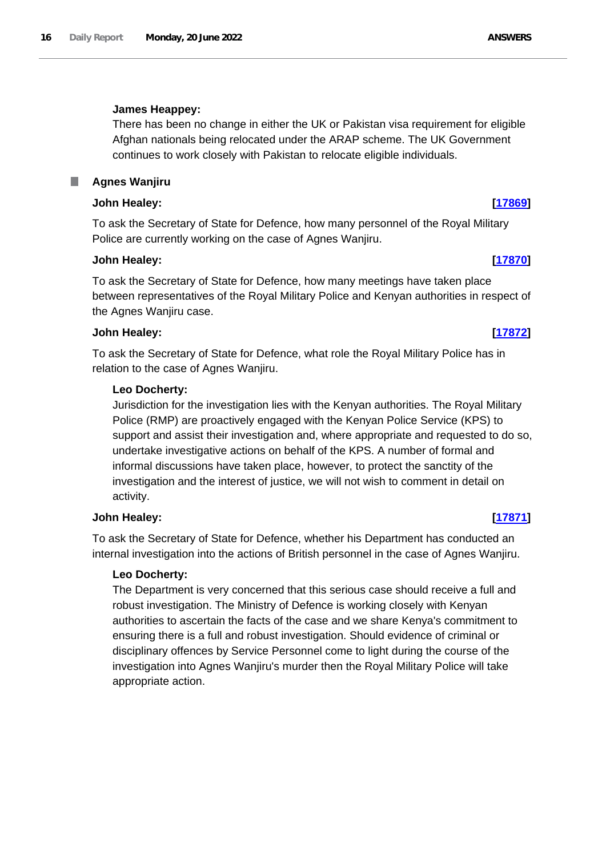# **James Heappey:**

There has been no change in either the UK or Pakistan visa requirement for eligible Afghan nationals being relocated under the ARAP scheme. The UK Government continues to work closely with Pakistan to relocate eligible individuals.

# <span id="page-15-0"></span>**Agnes Wanjiru**

# **John Healey: [\[17869\]](http://www.parliament.uk/business/publications/written-questions-answers-statements/written-question/Commons/2022-06-14/17869)**

To ask the Secretary of State for Defence, how many personnel of the Royal Military Police are currently working on the case of Agnes Wanjiru.

# **John Healey: [\[17870\]](http://www.parliament.uk/business/publications/written-questions-answers-statements/written-question/Commons/2022-06-14/17870)**

To ask the Secretary of State for Defence, how many meetings have taken place between representatives of the Royal Military Police and Kenyan authorities in respect of the Agnes Wanjiru case.

# **John Healey: [\[17872\]](http://www.parliament.uk/business/publications/written-questions-answers-statements/written-question/Commons/2022-06-14/17872)**

To ask the Secretary of State for Defence, what role the Royal Military Police has in relation to the case of Agnes Wanjiru.

# **Leo Docherty:**

Jurisdiction for the investigation lies with the Kenyan authorities. The Royal Military Police (RMP) are proactively engaged with the Kenyan Police Service (KPS) to support and assist their investigation and, where appropriate and requested to do so, undertake investigative actions on behalf of the KPS. A number of formal and informal discussions have taken place, however, to protect the sanctity of the investigation and the interest of justice, we will not wish to comment in detail on activity.

# **John Healey: [\[17871\]](http://www.parliament.uk/business/publications/written-questions-answers-statements/written-question/Commons/2022-06-14/17871)**

To ask the Secretary of State for Defence, whether his Department has conducted an internal investigation into the actions of British personnel in the case of Agnes Wanjiru.

# **Leo Docherty:**

The Department is very concerned that this serious case should receive a full and robust investigation. The Ministry of Defence is working closely with Kenyan authorities to ascertain the facts of the case and we share Kenya's commitment to ensuring there is a full and robust investigation. Should evidence of criminal or disciplinary offences by Service Personnel come to light during the course of the investigation into Agnes Wanjiru's murder then the Royal Military Police will take appropriate action.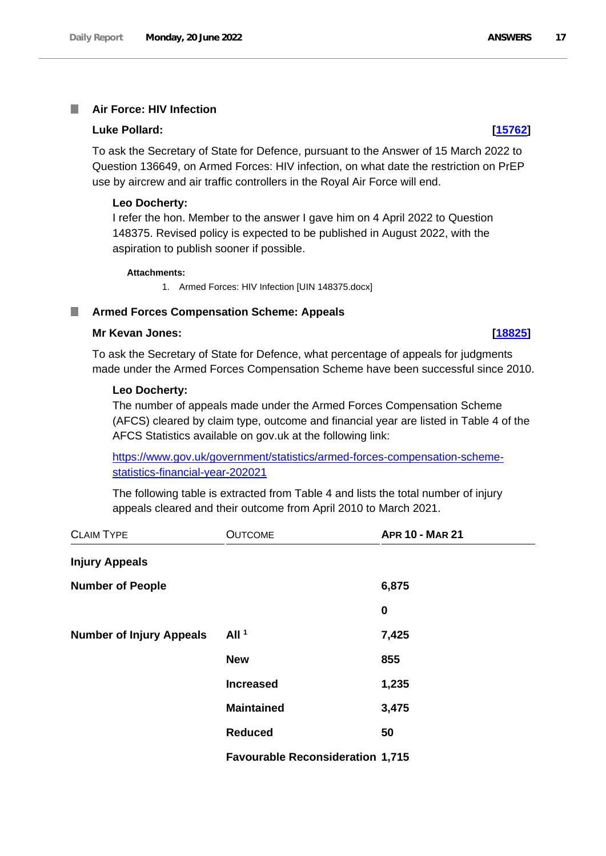#### <span id="page-16-0"></span>**Air Force: HIV Infection I**

#### **Luke Pollard: [\[15762\]](http://www.parliament.uk/business/publications/written-questions-answers-statements/written-question/Commons/2022-06-10/15762)**

To ask the Secretary of State for Defence, pursuant to the Answer of 15 March 2022 to Question 136649, on Armed Forces: HIV infection, on what date the restriction on PrEP use by aircrew and air traffic controllers in the Royal Air Force will end.

#### **Leo Docherty:**

I refer the hon. Member to the answer I gave him on 4 April 2022 to Question 148375. Revised policy is expected to be published in August 2022, with the aspiration to publish sooner if possible.

#### **Attachments:**

1. Armed Forces: HIV Infection [UIN 148375.docx]

#### <span id="page-16-1"></span>**Armed Forces Compensation Scheme: Appeals**

#### **Mr Kevan Jones: [\[18825\]](http://www.parliament.uk/business/publications/written-questions-answers-statements/written-question/Commons/2022-06-15/18825)**

To ask the Secretary of State for Defence, what percentage of appeals for judgments made under the Armed Forces Compensation Scheme have been successful since 2010.

#### **Leo Docherty:**

The number of appeals made under the Armed Forces Compensation Scheme (AFCS) cleared by claim type, outcome and financial year are listed in Table 4 of the AFCS Statistics available on gov.uk at the following link:

[https://www.gov.uk/government/statistics/armed-forces-compensation-scheme](https://www.gov.uk/government/statistics/armed-forces-compensation-scheme-statistics-financial-year-202021)[statistics-financial-year-202021](https://www.gov.uk/government/statistics/armed-forces-compensation-scheme-statistics-financial-year-202021)

The following table is extracted from Table 4 and lists the total number of injury appeals cleared and their outcome from April 2010 to March 2021.

| <b>CLAIM TYPE</b>               | <b>OUTCOME</b>                          | <b>APR 10 - MAR 21</b> |
|---------------------------------|-----------------------------------------|------------------------|
| <b>Injury Appeals</b>           |                                         |                        |
| <b>Number of People</b>         |                                         | 6,875                  |
|                                 |                                         | $\boldsymbol{0}$       |
| <b>Number of Injury Appeals</b> | All <sup>1</sup>                        | 7,425                  |
|                                 | <b>New</b>                              | 855                    |
|                                 | <b>Increased</b>                        | 1,235                  |
|                                 | <b>Maintained</b>                       | 3,475                  |
|                                 | <b>Reduced</b>                          | 50                     |
|                                 | <b>Favourable Reconsideration 1,715</b> |                        |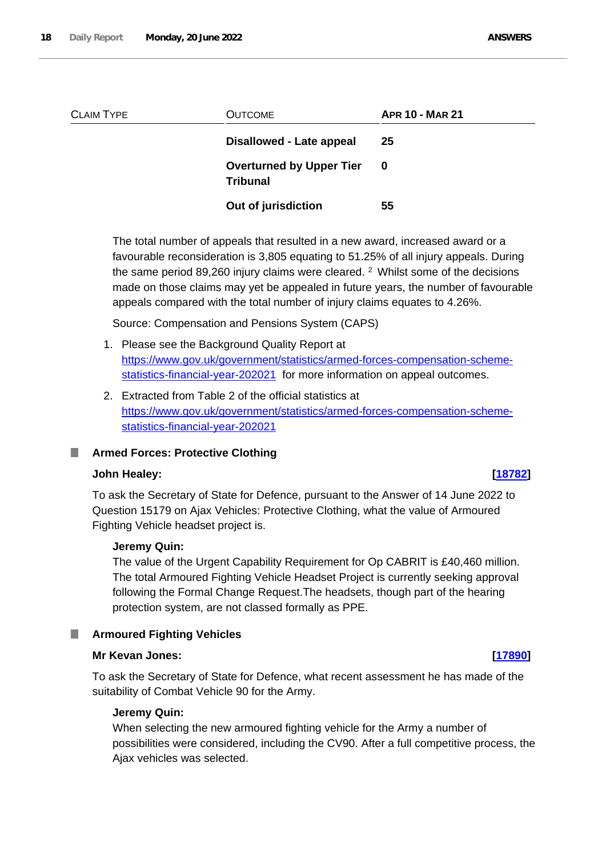| <b>CLAIM TYPE</b> | <b>OUTCOME</b>                                     | <b>APR 10 - MAR 21</b> |  |
|-------------------|----------------------------------------------------|------------------------|--|
|                   | Disallowed - Late appeal                           | 25                     |  |
|                   | <b>Overturned by Upper Tier</b><br><b>Tribunal</b> | - 0                    |  |
|                   | Out of jurisdiction                                | 55                     |  |

The total number of appeals that resulted in a new award, increased award or a favourable reconsideration is 3,805 equating to 51.25% of all injury appeals. During the same period 89,260 injury claims were cleared.  $2$  Whilst some of the decisions made on those claims may yet be appealed in future years, the number of favourable appeals compared with the total number of injury claims equates to 4.26%.

Source: Compensation and Pensions System (CAPS)

- 1. Please see the Background Quality Report at [https://www.gov.uk/government/statistics/armed-forces-compensation-scheme](https://www.gov.uk/government/statistics/armed-forces-compensation-scheme-statistics-financial-year-202021)[statistics-financial-year-202021](https://www.gov.uk/government/statistics/armed-forces-compensation-scheme-statistics-financial-year-202021) for more information on appeal outcomes.
- 2. Extracted from Table 2 of the official statistics at [https://www.gov.uk/government/statistics/armed-forces-compensation-scheme](https://www.gov.uk/government/statistics/armed-forces-compensation-scheme-statistics-financial-year-202021)[statistics-financial-year-202021](https://www.gov.uk/government/statistics/armed-forces-compensation-scheme-statistics-financial-year-202021)

# <span id="page-17-0"></span>**Armed Forces: Protective Clothing**

## **John Healey: [\[18782\]](http://www.parliament.uk/business/publications/written-questions-answers-statements/written-question/Commons/2022-06-15/18782)**

To ask the Secretary of State for Defence, pursuant to the Answer of 14 June 2022 to Question 15179 on Ajax Vehicles: Protective Clothing, what the value of Armoured Fighting Vehicle headset project is.

## **Jeremy Quin:**

The value of the Urgent Capability Requirement for Op CABRIT is £40,460 million. The total Armoured Fighting Vehicle Headset Project is currently seeking approval following the Formal Change Request.The headsets, though part of the hearing protection system, are not classed formally as PPE.

#### <span id="page-17-1"></span>**Armoured Fighting Vehicles** .

#### **Mr Kevan Jones: [\[17890\]](http://www.parliament.uk/business/publications/written-questions-answers-statements/written-question/Commons/2022-06-14/17890)**

To ask the Secretary of State for Defence, what recent assessment he has made of the suitability of Combat Vehicle 90 for the Army.

### **Jeremy Quin:**

When selecting the new armoured fighting vehicle for the Army a number of possibilities were considered, including the CV90. After a full competitive process, the Ajax vehicles was selected.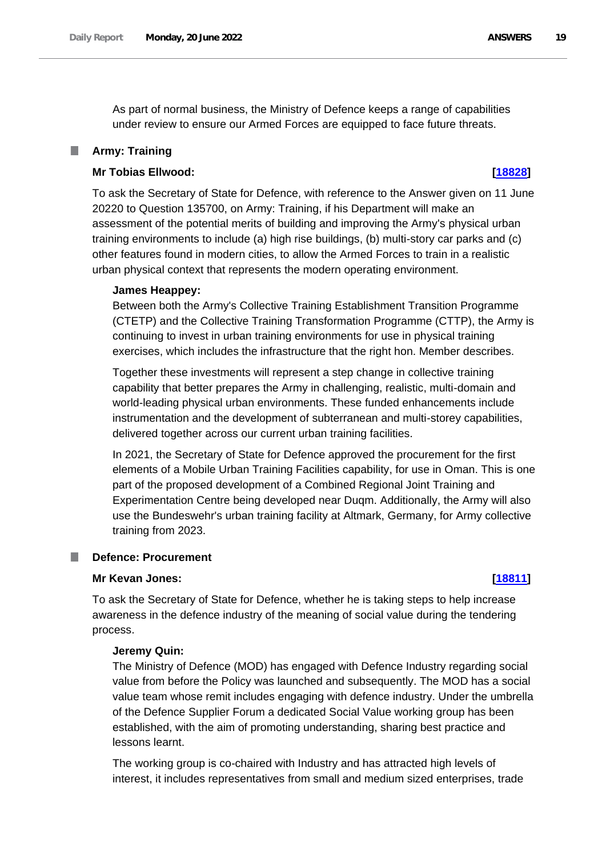As part of normal business, the Ministry of Defence keeps a range of capabilities under review to ensure our Armed Forces are equipped to face future threats.

#### <span id="page-18-0"></span>**Army: Training**

## **Mr Tobias Ellwood: [\[18828\]](http://www.parliament.uk/business/publications/written-questions-answers-statements/written-question/Commons/2022-06-15/18828)**

To ask the Secretary of State for Defence, with reference to the Answer given on 11 June 20220 to Question 135700, on Army: Training, if his Department will make an assessment of the potential merits of building and improving the Army's physical urban training environments to include (a) high rise buildings, (b) multi-story car parks and (c) other features found in modern cities, to allow the Armed Forces to train in a realistic urban physical context that represents the modern operating environment.

### **James Heappey:**

Between both the Army's Collective Training Establishment Transition Programme (CTETP) and the Collective Training Transformation Programme (CTTP), the Army is continuing to invest in urban training environments for use in physical training exercises, which includes the infrastructure that the right hon. Member describes.

Together these investments will represent a step change in collective training capability that better prepares the Army in challenging, realistic, multi-domain and world-leading physical urban environments. These funded enhancements include instrumentation and the development of subterranean and multi-storey capabilities, delivered together across our current urban training facilities.

In 2021, the Secretary of State for Defence approved the procurement for the first elements of a Mobile Urban Training Facilities capability, for use in Oman. This is one part of the proposed development of a Combined Regional Joint Training and Experimentation Centre being developed near Duqm. Additionally, the Army will also use the Bundeswehr's urban training facility at Altmark, Germany, for Army collective training from 2023.

#### <span id="page-18-1"></span>**Defence: Procurement**

#### **Mr Kevan Jones: [\[18811\]](http://www.parliament.uk/business/publications/written-questions-answers-statements/written-question/Commons/2022-06-15/18811)**

To ask the Secretary of State for Defence, whether he is taking steps to help increase awareness in the defence industry of the meaning of social value during the tendering process.

# **Jeremy Quin:**

The Ministry of Defence (MOD) has engaged with Defence Industry regarding social value from before the Policy was launched and subsequently. The MOD has a social value team whose remit includes engaging with defence industry. Under the umbrella of the Defence Supplier Forum a dedicated Social Value working group has been established, with the aim of promoting understanding, sharing best practice and lessons learnt.

The working group is co-chaired with Industry and has attracted high levels of interest, it includes representatives from small and medium sized enterprises, trade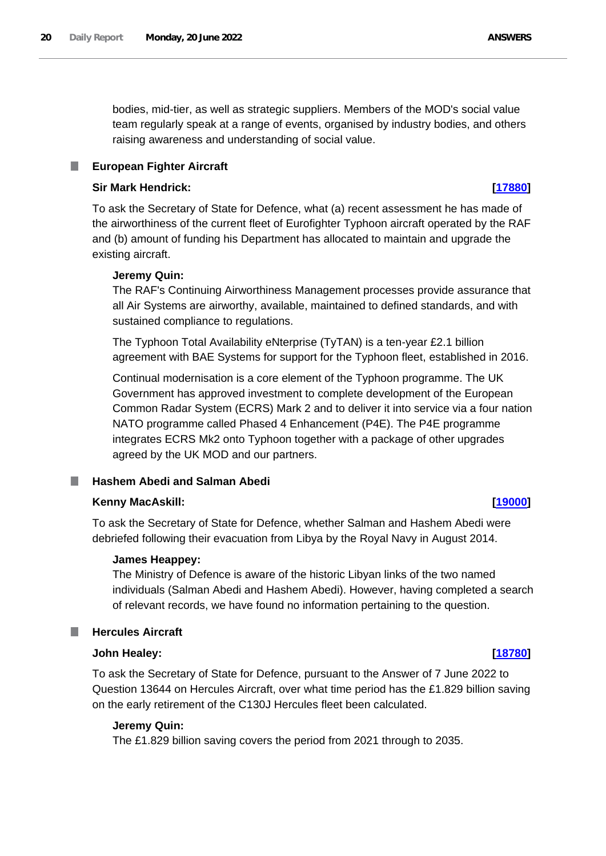bodies, mid-tier, as well as strategic suppliers. Members of the MOD's social value team regularly speak at a range of events, organised by industry bodies, and others raising awareness and understanding of social value.

#### <span id="page-19-0"></span>**European Fighter Aircraft** ш

## **Sir Mark Hendrick: [\[17880\]](http://www.parliament.uk/business/publications/written-questions-answers-statements/written-question/Commons/2022-06-14/17880)**

To ask the Secretary of State for Defence, what (a) recent assessment he has made of the airworthiness of the current fleet of Eurofighter Typhoon aircraft operated by the RAF and (b) amount of funding his Department has allocated to maintain and upgrade the existing aircraft.

## **Jeremy Quin:**

The RAF's Continuing Airworthiness Management processes provide assurance that all Air Systems are airworthy, available, maintained to defined standards, and with sustained compliance to regulations.

The Typhoon Total Availability eNterprise (TyTAN) is a ten-year £2.1 billion agreement with BAE Systems for support for the Typhoon fleet, established in 2016.

Continual modernisation is a core element of the Typhoon programme. The UK Government has approved investment to complete development of the European Common Radar System (ECRS) Mark 2 and to deliver it into service via a four nation NATO programme called Phased 4 Enhancement (P4E). The P4E programme integrates ECRS Mk2 onto Typhoon together with a package of other upgrades agreed by the UK MOD and our partners.

## <span id="page-19-1"></span>**Hashem Abedi and Salman Abedi**

## **Kenny MacAskill: [\[19000\]](http://www.parliament.uk/business/publications/written-questions-answers-statements/written-question/Commons/2022-06-15/19000)**

To ask the Secretary of State for Defence, whether Salman and Hashem Abedi were debriefed following their evacuation from Libya by the Royal Navy in August 2014.

## **James Heappey:**

The Ministry of Defence is aware of the historic Libyan links of the two named individuals (Salman Abedi and Hashem Abedi). However, having completed a search of relevant records, we have found no information pertaining to the question.

## <span id="page-19-2"></span>**Hercules Aircraft**

## **John Healey: [\[18780\]](http://www.parliament.uk/business/publications/written-questions-answers-statements/written-question/Commons/2022-06-15/18780)**

To ask the Secretary of State for Defence, pursuant to the Answer of 7 June 2022 to Question 13644 on Hercules Aircraft, over what time period has the £1.829 billion saving on the early retirement of the C130J Hercules fleet been calculated.

## **Jeremy Quin:**

The £1.829 billion saving covers the period from 2021 through to 2035.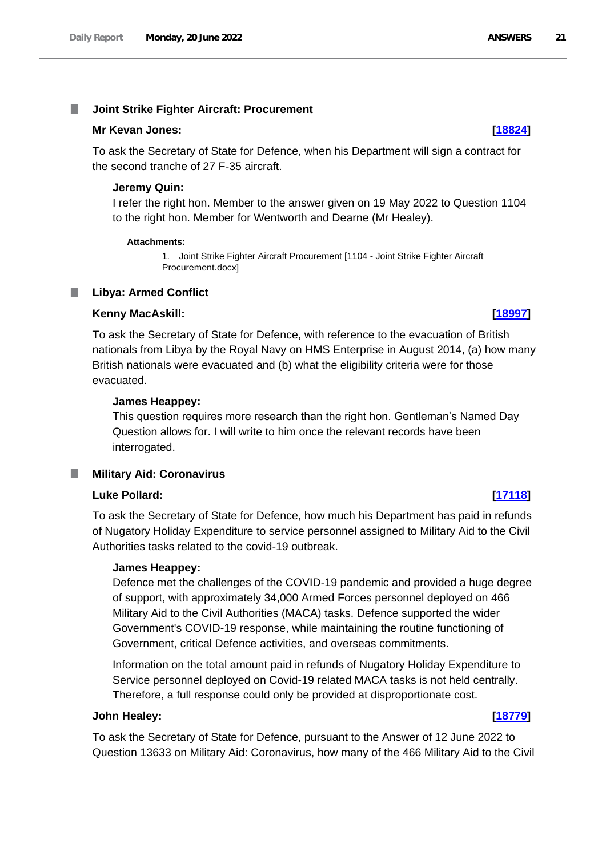#### <span id="page-20-0"></span>T. **Joint Strike Fighter Aircraft: Procurement**

#### **Mr Kevan Jones: [\[18824\]](http://www.parliament.uk/business/publications/written-questions-answers-statements/written-question/Commons/2022-06-15/18824)**

To ask the Secretary of State for Defence, when his Department will sign a contract for the second tranche of 27 F-35 aircraft.

#### **Jeremy Quin:**

I refer the right hon. Member to the answer given on 19 May 2022 to Question 1104 to the right hon. Member for Wentworth and Dearne (Mr Healey).

#### **Attachments:**

1. Joint Strike Fighter Aircraft Procurement [1104 - Joint Strike Fighter Aircraft Procurement.docx]

#### <span id="page-20-1"></span>**Libya: Armed Conflict** .

#### **Kenny MacAskill: [\[18997\]](http://www.parliament.uk/business/publications/written-questions-answers-statements/written-question/Commons/2022-06-15/18997)**

To ask the Secretary of State for Defence, with reference to the evacuation of British nationals from Libya by the Royal Navy on HMS Enterprise in August 2014, (a) how many British nationals were evacuated and (b) what the eligibility criteria were for those evacuated.

#### **James Heappey:**

This question requires more research than the right hon. Gentleman's Named Day Question allows for. I will write to him once the relevant records have been interrogated.

## <span id="page-20-2"></span>**Military Aid: Coronavirus**

## **Luke Pollard: [\[17118\]](http://www.parliament.uk/business/publications/written-questions-answers-statements/written-question/Commons/2022-06-13/17118)**

To ask the Secretary of State for Defence, how much his Department has paid in refunds of Nugatory Holiday Expenditure to service personnel assigned to Military Aid to the Civil Authorities tasks related to the covid-19 outbreak.

#### **James Heappey:**

Defence met the challenges of the COVID-19 pandemic and provided a huge degree of support, with approximately 34,000 Armed Forces personnel deployed on 466 Military Aid to the Civil Authorities (MACA) tasks. Defence supported the wider Government's COVID-19 response, while maintaining the routine functioning of Government, critical Defence activities, and overseas commitments.

Information on the total amount paid in refunds of Nugatory Holiday Expenditure to Service personnel deployed on Covid-19 related MACA tasks is not held centrally. Therefore, a full response could only be provided at disproportionate cost.

#### **John Healey: [\[18779\]](http://www.parliament.uk/business/publications/written-questions-answers-statements/written-question/Commons/2022-06-15/18779)**

To ask the Secretary of State for Defence, pursuant to the Answer of 12 June 2022 to Question 13633 on Military Aid: Coronavirus, how many of the 466 Military Aid to the Civil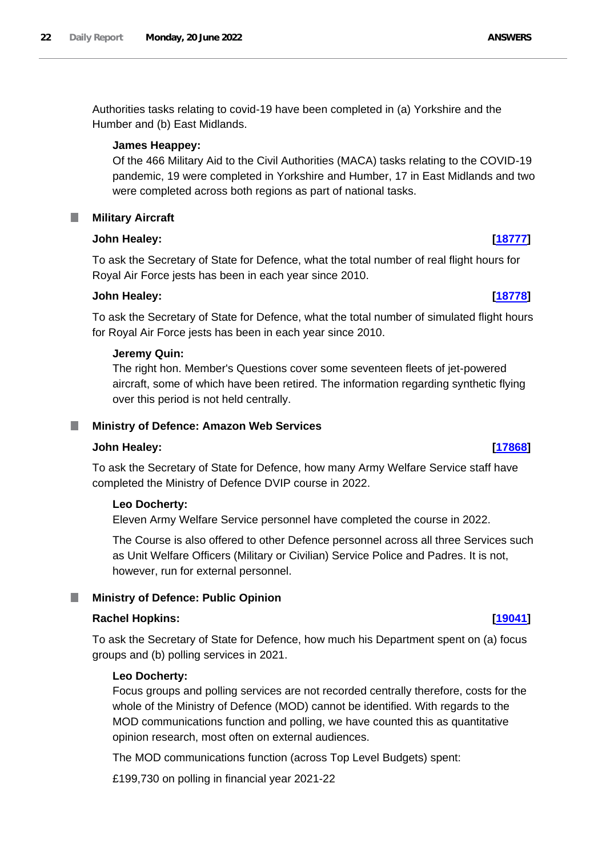Authorities tasks relating to covid-19 have been completed in (a) Yorkshire and the Humber and (b) East Midlands.

#### **James Heappey:**

Of the 466 Military Aid to the Civil Authorities (MACA) tasks relating to the COVID-19 pandemic, 19 were completed in Yorkshire and Humber, 17 in East Midlands and two were completed across both regions as part of national tasks.

#### <span id="page-21-0"></span>**Military Aircraft** .

### **John Healey: [\[18777\]](http://www.parliament.uk/business/publications/written-questions-answers-statements/written-question/Commons/2022-06-15/18777)**

To ask the Secretary of State for Defence, what the total number of real flight hours for Royal Air Force jests has been in each year since 2010.

### **John Healey: [\[18778\]](http://www.parliament.uk/business/publications/written-questions-answers-statements/written-question/Commons/2022-06-15/18778)**

To ask the Secretary of State for Defence, what the total number of simulated flight hours for Royal Air Force jests has been in each year since 2010.

#### **Jeremy Quin:**

The right hon. Member's Questions cover some seventeen fleets of jet-powered aircraft, some of which have been retired. The information regarding synthetic flying over this period is not held centrally.

#### <span id="page-21-1"></span>**Ministry of Defence: Amazon Web Services** ш

#### **John Healey: [\[17868\]](http://www.parliament.uk/business/publications/written-questions-answers-statements/written-question/Commons/2022-06-14/17868)**

To ask the Secretary of State for Defence, how many Army Welfare Service staff have completed the Ministry of Defence DVIP course in 2022.

#### **Leo Docherty:**

Eleven Army Welfare Service personnel have completed the course in 2022.

The Course is also offered to other Defence personnel across all three Services such as Unit Welfare Officers (Military or Civilian) Service Police and Padres. It is not, however, run for external personnel.

#### <span id="page-21-2"></span>**Ministry of Defence: Public Opinion** .

### **Rachel Hopkins: [\[19041\]](http://www.parliament.uk/business/publications/written-questions-answers-statements/written-question/Commons/2022-06-15/19041)**

To ask the Secretary of State for Defence, how much his Department spent on (a) focus groups and (b) polling services in 2021.

#### **Leo Docherty:**

Focus groups and polling services are not recorded centrally therefore, costs for the whole of the Ministry of Defence (MOD) cannot be identified. With regards to the MOD communications function and polling, we have counted this as quantitative opinion research, most often on external audiences.

The MOD communications function (across Top Level Budgets) spent:

£199,730 on polling in financial year 2021-22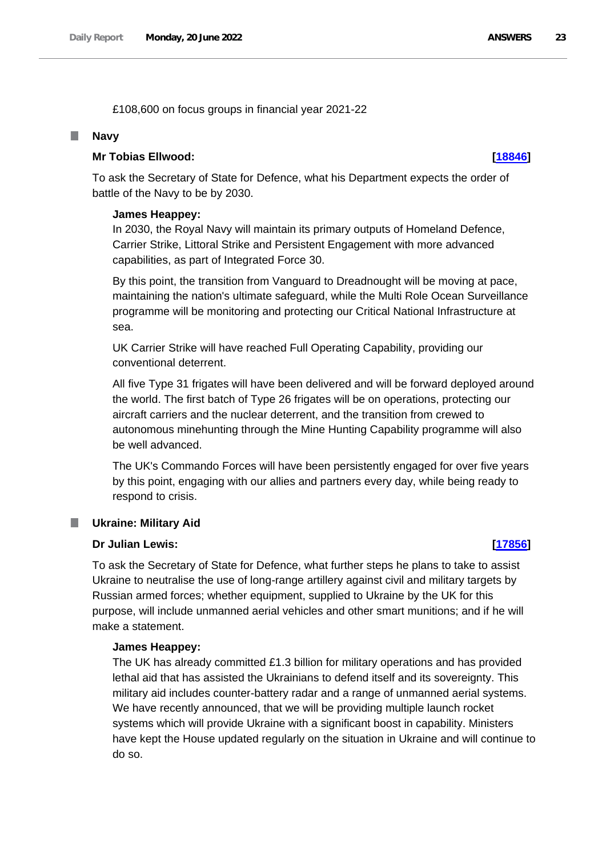£108,600 on focus groups in financial year 2021-22

#### <span id="page-22-0"></span>П **Navy**

#### **Mr Tobias Ellwood: [\[18846\]](http://www.parliament.uk/business/publications/written-questions-answers-statements/written-question/Commons/2022-06-15/18846)**

To ask the Secretary of State for Defence, what his Department expects the order of battle of the Navy to be by 2030.

#### **James Heappey:**

In 2030, the Royal Navy will maintain its primary outputs of Homeland Defence, Carrier Strike, Littoral Strike and Persistent Engagement with more advanced capabilities, as part of Integrated Force 30.

By this point, the transition from Vanguard to Dreadnought will be moving at pace, maintaining the nation's ultimate safeguard, while the Multi Role Ocean Surveillance programme will be monitoring and protecting our Critical National Infrastructure at sea.

UK Carrier Strike will have reached Full Operating Capability, providing our conventional deterrent.

All five Type 31 frigates will have been delivered and will be forward deployed around the world. The first batch of Type 26 frigates will be on operations, protecting our aircraft carriers and the nuclear deterrent, and the transition from crewed to autonomous minehunting through the Mine Hunting Capability programme will also be well advanced.

The UK's Commando Forces will have been persistently engaged for over five years by this point, engaging with our allies and partners every day, while being ready to respond to crisis.

#### <span id="page-22-1"></span>ш **Ukraine: Military Aid**

### **Dr Julian Lewis: [\[17856\]](http://www.parliament.uk/business/publications/written-questions-answers-statements/written-question/Commons/2022-06-14/17856)**

To ask the Secretary of State for Defence, what further steps he plans to take to assist Ukraine to neutralise the use of long-range artillery against civil and military targets by Russian armed forces; whether equipment, supplied to Ukraine by the UK for this purpose, will include unmanned aerial vehicles and other smart munitions; and if he will make a statement.

#### **James Heappey:**

The UK has already committed £1.3 billion for military operations and has provided lethal aid that has assisted the Ukrainians to defend itself and its sovereignty. This military aid includes counter-battery radar and a range of unmanned aerial systems. We have recently announced, that we will be providing multiple launch rocket systems which will provide Ukraine with a significant boost in capability. Ministers have kept the House updated regularly on the situation in Ukraine and will continue to do so.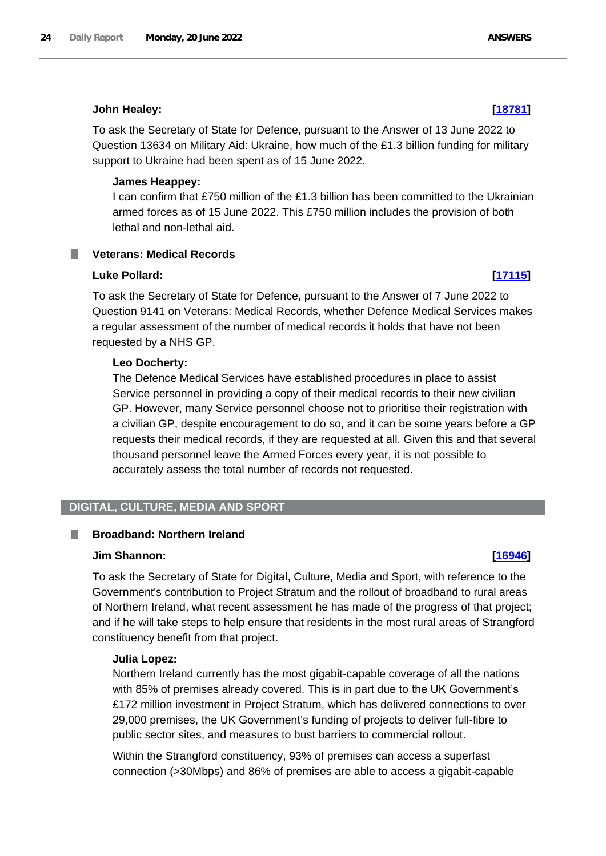### **John Healey: [\[18781\]](http://www.parliament.uk/business/publications/written-questions-answers-statements/written-question/Commons/2022-06-15/18781)**

To ask the Secretary of State for Defence, pursuant to the Answer of 13 June 2022 to Question 13634 on Military Aid: Ukraine, how much of the £1.3 billion funding for military support to Ukraine had been spent as of 15 June 2022.

### **James Heappey:**

I can confirm that £750 million of the £1.3 billion has been committed to the Ukrainian armed forces as of 15 June 2022. This £750 million includes the provision of both lethal and non-lethal aid.

# <span id="page-23-0"></span>**Veterans: Medical Records**

### **Luke Pollard: [\[17115\]](http://www.parliament.uk/business/publications/written-questions-answers-statements/written-question/Commons/2022-06-13/17115)**

To ask the Secretary of State for Defence, pursuant to the Answer of 7 June 2022 to Question 9141 on Veterans: Medical Records, whether Defence Medical Services makes a regular assessment of the number of medical records it holds that have not been requested by a NHS GP.

## **Leo Docherty:**

The Defence Medical Services have established procedures in place to assist Service personnel in providing a copy of their medical records to their new civilian GP. However, many Service personnel choose not to prioritise their registration with a civilian GP, despite encouragement to do so, and it can be some years before a GP requests their medical records, if they are requested at all. Given this and that several thousand personnel leave the Armed Forces every year, it is not possible to accurately assess the total number of records not requested.

# <span id="page-23-1"></span>**DIGITAL, CULTURE, MEDIA AND SPORT**

#### <span id="page-23-2"></span>**Broadband: Northern Ireland** I.

# **Jim Shannon: [\[16946\]](http://www.parliament.uk/business/publications/written-questions-answers-statements/written-question/Commons/2022-06-13/16946)**

To ask the Secretary of State for Digital, Culture, Media and Sport, with reference to the Government's contribution to Project Stratum and the rollout of broadband to rural areas of Northern Ireland, what recent assessment he has made of the progress of that project; and if he will take steps to help ensure that residents in the most rural areas of Strangford constituency benefit from that project.

#### **Julia Lopez:**

Northern Ireland currently has the most gigabit-capable coverage of all the nations with 85% of premises already covered. This is in part due to the UK Government's £172 million investment in Project Stratum, which has delivered connections to over 29,000 premises, the UK Government's funding of projects to deliver full-fibre to public sector sites, and measures to bust barriers to commercial rollout.

Within the Strangford constituency, 93% of premises can access a superfast connection (>30Mbps) and 86% of premises are able to access a gigabit-capable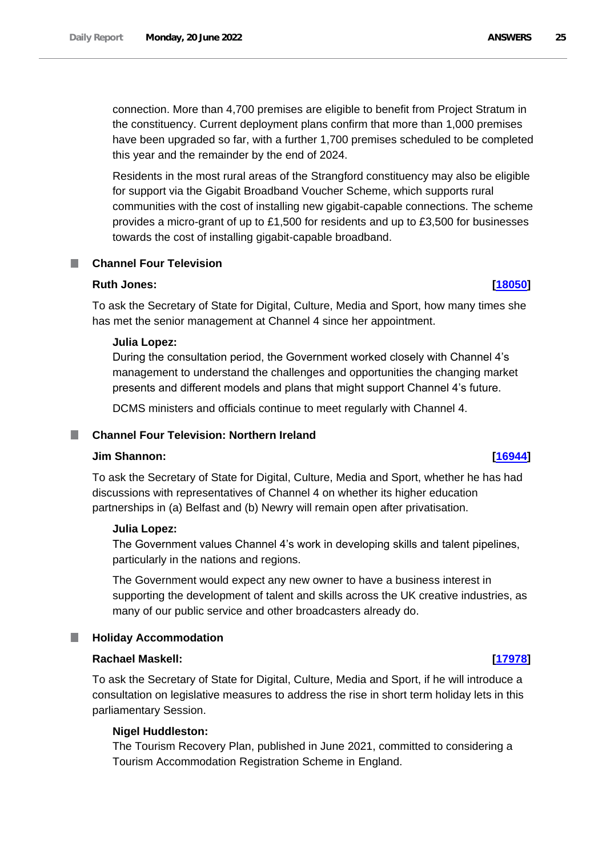connection. More than 4,700 premises are eligible to benefit from Project Stratum in the constituency. Current deployment plans confirm that more than 1,000 premises have been upgraded so far, with a further 1,700 premises scheduled to be completed this year and the remainder by the end of 2024.

Residents in the most rural areas of the Strangford constituency may also be eligible for support via the Gigabit Broadband Voucher Scheme, which supports rural communities with the cost of installing new gigabit-capable connections. The scheme provides a micro-grant of up to £1,500 for residents and up to £3,500 for businesses towards the cost of installing gigabit-capable broadband.

## <span id="page-24-0"></span>**Channel Four Television**

## **Ruth Jones: [\[18050\]](http://www.parliament.uk/business/publications/written-questions-answers-statements/written-question/Commons/2022-06-14/18050)**

To ask the Secretary of State for Digital, Culture, Media and Sport, how many times she has met the senior management at Channel 4 since her appointment.

### **Julia Lopez:**

During the consultation period, the Government worked closely with Channel 4's management to understand the challenges and opportunities the changing market presents and different models and plans that might support Channel 4's future.

DCMS ministers and officials continue to meet regularly with Channel 4.

#### <span id="page-24-1"></span>**Channel Four Television: Northern Ireland** a an

#### **Jim Shannon: [\[16944\]](http://www.parliament.uk/business/publications/written-questions-answers-statements/written-question/Commons/2022-06-13/16944)**

To ask the Secretary of State for Digital, Culture, Media and Sport, whether he has had discussions with representatives of Channel 4 on whether its higher education partnerships in (a) Belfast and (b) Newry will remain open after privatisation.

#### **Julia Lopez:**

The Government values Channel 4's work in developing skills and talent pipelines, particularly in the nations and regions.

The Government would expect any new owner to have a business interest in supporting the development of talent and skills across the UK creative industries, as many of our public service and other broadcasters already do.

## <span id="page-24-2"></span>**Holiday Accommodation**

#### **Rachael Maskell: [\[17978\]](http://www.parliament.uk/business/publications/written-questions-answers-statements/written-question/Commons/2022-06-14/17978)**

To ask the Secretary of State for Digital, Culture, Media and Sport, if he will introduce a consultation on legislative measures to address the rise in short term holiday lets in this parliamentary Session.

## **Nigel Huddleston:**

The Tourism Recovery Plan, published in June 2021, committed to considering a Tourism Accommodation Registration Scheme in England.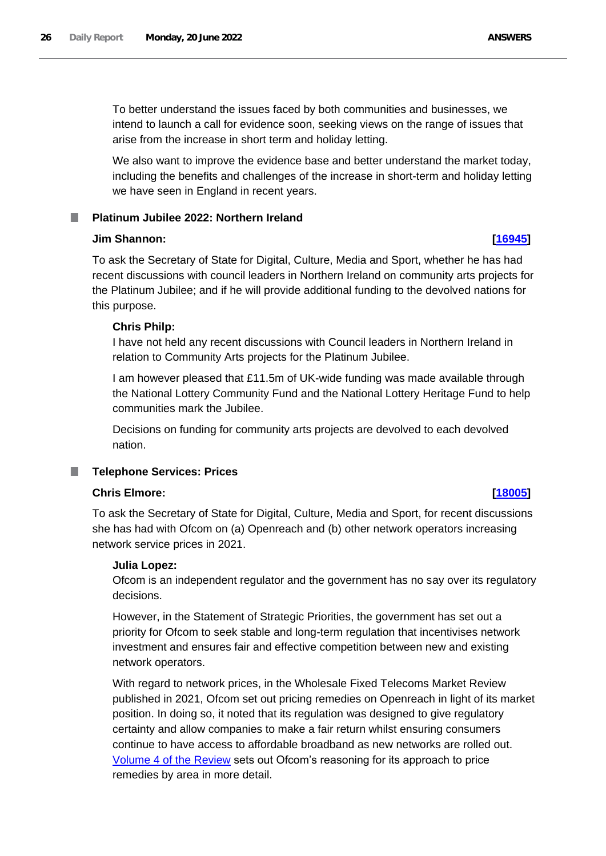To better understand the issues faced by both communities and businesses, we intend to launch a call for evidence soon, seeking views on the range of issues that arise from the increase in short term and holiday letting.

We also want to improve the evidence base and better understand the market today, including the benefits and challenges of the increase in short-term and holiday letting we have seen in England in recent years.

#### <span id="page-25-0"></span>**Platinum Jubilee 2022: Northern Ireland** ш

## **Jim Shannon: [\[16945\]](http://www.parliament.uk/business/publications/written-questions-answers-statements/written-question/Commons/2022-06-13/16945)**

To ask the Secretary of State for Digital, Culture, Media and Sport, whether he has had recent discussions with council leaders in Northern Ireland on community arts projects for the Platinum Jubilee; and if he will provide additional funding to the devolved nations for this purpose.

# **Chris Philp:**

I have not held any recent discussions with Council leaders in Northern Ireland in relation to Community Arts projects for the Platinum Jubilee.

I am however pleased that £11.5m of UK-wide funding was made available through the National Lottery Community Fund and the National Lottery Heritage Fund to help communities mark the Jubilee.

Decisions on funding for community arts projects are devolved to each devolved nation.

#### <span id="page-25-1"></span>**Telephone Services: Prices** П

## **Chris Elmore: [\[18005\]](http://www.parliament.uk/business/publications/written-questions-answers-statements/written-question/Commons/2022-06-14/18005)**

To ask the Secretary of State for Digital, Culture, Media and Sport, for recent discussions she has had with Ofcom on (a) Openreach and (b) other network operators increasing network service prices in 2021.

# **Julia Lopez:**

Ofcom is an independent regulator and the government has no say over its regulatory decisions.

However, in the Statement of Strategic Priorities, the government has set out a priority for Ofcom to seek stable and long-term regulation that incentivises network investment and ensures fair and effective competition between new and existing network operators.

With regard to network prices, in the Wholesale Fixed Telecoms Market Review published in 2021, Ofcom set out pricing remedies on Openreach in light of its market position. In doing so, it noted that its regulation was designed to give regulatory certainty and allow companies to make a fair return whilst ensuring consumers continue to have access to affordable broadband as new networks are rolled out. [Volume 4 of the Review](https://www.ofcom.org.uk/__data/assets/pdf_file/0025/216088/wftmr-statement-volume-4-pricing-remedies.pdf) sets out Ofcom's reasoning for its approach to price remedies by area in more detail.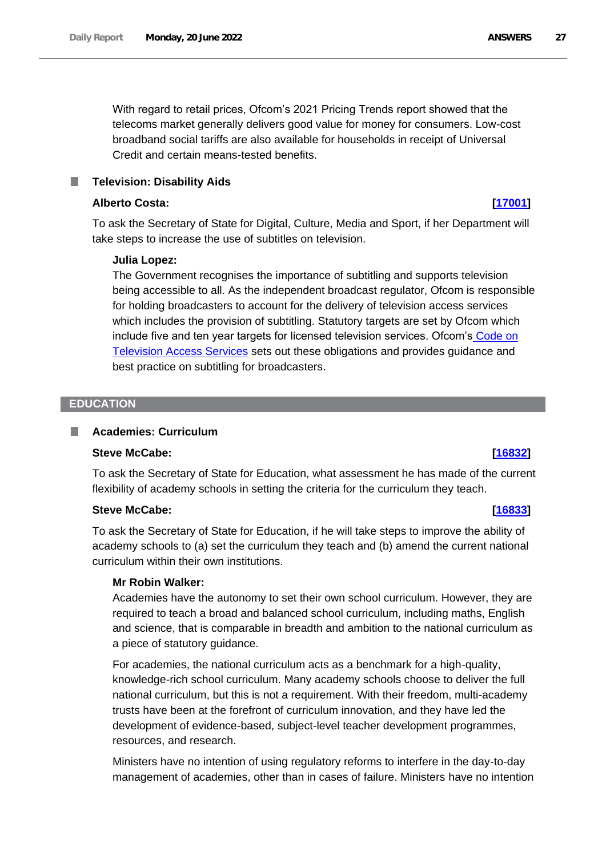With regard to retail prices, Ofcom's 2021 Pricing Trends report showed that the telecoms market generally delivers good value for money for consumers. Low-cost broadband social tariffs are also available for households in receipt of Universal Credit and certain means-tested benefits.

## <span id="page-26-0"></span>**Television: Disability Aids**

### **Alberto Costa: [\[17001\]](http://www.parliament.uk/business/publications/written-questions-answers-statements/written-question/Commons/2022-06-13/17001)**

To ask the Secretary of State for Digital, Culture, Media and Sport, if her Department will take steps to increase the use of subtitles on television.

### **Julia Lopez:**

The Government recognises the importance of subtitling and supports television being accessible to all. As the independent broadcast regulator, Ofcom is responsible for holding broadcasters to account for the delivery of television access services which includes the provision of subtitling. Statutory targets are set by Ofcom which include five and ten year targets for licensed television services. Ofcom's Code on Television Access Services sets out these obligations and provides guidance and best practice on subtitling for broadcasters.

#### <span id="page-26-1"></span>**EDUCATION**

#### <span id="page-26-2"></span>**Academies: Curriculum** n.

## **Steve McCabe: [\[16832\]](http://www.parliament.uk/business/publications/written-questions-answers-statements/written-question/Commons/2022-06-13/16832)**

To ask the Secretary of State for Education, what assessment he has made of the current flexibility of academy schools in setting the criteria for the curriculum they teach.

#### **Steve McCabe: [\[16833\]](http://www.parliament.uk/business/publications/written-questions-answers-statements/written-question/Commons/2022-06-13/16833)**

To ask the Secretary of State for Education, if he will take steps to improve the ability of academy schools to (a) set the curriculum they teach and (b) amend the current national curriculum within their own institutions.

#### **Mr Robin Walker:**

Academies have the autonomy to set their own school curriculum. However, they are required to teach a broad and balanced school curriculum, including maths, English and science, that is comparable in breadth and ambition to the national curriculum as a piece of statutory guidance.

For academies, the national curriculum acts as a benchmark for a high-quality, knowledge-rich school curriculum. Many academy schools choose to deliver the full national curriculum, but this is not a requirement. With their freedom, multi-academy trusts have been at the forefront of curriculum innovation, and they have led the development of evidence-based, subject-level teacher development programmes, resources, and research.

Ministers have no intention of using regulatory reforms to interfere in the day-to-day management of academies, other than in cases of failure. Ministers have no intention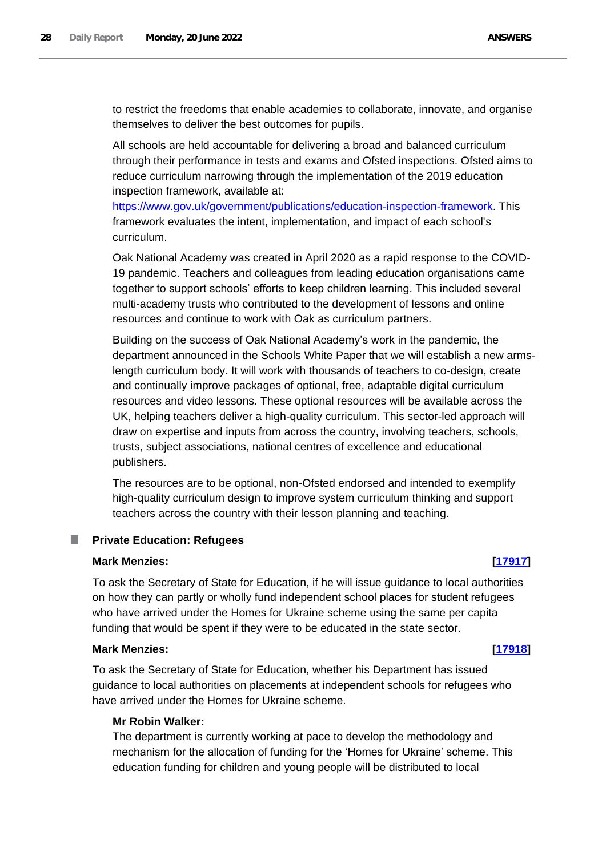to restrict the freedoms that enable academies to collaborate, innovate, and organise themselves to deliver the best outcomes for pupils.

All schools are held accountable for delivering a broad and balanced curriculum through their performance in tests and exams and Ofsted inspections. Ofsted aims to reduce curriculum narrowing through the implementation of the 2019 education inspection framework, available at:

[https://www.gov.uk/government/publications/education-inspection-framework.](https://www.gov.uk/government/publications/education-inspection-framework) This framework evaluates the intent, implementation, and impact of each school's curriculum.

Oak National Academy was created in April 2020 as a rapid response to the COVID-19 pandemic. Teachers and colleagues from leading education organisations came together to support schools' efforts to keep children learning. This included several multi-academy trusts who contributed to the development of lessons and online resources and continue to work with Oak as curriculum partners.

Building on the success of Oak National Academy's work in the pandemic, the department announced in the Schools White Paper that we will establish a new armslength curriculum body. It will work with thousands of teachers to co-design, create and continually improve packages of optional, free, adaptable digital curriculum resources and video lessons. These optional resources will be available across the UK, helping teachers deliver a high-quality curriculum. This sector-led approach will draw on expertise and inputs from across the country, involving teachers, schools, trusts, subject associations, national centres of excellence and educational publishers.

The resources are to be optional, non-Ofsted endorsed and intended to exemplify high-quality curriculum design to improve system curriculum thinking and support teachers across the country with their lesson planning and teaching.

### <span id="page-27-0"></span>**Private Education: Refugees**

# **Mark Menzies: [\[17917\]](http://www.parliament.uk/business/publications/written-questions-answers-statements/written-question/Commons/2022-06-14/17917)**

To ask the Secretary of State for Education, if he will issue guidance to local authorities on how they can partly or wholly fund independent school places for student refugees who have arrived under the Homes for Ukraine scheme using the same per capita funding that would be spent if they were to be educated in the state sector.

## **Mark Menzies: [\[17918\]](http://www.parliament.uk/business/publications/written-questions-answers-statements/written-question/Commons/2022-06-14/17918)**

To ask the Secretary of State for Education, whether his Department has issued guidance to local authorities on placements at independent schools for refugees who have arrived under the Homes for Ukraine scheme.

### **Mr Robin Walker:**

The department is currently working at pace to develop the methodology and mechanism for the allocation of funding for the 'Homes for Ukraine' scheme. This education funding for children and young people will be distributed to local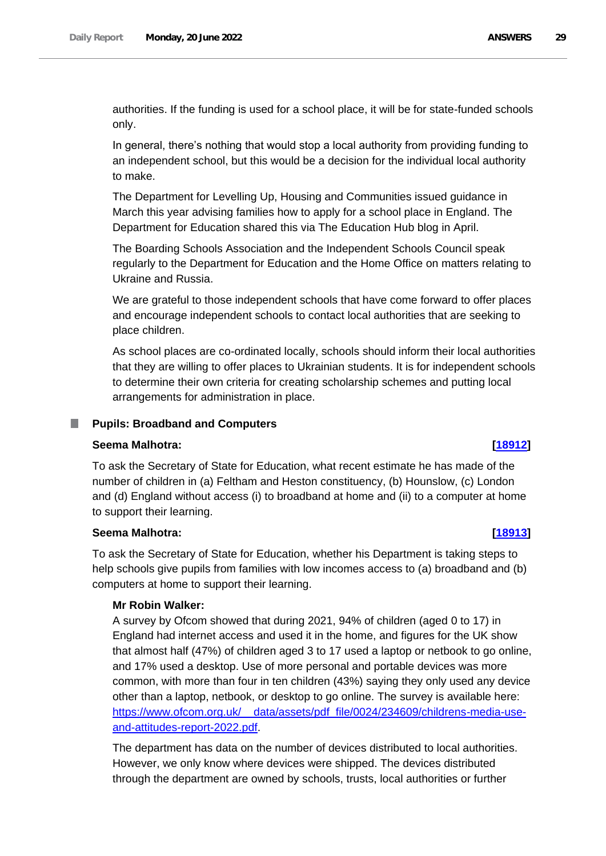authorities. If the funding is used for a school place, it will be for state-funded schools only.

In general, there's nothing that would stop a local authority from providing funding to an independent school, but this would be a decision for the individual local authority to make.

The Department for Levelling Up, Housing and Communities issued guidance in March this year advising families how to apply for a school place in England. The Department for Education shared this via The Education Hub blog in April.

The Boarding Schools Association and the Independent Schools Council speak regularly to the Department for Education and the Home Office on matters relating to Ukraine and Russia.

We are grateful to those independent schools that have come forward to offer places and encourage independent schools to contact local authorities that are seeking to place children.

As school places are co-ordinated locally, schools should inform their local authorities that they are willing to offer places to Ukrainian students. It is for independent schools to determine their own criteria for creating scholarship schemes and putting local arrangements for administration in place.

#### <span id="page-28-0"></span>**Pupils: Broadband and Computers**

#### **Seema Malhotra: [\[18912\]](http://www.parliament.uk/business/publications/written-questions-answers-statements/written-question/Commons/2022-06-15/18912)**

To ask the Secretary of State for Education, what recent estimate he has made of the number of children in (a) Feltham and Heston constituency, (b) Hounslow, (c) London and (d) England without access (i) to broadband at home and (ii) to a computer at home to support their learning.

#### **Seema Malhotra: [\[18913\]](http://www.parliament.uk/business/publications/written-questions-answers-statements/written-question/Commons/2022-06-15/18913)**

To ask the Secretary of State for Education, whether his Department is taking steps to help schools give pupils from families with low incomes access to (a) broadband and (b) computers at home to support their learning.

## **Mr Robin Walker:**

A survey by Ofcom showed that during 2021, 94% of children (aged 0 to 17) in England had internet access and used it in the home, and figures for the UK show that almost half (47%) of children aged 3 to 17 used a laptop or netbook to go online, and 17% used a desktop. Use of more personal and portable devices was more common, with more than four in ten children (43%) saying they only used any device other than a laptop, netbook, or desktop to go online. The survey is available here: https://www.ofcom.org.uk/\_\_data/assets/pdf\_file/0024/234609/childrens-media-useand-attitudes-report-2022.pdf.

The department has data on the number of devices distributed to local authorities. However, we only know where devices were shipped. The devices distributed through the department are owned by schools, trusts, local authorities or further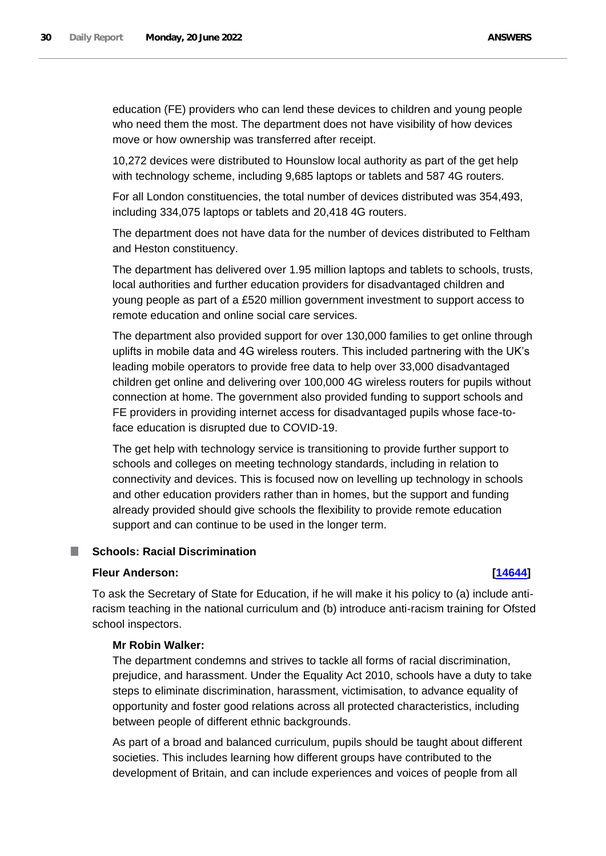education (FE) providers who can lend these devices to children and young people who need them the most. The department does not have visibility of how devices move or how ownership was transferred after receipt.

10,272 devices were distributed to Hounslow local authority as part of the get help with technology scheme, including 9,685 laptops or tablets and 587 4G routers.

For all London constituencies, the total number of devices distributed was 354,493, including 334,075 laptops or tablets and 20,418 4G routers.

The department does not have data for the number of devices distributed to Feltham and Heston constituency.

The department has delivered over 1.95 million laptops and tablets to schools, trusts, local authorities and further education providers for disadvantaged children and young people as part of a £520 million government investment to support access to remote education and online social care services.

The department also provided support for over 130,000 families to get online through uplifts in mobile data and 4G wireless routers. This included partnering with the UK's leading mobile operators to provide free data to help over 33,000 disadvantaged children get online and delivering over 100,000 4G wireless routers for pupils without connection at home. The government also provided funding to support schools and FE providers in providing internet access for disadvantaged pupils whose face-toface education is disrupted due to COVID-19.

The get help with technology service is transitioning to provide further support to schools and colleges on meeting technology standards, including in relation to connectivity and devices. This is focused now on levelling up technology in schools and other education providers rather than in homes, but the support and funding already provided should give schools the flexibility to provide remote education support and can continue to be used in the longer term.

#### <span id="page-29-0"></span>**Schools: Racial Discrimination** T.

### **Fleur Anderson: [\[14644\]](http://www.parliament.uk/business/publications/written-questions-answers-statements/written-question/Commons/2022-06-08/14644)**

To ask the Secretary of State for Education, if he will make it his policy to (a) include antiracism teaching in the national curriculum and (b) introduce anti-racism training for Ofsted school inspectors.

## **Mr Robin Walker:**

The department condemns and strives to tackle all forms of racial discrimination, prejudice, and harassment. Under the Equality Act 2010, schools have a duty to take steps to eliminate discrimination, harassment, victimisation, to advance equality of opportunity and foster good relations across all protected characteristics, including between people of different ethnic backgrounds.

As part of a broad and balanced curriculum, pupils should be taught about different societies. This includes learning how different groups have contributed to the development of Britain, and can include experiences and voices of people from all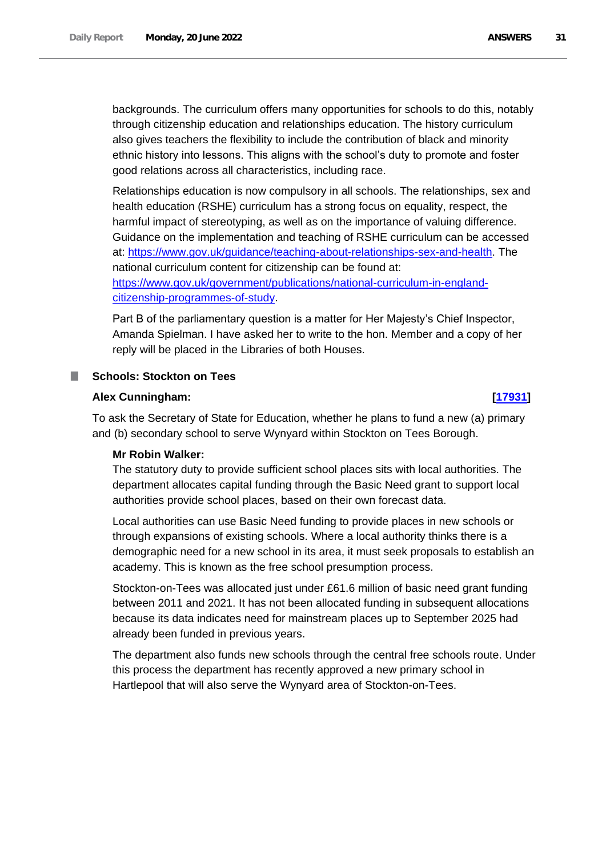backgrounds. The curriculum offers many opportunities for schools to do this, notably through citizenship education and relationships education. The history curriculum also gives teachers the flexibility to include the contribution of black and minority ethnic history into lessons. This aligns with the school's duty to promote and foster good relations across all characteristics, including race.

Relationships education is now compulsory in all schools. The relationships, sex and health education (RSHE) curriculum has a strong focus on equality, respect, the harmful impact of stereotyping, as well as on the importance of valuing difference. Guidance on the implementation and teaching of RSHE curriculum can be accessed at: [https://www.gov.uk/guidance/teaching-about-relationships-sex-and-health.](https://www.gov.uk/guidance/teaching-about-relationships-sex-and-health) The national curriculum content for citizenship can be found at: [https://www.gov.uk/government/publications/national-curriculum-in-england](https://www.gov.uk/government/publications/national-curriculum-in-england-citizenship-programmes-of-study)[citizenship-programmes-of-study.](https://www.gov.uk/government/publications/national-curriculum-in-england-citizenship-programmes-of-study)

Part B of the parliamentary question is a matter for Her Majesty's Chief Inspector, Amanda Spielman. I have asked her to write to the hon. Member and a copy of her reply will be placed in the Libraries of both Houses.

## <span id="page-30-0"></span>**Schools: Stockton on Tees**

## **Alex Cunningham: [\[17931\]](http://www.parliament.uk/business/publications/written-questions-answers-statements/written-question/Commons/2022-06-14/17931)**

To ask the Secretary of State for Education, whether he plans to fund a new (a) primary and (b) secondary school to serve Wynyard within Stockton on Tees Borough.

## **Mr Robin Walker:**

The statutory duty to provide sufficient school places sits with local authorities. The department allocates capital funding through the Basic Need grant to support local authorities provide school places, based on their own forecast data.

Local authorities can use Basic Need funding to provide places in new schools or through expansions of existing schools. Where a local authority thinks there is a demographic need for a new school in its area, it must seek proposals to establish an academy. This is known as the free school presumption process.

Stockton-on-Tees was allocated just under £61.6 million of basic need grant funding between 2011 and 2021. It has not been allocated funding in subsequent allocations because its data indicates need for mainstream places up to September 2025 had already been funded in previous years.

The department also funds new schools through the central free schools route. Under this process the department has recently approved a new primary school in Hartlepool that will also serve the Wynyard area of Stockton-on-Tees.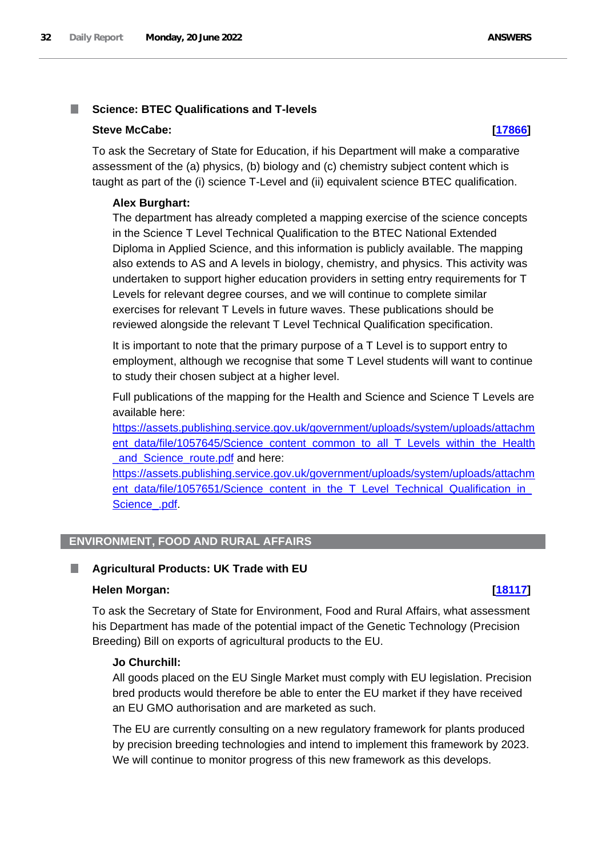#### <span id="page-31-0"></span>**Science: BTEC Qualifications and T-levels** T.

### **Steve McCabe: [\[17866\]](http://www.parliament.uk/business/publications/written-questions-answers-statements/written-question/Commons/2022-06-14/17866)**

To ask the Secretary of State for Education, if his Department will make a comparative assessment of the (a) physics, (b) biology and (c) chemistry subject content which is taught as part of the (i) science T-Level and (ii) equivalent science BTEC qualification.

### **Alex Burghart:**

The department has already completed a mapping exercise of the science concepts in the Science T Level Technical Qualification to the BTEC National Extended Diploma in Applied Science, and this information is publicly available. The mapping also extends to AS and A levels in biology, chemistry, and physics. This activity was undertaken to support higher education providers in setting entry requirements for T Levels for relevant degree courses, and we will continue to complete similar exercises for relevant T Levels in future waves. These publications should be reviewed alongside the relevant T Level Technical Qualification specification.

It is important to note that the primary purpose of a T Level is to support entry to employment, although we recognise that some T Level students will want to continue to study their chosen subject at a higher level.

Full publications of the mapping for the Health and Science and Science T Levels are available here:

[https://assets.publishing.service.gov.uk/government/uploads/system/uploads/attachm](https://assets.publishing.service.gov.uk/government/uploads/system/uploads/attachment_data/file/1057645/Science_content_common_to_all_T_Levels_within_the_Health_and_Science_route.pdf) ent data/file/1057645/Science\_content\_common\_to\_all\_T\_Levels\_within\_the\_Health and Science route.pdf and here:

[https://assets.publishing.service.gov.uk/government/uploads/system/uploads/attachm](https://assets.publishing.service.gov.uk/government/uploads/system/uploads/attachment_data/file/1057651/Science_content_in_the_T_Level_Technical_Qualification_in_Science_.pdf) ent\_data/file/1057651/Science\_content\_in\_the\_T\_Level\_Technical\_Qualification\_in Science .pdf.

## <span id="page-31-1"></span>**ENVIRONMENT, FOOD AND RURAL AFFAIRS**

## <span id="page-31-2"></span>**Agricultural Products: UK Trade with EU**

#### **Helen Morgan: [\[18117\]](http://www.parliament.uk/business/publications/written-questions-answers-statements/written-question/Commons/2022-06-14/18117)**

To ask the Secretary of State for Environment, Food and Rural Affairs, what assessment his Department has made of the potential impact of the Genetic Technology (Precision Breeding) Bill on exports of agricultural products to the EU.

## **Jo Churchill:**

All goods placed on the EU Single Market must comply with EU legislation. Precision bred products would therefore be able to enter the EU market if they have received an EU GMO authorisation and are marketed as such.

The EU are currently consulting on a new regulatory framework for plants produced by precision breeding technologies and intend to implement this framework by 2023. We will continue to monitor progress of this new framework as this develops.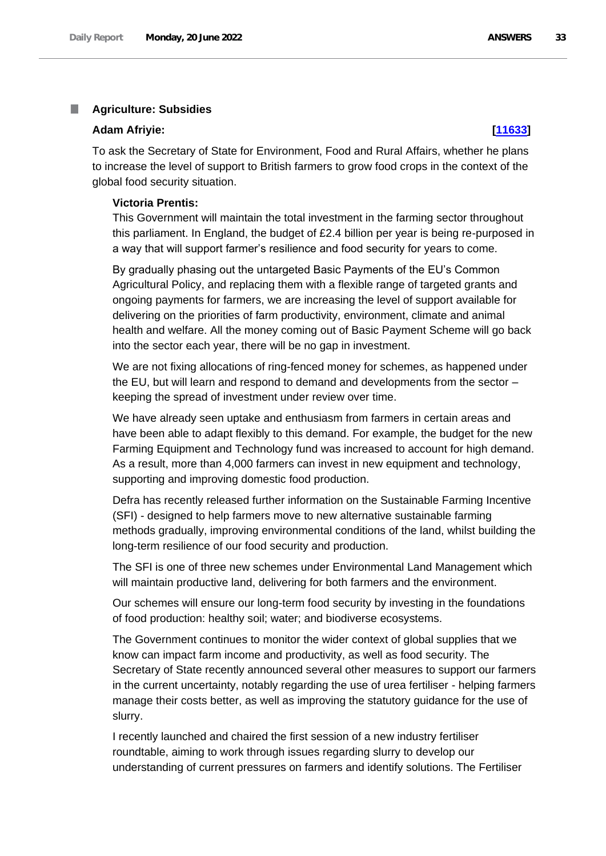#### <span id="page-32-0"></span>ш **Agriculture: Subsidies**

#### **Adam Afriyie: [\[11633\]](http://www.parliament.uk/business/publications/written-questions-answers-statements/written-question/Commons/2022-06-01/11633)**

To ask the Secretary of State for Environment, Food and Rural Affairs, whether he plans to increase the level of support to British farmers to grow food crops in the context of the global food security situation.

#### **Victoria Prentis:**

This Government will maintain the total investment in the farming sector throughout this parliament. In England, the budget of £2.4 billion per year is being re-purposed in a way that will support farmer's resilience and food security for years to come.

By gradually phasing out the untargeted Basic Payments of the EU's Common Agricultural Policy, and replacing them with a flexible range of targeted grants and ongoing payments for farmers, we are increasing the level of support available for delivering on the priorities of farm productivity, environment, climate and animal health and welfare. All the money coming out of Basic Payment Scheme will go back into the sector each year, there will be no gap in investment.

We are not fixing allocations of ring-fenced money for schemes, as happened under the EU, but will learn and respond to demand and developments from the sector – keeping the spread of investment under review over time.

We have already seen uptake and enthusiasm from farmers in certain areas and have been able to adapt flexibly to this demand. For example, the budget for the new Farming Equipment and Technology fund was increased to account for high demand. As a result, more than 4,000 farmers can invest in new equipment and technology, supporting and improving domestic food production.

Defra has recently released further information on the Sustainable Farming Incentive (SFI) - designed to help farmers move to new alternative sustainable farming methods gradually, improving environmental conditions of the land, whilst building the long-term resilience of our food security and production.

The SFI is one of three new schemes under Environmental Land Management which will maintain productive land, delivering for both farmers and the environment.

Our schemes will ensure our long-term food security by investing in the foundations of food production: healthy soil; water; and biodiverse ecosystems.

The Government continues to monitor the wider context of global supplies that we know can impact farm income and productivity, as well as food security. The Secretary of State recently announced several other measures to support our farmers in the current uncertainty, notably regarding the use of urea fertiliser - helping farmers manage their costs better, as well as improving the statutory guidance for the use of slurry.

I recently launched and chaired the first session of a new industry fertiliser roundtable, aiming to work through issues regarding slurry to develop our understanding of current pressures on farmers and identify solutions. The Fertiliser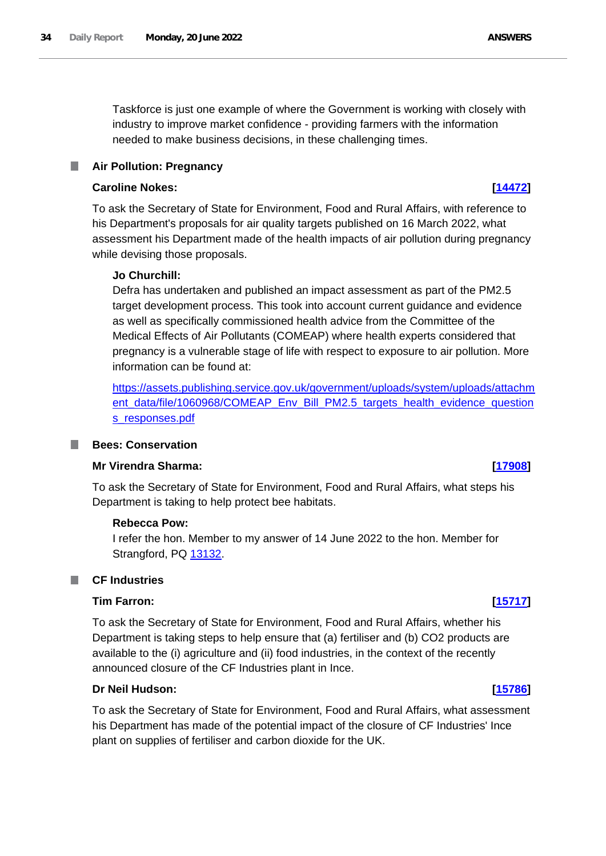Taskforce is just one example of where the Government is working with closely with industry to improve market confidence - providing farmers with the information needed to make business decisions, in these challenging times.

#### <span id="page-33-0"></span>**Air Pollution: Pregnancy** ш

## **Caroline Nokes: [\[14472\]](http://www.parliament.uk/business/publications/written-questions-answers-statements/written-question/Commons/2022-06-08/14472)**

To ask the Secretary of State for Environment, Food and Rural Affairs, with reference to his Department's proposals for air quality targets published on 16 March 2022, what assessment his Department made of the health impacts of air pollution during pregnancy while devising those proposals.

## **Jo Churchill:**

Defra has undertaken and published an impact assessment as part of the PM2.5 target development process. This took into account current guidance and evidence as well as specifically commissioned health advice from the Committee of the Medical Effects of Air Pollutants (COMEAP) where health experts considered that pregnancy is a vulnerable stage of life with respect to exposure to air pollution. More information can be found at:

[https://assets.publishing.service.gov.uk/government/uploads/system/uploads/attachm](https://assets.publishing.service.gov.uk/government/uploads/system/uploads/attachment_data/file/1060968/COMEAP_Env_Bill_PM2.5_targets_health_evidence_questions_responses.pdf) [ent\\_data/file/1060968/COMEAP\\_Env\\_Bill\\_PM2.5\\_targets\\_health\\_evidence\\_question](https://assets.publishing.service.gov.uk/government/uploads/system/uploads/attachment_data/file/1060968/COMEAP_Env_Bill_PM2.5_targets_health_evidence_questions_responses.pdf) [s\\_responses.pdf](https://assets.publishing.service.gov.uk/government/uploads/system/uploads/attachment_data/file/1060968/COMEAP_Env_Bill_PM2.5_targets_health_evidence_questions_responses.pdf)

## <span id="page-33-1"></span>**Bees: Conservation**

To ask the Secretary of State for Environment, Food and Rural Affairs, what steps his Department is taking to help protect bee habitats.

### **Rebecca Pow:**

I refer the hon. Member to my answer of 14 June 2022 to the hon. Member for Strangford, PQ 13132.

#### <span id="page-33-2"></span>I. **CF Industries**

### **Tim Farron: [\[15717\]](http://www.parliament.uk/business/publications/written-questions-answers-statements/written-question/Commons/2022-06-10/15717)**

To ask the Secretary of State for Environment, Food and Rural Affairs, whether his Department is taking steps to help ensure that (a) fertiliser and (b) CO2 products are available to the (i) agriculture and (ii) food industries, in the context of the recently announced closure of the CF Industries plant in Ince.

## **Dr Neil Hudson: [\[15786\]](http://www.parliament.uk/business/publications/written-questions-answers-statements/written-question/Commons/2022-06-10/15786)**

To ask the Secretary of State for Environment, Food and Rural Affairs, what assessment his Department has made of the potential impact of the closure of CF Industries' Ince plant on supplies of fertiliser and carbon dioxide for the UK.

# **Mr Virendra Sharma: [\[17908\]](http://www.parliament.uk/business/publications/written-questions-answers-statements/written-question/Commons/2022-06-14/17908)**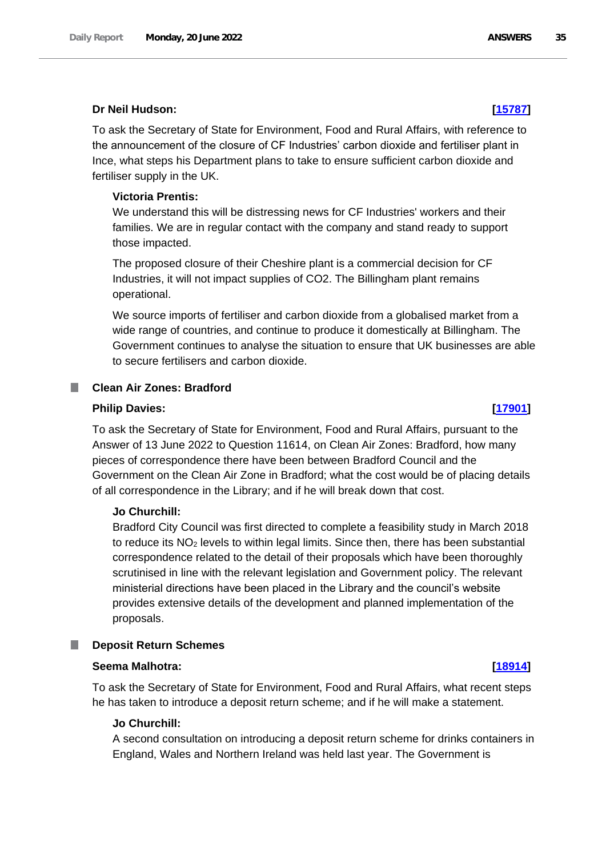## **Dr Neil Hudson: [\[15787\]](http://www.parliament.uk/business/publications/written-questions-answers-statements/written-question/Commons/2022-06-10/15787)**

To ask the Secretary of State for Environment, Food and Rural Affairs, with reference to the announcement of the closure of CF Industries' carbon dioxide and fertiliser plant in Ince, what steps his Department plans to take to ensure sufficient carbon dioxide and fertiliser supply in the UK.

### **Victoria Prentis:**

We understand this will be distressing news for CF Industries' workers and their families. We are in regular contact with the company and stand ready to support those impacted.

The proposed closure of their Cheshire plant is a commercial decision for CF Industries, it will not impact supplies of CO2. The Billingham plant remains operational.

We source imports of fertiliser and carbon dioxide from a globalised market from a wide range of countries, and continue to produce it domestically at Billingham. The Government continues to analyse the situation to ensure that UK businesses are able to secure fertilisers and carbon dioxide.

#### <span id="page-34-0"></span>**Clean Air Zones: Bradford**

### **Philip Davies: [\[17901\]](http://www.parliament.uk/business/publications/written-questions-answers-statements/written-question/Commons/2022-06-14/17901)**

To ask the Secretary of State for Environment, Food and Rural Affairs, pursuant to the Answer of 13 June 2022 to Question 11614, on Clean Air Zones: Bradford, how many pieces of correspondence there have been between Bradford Council and the Government on the Clean Air Zone in Bradford; what the cost would be of placing details of all correspondence in the Library; and if he will break down that cost.

#### **Jo Churchill:**

Bradford City Council was first directed to complete a feasibility study in March 2018 to reduce its  $NO<sub>2</sub>$  levels to within legal limits. Since then, there has been substantial correspondence related to the detail of their proposals which have been thoroughly scrutinised in line with the relevant legislation and Government policy. The relevant ministerial directions have been placed in the Library and the council's website provides extensive details of the development and planned implementation of the proposals.

#### <span id="page-34-1"></span>**Deposit Return Schemes**

### **Seema Malhotra: [\[18914\]](http://www.parliament.uk/business/publications/written-questions-answers-statements/written-question/Commons/2022-06-15/18914)**

To ask the Secretary of State for Environment, Food and Rural Affairs, what recent steps he has taken to introduce a deposit return scheme; and if he will make a statement.

#### **Jo Churchill:**

A second consultation on introducing a deposit return scheme for drinks containers in England, Wales and Northern Ireland was held last year. The Government is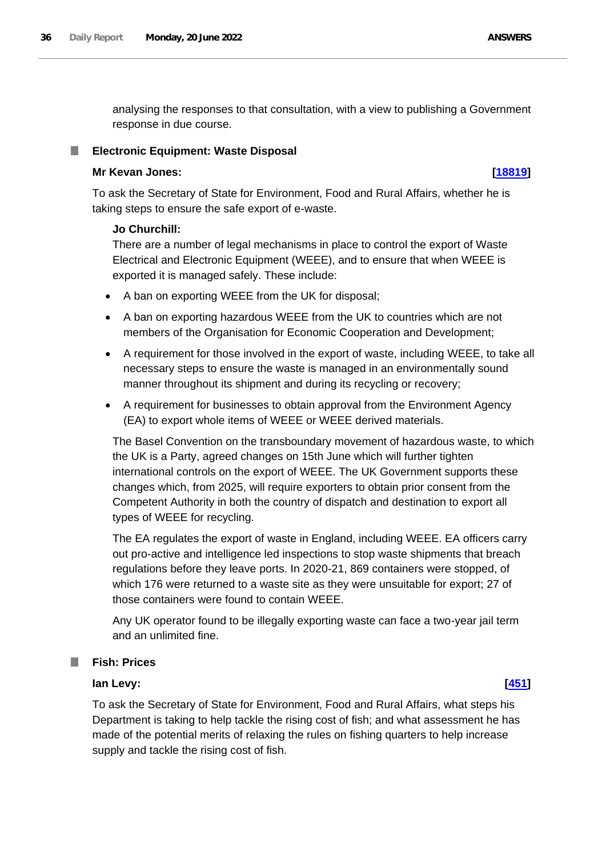analysing the responses to that consultation, with a view to publishing a Government response in due course.

## <span id="page-35-0"></span>**Electronic Equipment: Waste Disposal**

## **Mr Kevan Jones: [\[18819\]](http://www.parliament.uk/business/publications/written-questions-answers-statements/written-question/Commons/2022-06-15/18819)**

To ask the Secretary of State for Environment, Food and Rural Affairs, whether he is taking steps to ensure the safe export of e-waste.

## **Jo Churchill:**

There are a number of legal mechanisms in place to control the export of Waste Electrical and Electronic Equipment (WEEE), and to ensure that when WEEE is exported it is managed safely. These include:

- A ban on exporting WEEE from the UK for disposal;
- A ban on exporting hazardous WEEE from the UK to countries which are not members of the Organisation for Economic Cooperation and Development;
- A requirement for those involved in the export of waste, including WEEE, to take all necessary steps to ensure the waste is managed in an environmentally sound manner throughout its shipment and during its recycling or recovery;
- A requirement for businesses to obtain approval from the Environment Agency (EA) to export whole items of WEEE or WEEE derived materials.

The Basel Convention on the transboundary movement of hazardous waste, to which the UK is a Party, agreed changes on 15th June which will further tighten international controls on the export of WEEE. The UK Government supports these changes which, from 2025, will require exporters to obtain prior consent from the Competent Authority in both the country of dispatch and destination to export all types of WEEE for recycling.

The EA regulates the export of waste in England, including WEEE. EA officers carry out pro-active and intelligence led inspections to stop waste shipments that breach regulations before they leave ports. In 2020-21, 869 containers were stopped, of which 176 were returned to a waste site as they were unsuitable for export; 27 of those containers were found to contain WEEE.

Any UK operator found to be illegally exporting waste can face a two-year jail term and an unlimited fine.

## <span id="page-35-1"></span>**Fish: Prices**

# **Ian Levy: [\[451\]](http://www.parliament.uk/business/publications/written-questions-answers-statements/written-question/Commons/2022-05-10/451)**

To ask the Secretary of State for Environment, Food and Rural Affairs, what steps his Department is taking to help tackle the rising cost of fish; and what assessment he has made of the potential merits of relaxing the rules on fishing quarters to help increase supply and tackle the rising cost of fish.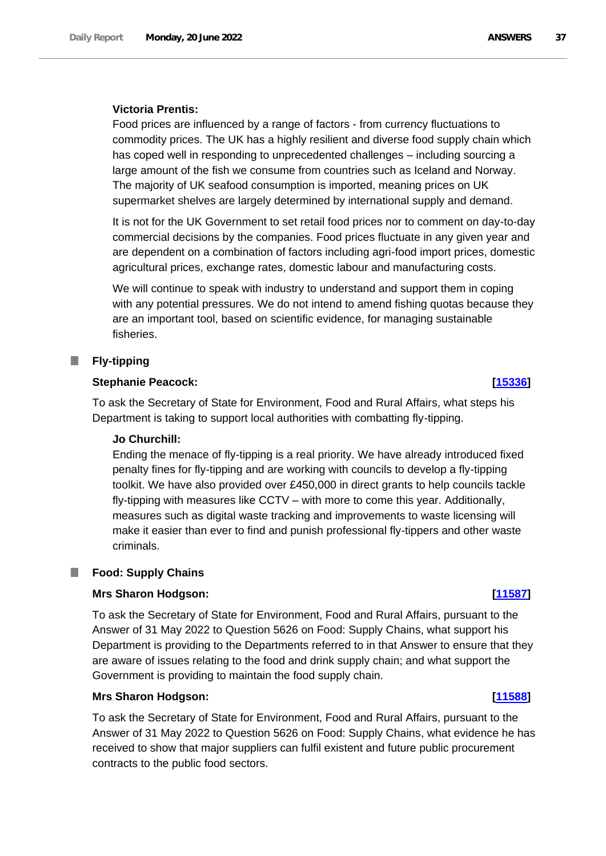### **Victoria Prentis:**

Food prices are influenced by a range of factors - from currency fluctuations to commodity prices. The UK has a highly resilient and diverse food supply chain which has coped well in responding to unprecedented challenges – including sourcing a large amount of the fish we consume from countries such as Iceland and Norway. The majority of UK seafood consumption is imported, meaning prices on UK supermarket shelves are largely determined by international supply and demand.

It is not for the UK Government to set retail food prices nor to comment on day-to-day commercial decisions by the companies. Food prices fluctuate in any given year and are dependent on a combination of factors including agri-food import prices, domestic agricultural prices, exchange rates, domestic labour and manufacturing costs.

We will continue to speak with industry to understand and support them in coping with any potential pressures. We do not intend to amend fishing quotas because they are an important tool, based on scientific evidence, for managing sustainable fisheries.

#### **I Fly-tipping**

### **Stephanie Peacock: [\[15336\]](http://www.parliament.uk/business/publications/written-questions-answers-statements/written-question/Commons/2022-06-09/15336)**

To ask the Secretary of State for Environment, Food and Rural Affairs, what steps his Department is taking to support local authorities with combatting fly-tipping.

#### **Jo Churchill:**

Ending the menace of fly-tipping is a real priority. We have already introduced fixed penalty fines for fly-tipping and are working with councils to develop a fly-tipping toolkit. We have also provided over £450,000 in direct grants to help councils tackle fly-tipping with measures like CCTV – with more to come this year. Additionally, measures such as digital waste tracking and improvements to waste licensing will make it easier than ever to find and punish professional fly-tippers and other waste criminals.

#### **Food: Supply Chains** П

# **Mrs Sharon Hodgson: [\[11587\]](http://www.parliament.uk/business/publications/written-questions-answers-statements/written-question/Commons/2022-06-01/11587)**

To ask the Secretary of State for Environment, Food and Rural Affairs, pursuant to the Answer of 31 May 2022 to Question 5626 on Food: Supply Chains, what support his Department is providing to the Departments referred to in that Answer to ensure that they are aware of issues relating to the food and drink supply chain; and what support the Government is providing to maintain the food supply chain.

### **Mrs Sharon Hodgson: [\[11588\]](http://www.parliament.uk/business/publications/written-questions-answers-statements/written-question/Commons/2022-06-01/11588)**

To ask the Secretary of State for Environment, Food and Rural Affairs, pursuant to the Answer of 31 May 2022 to Question 5626 on Food: Supply Chains, what evidence he has received to show that major suppliers can fulfil existent and future public procurement contracts to the public food sectors.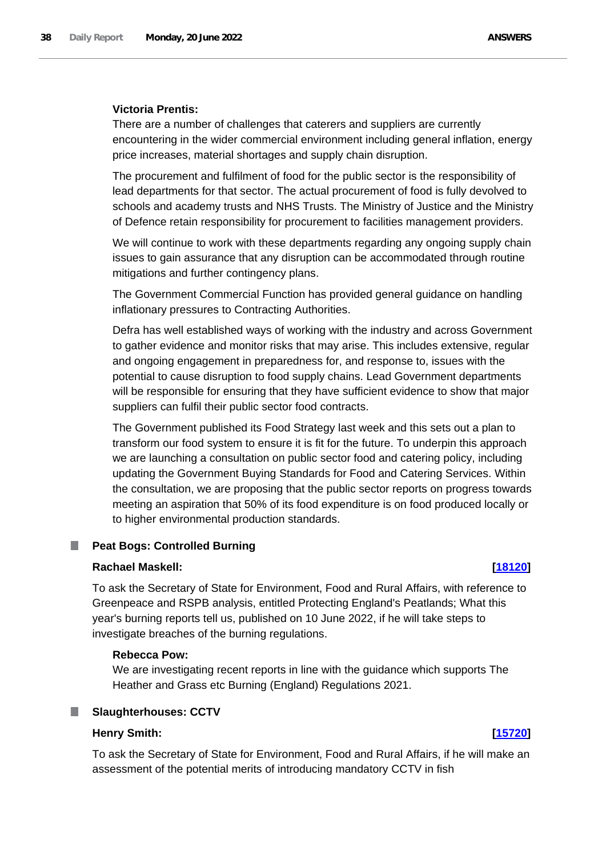### **Victoria Prentis:**

There are a number of challenges that caterers and suppliers are currently encountering in the wider commercial environment including general inflation, energy price increases, material shortages and supply chain disruption.

The procurement and fulfilment of food for the public sector is the responsibility of lead departments for that sector. The actual procurement of food is fully devolved to schools and academy trusts and NHS Trusts. The Ministry of Justice and the Ministry of Defence retain responsibility for procurement to facilities management providers.

We will continue to work with these departments regarding any ongoing supply chain issues to gain assurance that any disruption can be accommodated through routine mitigations and further contingency plans.

The Government Commercial Function has provided general guidance on handling inflationary pressures to Contracting Authorities.

Defra has well established ways of working with the industry and across Government to gather evidence and monitor risks that may arise. This includes extensive, regular and ongoing engagement in preparedness for, and response to, issues with the potential to cause disruption to food supply chains. Lead Government departments will be responsible for ensuring that they have sufficient evidence to show that major suppliers can fulfil their public sector food contracts.

The Government published its Food Strategy last week and this sets out a plan to transform our food system to ensure it is fit for the future. To underpin this approach we are launching a consultation on public sector food and catering policy, including updating the Government Buying Standards for Food and Catering Services. Within the consultation, we are proposing that the public sector reports on progress towards meeting an aspiration that 50% of its food expenditure is on food produced locally or to higher environmental production standards.

#### ш **Peat Bogs: Controlled Burning**

### **Rachael Maskell: [\[18120\]](http://www.parliament.uk/business/publications/written-questions-answers-statements/written-question/Commons/2022-06-14/18120)**

To ask the Secretary of State for Environment, Food and Rural Affairs, with reference to Greenpeace and RSPB analysis, entitled Protecting England's Peatlands; What this year's burning reports tell us, published on 10 June 2022, if he will take steps to investigate breaches of the burning regulations.

### **Rebecca Pow:**

We are investigating recent reports in line with the guidance which supports The Heather and Grass etc Burning (England) Regulations 2021.

### **Slaughterhouses: CCTV**

### **Henry Smith: [\[15720\]](http://www.parliament.uk/business/publications/written-questions-answers-statements/written-question/Commons/2022-06-10/15720)**

To ask the Secretary of State for Environment, Food and Rural Affairs, if he will make an assessment of the potential merits of introducing mandatory CCTV in fish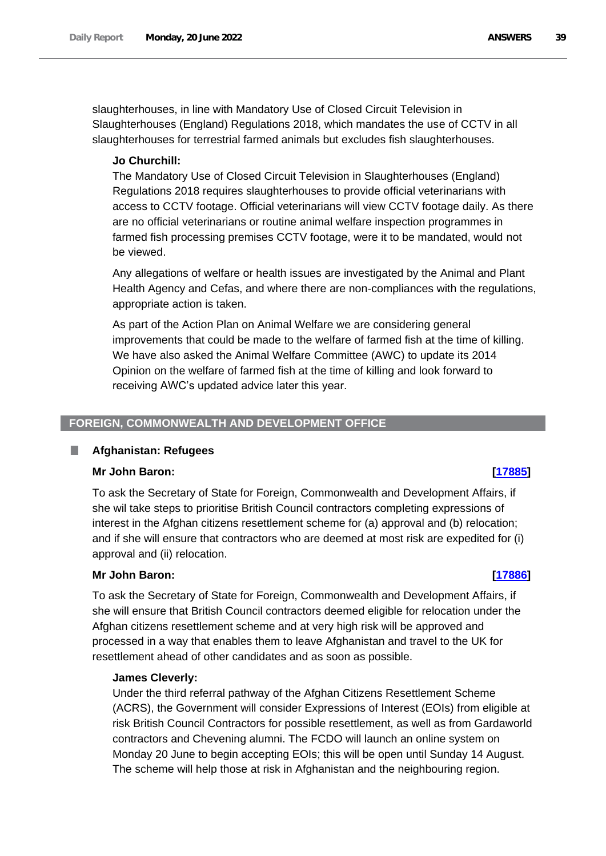slaughterhouses, in line with Mandatory Use of Closed Circuit Television in Slaughterhouses (England) Regulations 2018, which mandates the use of CCTV in all slaughterhouses for terrestrial farmed animals but excludes fish slaughterhouses.

# **Jo Churchill:**

The Mandatory Use of Closed Circuit Television in Slaughterhouses (England) Regulations 2018 requires slaughterhouses to provide official veterinarians with access to CCTV footage. Official veterinarians will view CCTV footage daily. As there are no official veterinarians or routine animal welfare inspection programmes in farmed fish processing premises CCTV footage, were it to be mandated, would not be viewed.

Any allegations of welfare or health issues are investigated by the Animal and Plant Health Agency and Cefas, and where there are non-compliances with the regulations, appropriate action is taken.

As part of the Action Plan on Animal Welfare we are considering general improvements that could be made to the welfare of farmed fish at the time of killing. We have also asked the Animal Welfare Committee (AWC) to update its 2014 Opinion on the welfare of farmed fish at the time of killing and look forward to receiving AWC's updated advice later this year.

# **FOREIGN, COMMONWEALTH AND DEVELOPMENT OFFICE**

# **Afghanistan: Refugees**

# **Mr John Baron: [\[17885\]](http://www.parliament.uk/business/publications/written-questions-answers-statements/written-question/Commons/2022-06-14/17885)**

To ask the Secretary of State for Foreign, Commonwealth and Development Affairs, if she wil take steps to prioritise British Council contractors completing expressions of interest in the Afghan citizens resettlement scheme for (a) approval and (b) relocation; and if she will ensure that contractors who are deemed at most risk are expedited for (i) approval and (ii) relocation.

# **Mr John Baron: [\[17886\]](http://www.parliament.uk/business/publications/written-questions-answers-statements/written-question/Commons/2022-06-14/17886)**

To ask the Secretary of State for Foreign, Commonwealth and Development Affairs, if she will ensure that British Council contractors deemed eligible for relocation under the Afghan citizens resettlement scheme and at very high risk will be approved and processed in a way that enables them to leave Afghanistan and travel to the UK for resettlement ahead of other candidates and as soon as possible.

# **James Cleverly:**

Under the third referral pathway of the Afghan Citizens Resettlement Scheme (ACRS), the Government will consider Expressions of Interest (EOIs) from eligible at risk British Council Contractors for possible resettlement, as well as from Gardaworld contractors and Chevening alumni. The FCDO will launch an online system on Monday 20 June to begin accepting EOIs; this will be open until Sunday 14 August. The scheme will help those at risk in Afghanistan and the neighbouring region.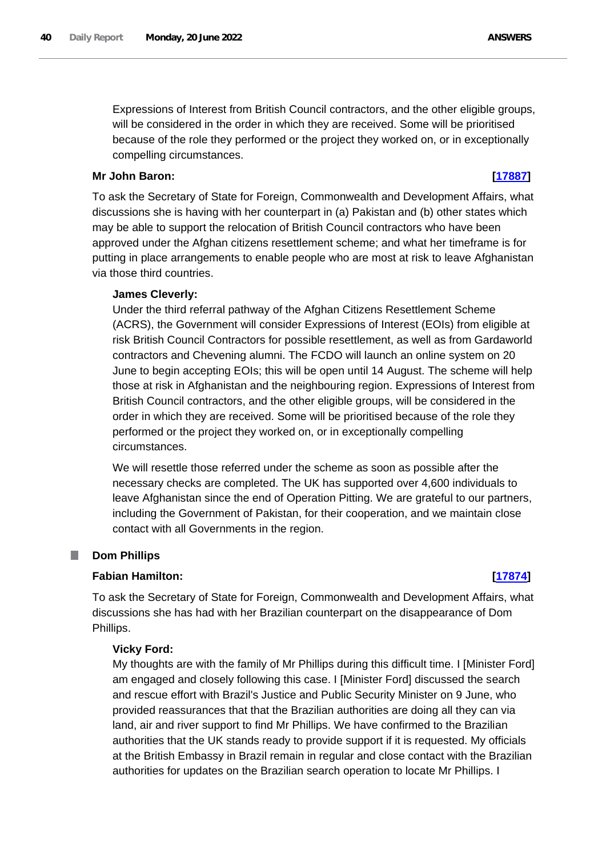Expressions of Interest from British Council contractors, and the other eligible groups, will be considered in the order in which they are received. Some will be prioritised because of the role they performed or the project they worked on, or in exceptionally compelling circumstances.

# **Mr John Baron: [\[17887\]](http://www.parliament.uk/business/publications/written-questions-answers-statements/written-question/Commons/2022-06-14/17887)**

To ask the Secretary of State for Foreign, Commonwealth and Development Affairs, what discussions she is having with her counterpart in (a) Pakistan and (b) other states which may be able to support the relocation of British Council contractors who have been approved under the Afghan citizens resettlement scheme; and what her timeframe is for putting in place arrangements to enable people who are most at risk to leave Afghanistan via those third countries.

# **James Cleverly:**

Under the third referral pathway of the Afghan Citizens Resettlement Scheme (ACRS), the Government will consider Expressions of Interest (EOIs) from eligible at risk British Council Contractors for possible resettlement, as well as from Gardaworld contractors and Chevening alumni. The FCDO will launch an online system on 20 June to begin accepting EOIs; this will be open until 14 August. The scheme will help those at risk in Afghanistan and the neighbouring region. Expressions of Interest from British Council contractors, and the other eligible groups, will be considered in the order in which they are received. Some will be prioritised because of the role they performed or the project they worked on, or in exceptionally compelling circumstances.

We will resettle those referred under the scheme as soon as possible after the necessary checks are completed. The UK has supported over 4,600 individuals to leave Afghanistan since the end of Operation Pitting. We are grateful to our partners, including the Government of Pakistan, for their cooperation, and we maintain close contact with all Governments in the region.

#### **Dom Phillips** ш

# **Fabian Hamilton: [\[17874\]](http://www.parliament.uk/business/publications/written-questions-answers-statements/written-question/Commons/2022-06-14/17874)**

To ask the Secretary of State for Foreign, Commonwealth and Development Affairs, what discussions she has had with her Brazilian counterpart on the disappearance of Dom Phillips.

### **Vicky Ford:**

My thoughts are with the family of Mr Phillips during this difficult time. I [Minister Ford] am engaged and closely following this case. I [Minister Ford] discussed the search and rescue effort with Brazil's Justice and Public Security Minister on 9 June, who provided reassurances that that the Brazilian authorities are doing all they can via land, air and river support to find Mr Phillips. We have confirmed to the Brazilian authorities that the UK stands ready to provide support if it is requested. My officials at the British Embassy in Brazil remain in regular and close contact with the Brazilian authorities for updates on the Brazilian search operation to locate Mr Phillips. I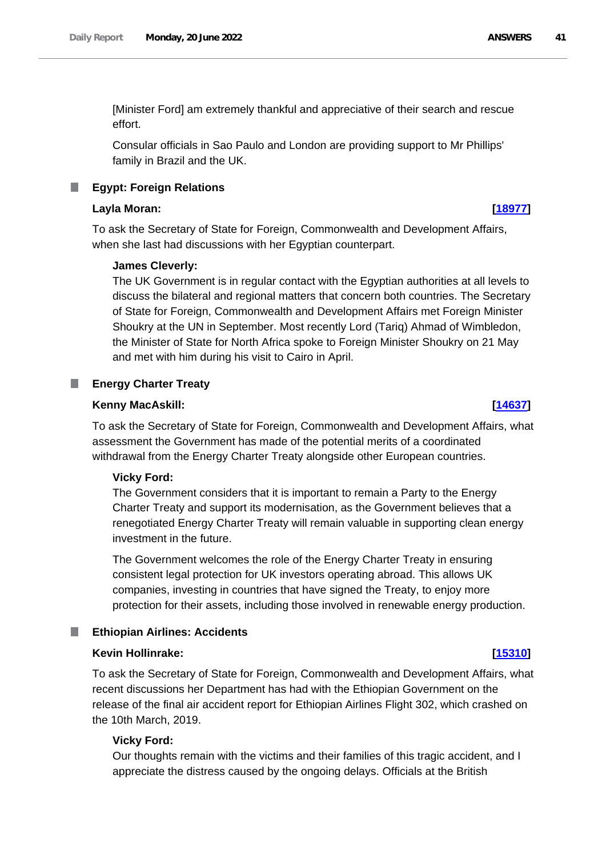[Minister Ford] am extremely thankful and appreciative of their search and rescue effort.

Consular officials in Sao Paulo and London are providing support to Mr Phillips' family in Brazil and the UK.

### **Egypt: Foreign Relations**

### **Layla Moran: [\[18977\]](http://www.parliament.uk/business/publications/written-questions-answers-statements/written-question/Commons/2022-06-15/18977)**

To ask the Secretary of State for Foreign, Commonwealth and Development Affairs, when she last had discussions with her Egyptian counterpart.

### **James Cleverly:**

The UK Government is in regular contact with the Egyptian authorities at all levels to discuss the bilateral and regional matters that concern both countries. The Secretary of State for Foreign, Commonwealth and Development Affairs met Foreign Minister Shoukry at the UN in September. Most recently Lord (Tariq) Ahmad of Wimbledon, the Minister of State for North Africa spoke to Foreign Minister Shoukry on 21 May and met with him during his visit to Cairo in April.

#### **Energy Charter Treaty** .

#### **Kenny MacAskill: [\[14637\]](http://www.parliament.uk/business/publications/written-questions-answers-statements/written-question/Commons/2022-06-08/14637)**

To ask the Secretary of State for Foreign, Commonwealth and Development Affairs, what assessment the Government has made of the potential merits of a coordinated withdrawal from the Energy Charter Treaty alongside other European countries.

#### **Vicky Ford:**

The Government considers that it is important to remain a Party to the Energy Charter Treaty and support its modernisation, as the Government believes that a renegotiated Energy Charter Treaty will remain valuable in supporting clean energy investment in the future.

The Government welcomes the role of the Energy Charter Treaty in ensuring consistent legal protection for UK investors operating abroad. This allows UK companies, investing in countries that have signed the Treaty, to enjoy more protection for their assets, including those involved in renewable energy production.

### **Ethiopian Airlines: Accidents**

#### **Kevin Hollinrake: [\[15310\]](http://www.parliament.uk/business/publications/written-questions-answers-statements/written-question/Commons/2022-06-09/15310)**

To ask the Secretary of State for Foreign, Commonwealth and Development Affairs, what recent discussions her Department has had with the Ethiopian Government on the release of the final air accident report for Ethiopian Airlines Flight 302, which crashed on the 10th March, 2019.

### **Vicky Ford:**

Our thoughts remain with the victims and their families of this tragic accident, and I appreciate the distress caused by the ongoing delays. Officials at the British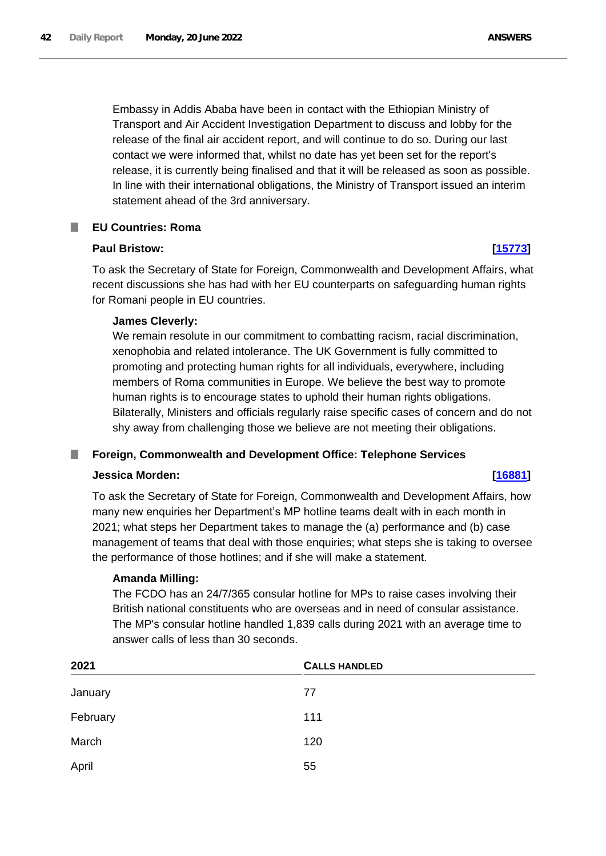Embassy in Addis Ababa have been in contact with the Ethiopian Ministry of Transport and Air Accident Investigation Department to discuss and lobby for the release of the final air accident report, and will continue to do so. During our last contact we were informed that, whilst no date has yet been set for the report's release, it is currently being finalised and that it will be released as soon as possible. In line with their international obligations, the Ministry of Transport issued an interim statement ahead of the 3rd anniversary.

#### T. **EU Countries: Roma**

# **Paul Bristow: [\[15773\]](http://www.parliament.uk/business/publications/written-questions-answers-statements/written-question/Commons/2022-06-10/15773)**

To ask the Secretary of State for Foreign, Commonwealth and Development Affairs, what recent discussions she has had with her EU counterparts on safeguarding human rights for Romani people in EU countries.

# **James Cleverly:**

We remain resolute in our commitment to combatting racism, racial discrimination, xenophobia and related intolerance. The UK Government is fully committed to promoting and protecting human rights for all individuals, everywhere, including members of Roma communities in Europe. We believe the best way to promote human rights is to encourage states to uphold their human rights obligations. Bilaterally, Ministers and officials regularly raise specific cases of concern and do not shy away from challenging those we believe are not meeting their obligations.

#### **Foreign, Commonwealth and Development Office: Telephone Services** ш

### **Jessica Morden: [\[16881\]](http://www.parliament.uk/business/publications/written-questions-answers-statements/written-question/Commons/2022-06-13/16881)**

# To ask the Secretary of State for Foreign, Commonwealth and Development Affairs, how many new enquiries her Department's MP hotline teams dealt with in each month in 2021; what steps her Department takes to manage the (a) performance and (b) case management of teams that deal with those enquiries; what steps she is taking to oversee the performance of those hotlines; and if she will make a statement.

# **Amanda Milling:**

The FCDO has an 24/7/365 consular hotline for MPs to raise cases involving their British national constituents who are overseas and in need of consular assistance. The MP's consular hotline handled 1,839 calls during 2021 with an average time to answer calls of less than 30 seconds.

| 2021     | <b>CALLS HANDLED</b> |
|----------|----------------------|
| January  | 77                   |
| February | 111                  |
| March    | 120                  |
| April    | 55                   |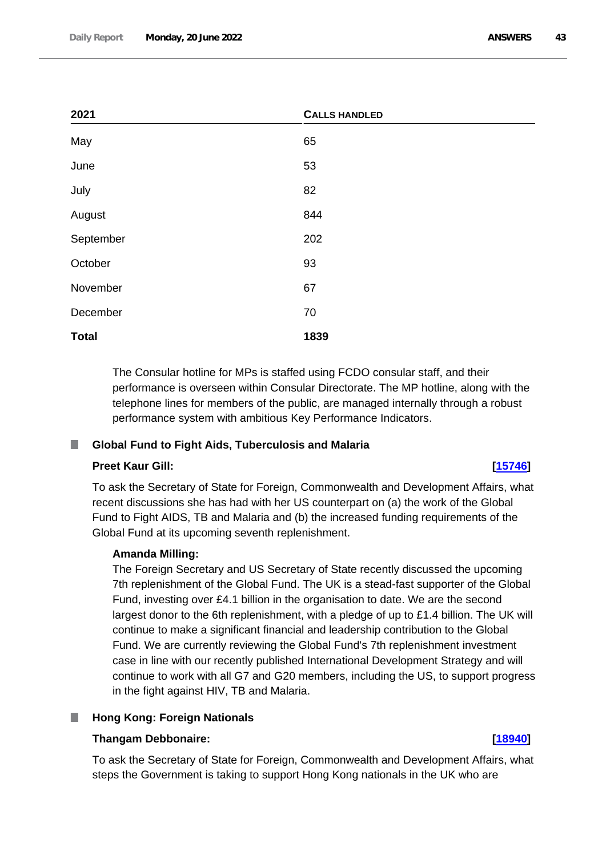| 2021         | <b>CALLS HANDLED</b> |
|--------------|----------------------|
| May          | 65                   |
| June         | 53                   |
| July         | 82                   |
| August       | 844                  |
| September    | 202                  |
| October      | 93                   |
| November     | 67                   |
| December     | 70                   |
| <b>Total</b> | 1839                 |

The Consular hotline for MPs is staffed using FCDO consular staff, and their performance is overseen within Consular Directorate. The MP hotline, along with the telephone lines for members of the public, are managed internally through a robust performance system with ambitious Key Performance Indicators.

# **Global Fund to Fight Aids, Tuberculosis and Malaria**

# **Preet Kaur Gill: [\[15746\]](http://www.parliament.uk/business/publications/written-questions-answers-statements/written-question/Commons/2022-06-10/15746)**

To ask the Secretary of State for Foreign, Commonwealth and Development Affairs, what recent discussions she has had with her US counterpart on (a) the work of the Global Fund to Fight AIDS, TB and Malaria and (b) the increased funding requirements of the Global Fund at its upcoming seventh replenishment.

# **Amanda Milling:**

The Foreign Secretary and US Secretary of State recently discussed the upcoming 7th replenishment of the Global Fund. The UK is a stead-fast supporter of the Global Fund, investing over £4.1 billion in the organisation to date. We are the second largest donor to the 6th replenishment, with a pledge of up to £1.4 billion. The UK will continue to make a significant financial and leadership contribution to the Global Fund. We are currently reviewing the Global Fund's 7th replenishment investment case in line with our recently published International Development Strategy and will continue to work with all G7 and G20 members, including the US, to support progress in the fight against HIV, TB and Malaria.

# **Hong Kong: Foreign Nationals**

# **Thangam Debbonaire: [\[18940\]](http://www.parliament.uk/business/publications/written-questions-answers-statements/written-question/Commons/2022-06-15/18940)**

To ask the Secretary of State for Foreign, Commonwealth and Development Affairs, what steps the Government is taking to support Hong Kong nationals in the UK who are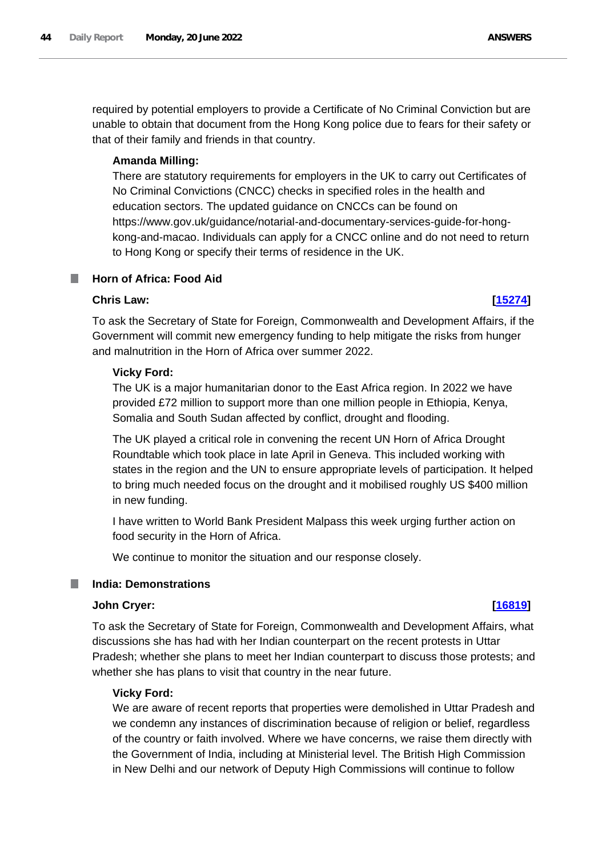required by potential employers to provide a Certificate of No Criminal Conviction but are unable to obtain that document from the Hong Kong police due to fears for their safety or that of their family and friends in that country.

# **Amanda Milling:**

There are statutory requirements for employers in the UK to carry out Certificates of No Criminal Convictions (CNCC) checks in specified roles in the health and education sectors. The updated guidance on CNCCs can be found on https://www.gov.uk/guidance/notarial-and-documentary-services-guide-for-hongkong-and-macao. Individuals can apply for a CNCC online and do not need to return to Hong Kong or specify their terms of residence in the UK.

# **Horn of Africa: Food Aid**

# **Chris Law: [\[15274\]](http://www.parliament.uk/business/publications/written-questions-answers-statements/written-question/Commons/2022-06-09/15274)**

To ask the Secretary of State for Foreign, Commonwealth and Development Affairs, if the Government will commit new emergency funding to help mitigate the risks from hunger and malnutrition in the Horn of Africa over summer 2022.

# **Vicky Ford:**

The UK is a major humanitarian donor to the East Africa region. In 2022 we have provided £72 million to support more than one million people in Ethiopia, Kenya, Somalia and South Sudan affected by conflict, drought and flooding.

The UK played a critical role in convening the recent UN Horn of Africa Drought Roundtable which took place in late April in Geneva. This included working with states in the region and the UN to ensure appropriate levels of participation. It helped to bring much needed focus on the drought and it mobilised roughly US \$400 million in new funding.

I have written to World Bank President Malpass this week urging further action on food security in the Horn of Africa.

We continue to monitor the situation and our response closely.

#### ш **India: Demonstrations**

# **John Cryer: [\[16819\]](http://www.parliament.uk/business/publications/written-questions-answers-statements/written-question/Commons/2022-06-13/16819)**

To ask the Secretary of State for Foreign, Commonwealth and Development Affairs, what discussions she has had with her Indian counterpart on the recent protests in Uttar Pradesh; whether she plans to meet her Indian counterpart to discuss those protests; and whether she has plans to visit that country in the near future.

# **Vicky Ford:**

We are aware of recent reports that properties were demolished in Uttar Pradesh and we condemn any instances of discrimination because of religion or belief, regardless of the country or faith involved. Where we have concerns, we raise them directly with the Government of India, including at Ministerial level. The British High Commission in New Delhi and our network of Deputy High Commissions will continue to follow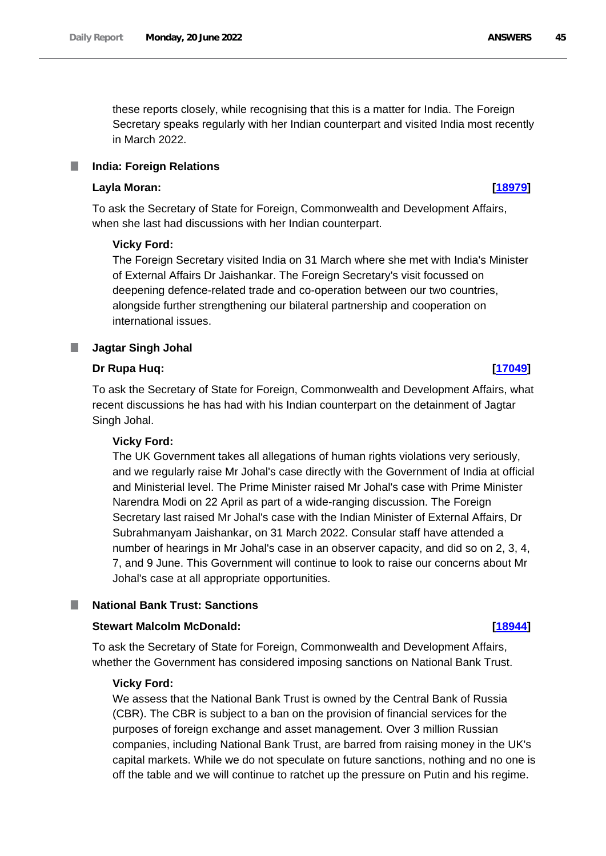these reports closely, while recognising that this is a matter for India. The Foreign Secretary speaks regularly with her Indian counterpart and visited India most recently in March 2022.

#### **India: Foreign Relations** L.

### **Layla Moran: [\[18979\]](http://www.parliament.uk/business/publications/written-questions-answers-statements/written-question/Commons/2022-06-15/18979)**

To ask the Secretary of State for Foreign, Commonwealth and Development Affairs, when she last had discussions with her Indian counterpart.

### **Vicky Ford:**

The Foreign Secretary visited India on 31 March where she met with India's Minister of External Affairs Dr Jaishankar. The Foreign Secretary's visit focussed on deepening defence-related trade and co-operation between our two countries, alongside further strengthening our bilateral partnership and cooperation on international issues.

### **Jagtar Singh Johal**

### **Dr Rupa Huq: [\[17049\]](http://www.parliament.uk/business/publications/written-questions-answers-statements/written-question/Commons/2022-06-13/17049)**

To ask the Secretary of State for Foreign, Commonwealth and Development Affairs, what recent discussions he has had with his Indian counterpart on the detainment of Jagtar Singh Johal.

### **Vicky Ford:**

The UK Government takes all allegations of human rights violations very seriously, and we regularly raise Mr Johal's case directly with the Government of India at official and Ministerial level. The Prime Minister raised Mr Johal's case with Prime Minister Narendra Modi on 22 April as part of a wide-ranging discussion. The Foreign Secretary last raised Mr Johal's case with the Indian Minister of External Affairs, Dr Subrahmanyam Jaishankar, on 31 March 2022. Consular staff have attended a number of hearings in Mr Johal's case in an observer capacity, and did so on 2, 3, 4, 7, and 9 June. This Government will continue to look to raise our concerns about Mr Johal's case at all appropriate opportunities.

### **National Bank Trust: Sanctions**

### **Stewart Malcolm McDonald: [\[18944\]](http://www.parliament.uk/business/publications/written-questions-answers-statements/written-question/Commons/2022-06-15/18944)**

To ask the Secretary of State for Foreign, Commonwealth and Development Affairs, whether the Government has considered imposing sanctions on National Bank Trust.

### **Vicky Ford:**

We assess that the National Bank Trust is owned by the Central Bank of Russia (CBR). The CBR is subject to a ban on the provision of financial services for the purposes of foreign exchange and asset management. Over 3 million Russian companies, including National Bank Trust, are barred from raising money in the UK's capital markets. While we do not speculate on future sanctions, nothing and no one is off the table and we will continue to ratchet up the pressure on Putin and his regime.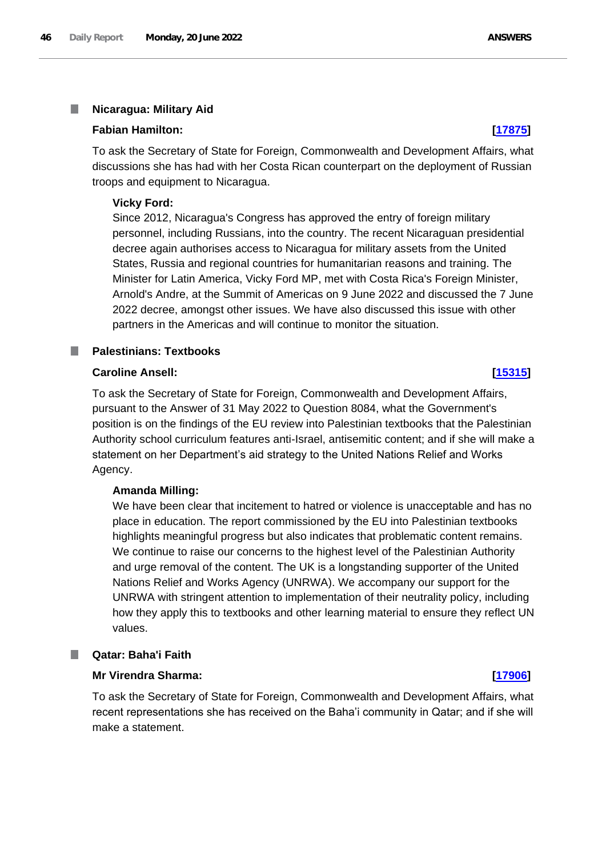#### П **Nicaragua: Military Aid**

### **Fabian Hamilton: [\[17875\]](http://www.parliament.uk/business/publications/written-questions-answers-statements/written-question/Commons/2022-06-14/17875)**

To ask the Secretary of State for Foreign, Commonwealth and Development Affairs, what discussions she has had with her Costa Rican counterpart on the deployment of Russian troops and equipment to Nicaragua.

### **Vicky Ford:**

Since 2012, Nicaragua's Congress has approved the entry of foreign military personnel, including Russians, into the country. The recent Nicaraguan presidential decree again authorises access to Nicaragua for military assets from the United States, Russia and regional countries for humanitarian reasons and training. The Minister for Latin America, Vicky Ford MP, met with Costa Rica's Foreign Minister, Arnold's Andre, at the Summit of Americas on 9 June 2022 and discussed the 7 June 2022 decree, amongst other issues. We have also discussed this issue with other partners in the Americas and will continue to monitor the situation.

# **Palestinians: Textbooks**

# **Caroline Ansell: [\[15315\]](http://www.parliament.uk/business/publications/written-questions-answers-statements/written-question/Commons/2022-06-09/15315)**

To ask the Secretary of State for Foreign, Commonwealth and Development Affairs, pursuant to the Answer of 31 May 2022 to Question 8084, what the Government's position is on the findings of the EU review into Palestinian textbooks that the Palestinian Authority school curriculum features anti-Israel, antisemitic content; and if she will make a statement on her Department's aid strategy to the United Nations Relief and Works Agency.

### **Amanda Milling:**

We have been clear that incitement to hatred or violence is unacceptable and has no place in education. The report commissioned by the EU into Palestinian textbooks highlights meaningful progress but also indicates that problematic content remains. We continue to raise our concerns to the highest level of the Palestinian Authority and urge removal of the content. The UK is a longstanding supporter of the United Nations Relief and Works Agency (UNRWA). We accompany our support for the UNRWA with stringent attention to implementation of their neutrality policy, including how they apply this to textbooks and other learning material to ensure they reflect UN values.

### **Qatar: Baha'i Faith**

### **Mr Virendra Sharma: [\[17906\]](http://www.parliament.uk/business/publications/written-questions-answers-statements/written-question/Commons/2022-06-14/17906)**

To ask the Secretary of State for Foreign, Commonwealth and Development Affairs, what recent representations she has received on the Baha'i community in Qatar; and if she will make a statement.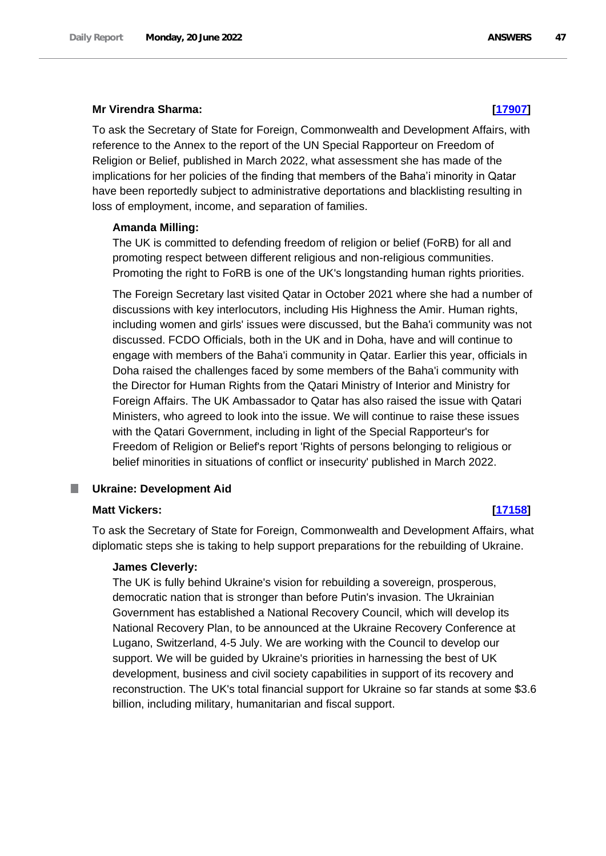### **Mr Virendra Sharma: [\[17907\]](http://www.parliament.uk/business/publications/written-questions-answers-statements/written-question/Commons/2022-06-14/17907)**

To ask the Secretary of State for Foreign, Commonwealth and Development Affairs, with reference to the Annex to the report of the UN Special Rapporteur on Freedom of Religion or Belief, published in March 2022, what assessment she has made of the implications for her policies of the finding that members of the Baha'i minority in Qatar have been reportedly subject to administrative deportations and blacklisting resulting in loss of employment, income, and separation of families.

### **Amanda Milling:**

The UK is committed to defending freedom of religion or belief (FoRB) for all and promoting respect between different religious and non-religious communities. Promoting the right to FoRB is one of the UK's longstanding human rights priorities.

The Foreign Secretary last visited Qatar in October 2021 where she had a number of discussions with key interlocutors, including His Highness the Amir. Human rights, including women and girls' issues were discussed, but the Baha'i community was not discussed. FCDO Officials, both in the UK and in Doha, have and will continue to engage with members of the Baha'i community in Qatar. Earlier this year, officials in Doha raised the challenges faced by some members of the Baha'i community with the Director for Human Rights from the Qatari Ministry of Interior and Ministry for Foreign Affairs. The UK Ambassador to Qatar has also raised the issue with Qatari Ministers, who agreed to look into the issue. We will continue to raise these issues with the Qatari Government, including in light of the Special Rapporteur's for Freedom of Religion or Belief's report 'Rights of persons belonging to religious or belief minorities in situations of conflict or insecurity' published in March 2022.

#### **Ukraine: Development Aid** П

### **Matt Vickers: [\[17158\]](http://www.parliament.uk/business/publications/written-questions-answers-statements/written-question/Commons/2022-06-13/17158)**

To ask the Secretary of State for Foreign, Commonwealth and Development Affairs, what diplomatic steps she is taking to help support preparations for the rebuilding of Ukraine.

### **James Cleverly:**

The UK is fully behind Ukraine's vision for rebuilding a sovereign, prosperous, democratic nation that is stronger than before Putin's invasion. The Ukrainian Government has established a National Recovery Council, which will develop its National Recovery Plan, to be announced at the Ukraine Recovery Conference at Lugano, Switzerland, 4-5 July. We are working with the Council to develop our support. We will be guided by Ukraine's priorities in harnessing the best of UK development, business and civil society capabilities in support of its recovery and reconstruction. The UK's total financial support for Ukraine so far stands at some \$3.6 billion, including military, humanitarian and fiscal support.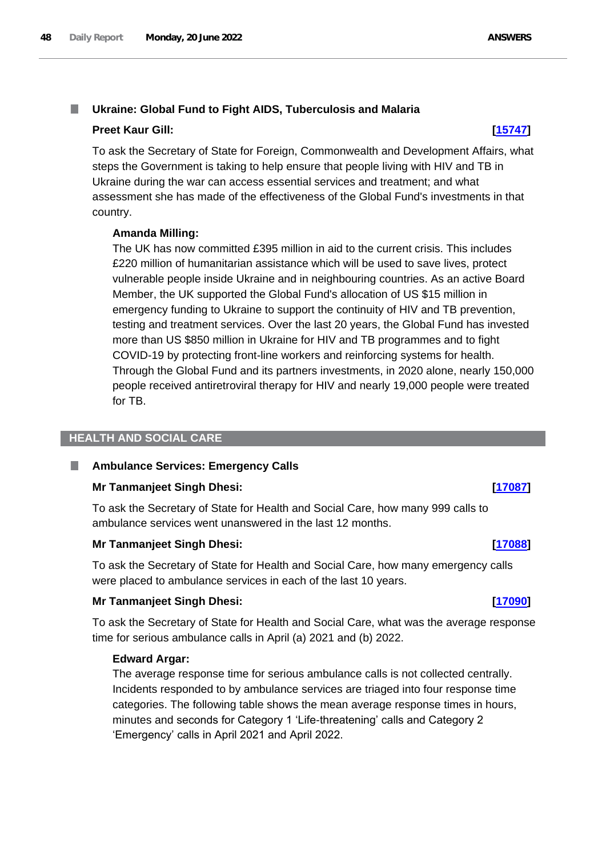#### T. **Ukraine: Global Fund to Fight AIDS, Tuberculosis and Malaria**

# **Preet Kaur Gill: [\[15747\]](http://www.parliament.uk/business/publications/written-questions-answers-statements/written-question/Commons/2022-06-10/15747)**

To ask the Secretary of State for Foreign, Commonwealth and Development Affairs, what steps the Government is taking to help ensure that people living with HIV and TB in Ukraine during the war can access essential services and treatment; and what assessment she has made of the effectiveness of the Global Fund's investments in that country.

# **Amanda Milling:**

The UK has now committed £395 million in aid to the current crisis. This includes £220 million of humanitarian assistance which will be used to save lives, protect vulnerable people inside Ukraine and in neighbouring countries. As an active Board Member, the UK supported the Global Fund's allocation of US \$15 million in emergency funding to Ukraine to support the continuity of HIV and TB prevention, testing and treatment services. Over the last 20 years, the Global Fund has invested more than US \$850 million in Ukraine for HIV and TB programmes and to fight COVID-19 by protecting front-line workers and reinforcing systems for health. Through the Global Fund and its partners investments, in 2020 alone, nearly 150,000 people received antiretroviral therapy for HIV and nearly 19,000 people were treated for TB.

# **HEALTH AND SOCIAL CARE**

#### ш **Ambulance Services: Emergency Calls**

# **Mr Tanmanjeet Singh Dhesi: [\[17087\]](http://www.parliament.uk/business/publications/written-questions-answers-statements/written-question/Commons/2022-06-13/17087)**

To ask the Secretary of State for Health and Social Care, how many 999 calls to ambulance services went unanswered in the last 12 months.

# **Mr Tanmanjeet Singh Dhesi: [\[17088\]](http://www.parliament.uk/business/publications/written-questions-answers-statements/written-question/Commons/2022-06-13/17088)**

To ask the Secretary of State for Health and Social Care, how many emergency calls were placed to ambulance services in each of the last 10 years.

# **Mr Tanmanjeet Singh Dhesi: [\[17090\]](http://www.parliament.uk/business/publications/written-questions-answers-statements/written-question/Commons/2022-06-13/17090)**

To ask the Secretary of State for Health and Social Care, what was the average response time for serious ambulance calls in April (a) 2021 and (b) 2022.

# **Edward Argar:**

The average response time for serious ambulance calls is not collected centrally. Incidents responded to by ambulance services are triaged into four response time categories. The following table shows the mean average response times in hours, minutes and seconds for Category 1 'Life-threatening' calls and Category 2 'Emergency' calls in April 2021 and April 2022.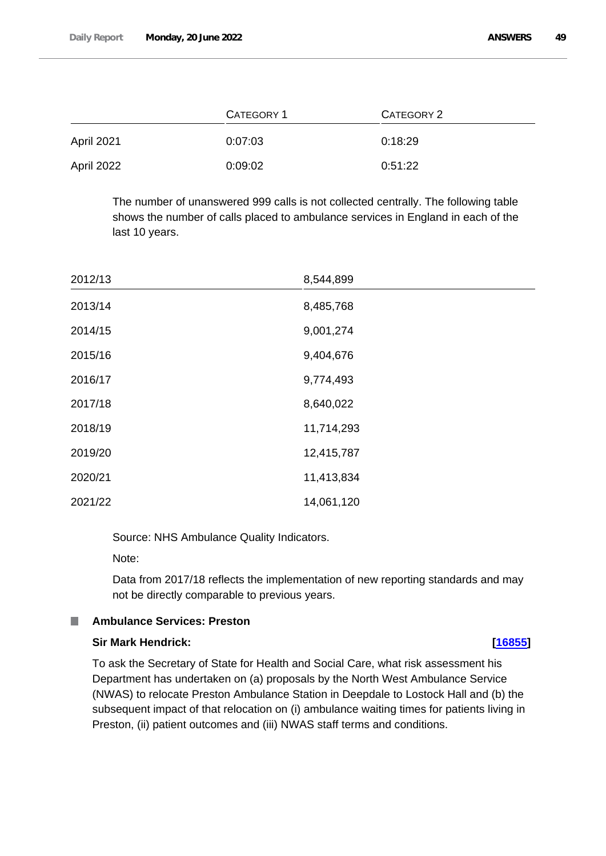|                   | <b>CATEGORY 1</b> | <b>CATEGORY 2</b> |
|-------------------|-------------------|-------------------|
| <b>April 2021</b> | 0:07:03           | 0:18:29           |
| April 2022        | 0:09:02           | 0:51:22           |

The number of unanswered 999 calls is not collected centrally. The following table shows the number of calls placed to ambulance services in England in each of the last 10 years.

| 2012/13 | 8,544,899  |
|---------|------------|
| 2013/14 | 8,485,768  |
| 2014/15 | 9,001,274  |
| 2015/16 | 9,404,676  |
| 2016/17 | 9,774,493  |
| 2017/18 | 8,640,022  |
| 2018/19 | 11,714,293 |
| 2019/20 | 12,415,787 |
| 2020/21 | 11,413,834 |
| 2021/22 | 14,061,120 |

Source: NHS Ambulance Quality Indicators.

Note:

Data from 2017/18 reflects the implementation of new reporting standards and may not be directly comparable to previous years.

#### ш **Ambulance Services: Preston**

# **Sir Mark Hendrick: [\[16855\]](http://www.parliament.uk/business/publications/written-questions-answers-statements/written-question/Commons/2022-06-13/16855)**

To ask the Secretary of State for Health and Social Care, what risk assessment his Department has undertaken on (a) proposals by the North West Ambulance Service (NWAS) to relocate Preston Ambulance Station in Deepdale to Lostock Hall and (b) the subsequent impact of that relocation on (i) ambulance waiting times for patients living in Preston, (ii) patient outcomes and (iii) NWAS staff terms and conditions.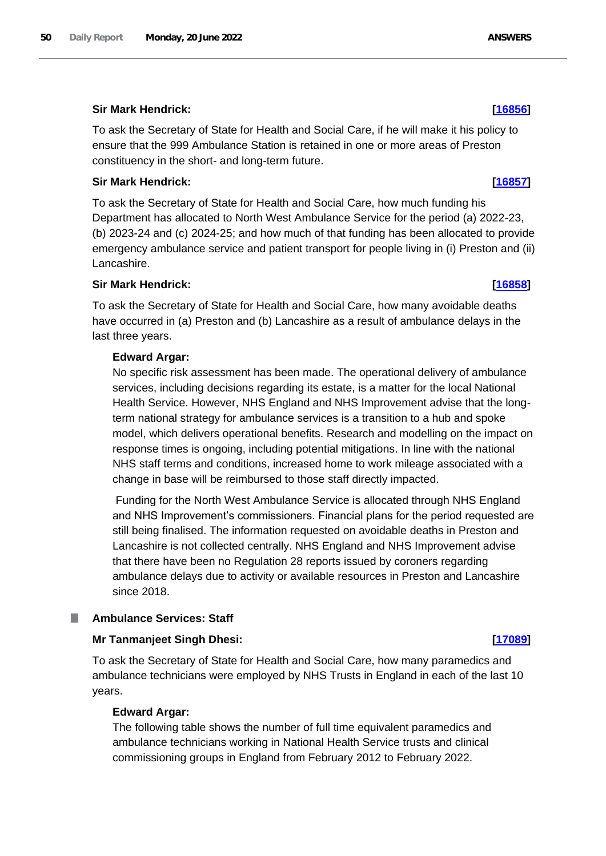# **Sir Mark Hendrick: [\[16856\]](http://www.parliament.uk/business/publications/written-questions-answers-statements/written-question/Commons/2022-06-13/16856)**

To ask the Secretary of State for Health and Social Care, if he will make it his policy to ensure that the 999 Ambulance Station is retained in one or more areas of Preston constituency in the short- and long-term future.

# **Sir Mark Hendrick: [\[16857\]](http://www.parliament.uk/business/publications/written-questions-answers-statements/written-question/Commons/2022-06-13/16857)**

To ask the Secretary of State for Health and Social Care, how much funding his Department has allocated to North West Ambulance Service for the period (a) 2022-23, (b) 2023-24 and (c) 2024-25; and how much of that funding has been allocated to provide emergency ambulance service and patient transport for people living in (i) Preston and (ii) Lancashire.

# **Sir Mark Hendrick: [\[16858\]](http://www.parliament.uk/business/publications/written-questions-answers-statements/written-question/Commons/2022-06-13/16858)**

To ask the Secretary of State for Health and Social Care, how many avoidable deaths have occurred in (a) Preston and (b) Lancashire as a result of ambulance delays in the last three years.

# **Edward Argar:**

No specific risk assessment has been made. The operational delivery of ambulance services, including decisions regarding its estate, is a matter for the local National Health Service. However, NHS England and NHS Improvement advise that the longterm national strategy for ambulance services is a transition to a hub and spoke model, which delivers operational benefits. Research and modelling on the impact on response times is ongoing, including potential mitigations. In line with the national NHS staff terms and conditions, increased home to work mileage associated with a change in base will be reimbursed to those staff directly impacted.

Funding for the North West Ambulance Service is allocated through NHS England and NHS Improvement's commissioners. Financial plans for the period requested are still being finalised. The information requested on avoidable deaths in Preston and Lancashire is not collected centrally. NHS England and NHS Improvement advise that there have been no Regulation 28 reports issued by coroners regarding ambulance delays due to activity or available resources in Preston and Lancashire since 2018.

# **Ambulance Services: Staff**

# **Mr Tanmanjeet Singh Dhesi: [\[17089\]](http://www.parliament.uk/business/publications/written-questions-answers-statements/written-question/Commons/2022-06-13/17089)**

To ask the Secretary of State for Health and Social Care, how many paramedics and ambulance technicians were employed by NHS Trusts in England in each of the last 10 years.

# **Edward Argar:**

The following table shows the number of full time equivalent paramedics and ambulance technicians working in National Health Service trusts and clinical commissioning groups in England from February 2012 to February 2022.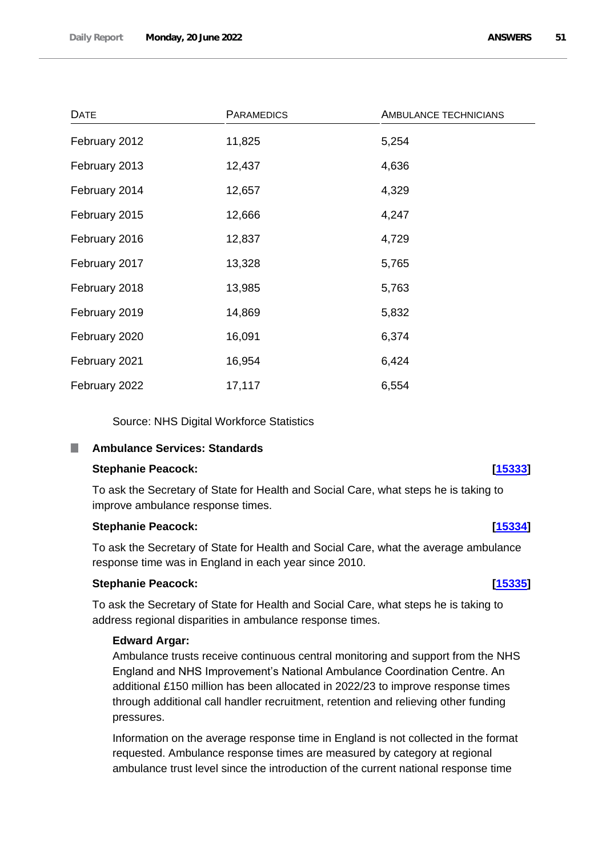| <b>DATE</b>   | <b>PARAMEDICS</b> | AMBULANCE TECHNICIANS |
|---------------|-------------------|-----------------------|
| February 2012 | 11,825            | 5,254                 |
| February 2013 | 12,437            | 4,636                 |
| February 2014 | 12,657            | 4,329                 |
| February 2015 | 12,666            | 4,247                 |
| February 2016 | 12,837            | 4,729                 |
| February 2017 | 13,328            | 5,765                 |
| February 2018 | 13,985            | 5,763                 |
| February 2019 | 14,869            | 5,832                 |
| February 2020 | 16,091            | 6,374                 |
| February 2021 | 16,954            | 6,424                 |
| February 2022 | 17,117            | 6,554                 |

Source: NHS Digital Workforce Statistics

#### П **Ambulance Services: Standards**

# **Stephanie Peacock: [\[15333\]](http://www.parliament.uk/business/publications/written-questions-answers-statements/written-question/Commons/2022-06-09/15333)**

To ask the Secretary of State for Health and Social Care, what steps he is taking to improve ambulance response times.

# **Stephanie Peacock: [\[15334\]](http://www.parliament.uk/business/publications/written-questions-answers-statements/written-question/Commons/2022-06-09/15334)**

To ask the Secretary of State for Health and Social Care, what the average ambulance response time was in England in each year since 2010.

# **Stephanie Peacock: [\[15335\]](http://www.parliament.uk/business/publications/written-questions-answers-statements/written-question/Commons/2022-06-09/15335)**

To ask the Secretary of State for Health and Social Care, what steps he is taking to address regional disparities in ambulance response times.

# **Edward Argar:**

Ambulance trusts receive continuous central monitoring and support from the NHS England and NHS Improvement's National Ambulance Coordination Centre. An additional £150 million has been allocated in 2022/23 to improve response times through additional call handler recruitment, retention and relieving other funding pressures.

Information on the average response time in England is not collected in the format requested. Ambulance response times are measured by category at regional ambulance trust level since the introduction of the current national response time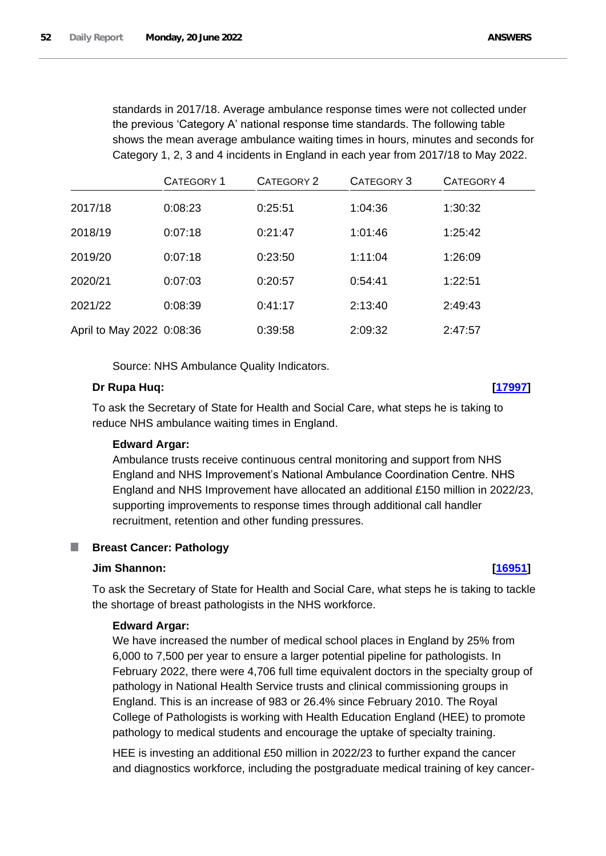standards in 2017/18. Average ambulance response times were not collected under the previous 'Category A' national response time standards. The following table shows the mean average ambulance waiting times in hours, minutes and seconds for Category 1, 2, 3 and 4 incidents in England in each year from 2017/18 to May 2022.

|                           | <b>CATEGORY 1</b> | <b>CATEGORY 2</b> | CATEGORY 3 | CATEGORY 4 |
|---------------------------|-------------------|-------------------|------------|------------|
| 2017/18                   | 0:08:23           | 0:25:51           | 1:04:36    | 1:30:32    |
| 2018/19                   | 0:07:18           | 0:21:47           | 1:01:46    | 1:25:42    |
| 2019/20                   | 0:07:18           | 0:23:50           | 1:11:04    | 1:26:09    |
| 2020/21                   | 0:07:03           | 0:20:57           | 0:54:41    | 1:22:51    |
| 2021/22                   | 0:08:39           | 0:41:17           | 2:13:40    | 2:49:43    |
| April to May 2022 0:08:36 |                   | 0:39:58           | 2:09:32    | 2:47:57    |

Source: NHS Ambulance Quality Indicators.

### **Dr Rupa Huq: [\[17997\]](http://www.parliament.uk/business/publications/written-questions-answers-statements/written-question/Commons/2022-06-14/17997)**

To ask the Secretary of State for Health and Social Care, what steps he is taking to reduce NHS ambulance waiting times in England.

# **Edward Argar:**

Ambulance trusts receive continuous central monitoring and support from NHS England and NHS Improvement's National Ambulance Coordination Centre. NHS England and NHS Improvement have allocated an additional £150 million in 2022/23, supporting improvements to response times through additional call handler recruitment, retention and other funding pressures.

# **Breast Cancer: Pathology**

### **Jim Shannon: [\[16951\]](http://www.parliament.uk/business/publications/written-questions-answers-statements/written-question/Commons/2022-06-13/16951)**

To ask the Secretary of State for Health and Social Care, what steps he is taking to tackle the shortage of breast pathologists in the NHS workforce.

### **Edward Argar:**

We have increased the number of medical school places in England by 25% from 6,000 to 7,500 per year to ensure a larger potential pipeline for pathologists. In February 2022, there were 4,706 full time equivalent doctors in the specialty group of pathology in National Health Service trusts and clinical commissioning groups in England. This is an increase of 983 or 26.4% since February 2010. The Royal College of Pathologists is working with Health Education England (HEE) to promote pathology to medical students and encourage the uptake of specialty training.

HEE is investing an additional £50 million in 2022/23 to further expand the cancer and diagnostics workforce, including the postgraduate medical training of key cancer-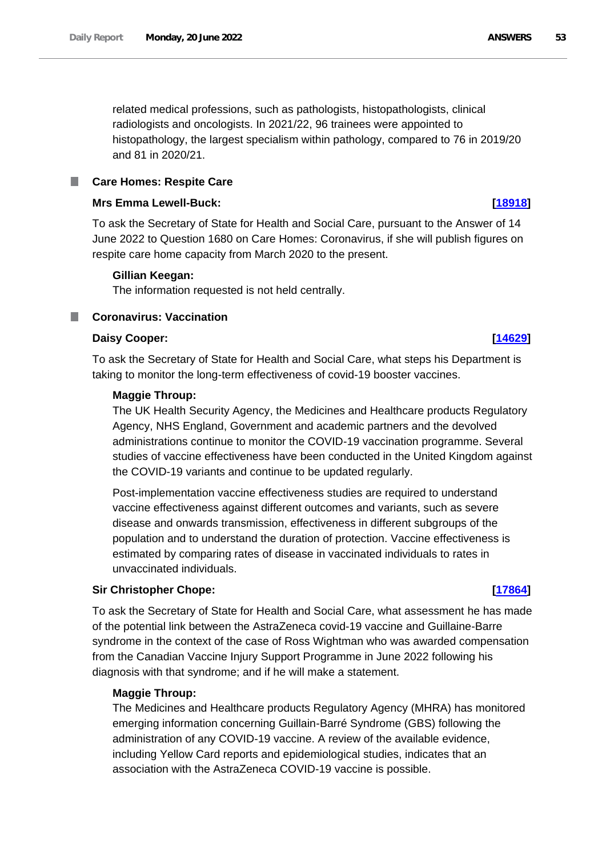related medical professions, such as pathologists, histopathologists, clinical radiologists and oncologists. In 2021/22, 96 trainees were appointed to histopathology, the largest specialism within pathology, compared to 76 in 2019/20 and 81 in 2020/21.

# **Care Homes: Respite Care**

# **Mrs Emma Lewell-Buck: [\[18918\]](http://www.parliament.uk/business/publications/written-questions-answers-statements/written-question/Commons/2022-06-15/18918)**

To ask the Secretary of State for Health and Social Care, pursuant to the Answer of 14 June 2022 to Question 1680 on Care Homes: Coronavirus, if she will publish figures on respite care home capacity from March 2020 to the present.

# **Gillian Keegan:**

The information requested is not held centrally.

# **Coronavirus: Vaccination**

# **Daisy Cooper: [\[14629\]](http://www.parliament.uk/business/publications/written-questions-answers-statements/written-question/Commons/2022-06-08/14629)**

To ask the Secretary of State for Health and Social Care, what steps his Department is taking to monitor the long-term effectiveness of covid-19 booster vaccines.

# **Maggie Throup:**

The UK Health Security Agency, the Medicines and Healthcare products Regulatory Agency, NHS England, Government and academic partners and the devolved administrations continue to monitor the COVID-19 vaccination programme. Several studies of vaccine effectiveness have been conducted in the United Kingdom against the COVID-19 variants and continue to be updated regularly.

Post-implementation vaccine effectiveness studies are required to understand vaccine effectiveness against different outcomes and variants, such as severe disease and onwards transmission, effectiveness in different subgroups of the population and to understand the duration of protection. Vaccine effectiveness is estimated by comparing rates of disease in vaccinated individuals to rates in unvaccinated individuals.

# **Sir Christopher Chope: [\[17864\]](http://www.parliament.uk/business/publications/written-questions-answers-statements/written-question/Commons/2022-06-14/17864)**

To ask the Secretary of State for Health and Social Care, what assessment he has made of the potential link between the AstraZeneca covid-19 vaccine and Guillaine-Barre syndrome in the context of the case of Ross Wightman who was awarded compensation from the Canadian Vaccine Injury Support Programme in June 2022 following his diagnosis with that syndrome; and if he will make a statement.

# **Maggie Throup:**

The Medicines and Healthcare products Regulatory Agency (MHRA) has monitored emerging information concerning Guillain-Barré Syndrome (GBS) following the administration of any COVID-19 vaccine. A review of the available evidence, including Yellow Card reports and epidemiological studies, indicates that an association with the AstraZeneca COVID-19 vaccine is possible.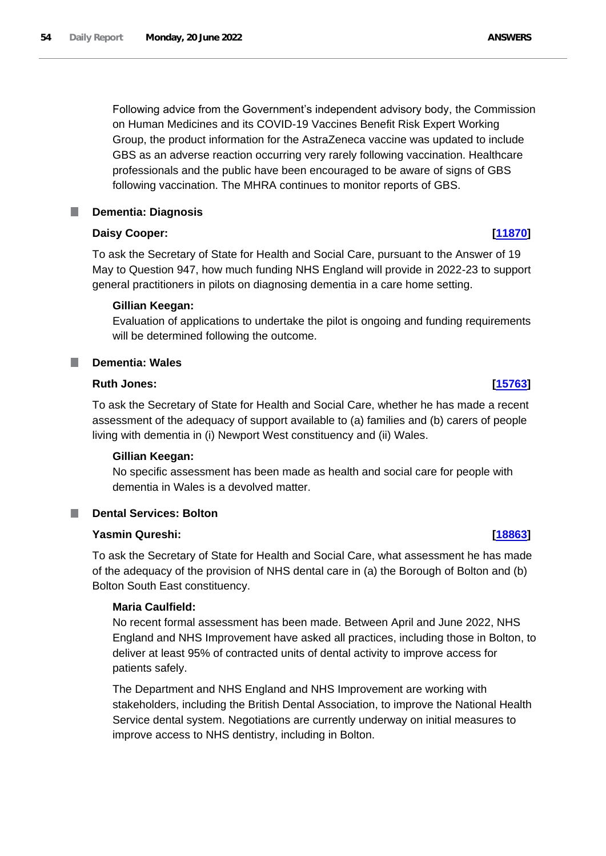Following advice from the Government's independent advisory body, the Commission on Human Medicines and its COVID-19 Vaccines Benefit Risk Expert Working Group, the product information for the AstraZeneca vaccine was updated to include GBS as an adverse reaction occurring very rarely following vaccination. Healthcare professionals and the public have been encouraged to be aware of signs of GBS following vaccination. The MHRA continues to monitor reports of GBS.

#### **Dementia: Diagnosis** L.

# **Daisy Cooper: [\[11870\]](http://www.parliament.uk/business/publications/written-questions-answers-statements/written-question/Commons/2022-06-01/11870)**

To ask the Secretary of State for Health and Social Care, pursuant to the Answer of 19 May to Question 947, how much funding NHS England will provide in 2022-23 to support general practitioners in pilots on diagnosing dementia in a care home setting.

# **Gillian Keegan:**

Evaluation of applications to undertake the pilot is ongoing and funding requirements will be determined following the outcome.

#### **Dementia: Wales** T.

### **Ruth Jones: [\[15763\]](http://www.parliament.uk/business/publications/written-questions-answers-statements/written-question/Commons/2022-06-10/15763)**

To ask the Secretary of State for Health and Social Care, whether he has made a recent assessment of the adequacy of support available to (a) families and (b) carers of people living with dementia in (i) Newport West constituency and (ii) Wales.

# **Gillian Keegan:**

No specific assessment has been made as health and social care for people with dementia in Wales is a devolved matter.

# **Dental Services: Bolton**

# **Yasmin Qureshi: [\[18863\]](http://www.parliament.uk/business/publications/written-questions-answers-statements/written-question/Commons/2022-06-15/18863)**

To ask the Secretary of State for Health and Social Care, what assessment he has made of the adequacy of the provision of NHS dental care in (a) the Borough of Bolton and (b) Bolton South East constituency.

# **Maria Caulfield:**

No recent formal assessment has been made. Between April and June 2022, NHS England and NHS Improvement have asked all practices, including those in Bolton, to deliver at least 95% of contracted units of dental activity to improve access for patients safely.

The Department and NHS England and NHS Improvement are working with stakeholders, including the British Dental Association, to improve the National Health Service dental system. Negotiations are currently underway on initial measures to improve access to NHS dentistry, including in Bolton.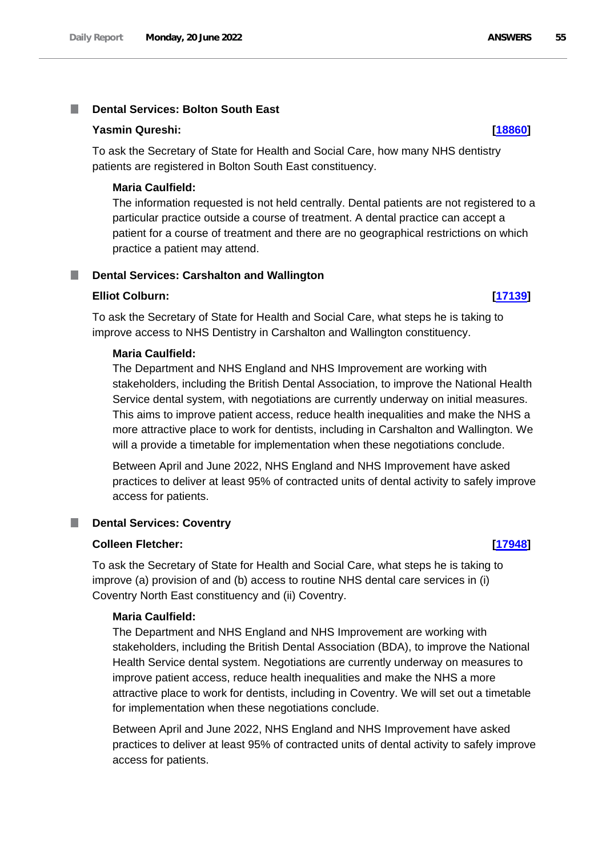#### **Dental Services: Bolton South East** T.

# **Yasmin Qureshi: [\[18860\]](http://www.parliament.uk/business/publications/written-questions-answers-statements/written-question/Commons/2022-06-15/18860)**

To ask the Secretary of State for Health and Social Care, how many NHS dentistry patients are registered in Bolton South East constituency.

### **Maria Caulfield:**

The information requested is not held centrally. Dental patients are not registered to a particular practice outside a course of treatment. A dental practice can accept a patient for a course of treatment and there are no geographical restrictions on which practice a patient may attend.

#### **Dental Services: Carshalton and Wallington** T.

#### **Elliot Colburn: [\[17139\]](http://www.parliament.uk/business/publications/written-questions-answers-statements/written-question/Commons/2022-06-13/17139)**

To ask the Secretary of State for Health and Social Care, what steps he is taking to improve access to NHS Dentistry in Carshalton and Wallington constituency.

#### **Maria Caulfield:**

The Department and NHS England and NHS Improvement are working with stakeholders, including the British Dental Association, to improve the National Health Service dental system, with negotiations are currently underway on initial measures. This aims to improve patient access, reduce health inequalities and make the NHS a more attractive place to work for dentists, including in Carshalton and Wallington. We will a provide a timetable for implementation when these negotiations conclude.

Between April and June 2022, NHS England and NHS Improvement have asked practices to deliver at least 95% of contracted units of dental activity to safely improve access for patients.

#### **Dental Services: Coventry I**

#### **Colleen Fletcher: [\[17948\]](http://www.parliament.uk/business/publications/written-questions-answers-statements/written-question/Commons/2022-06-14/17948)**

To ask the Secretary of State for Health and Social Care, what steps he is taking to improve (a) provision of and (b) access to routine NHS dental care services in (i) Coventry North East constituency and (ii) Coventry.

### **Maria Caulfield:**

The Department and NHS England and NHS Improvement are working with stakeholders, including the British Dental Association (BDA), to improve the National Health Service dental system. Negotiations are currently underway on measures to improve patient access, reduce health inequalities and make the NHS a more attractive place to work for dentists, including in Coventry. We will set out a timetable for implementation when these negotiations conclude.

Between April and June 2022, NHS England and NHS Improvement have asked practices to deliver at least 95% of contracted units of dental activity to safely improve access for patients.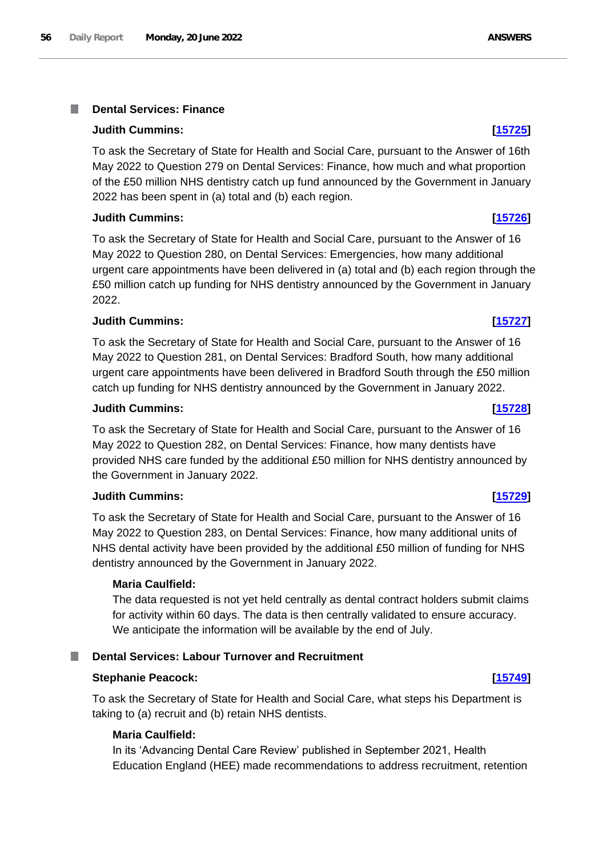#### **Dental Services: Finance** I.

# **Judith Cummins: [\[15725\]](http://www.parliament.uk/business/publications/written-questions-answers-statements/written-question/Commons/2022-06-10/15725)**

To ask the Secretary of State for Health and Social Care, pursuant to the Answer of 16th May 2022 to Question 279 on Dental Services: Finance, how much and what proportion of the £50 million NHS dentistry catch up fund announced by the Government in January 2022 has been spent in (a) total and (b) each region.

# **Judith Cummins: [\[15726\]](http://www.parliament.uk/business/publications/written-questions-answers-statements/written-question/Commons/2022-06-10/15726)**

To ask the Secretary of State for Health and Social Care, pursuant to the Answer of 16 May 2022 to Question 280, on Dental Services: Emergencies, how many additional urgent care appointments have been delivered in (a) total and (b) each region through the £50 million catch up funding for NHS dentistry announced by the Government in January 2022.

# **Judith Cummins: [\[15727\]](http://www.parliament.uk/business/publications/written-questions-answers-statements/written-question/Commons/2022-06-10/15727)**

To ask the Secretary of State for Health and Social Care, pursuant to the Answer of 16 May 2022 to Question 281, on Dental Services: Bradford South, how many additional urgent care appointments have been delivered in Bradford South through the £50 million catch up funding for NHS dentistry announced by the Government in January 2022.

# **Judith Cummins: [\[15728\]](http://www.parliament.uk/business/publications/written-questions-answers-statements/written-question/Commons/2022-06-10/15728)**

To ask the Secretary of State for Health and Social Care, pursuant to the Answer of 16 May 2022 to Question 282, on Dental Services: Finance, how many dentists have provided NHS care funded by the additional £50 million for NHS dentistry announced by the Government in January 2022.

# **Judith Cummins: [\[15729\]](http://www.parliament.uk/business/publications/written-questions-answers-statements/written-question/Commons/2022-06-10/15729)**

To ask the Secretary of State for Health and Social Care, pursuant to the Answer of 16 May 2022 to Question 283, on Dental Services: Finance, how many additional units of NHS dental activity have been provided by the additional £50 million of funding for NHS dentistry announced by the Government in January 2022.

# **Maria Caulfield:**

The data requested is not yet held centrally as dental contract holders submit claims for activity within 60 days. The data is then centrally validated to ensure accuracy. We anticipate the information will be available by the end of July.

# **Dental Services: Labour Turnover and Recruitment**

# **Stephanie Peacock: [\[15749\]](http://www.parliament.uk/business/publications/written-questions-answers-statements/written-question/Commons/2022-06-10/15749)**

To ask the Secretary of State for Health and Social Care, what steps his Department is taking to (a) recruit and (b) retain NHS dentists.

# **Maria Caulfield:**

In its 'Advancing Dental Care Review' published in September 2021, Health Education England (HEE) made recommendations to address recruitment, retention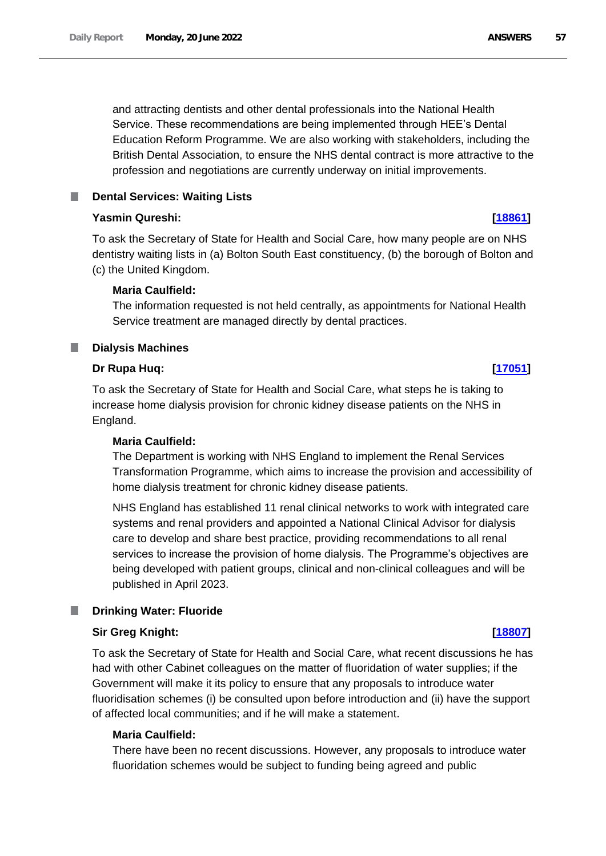and attracting dentists and other dental professionals into the National Health Service. These recommendations are being implemented through HEE's Dental Education Reform Programme. We are also working with stakeholders, including the British Dental Association, to ensure the NHS dental contract is more attractive to the profession and negotiations are currently underway on initial improvements.

# **Dental Services: Waiting Lists**

# **Yasmin Qureshi: [\[18861\]](http://www.parliament.uk/business/publications/written-questions-answers-statements/written-question/Commons/2022-06-15/18861)**

To ask the Secretary of State for Health and Social Care, how many people are on NHS dentistry waiting lists in (a) Bolton South East constituency, (b) the borough of Bolton and (c) the United Kingdom.

# **Maria Caulfield:**

The information requested is not held centrally, as appointments for National Health Service treatment are managed directly by dental practices.

# **Dialysis Machines**

# **Dr Rupa Huq: [\[17051\]](http://www.parliament.uk/business/publications/written-questions-answers-statements/written-question/Commons/2022-06-13/17051)**

To ask the Secretary of State for Health and Social Care, what steps he is taking to increase home dialysis provision for chronic kidney disease patients on the NHS in England.

# **Maria Caulfield:**

The Department is working with NHS England to implement the Renal Services Transformation Programme, which aims to increase the provision and accessibility of home dialysis treatment for chronic kidney disease patients.

NHS England has established 11 renal clinical networks to work with integrated care systems and renal providers and appointed a National Clinical Advisor for dialysis care to develop and share best practice, providing recommendations to all renal services to increase the provision of home dialysis. The Programme's objectives are being developed with patient groups, clinical and non-clinical colleagues and will be published in April 2023.

# **Drinking Water: Fluoride**

# **Sir Greg Knight: [\[18807\]](http://www.parliament.uk/business/publications/written-questions-answers-statements/written-question/Commons/2022-06-15/18807)**

To ask the Secretary of State for Health and Social Care, what recent discussions he has had with other Cabinet colleagues on the matter of fluoridation of water supplies; if the Government will make it its policy to ensure that any proposals to introduce water fluoridisation schemes (i) be consulted upon before introduction and (ii) have the support of affected local communities; and if he will make a statement.

# **Maria Caulfield:**

There have been no recent discussions. However, any proposals to introduce water fluoridation schemes would be subject to funding being agreed and public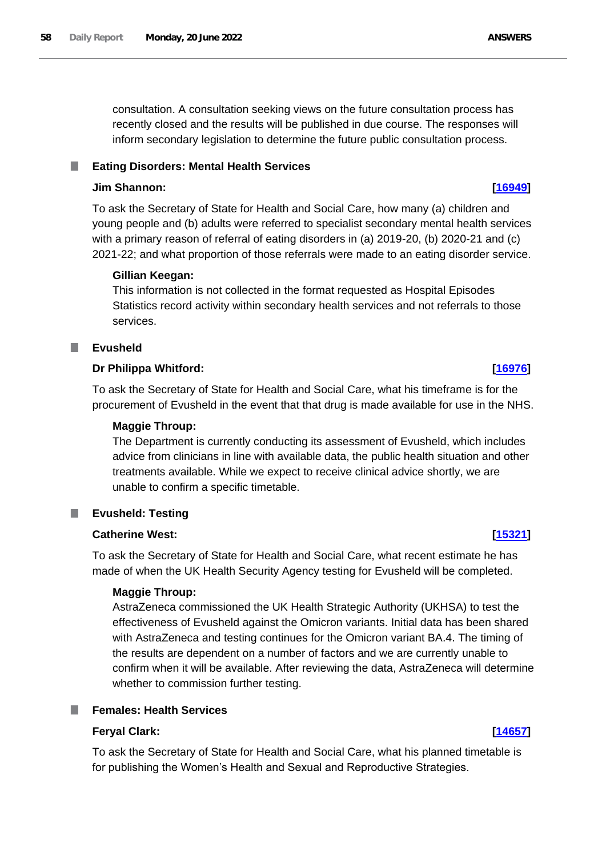consultation. A consultation seeking views on the future consultation process has recently closed and the results will be published in due course. The responses will inform secondary legislation to determine the future public consultation process.

#### **Eating Disorders: Mental Health Services** ш

# **Jim Shannon: [\[16949\]](http://www.parliament.uk/business/publications/written-questions-answers-statements/written-question/Commons/2022-06-13/16949)**

To ask the Secretary of State for Health and Social Care, how many (a) children and young people and (b) adults were referred to specialist secondary mental health services with a primary reason of referral of eating disorders in (a) 2019-20, (b) 2020-21 and (c) 2021-22; and what proportion of those referrals were made to an eating disorder service.

### **Gillian Keegan:**

This information is not collected in the format requested as Hospital Episodes Statistics record activity within secondary health services and not referrals to those services.

# **Evusheld**

### **Dr Philippa Whitford: [\[16976\]](http://www.parliament.uk/business/publications/written-questions-answers-statements/written-question/Commons/2022-06-13/16976)**

To ask the Secretary of State for Health and Social Care, what his timeframe is for the procurement of Evusheld in the event that that drug is made available for use in the NHS.

### **Maggie Throup:**

The Department is currently conducting its assessment of Evusheld, which includes advice from clinicians in line with available data, the public health situation and other treatments available. While we expect to receive clinical advice shortly, we are unable to confirm a specific timetable.

# **Evusheld: Testing**

# **Catherine West: [\[15321\]](http://www.parliament.uk/business/publications/written-questions-answers-statements/written-question/Commons/2022-06-09/15321)**

To ask the Secretary of State for Health and Social Care, what recent estimate he has made of when the UK Health Security Agency testing for Evusheld will be completed.

### **Maggie Throup:**

AstraZeneca commissioned the UK Health Strategic Authority (UKHSA) to test the effectiveness of Evusheld against the Omicron variants. Initial data has been shared with AstraZeneca and testing continues for the Omicron variant BA.4. The timing of the results are dependent on a number of factors and we are currently unable to confirm when it will be available. After reviewing the data, AstraZeneca will determine whether to commission further testing.

# **Females: Health Services**

### **Feryal Clark: [\[14657\]](http://www.parliament.uk/business/publications/written-questions-answers-statements/written-question/Commons/2022-06-08/14657)**

To ask the Secretary of State for Health and Social Care, what his planned timetable is for publishing the Women's Health and Sexual and Reproductive Strategies.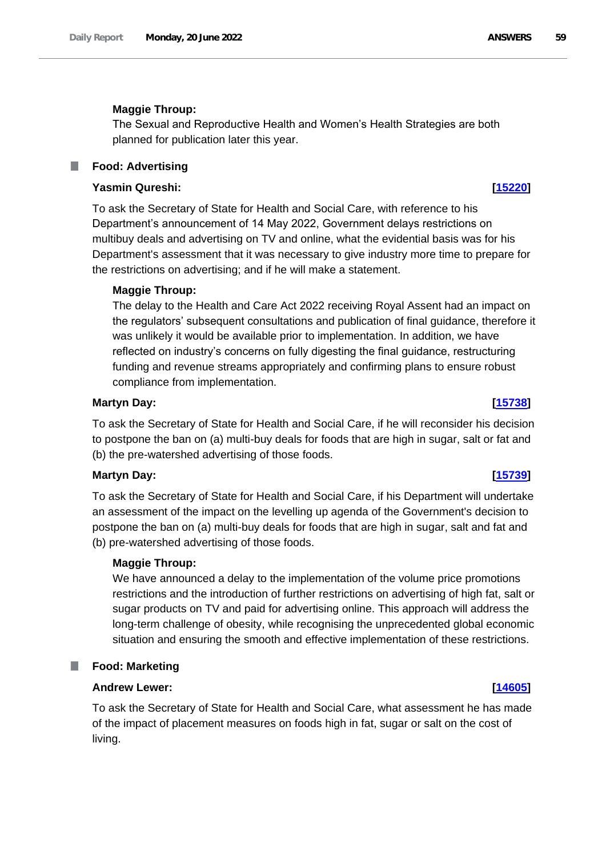### **Maggie Throup:**

The Sexual and Reproductive Health and Women's Health Strategies are both planned for publication later this year.

#### **Food: Advertising** ш

# **Yasmin Qureshi: [\[15220\]](http://www.parliament.uk/business/publications/written-questions-answers-statements/written-question/Commons/2022-06-09/15220)**

To ask the Secretary of State for Health and Social Care, with reference to his Department's announcement of 14 May 2022, Government delays restrictions on multibuy deals and advertising on TV and online, what the evidential basis was for his Department's assessment that it was necessary to give industry more time to prepare for the restrictions on advertising; and if he will make a statement.

### **Maggie Throup:**

The delay to the Health and Care Act 2022 receiving Royal Assent had an impact on the regulators' subsequent consultations and publication of final guidance, therefore it was unlikely it would be available prior to implementation. In addition, we have reflected on industry's concerns on fully digesting the final guidance, restructuring funding and revenue streams appropriately and confirming plans to ensure robust compliance from implementation.

### **Martyn Day: [\[15738\]](http://www.parliament.uk/business/publications/written-questions-answers-statements/written-question/Commons/2022-06-10/15738)**

To ask the Secretary of State for Health and Social Care, if he will reconsider his decision to postpone the ban on (a) multi-buy deals for foods that are high in sugar, salt or fat and (b) the pre-watershed advertising of those foods.

### **Martyn Day: [\[15739\]](http://www.parliament.uk/business/publications/written-questions-answers-statements/written-question/Commons/2022-06-10/15739)**

To ask the Secretary of State for Health and Social Care, if his Department will undertake an assessment of the impact on the levelling up agenda of the Government's decision to postpone the ban on (a) multi-buy deals for foods that are high in sugar, salt and fat and (b) pre-watershed advertising of those foods.

### **Maggie Throup:**

We have announced a delay to the implementation of the volume price promotions restrictions and the introduction of further restrictions on advertising of high fat, salt or sugar products on TV and paid for advertising online. This approach will address the long-term challenge of obesity, while recognising the unprecedented global economic situation and ensuring the smooth and effective implementation of these restrictions.

#### ш **Food: Marketing**

### **Andrew Lewer: [\[14605\]](http://www.parliament.uk/business/publications/written-questions-answers-statements/written-question/Commons/2022-06-08/14605)**

To ask the Secretary of State for Health and Social Care, what assessment he has made of the impact of placement measures on foods high in fat, sugar or salt on the cost of living.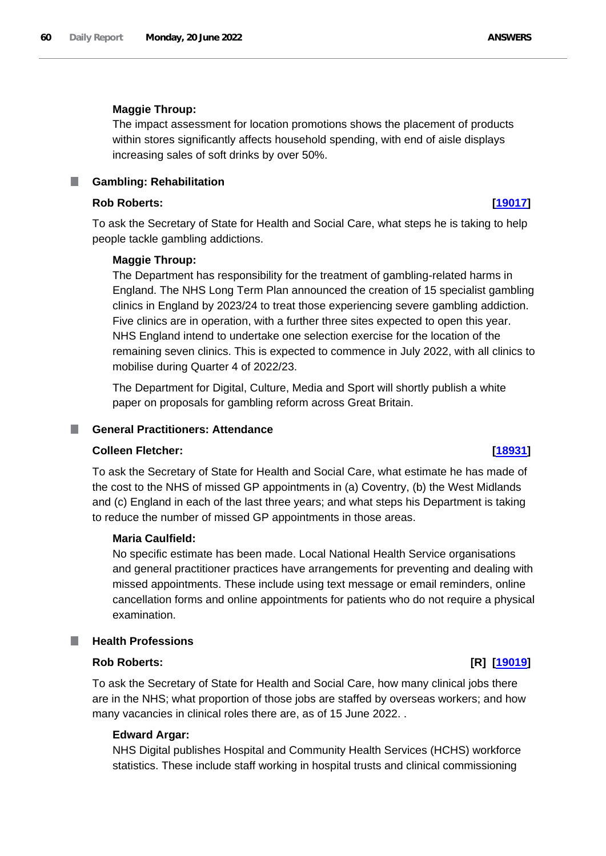### **Maggie Throup:**

The impact assessment for location promotions shows the placement of products within stores significantly affects household spending, with end of aisle displays increasing sales of soft drinks by over 50%.

**Gambling: Rehabilitation**

# **Rob Roberts: [\[19017\]](http://www.parliament.uk/business/publications/written-questions-answers-statements/written-question/Commons/2022-06-15/19017)**

To ask the Secretary of State for Health and Social Care, what steps he is taking to help people tackle gambling addictions.

### **Maggie Throup:**

The Department has responsibility for the treatment of gambling-related harms in England. The NHS Long Term Plan announced the creation of 15 specialist gambling clinics in England by 2023/24 to treat those experiencing severe gambling addiction. Five clinics are in operation, with a further three sites expected to open this year. NHS England intend to undertake one selection exercise for the location of the remaining seven clinics. This is expected to commence in July 2022, with all clinics to mobilise during Quarter 4 of 2022/23.

The Department for Digital, Culture, Media and Sport will shortly publish a white paper on proposals for gambling reform across Great Britain.

#### T. **General Practitioners: Attendance**

# **Colleen Fletcher: [\[18931\]](http://www.parliament.uk/business/publications/written-questions-answers-statements/written-question/Commons/2022-06-15/18931)**

To ask the Secretary of State for Health and Social Care, what estimate he has made of the cost to the NHS of missed GP appointments in (a) Coventry, (b) the West Midlands and (c) England in each of the last three years; and what steps his Department is taking to reduce the number of missed GP appointments in those areas.

### **Maria Caulfield:**

No specific estimate has been made. Local National Health Service organisations and general practitioner practices have arrangements for preventing and dealing with missed appointments. These include using text message or email reminders, online cancellation forms and online appointments for patients who do not require a physical examination.

# **Health Professions**

# **Rob Roberts: [R] [\[19019\]](http://www.parliament.uk/business/publications/written-questions-answers-statements/written-question/Commons/2022-06-15/19019)**

To ask the Secretary of State for Health and Social Care, how many clinical jobs there are in the NHS; what proportion of those jobs are staffed by overseas workers; and how many vacancies in clinical roles there are, as of 15 June 2022. .

### **Edward Argar:**

NHS Digital publishes Hospital and Community Health Services (HCHS) workforce statistics. These include staff working in hospital trusts and clinical commissioning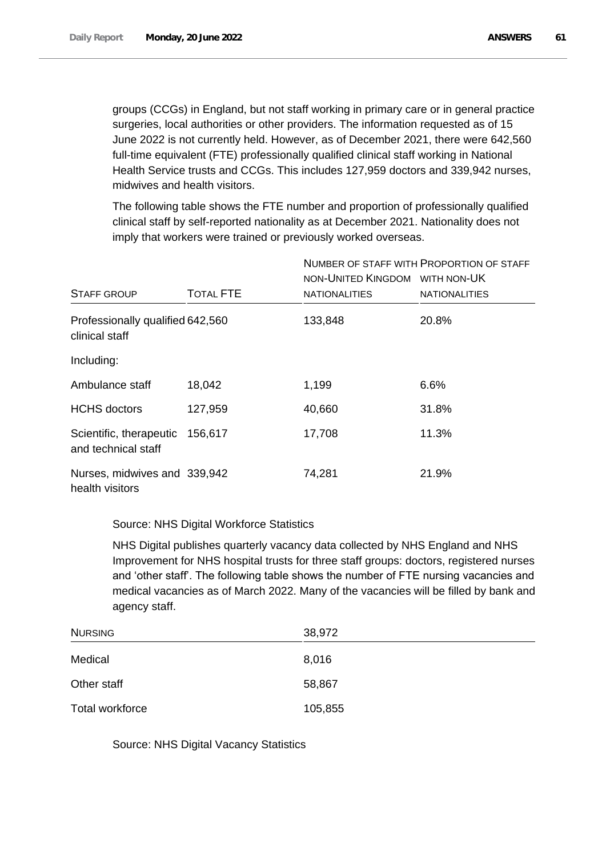groups (CCGs) in England, but not staff working in primary care or in general practice surgeries, local authorities or other providers. The information requested as of 15 June 2022 is not currently held. However, as of December 2021, there were 642,560 full-time equivalent (FTE) professionally qualified clinical staff working in National Health Service trusts and CCGs. This includes 127,959 doctors and 339,942 nurses, midwives and health visitors.

The following table shows the FTE number and proportion of professionally qualified clinical staff by self-reported nationality as at December 2021. Nationality does not imply that workers were trained or previously worked overseas.

|                                                        |                  | NON-UNITED KINGDOM WITH NON-UK | NUMBER OF STAFF WITH PROPORTION OF STAFF |
|--------------------------------------------------------|------------------|--------------------------------|------------------------------------------|
| <b>STAFF GROUP</b>                                     | <b>TOTAL FTE</b> | <b>NATIONALITIES</b>           | <b>NATIONALITIES</b>                     |
| Professionally qualified 642,560<br>clinical staff     |                  | 133,848                        | 20.8%                                    |
| Including:                                             |                  |                                |                                          |
| Ambulance staff                                        | 18,042           | 1,199                          | 6.6%                                     |
| <b>HCHS</b> doctors                                    | 127,959          | 40,660                         | 31.8%                                    |
| Scientific, therapeutic 156,617<br>and technical staff |                  | 17,708                         | 11.3%                                    |
| Nurses, midwives and 339,942<br>health visitors        |                  | 74,281                         | 21.9%                                    |

# Source: NHS Digital Workforce Statistics

NHS Digital publishes quarterly vacancy data collected by NHS England and NHS Improvement for NHS hospital trusts for three staff groups: doctors, registered nurses and 'other staff'. The following table shows the number of FTE nursing vacancies and medical vacancies as of March 2022. Many of the vacancies will be filled by bank and agency staff.

| <b>NURSING</b>  | 38,972  |
|-----------------|---------|
| Medical         | 8,016   |
| Other staff     | 58,867  |
| Total workforce | 105,855 |

Source: NHS Digital Vacancy Statistics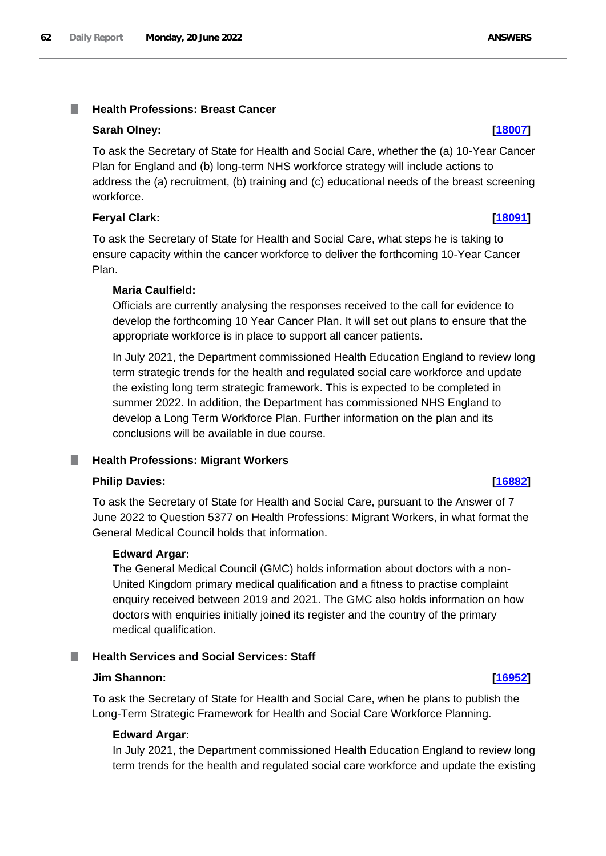### **Sarah Olney: [\[18007\]](http://www.parliament.uk/business/publications/written-questions-answers-statements/written-question/Commons/2022-06-14/18007)**

To ask the Secretary of State for Health and Social Care, whether the (a) 10-Year Cancer Plan for England and (b) long-term NHS workforce strategy will include actions to address the (a) recruitment, (b) training and (c) educational needs of the breast screening workforce.

# **Feryal Clark: [\[18091\]](http://www.parliament.uk/business/publications/written-questions-answers-statements/written-question/Commons/2022-06-14/18091)**

To ask the Secretary of State for Health and Social Care, what steps he is taking to ensure capacity within the cancer workforce to deliver the forthcoming 10-Year Cancer Plan.

# **Maria Caulfield:**

Officials are currently analysing the responses received to the call for evidence to develop the forthcoming 10 Year Cancer Plan. It will set out plans to ensure that the appropriate workforce is in place to support all cancer patients.

In July 2021, the Department commissioned Health Education England to review long term strategic trends for the health and regulated social care workforce and update the existing long term strategic framework. This is expected to be completed in summer 2022. In addition, the Department has commissioned NHS England to develop a Long Term Workforce Plan. Further information on the plan and its conclusions will be available in due course.

#### **Health Professions: Migrant Workers** ш

# **Philip Davies: [\[16882\]](http://www.parliament.uk/business/publications/written-questions-answers-statements/written-question/Commons/2022-06-13/16882)**

To ask the Secretary of State for Health and Social Care, pursuant to the Answer of 7 June 2022 to Question 5377 on Health Professions: Migrant Workers, in what format the General Medical Council holds that information.

# **Edward Argar:**

The General Medical Council (GMC) holds information about doctors with a non-United Kingdom primary medical qualification and a fitness to practise complaint enquiry received between 2019 and 2021. The GMC also holds information on how doctors with enquiries initially joined its register and the country of the primary medical qualification.

# **Health Services and Social Services: Staff**

# **Jim Shannon: [\[16952\]](http://www.parliament.uk/business/publications/written-questions-answers-statements/written-question/Commons/2022-06-13/16952)**

To ask the Secretary of State for Health and Social Care, when he plans to publish the Long-Term Strategic Framework for Health and Social Care Workforce Planning.

# **Edward Argar:**

In July 2021, the Department commissioned Health Education England to review long term trends for the health and regulated social care workforce and update the existing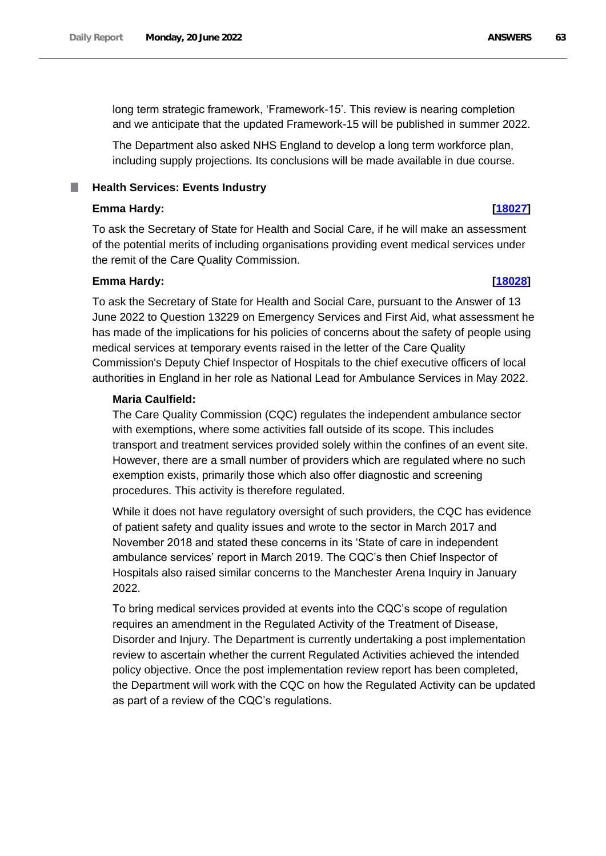The Department also asked NHS England to develop a long term workforce plan, including supply projections. Its conclusions will be made available in due course.

**Health Services: Events Industry**

# **Emma Hardy: [\[18027\]](http://www.parliament.uk/business/publications/written-questions-answers-statements/written-question/Commons/2022-06-14/18027)**

To ask the Secretary of State for Health and Social Care, if he will make an assessment of the potential merits of including organisations providing event medical services under the remit of the Care Quality Commission.

# **Emma Hardy: [\[18028\]](http://www.parliament.uk/business/publications/written-questions-answers-statements/written-question/Commons/2022-06-14/18028)**

To ask the Secretary of State for Health and Social Care, pursuant to the Answer of 13 June 2022 to Question 13229 on Emergency Services and First Aid, what assessment he has made of the implications for his policies of concerns about the safety of people using medical services at temporary events raised in the letter of the Care Quality Commission's Deputy Chief Inspector of Hospitals to the chief executive officers of local authorities in England in her role as National Lead for Ambulance Services in May 2022.

# **Maria Caulfield:**

The Care Quality Commission (CQC) regulates the independent ambulance sector with exemptions, where some activities fall outside of its scope. This includes transport and treatment services provided solely within the confines of an event site. However, there are a small number of providers which are regulated where no such exemption exists, primarily those which also offer diagnostic and screening procedures. This activity is therefore regulated.

While it does not have regulatory oversight of such providers, the CQC has evidence of patient safety and quality issues and wrote to the sector in March 2017 and November 2018 and stated these concerns in its 'State of care in independent ambulance services' report in March 2019. The CQC's then Chief Inspector of Hospitals also raised similar concerns to the Manchester Arena Inquiry in January 2022.

To bring medical services provided at events into the CQC's scope of regulation requires an amendment in the Regulated Activity of the Treatment of Disease, Disorder and Injury. The Department is currently undertaking a post implementation review to ascertain whether the current Regulated Activities achieved the intended policy objective. Once the post implementation review report has been completed, the Department will work with the CQC on how the Regulated Activity can be updated as part of a review of the CQC's regulations.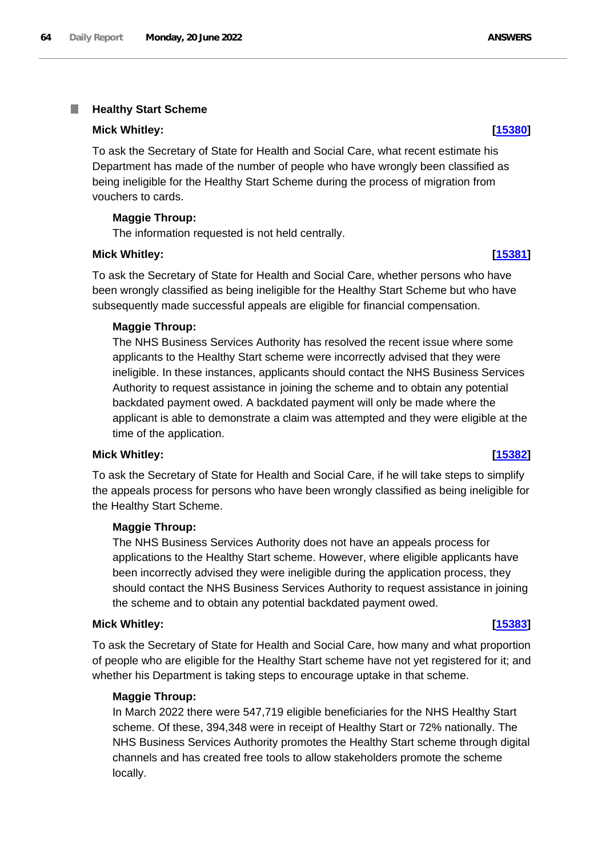#### T. **Healthy Start Scheme**

### **Mick Whitley: [\[15380\]](http://www.parliament.uk/business/publications/written-questions-answers-statements/written-question/Commons/2022-06-09/15380)**

To ask the Secretary of State for Health and Social Care, what recent estimate his Department has made of the number of people who have wrongly been classified as being ineligible for the Healthy Start Scheme during the process of migration from vouchers to cards.

# **Maggie Throup:**

The information requested is not held centrally.

### **Mick Whitley: [\[15381\]](http://www.parliament.uk/business/publications/written-questions-answers-statements/written-question/Commons/2022-06-09/15381)**

To ask the Secretary of State for Health and Social Care, whether persons who have been wrongly classified as being ineligible for the Healthy Start Scheme but who have subsequently made successful appeals are eligible for financial compensation.

# **Maggie Throup:**

The NHS Business Services Authority has resolved the recent issue where some applicants to the Healthy Start scheme were incorrectly advised that they were ineligible. In these instances, applicants should contact the NHS Business Services Authority to request assistance in joining the scheme and to obtain any potential backdated payment owed. A backdated payment will only be made where the applicant is able to demonstrate a claim was attempted and they were eligible at the time of the application.

### **Mick Whitley: [\[15382\]](http://www.parliament.uk/business/publications/written-questions-answers-statements/written-question/Commons/2022-06-09/15382)**

To ask the Secretary of State for Health and Social Care, if he will take steps to simplify the appeals process for persons who have been wrongly classified as being ineligible for the Healthy Start Scheme.

### **Maggie Throup:**

The NHS Business Services Authority does not have an appeals process for applications to the Healthy Start scheme. However, where eligible applicants have been incorrectly advised they were ineligible during the application process, they should contact the NHS Business Services Authority to request assistance in joining the scheme and to obtain any potential backdated payment owed.

### **Mick Whitley: [\[15383\]](http://www.parliament.uk/business/publications/written-questions-answers-statements/written-question/Commons/2022-06-09/15383)**

To ask the Secretary of State for Health and Social Care, how many and what proportion of people who are eligible for the Healthy Start scheme have not yet registered for it; and whether his Department is taking steps to encourage uptake in that scheme.

### **Maggie Throup:**

In March 2022 there were 547,719 eligible beneficiaries for the NHS Healthy Start scheme. Of these, 394,348 were in receipt of Healthy Start or 72% nationally. The NHS Business Services Authority promotes the Healthy Start scheme through digital channels and has created free tools to allow stakeholders promote the scheme locally.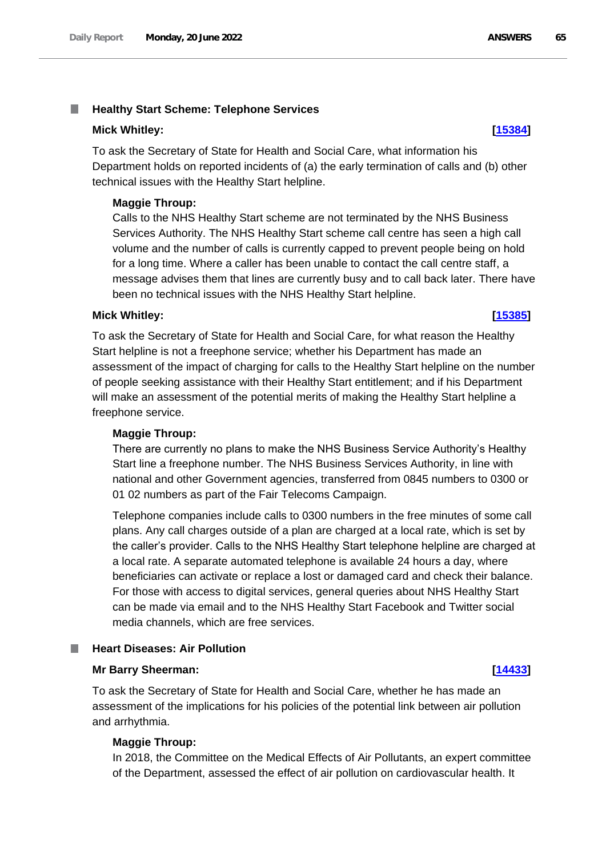#### **Mick Whitley: [\[15384\]](http://www.parliament.uk/business/publications/written-questions-answers-statements/written-question/Commons/2022-06-09/15384)**

To ask the Secretary of State for Health and Social Care, what information his Department holds on reported incidents of (a) the early termination of calls and (b) other technical issues with the Healthy Start helpline.

#### **Maggie Throup:**

Calls to the NHS Healthy Start scheme are not terminated by the NHS Business Services Authority. The NHS Healthy Start scheme call centre has seen a high call volume and the number of calls is currently capped to prevent people being on hold for a long time. Where a caller has been unable to contact the call centre staff, a message advises them that lines are currently busy and to call back later. There have been no technical issues with the NHS Healthy Start helpline.

### **Mick Whitley: [\[15385\]](http://www.parliament.uk/business/publications/written-questions-answers-statements/written-question/Commons/2022-06-09/15385)**

# To ask the Secretary of State for Health and Social Care, for what reason the Healthy Start helpline is not a freephone service; whether his Department has made an assessment of the impact of charging for calls to the Healthy Start helpline on the number of people seeking assistance with their Healthy Start entitlement; and if his Department will make an assessment of the potential merits of making the Healthy Start helpline a freephone service.

### **Maggie Throup:**

There are currently no plans to make the NHS Business Service Authority's Healthy Start line a freephone number. The NHS Business Services Authority, in line with national and other Government agencies, transferred from 0845 numbers to 0300 or 01 02 numbers as part of the Fair Telecoms Campaign.

Telephone companies include calls to 0300 numbers in the free minutes of some call plans. Any call charges outside of a plan are charged at a local rate, which is set by the caller's provider. Calls to the NHS Healthy Start telephone helpline are charged at a local rate. A separate automated telephone is available 24 hours a day, where beneficiaries can activate or replace a lost or damaged card and check their balance. For those with access to digital services, general queries about NHS Healthy Start can be made via email and to the NHS Healthy Start Facebook and Twitter social media channels, which are free services.

### **Heart Diseases: Air Pollution**

#### **Mr Barry Sheerman: [\[14433\]](http://www.parliament.uk/business/publications/written-questions-answers-statements/written-question/Commons/2022-06-08/14433)**

To ask the Secretary of State for Health and Social Care, whether he has made an assessment of the implications for his policies of the potential link between air pollution and arrhythmia.

### **Maggie Throup:**

In 2018, the Committee on the Medical Effects of Air Pollutants, an expert committee of the Department, assessed the effect of air pollution on cardiovascular health. It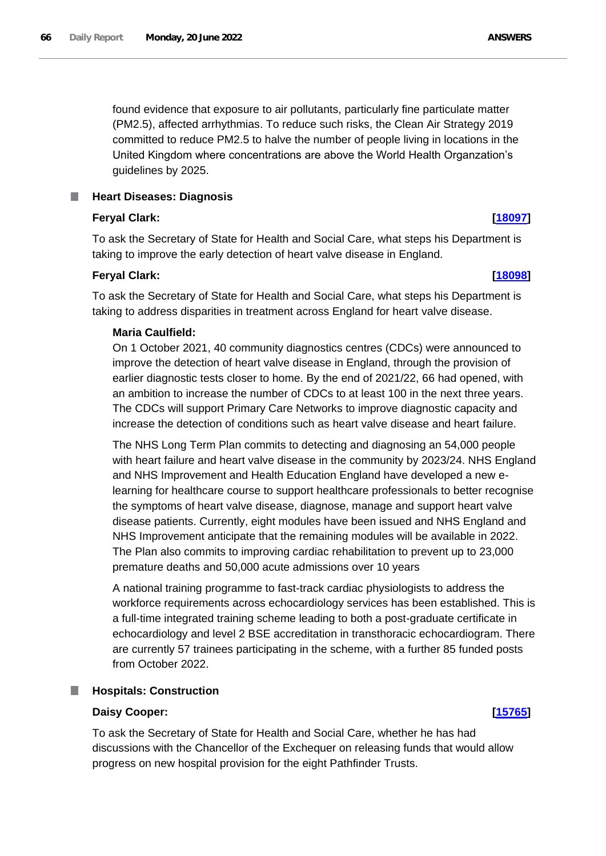found evidence that exposure to air pollutants, particularly fine particulate matter (PM2.5), affected arrhythmias. To reduce such risks, the Clean Air Strategy 2019 committed to reduce PM2.5 to halve the number of people living in locations in the United Kingdom where concentrations are above the World Health Organzation's guidelines by 2025.

# **Heart Diseases: Diagnosis**

# **Feryal Clark: [\[18097\]](http://www.parliament.uk/business/publications/written-questions-answers-statements/written-question/Commons/2022-06-14/18097)**

To ask the Secretary of State for Health and Social Care, what steps his Department is taking to improve the early detection of heart valve disease in England.

# **Feryal Clark: [\[18098\]](http://www.parliament.uk/business/publications/written-questions-answers-statements/written-question/Commons/2022-06-14/18098)**

To ask the Secretary of State for Health and Social Care, what steps his Department is taking to address disparities in treatment across England for heart valve disease.

# **Maria Caulfield:**

On 1 October 2021, 40 community diagnostics centres (CDCs) were announced to improve the detection of heart valve disease in England, through the provision of earlier diagnostic tests closer to home. By the end of 2021/22, 66 had opened, with an ambition to increase the number of CDCs to at least 100 in the next three years. The CDCs will support Primary Care Networks to improve diagnostic capacity and increase the detection of conditions such as heart valve disease and heart failure.

The NHS Long Term Plan commits to detecting and diagnosing an 54,000 people with heart failure and heart valve disease in the community by 2023/24. NHS England and NHS Improvement and Health Education England have developed a new elearning for healthcare course to support healthcare professionals to better recognise the symptoms of heart valve disease, diagnose, manage and support heart valve disease patients. Currently, eight modules have been issued and NHS England and NHS Improvement anticipate that the remaining modules will be available in 2022. The Plan also commits to improving cardiac rehabilitation to prevent up to 23,000 premature deaths and 50,000 acute admissions over 10 years

A national training programme to fast-track cardiac physiologists to address the workforce requirements across echocardiology services has been established. This is a full-time integrated training scheme leading to both a post-graduate certificate in echocardiology and level 2 BSE accreditation in transthoracic echocardiogram. There are currently 57 trainees participating in the scheme, with a further 85 funded posts from October 2022.

# **Hospitals: Construction**

# **Daisy Cooper: [\[15765\]](http://www.parliament.uk/business/publications/written-questions-answers-statements/written-question/Commons/2022-06-10/15765)**

To ask the Secretary of State for Health and Social Care, whether he has had discussions with the Chancellor of the Exchequer on releasing funds that would allow progress on new hospital provision for the eight Pathfinder Trusts.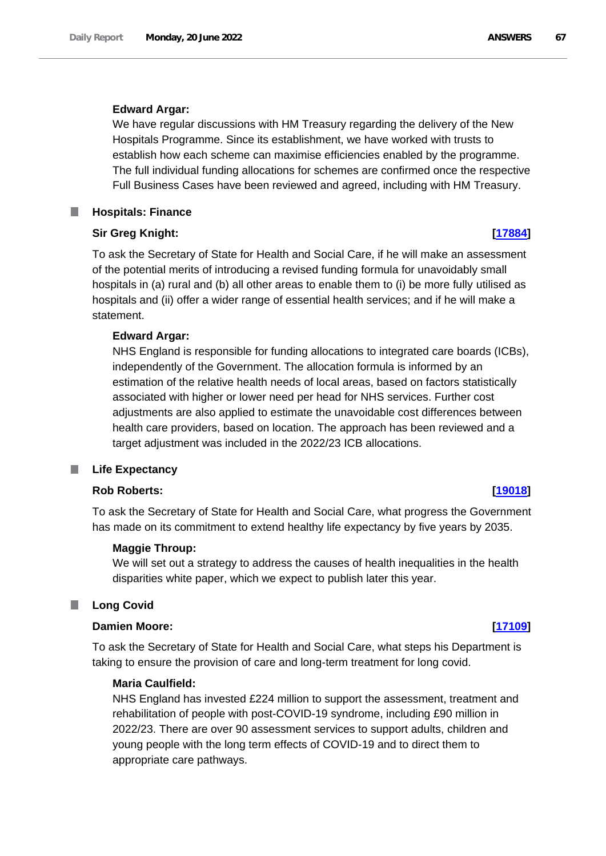### **Edward Argar:**

We have regular discussions with HM Treasury regarding the delivery of the New Hospitals Programme. Since its establishment, we have worked with trusts to establish how each scheme can maximise efficiencies enabled by the programme. The full individual funding allocations for schemes are confirmed once the respective Full Business Cases have been reviewed and agreed, including with HM Treasury.

# **Hospitals: Finance**

### **Sir Greg Knight: [\[17884\]](http://www.parliament.uk/business/publications/written-questions-answers-statements/written-question/Commons/2022-06-14/17884)**

To ask the Secretary of State for Health and Social Care, if he will make an assessment of the potential merits of introducing a revised funding formula for unavoidably small hospitals in (a) rural and (b) all other areas to enable them to (i) be more fully utilised as hospitals and (ii) offer a wider range of essential health services; and if he will make a statement.

### **Edward Argar:**

NHS England is responsible for funding allocations to integrated care boards (ICBs), independently of the Government. The allocation formula is informed by an estimation of the relative health needs of local areas, based on factors statistically associated with higher or lower need per head for NHS services. Further cost adjustments are also applied to estimate the unavoidable cost differences between health care providers, based on location. The approach has been reviewed and a target adjustment was included in the 2022/23 ICB allocations.

#### . **Life Expectancy**

# **Rob Roberts: [\[19018\]](http://www.parliament.uk/business/publications/written-questions-answers-statements/written-question/Commons/2022-06-15/19018)**

To ask the Secretary of State for Health and Social Care, what progress the Government has made on its commitment to extend healthy life expectancy by five years by 2035.

### **Maggie Throup:**

We will set out a strategy to address the causes of health inequalities in the health disparities white paper, which we expect to publish later this year.

### **Long Covid**

# **Damien Moore: [\[17109\]](http://www.parliament.uk/business/publications/written-questions-answers-statements/written-question/Commons/2022-06-13/17109)**

To ask the Secretary of State for Health and Social Care, what steps his Department is taking to ensure the provision of care and long-term treatment for long covid.

# **Maria Caulfield:**

NHS England has invested £224 million to support the assessment, treatment and rehabilitation of people with post-COVID-19 syndrome, including £90 million in 2022/23. There are over 90 assessment services to support adults, children and young people with the long term effects of COVID-19 and to direct them to appropriate care pathways.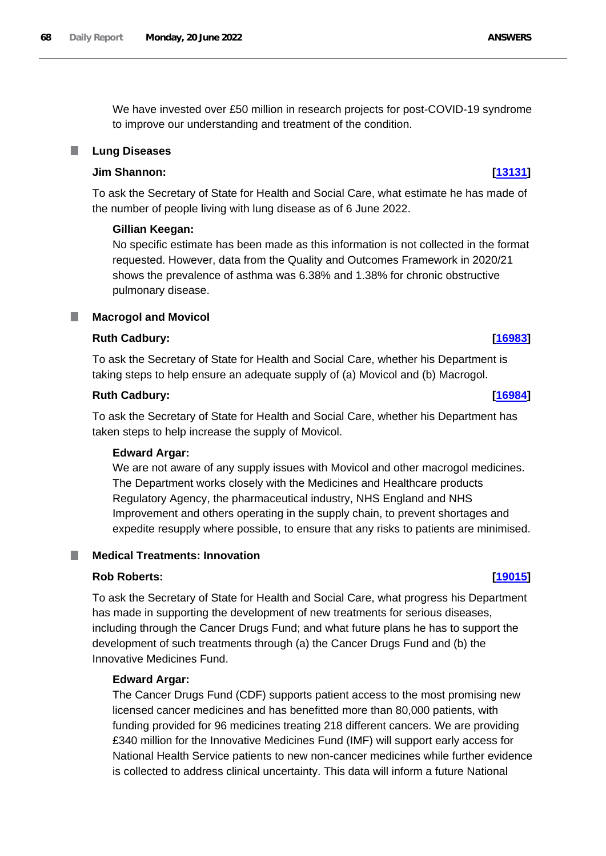We have invested over £50 million in research projects for post-COVID-19 syndrome to improve our understanding and treatment of the condition.

# **Lung Diseases**

# **Jim Shannon: [\[13131\]](http://www.parliament.uk/business/publications/written-questions-answers-statements/written-question/Commons/2022-06-06/13131)**

To ask the Secretary of State for Health and Social Care, what estimate he has made of the number of people living with lung disease as of 6 June 2022.

# **Gillian Keegan:**

No specific estimate has been made as this information is not collected in the format requested. However, data from the Quality and Outcomes Framework in 2020/21 shows the prevalence of asthma was 6.38% and 1.38% for chronic obstructive pulmonary disease.

# **Macrogol and Movicol**

# **Ruth Cadbury: [\[16983\]](http://www.parliament.uk/business/publications/written-questions-answers-statements/written-question/Commons/2022-06-13/16983)**

To ask the Secretary of State for Health and Social Care, whether his Department is taking steps to help ensure an adequate supply of (a) Movicol and (b) Macrogol.

# **Ruth Cadbury: [\[16984\]](http://www.parliament.uk/business/publications/written-questions-answers-statements/written-question/Commons/2022-06-13/16984)**

To ask the Secretary of State for Health and Social Care, whether his Department has taken steps to help increase the supply of Movicol.

# **Edward Argar:**

We are not aware of any supply issues with Movicol and other macrogol medicines. The Department works closely with the Medicines and Healthcare products Regulatory Agency, the pharmaceutical industry, NHS England and NHS Improvement and others operating in the supply chain, to prevent shortages and expedite resupply where possible, to ensure that any risks to patients are minimised.

# **Medical Treatments: Innovation**

# **Rob Roberts: [\[19015\]](http://www.parliament.uk/business/publications/written-questions-answers-statements/written-question/Commons/2022-06-15/19015)**

To ask the Secretary of State for Health and Social Care, what progress his Department has made in supporting the development of new treatments for serious diseases, including through the Cancer Drugs Fund; and what future plans he has to support the development of such treatments through (a) the Cancer Drugs Fund and (b) the Innovative Medicines Fund.

# **Edward Argar:**

The Cancer Drugs Fund (CDF) supports patient access to the most promising new licensed cancer medicines and has benefitted more than 80,000 patients, with funding provided for 96 medicines treating 218 different cancers. We are providing £340 million for the Innovative Medicines Fund (IMF) will support early access for National Health Service patients to new non-cancer medicines while further evidence is collected to address clinical uncertainty. This data will inform a future National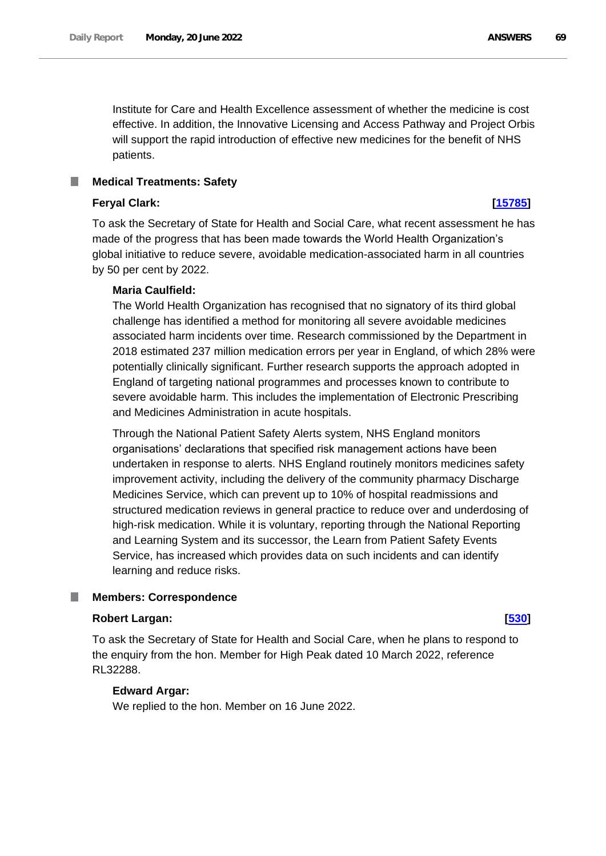Institute for Care and Health Excellence assessment of whether the medicine is cost effective. In addition, the Innovative Licensing and Access Pathway and Project Orbis will support the rapid introduction of effective new medicines for the benefit of NHS patients.

# **Medical Treatments: Safety**

### **Feryal Clark: [\[15785\]](http://www.parliament.uk/business/publications/written-questions-answers-statements/written-question/Commons/2022-06-10/15785)**

To ask the Secretary of State for Health and Social Care, what recent assessment he has made of the progress that has been made towards the World Health Organization's global initiative to reduce severe, avoidable medication-associated harm in all countries by 50 per cent by 2022.

### **Maria Caulfield:**

The World Health Organization has recognised that no signatory of its third global challenge has identified a method for monitoring all severe avoidable medicines associated harm incidents over time. Research commissioned by the Department in 2018 estimated 237 million medication errors per year in England, of which 28% were potentially clinically significant. Further research supports the approach adopted in England of targeting national programmes and processes known to contribute to severe avoidable harm. This includes the implementation of Electronic Prescribing and Medicines Administration in acute hospitals.

Through the National Patient Safety Alerts system, NHS England monitors organisations' declarations that specified risk management actions have been undertaken in response to alerts. NHS England routinely monitors medicines safety improvement activity, including the delivery of the community pharmacy Discharge Medicines Service, which can prevent up to 10% of hospital readmissions and structured medication reviews in general practice to reduce over and underdosing of high-risk medication. While it is voluntary, reporting through the National Reporting and Learning System and its successor, the Learn from Patient Safety Events Service, has increased which provides data on such incidents and can identify learning and reduce risks.

#### T. **Members: Correspondence**

### **Robert Largan: [\[530\]](http://www.parliament.uk/business/publications/written-questions-answers-statements/written-question/Commons/2022-05-10/530)**

To ask the Secretary of State for Health and Social Care, when he plans to respond to the enquiry from the hon. Member for High Peak dated 10 March 2022, reference RL32288.

### **Edward Argar:**

We replied to the hon. Member on 16 June 2022.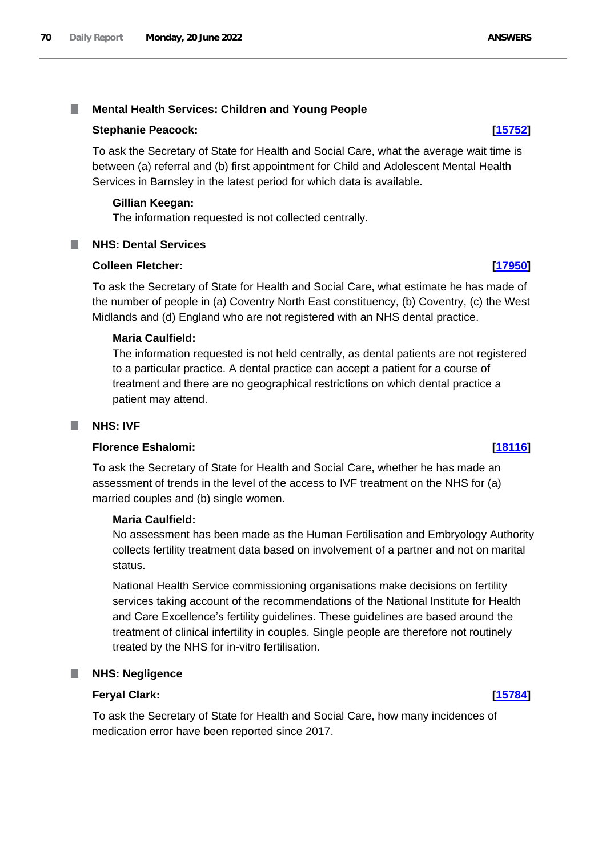#### T. **Mental Health Services: Children and Young People**

### **Stephanie Peacock: [\[15752\]](http://www.parliament.uk/business/publications/written-questions-answers-statements/written-question/Commons/2022-06-10/15752)**

To ask the Secretary of State for Health and Social Care, what the average wait time is between (a) referral and (b) first appointment for Child and Adolescent Mental Health Services in Barnsley in the latest period for which data is available.

# **Gillian Keegan:**

The information requested is not collected centrally.

# **NHS: Dental Services**

### **Colleen Fletcher: [\[17950\]](http://www.parliament.uk/business/publications/written-questions-answers-statements/written-question/Commons/2022-06-14/17950)**

To ask the Secretary of State for Health and Social Care, what estimate he has made of the number of people in (a) Coventry North East constituency, (b) Coventry, (c) the West Midlands and (d) England who are not registered with an NHS dental practice.

### **Maria Caulfield:**

The information requested is not held centrally, as dental patients are not registered to a particular practice. A dental practice can accept a patient for a course of treatment and there are no geographical restrictions on which dental practice a patient may attend.

### **NHS: IVF**

### **Florence Eshalomi: [\[18116\]](http://www.parliament.uk/business/publications/written-questions-answers-statements/written-question/Commons/2022-06-14/18116)**

To ask the Secretary of State for Health and Social Care, whether he has made an assessment of trends in the level of the access to IVF treatment on the NHS for (a) married couples and (b) single women.

### **Maria Caulfield:**

No assessment has been made as the Human Fertilisation and Embryology Authority collects fertility treatment data based on involvement of a partner and not on marital status.

National Health Service commissioning organisations make decisions on fertility services taking account of the recommendations of the National Institute for Health and Care Excellence's fertility guidelines. These guidelines are based around the treatment of clinical infertility in couples. Single people are therefore not routinely treated by the NHS for in-vitro fertilisation.

### **NHS: Negligence**

### **Feryal Clark: [\[15784\]](http://www.parliament.uk/business/publications/written-questions-answers-statements/written-question/Commons/2022-06-10/15784)**

To ask the Secretary of State for Health and Social Care, how many incidences of medication error have been reported since 2017.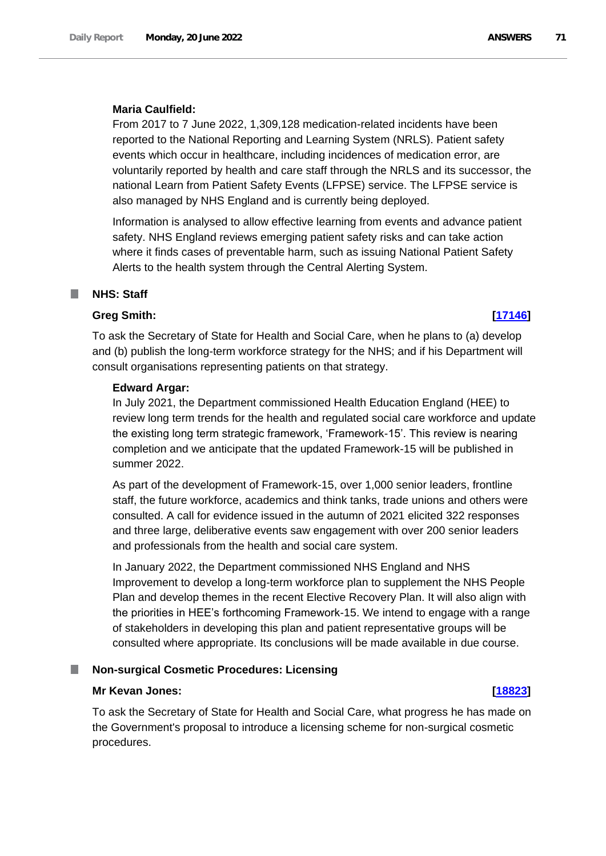# **Maria Caulfield:**

From 2017 to 7 June 2022, 1,309,128 medication-related incidents have been reported to the National Reporting and Learning System (NRLS). Patient safety events which occur in healthcare, including incidences of medication error, are voluntarily reported by health and care staff through the NRLS and its successor, the national Learn from Patient Safety Events (LFPSE) service. The LFPSE service is also managed by NHS England and is currently being deployed.

Information is analysed to allow effective learning from events and advance patient safety. NHS England reviews emerging patient safety risks and can take action where it finds cases of preventable harm, such as issuing National Patient Safety Alerts to the health system through the Central Alerting System.

# **NHS: Staff**

# **Greg Smith: [\[17146\]](http://www.parliament.uk/business/publications/written-questions-answers-statements/written-question/Commons/2022-06-13/17146)**

To ask the Secretary of State for Health and Social Care, when he plans to (a) develop and (b) publish the long-term workforce strategy for the NHS; and if his Department will consult organisations representing patients on that strategy.

# **Edward Argar:**

In July 2021, the Department commissioned Health Education England (HEE) to review long term trends for the health and regulated social care workforce and update the existing long term strategic framework, 'Framework-15'. This review is nearing completion and we anticipate that the updated Framework-15 will be published in summer 2022.

As part of the development of Framework-15, over 1,000 senior leaders, frontline staff, the future workforce, academics and think tanks, trade unions and others were consulted. A call for evidence issued in the autumn of 2021 elicited 322 responses and three large, deliberative events saw engagement with over 200 senior leaders and professionals from the health and social care system.

In January 2022, the Department commissioned NHS England and NHS Improvement to develop a long-term workforce plan to supplement the NHS People Plan and develop themes in the recent Elective Recovery Plan. It will also align with the priorities in HEE's forthcoming Framework-15. We intend to engage with a range of stakeholders in developing this plan and patient representative groups will be consulted where appropriate. Its conclusions will be made available in due course.

# **Non-surgical Cosmetic Procedures: Licensing**

# **Mr Kevan Jones: [\[18823\]](http://www.parliament.uk/business/publications/written-questions-answers-statements/written-question/Commons/2022-06-15/18823)**

# To ask the Secretary of State for Health and Social Care, what progress he has made on the Government's proposal to introduce a licensing scheme for non-surgical cosmetic procedures.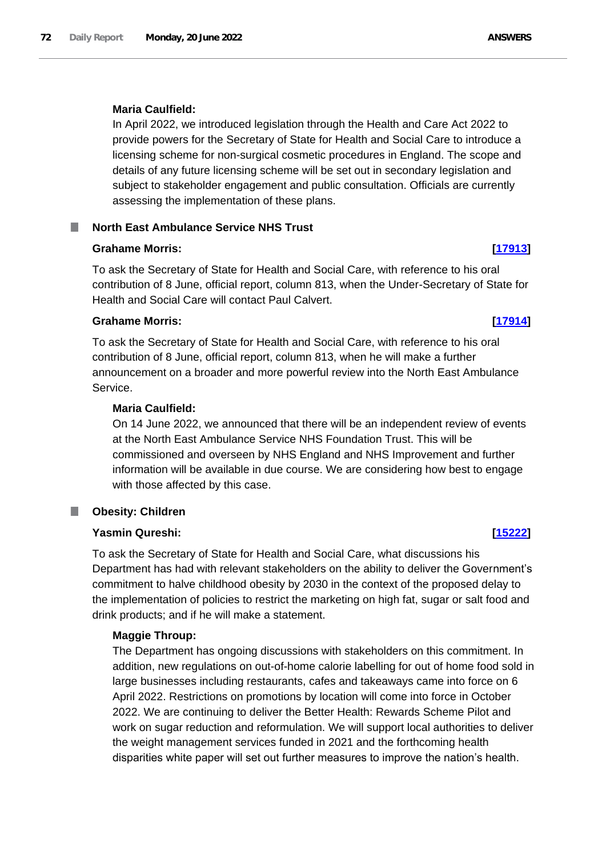# **Maria Caulfield:**

In April 2022, we introduced legislation through the Health and Care Act 2022 to provide powers for the Secretary of State for Health and Social Care to introduce a licensing scheme for non-surgical cosmetic procedures in England. The scope and details of any future licensing scheme will be set out in secondary legislation and subject to stakeholder engagement and public consultation. Officials are currently assessing the implementation of these plans.

# **North East Ambulance Service NHS Trust**

# **Grahame Morris: [\[17913\]](http://www.parliament.uk/business/publications/written-questions-answers-statements/written-question/Commons/2022-06-14/17913)**

To ask the Secretary of State for Health and Social Care, with reference to his oral contribution of 8 June, official report, column 813, when the Under-Secretary of State for Health and Social Care will contact Paul Calvert.

# **Grahame Morris: [\[17914\]](http://www.parliament.uk/business/publications/written-questions-answers-statements/written-question/Commons/2022-06-14/17914)**

To ask the Secretary of State for Health and Social Care, with reference to his oral contribution of 8 June, official report, column 813, when he will make a further announcement on a broader and more powerful review into the North East Ambulance Service.

# **Maria Caulfield:**

On 14 June 2022, we announced that there will be an independent review of events at the North East Ambulance Service NHS Foundation Trust. This will be commissioned and overseen by NHS England and NHS Improvement and further information will be available in due course. We are considering how best to engage with those affected by this case.

#### **Obesity: Children** T.

# **Yasmin Qureshi: [\[15222\]](http://www.parliament.uk/business/publications/written-questions-answers-statements/written-question/Commons/2022-06-09/15222)**

To ask the Secretary of State for Health and Social Care, what discussions his Department has had with relevant stakeholders on the ability to deliver the Government's commitment to halve childhood obesity by 2030 in the context of the proposed delay to the implementation of policies to restrict the marketing on high fat, sugar or salt food and drink products; and if he will make a statement.

### **Maggie Throup:**

The Department has ongoing discussions with stakeholders on this commitment. In addition, new regulations on out-of-home calorie labelling for out of home food sold in large businesses including restaurants, cafes and takeaways came into force on 6 April 2022. Restrictions on promotions by location will come into force in October 2022. We are continuing to deliver the Better Health: Rewards Scheme Pilot and work on sugar reduction and reformulation. We will support local authorities to deliver the weight management services funded in 2021 and the forthcoming health disparities white paper will set out further measures to improve the nation's health.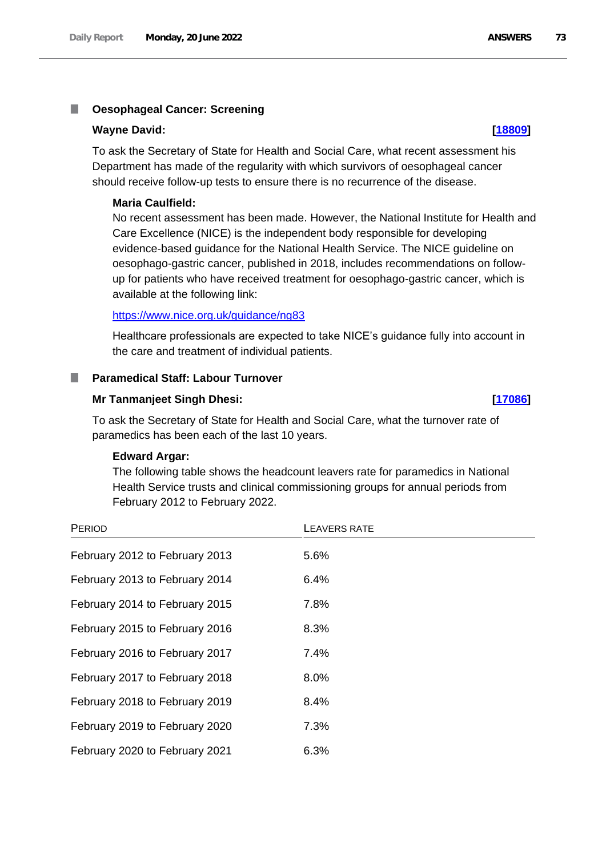#### T. **Oesophageal Cancer: Screening**

#### **Wayne David: [\[18809\]](http://www.parliament.uk/business/publications/written-questions-answers-statements/written-question/Commons/2022-06-15/18809)**

To ask the Secretary of State for Health and Social Care, what recent assessment his Department has made of the regularity with which survivors of oesophageal cancer should receive follow-up tests to ensure there is no recurrence of the disease.

#### **Maria Caulfield:**

No recent assessment has been made. However, the National Institute for Health and Care Excellence (NICE) is the independent body responsible for developing evidence-based guidance for the National Health Service. The NICE guideline on oesophago-gastric cancer, published in 2018, includes recommendations on followup for patients who have received treatment for oesophago-gastric cancer, which is available at the following link:

#### <https://www.nice.org.uk/guidance/ng83>

Healthcare professionals are expected to take NICE's guidance fully into account in the care and treatment of individual patients.

#### **Paramedical Staff: Labour Turnover** m.

#### **Mr Tanmanjeet Singh Dhesi: [\[17086\]](http://www.parliament.uk/business/publications/written-questions-answers-statements/written-question/Commons/2022-06-13/17086)**

To ask the Secretary of State for Health and Social Care, what the turnover rate of paramedics has been each of the last 10 years.

#### **Edward Argar:**

The following table shows the headcount leavers rate for paramedics in National Health Service trusts and clinical commissioning groups for annual periods from February 2012 to February 2022.

| PERIOD                         | <b>LEAVERS RATE</b> |
|--------------------------------|---------------------|
| February 2012 to February 2013 | 5.6%                |
| February 2013 to February 2014 | 6.4%                |
| February 2014 to February 2015 | 7.8%                |
| February 2015 to February 2016 | 8.3%                |
| February 2016 to February 2017 | $7.4\%$             |
| February 2017 to February 2018 | 8.0%                |
| February 2018 to February 2019 | 8.4%                |
| February 2019 to February 2020 | 7.3%                |
| February 2020 to February 2021 | 6.3%                |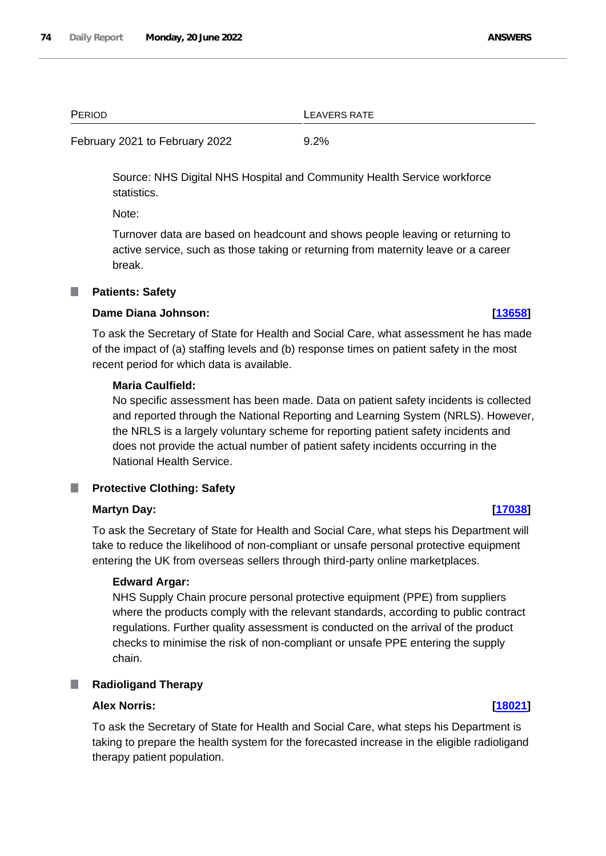PERIOD **LEAVERS RATE** 

February 2021 to February 2022 9.2%

Source: NHS Digital NHS Hospital and Community Health Service workforce statistics.

Note:

Turnover data are based on headcount and shows people leaving or returning to active service, such as those taking or returning from maternity leave or a career break.

#### **Patients: Safety**

#### **Dame Diana Johnson: [\[13658\]](http://www.parliament.uk/business/publications/written-questions-answers-statements/written-question/Commons/2022-06-07/13658)**

To ask the Secretary of State for Health and Social Care, what assessment he has made of the impact of (a) staffing levels and (b) response times on patient safety in the most recent period for which data is available.

### **Maria Caulfield:**

No specific assessment has been made. Data on patient safety incidents is collected and reported through the National Reporting and Learning System (NRLS). However, the NRLS is a largely voluntary scheme for reporting patient safety incidents and does not provide the actual number of patient safety incidents occurring in the National Health Service.

### **Protective Clothing: Safety**

### **Martyn Day: [\[17038\]](http://www.parliament.uk/business/publications/written-questions-answers-statements/written-question/Commons/2022-06-13/17038)**

To ask the Secretary of State for Health and Social Care, what steps his Department will take to reduce the likelihood of non-compliant or unsafe personal protective equipment entering the UK from overseas sellers through third-party online marketplaces.

### **Edward Argar:**

NHS Supply Chain procure personal protective equipment (PPE) from suppliers where the products comply with the relevant standards, according to public contract regulations. Further quality assessment is conducted on the arrival of the product checks to minimise the risk of non-compliant or unsafe PPE entering the supply chain.

# **Radioligand Therapy**

## **Alex Norris: [\[18021\]](http://www.parliament.uk/business/publications/written-questions-answers-statements/written-question/Commons/2022-06-14/18021)**

To ask the Secretary of State for Health and Social Care, what steps his Department is taking to prepare the health system for the forecasted increase in the eligible radioligand therapy patient population.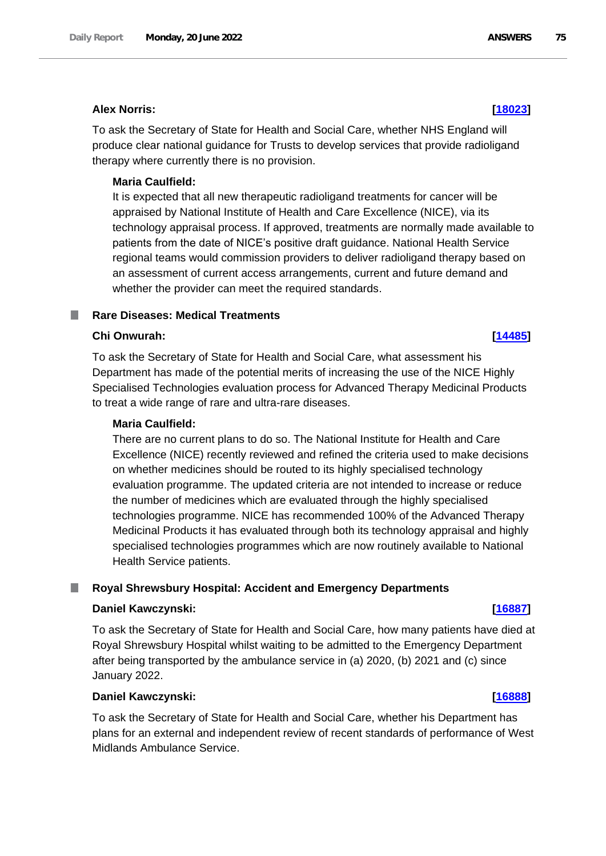### **Alex Norris: [\[18023\]](http://www.parliament.uk/business/publications/written-questions-answers-statements/written-question/Commons/2022-06-14/18023)**

To ask the Secretary of State for Health and Social Care, whether NHS England will produce clear national guidance for Trusts to develop services that provide radioligand therapy where currently there is no provision.

### **Maria Caulfield:**

It is expected that all new therapeutic radioligand treatments for cancer will be appraised by National Institute of Health and Care Excellence (NICE), via its technology appraisal process. If approved, treatments are normally made available to patients from the date of NICE's positive draft guidance. National Health Service regional teams would commission providers to deliver radioligand therapy based on an assessment of current access arrangements, current and future demand and whether the provider can meet the required standards.

#### **Rare Diseases: Medical Treatments** ш

#### **Chi Onwurah: [\[14485\]](http://www.parliament.uk/business/publications/written-questions-answers-statements/written-question/Commons/2022-06-08/14485)**

To ask the Secretary of State for Health and Social Care, what assessment his Department has made of the potential merits of increasing the use of the NICE Highly Specialised Technologies evaluation process for Advanced Therapy Medicinal Products to treat a wide range of rare and ultra-rare diseases.

#### **Maria Caulfield:**

There are no current plans to do so. The National Institute for Health and Care Excellence (NICE) recently reviewed and refined the criteria used to make decisions on whether medicines should be routed to its highly specialised technology evaluation programme. The updated criteria are not intended to increase or reduce the number of medicines which are evaluated through the highly specialised technologies programme. NICE has recommended 100% of the Advanced Therapy Medicinal Products it has evaluated through both its technology appraisal and highly specialised technologies programmes which are now routinely available to National Health Service patients.

### **Royal Shrewsbury Hospital: Accident and Emergency Departments**

### **Daniel Kawczynski: [\[16887\]](http://www.parliament.uk/business/publications/written-questions-answers-statements/written-question/Commons/2022-06-13/16887)**

To ask the Secretary of State for Health and Social Care, how many patients have died at Royal Shrewsbury Hospital whilst waiting to be admitted to the Emergency Department after being transported by the ambulance service in (a) 2020, (b) 2021 and (c) since January 2022.

### **Daniel Kawczynski: [\[16888\]](http://www.parliament.uk/business/publications/written-questions-answers-statements/written-question/Commons/2022-06-13/16888)**

To ask the Secretary of State for Health and Social Care, whether his Department has plans for an external and independent review of recent standards of performance of West Midlands Ambulance Service.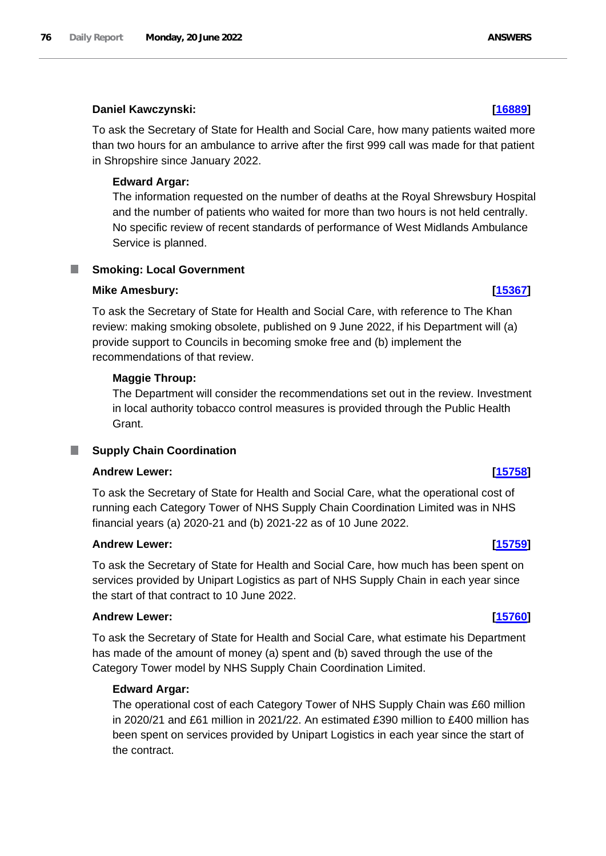# **Daniel Kawczynski: [\[16889\]](http://www.parliament.uk/business/publications/written-questions-answers-statements/written-question/Commons/2022-06-13/16889)**

To ask the Secretary of State for Health and Social Care, how many patients waited more than two hours for an ambulance to arrive after the first 999 call was made for that patient in Shropshire since January 2022.

# **Edward Argar:**

The information requested on the number of deaths at the Royal Shrewsbury Hospital and the number of patients who waited for more than two hours is not held centrally. No specific review of recent standards of performance of West Midlands Ambulance Service is planned.

# **Smoking: Local Government**

# **Mike Amesbury: [\[15367\]](http://www.parliament.uk/business/publications/written-questions-answers-statements/written-question/Commons/2022-06-09/15367)**

To ask the Secretary of State for Health and Social Care, with reference to The Khan review: making smoking obsolete, published on 9 June 2022, if his Department will (a) provide support to Councils in becoming smoke free and (b) implement the recommendations of that review.

# **Maggie Throup:**

The Department will consider the recommendations set out in the review. Investment in local authority tobacco control measures is provided through the Public Health Grant.

# **Supply Chain Coordination**

# **Andrew Lewer: [\[15758\]](http://www.parliament.uk/business/publications/written-questions-answers-statements/written-question/Commons/2022-06-10/15758)**

To ask the Secretary of State for Health and Social Care, what the operational cost of running each Category Tower of NHS Supply Chain Coordination Limited was in NHS financial years (a) 2020-21 and (b) 2021-22 as of 10 June 2022.

# **Andrew Lewer: [\[15759\]](http://www.parliament.uk/business/publications/written-questions-answers-statements/written-question/Commons/2022-06-10/15759)**

To ask the Secretary of State for Health and Social Care, how much has been spent on services provided by Unipart Logistics as part of NHS Supply Chain in each year since the start of that contract to 10 June 2022.

# **Andrew Lewer: [\[15760\]](http://www.parliament.uk/business/publications/written-questions-answers-statements/written-question/Commons/2022-06-10/15760)**

To ask the Secretary of State for Health and Social Care, what estimate his Department has made of the amount of money (a) spent and (b) saved through the use of the Category Tower model by NHS Supply Chain Coordination Limited.

# **Edward Argar:**

The operational cost of each Category Tower of NHS Supply Chain was £60 million in 2020/21 and £61 million in 2021/22. An estimated £390 million to £400 million has been spent on services provided by Unipart Logistics in each year since the start of the contract.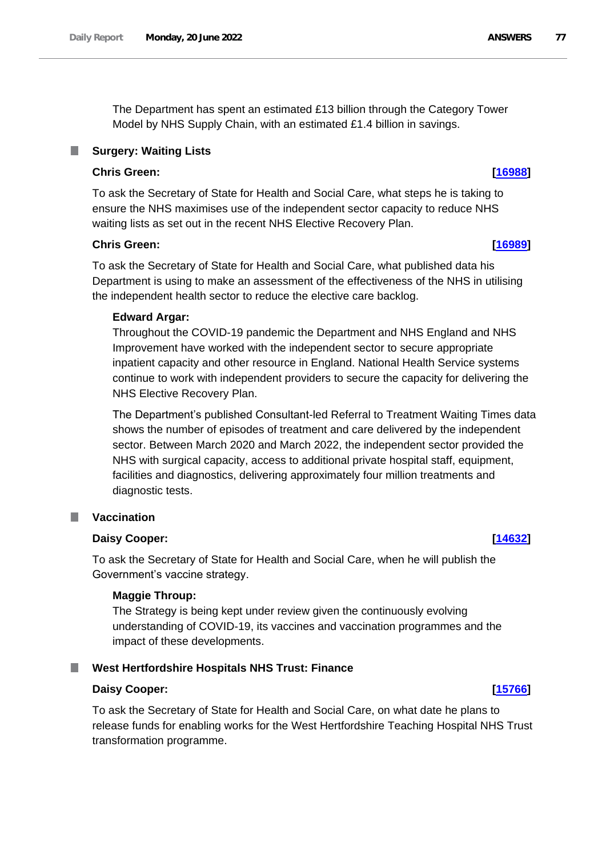The Department has spent an estimated £13 billion through the Category Tower Model by NHS Supply Chain, with an estimated £1.4 billion in savings.

## **Surgery: Waiting Lists**

## **Chris Green: [\[16988\]](http://www.parliament.uk/business/publications/written-questions-answers-statements/written-question/Commons/2022-06-13/16988)**

To ask the Secretary of State for Health and Social Care, what steps he is taking to ensure the NHS maximises use of the independent sector capacity to reduce NHS waiting lists as set out in the recent NHS Elective Recovery Plan.

#### **Chris Green: [\[16989\]](http://www.parliament.uk/business/publications/written-questions-answers-statements/written-question/Commons/2022-06-13/16989)**

To ask the Secretary of State for Health and Social Care, what published data his Department is using to make an assessment of the effectiveness of the NHS in utilising the independent health sector to reduce the elective care backlog.

#### **Edward Argar:**

Throughout the COVID-19 pandemic the Department and NHS England and NHS Improvement have worked with the independent sector to secure appropriate inpatient capacity and other resource in England. National Health Service systems continue to work with independent providers to secure the capacity for delivering the NHS Elective Recovery Plan.

The Department's published Consultant-led Referral to Treatment Waiting Times data shows the number of episodes of treatment and care delivered by the independent sector. Between March 2020 and March 2022, the independent sector provided the NHS with surgical capacity, access to additional private hospital staff, equipment, facilities and diagnostics, delivering approximately four million treatments and diagnostic tests.

### **Vaccination**

### **Daisy Cooper: [\[14632\]](http://www.parliament.uk/business/publications/written-questions-answers-statements/written-question/Commons/2022-06-08/14632)**

To ask the Secretary of State for Health and Social Care, when he will publish the Government's vaccine strategy.

### **Maggie Throup:**

The Strategy is being kept under review given the continuously evolving understanding of COVID-19, its vaccines and vaccination programmes and the impact of these developments.

### **West Hertfordshire Hospitals NHS Trust: Finance**

### **Daisy Cooper: [\[15766\]](http://www.parliament.uk/business/publications/written-questions-answers-statements/written-question/Commons/2022-06-10/15766)**

To ask the Secretary of State for Health and Social Care, on what date he plans to release funds for enabling works for the West Hertfordshire Teaching Hospital NHS Trust transformation programme.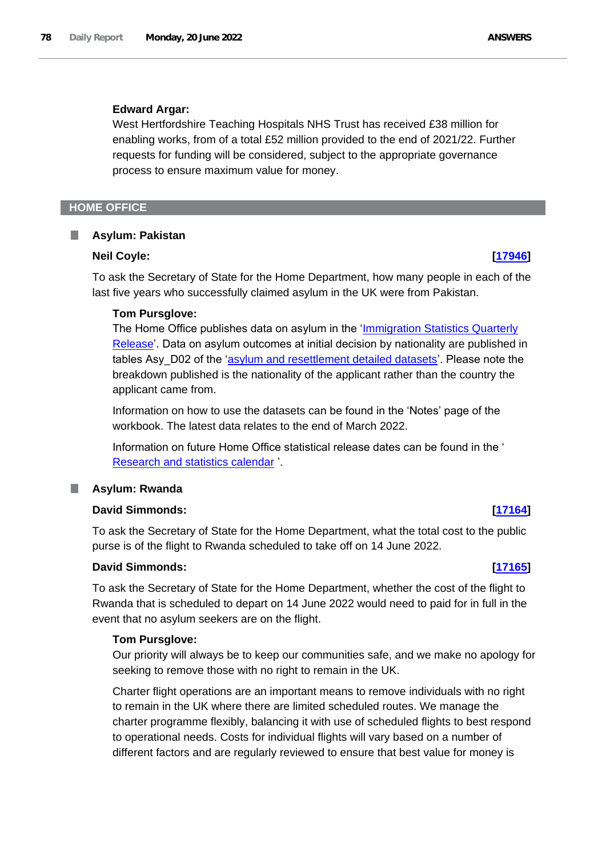### **Edward Argar:**

West Hertfordshire Teaching Hospitals NHS Trust has received £38 million for enabling works, from of a total £52 million provided to the end of 2021/22. Further requests for funding will be considered, subject to the appropriate governance process to ensure maximum value for money.

### **HOME OFFICE**

#### **Asylum: Pakistan** ٠

#### **Neil Coyle: [\[17946\]](http://www.parliament.uk/business/publications/written-questions-answers-statements/written-question/Commons/2022-06-14/17946)**

To ask the Secretary of State for the Home Department, how many people in each of the last five years who successfully claimed asylum in the UK were from Pakistan.

#### **Tom Pursglove:**

The Home Office publishes data on asylum in the 'Immigration Statistics Quarterly Release'. Data on asylum outcomes at initial decision by nationality are published in tables Asy D02 of the 'asylum and resettlement detailed datasets'. Please note the breakdown published is the nationality of the applicant rather than the country the applicant came from.

Information on how to use the datasets can be found in the 'Notes' page of the workbook. The latest data relates to the end of March 2022.

Information on future Home Office statistical release dates can be found in the ' [Research and statistics calendar](https://www.gov.uk/search/research-and-statistics?keywords=immigration&content_store_document_type=upcoming_statistics&organisations%5B%5D=home-office&order=relevance) '.

#### **Asylum: Rwanda**

## **David Simmonds: [\[17164\]](http://www.parliament.uk/business/publications/written-questions-answers-statements/written-question/Commons/2022-06-13/17164)**

To ask the Secretary of State for the Home Department, what the total cost to the public purse is of the flight to Rwanda scheduled to take off on 14 June 2022.

#### **David Simmonds: [\[17165\]](http://www.parliament.uk/business/publications/written-questions-answers-statements/written-question/Commons/2022-06-13/17165)**

To ask the Secretary of State for the Home Department, whether the cost of the flight to Rwanda that is scheduled to depart on 14 June 2022 would need to paid for in full in the event that no asylum seekers are on the flight.

### **Tom Pursglove:**

Our priority will always be to keep our communities safe, and we make no apology for seeking to remove those with no right to remain in the UK.

Charter flight operations are an important means to remove individuals with no right to remain in the UK where there are limited scheduled routes. We manage the charter programme flexibly, balancing it with use of scheduled flights to best respond to operational needs. Costs for individual flights will vary based on a number of different factors and are regularly reviewed to ensure that best value for money is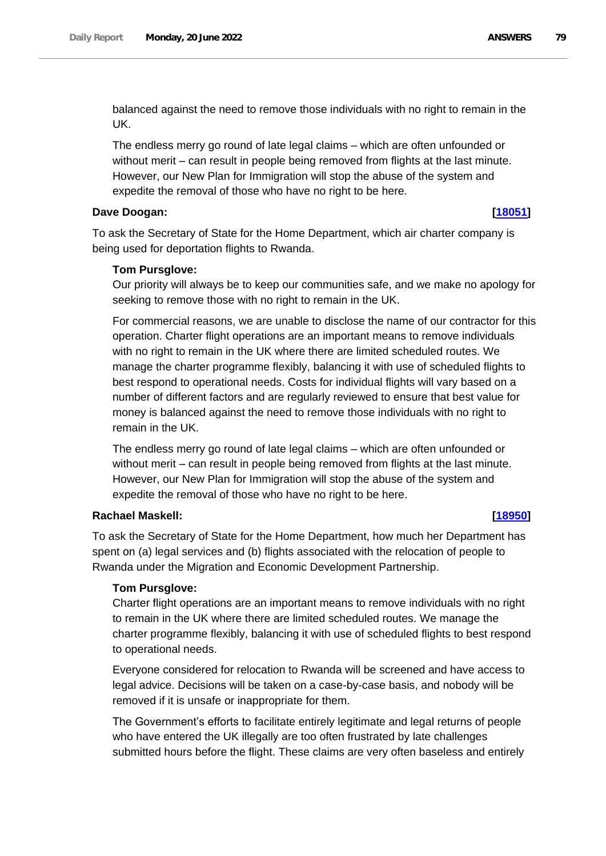balanced against the need to remove those individuals with no right to remain in the UK.

The endless merry go round of late legal claims – which are often unfounded or without merit – can result in people being removed from flights at the last minute. However, our New Plan for Immigration will stop the abuse of the system and expedite the removal of those who have no right to be here.

## **Dave Doogan: [\[18051\]](http://www.parliament.uk/business/publications/written-questions-answers-statements/written-question/Commons/2022-06-14/18051)**

To ask the Secretary of State for the Home Department, which air charter company is being used for deportation flights to Rwanda.

## **Tom Pursglove:**

Our priority will always be to keep our communities safe, and we make no apology for seeking to remove those with no right to remain in the UK.

For commercial reasons, we are unable to disclose the name of our contractor for this operation. Charter flight operations are an important means to remove individuals with no right to remain in the UK where there are limited scheduled routes. We manage the charter programme flexibly, balancing it with use of scheduled flights to best respond to operational needs. Costs for individual flights will vary based on a number of different factors and are regularly reviewed to ensure that best value for money is balanced against the need to remove those individuals with no right to remain in the UK.

The endless merry go round of late legal claims – which are often unfounded or without merit – can result in people being removed from flights at the last minute. However, our New Plan for Immigration will stop the abuse of the system and expedite the removal of those who have no right to be here.

# **Rachael Maskell: [\[18950\]](http://www.parliament.uk/business/publications/written-questions-answers-statements/written-question/Commons/2022-06-15/18950)**

To ask the Secretary of State for the Home Department, how much her Department has spent on (a) legal services and (b) flights associated with the relocation of people to Rwanda under the Migration and Economic Development Partnership.

### **Tom Pursglove:**

Charter flight operations are an important means to remove individuals with no right to remain in the UK where there are limited scheduled routes. We manage the charter programme flexibly, balancing it with use of scheduled flights to best respond to operational needs.

Everyone considered for relocation to Rwanda will be screened and have access to legal advice. Decisions will be taken on a case-by-case basis, and nobody will be removed if it is unsafe or inappropriate for them.

The Government's efforts to facilitate entirely legitimate and legal returns of people who have entered the UK illegally are too often frustrated by late challenges submitted hours before the flight. These claims are very often baseless and entirely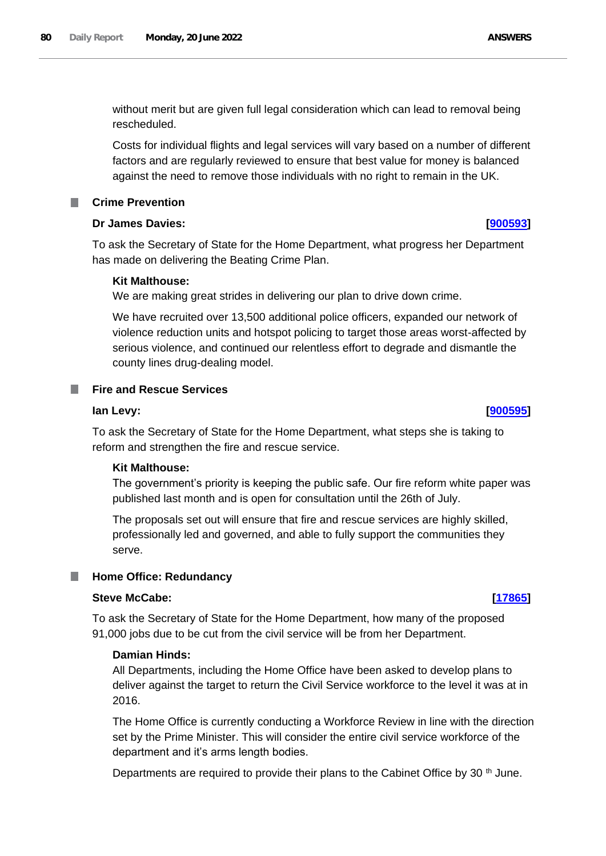without merit but are given full legal consideration which can lead to removal being rescheduled.

Costs for individual flights and legal services will vary based on a number of different factors and are regularly reviewed to ensure that best value for money is balanced against the need to remove those individuals with no right to remain in the UK.

# **Crime Prevention**

## **Dr James Davies: [\[900593\]](http://www.parliament.uk/business/publications/written-questions-answers-statements/written-question/Commons/2022-06-20/900593)**

To ask the Secretary of State for the Home Department, what progress her Department has made on delivering the Beating Crime Plan.

## **Kit Malthouse:**

We are making great strides in delivering our plan to drive down crime.

We have recruited over 13,500 additional police officers, expanded our network of violence reduction units and hotspot policing to target those areas worst-affected by serious violence, and continued our relentless effort to degrade and dismantle the county lines drug-dealing model.

## **Fire and Rescue Services**

### **Ian Levy: [\[900595\]](http://www.parliament.uk/business/publications/written-questions-answers-statements/written-question/Commons/2022-06-20/900595)**

To ask the Secretary of State for the Home Department, what steps she is taking to reform and strengthen the fire and rescue service.

### **Kit Malthouse:**

The government's priority is keeping the public safe. Our fire reform white paper was published last month and is open for consultation until the 26th of July.

The proposals set out will ensure that fire and rescue services are highly skilled, professionally led and governed, and able to fully support the communities they serve.

# **Home Office: Redundancy**

## **Steve McCabe: [\[17865\]](http://www.parliament.uk/business/publications/written-questions-answers-statements/written-question/Commons/2022-06-14/17865)**

To ask the Secretary of State for the Home Department, how many of the proposed 91,000 jobs due to be cut from the civil service will be from her Department.

### **Damian Hinds:**

All Departments, including the Home Office have been asked to develop plans to deliver against the target to return the Civil Service workforce to the level it was at in 2016.

The Home Office is currently conducting a Workforce Review in line with the direction set by the Prime Minister. This will consider the entire civil service workforce of the department and it's arms length bodies.

Departments are required to provide their plans to the Cabinet Office by 30<sup>th</sup> June.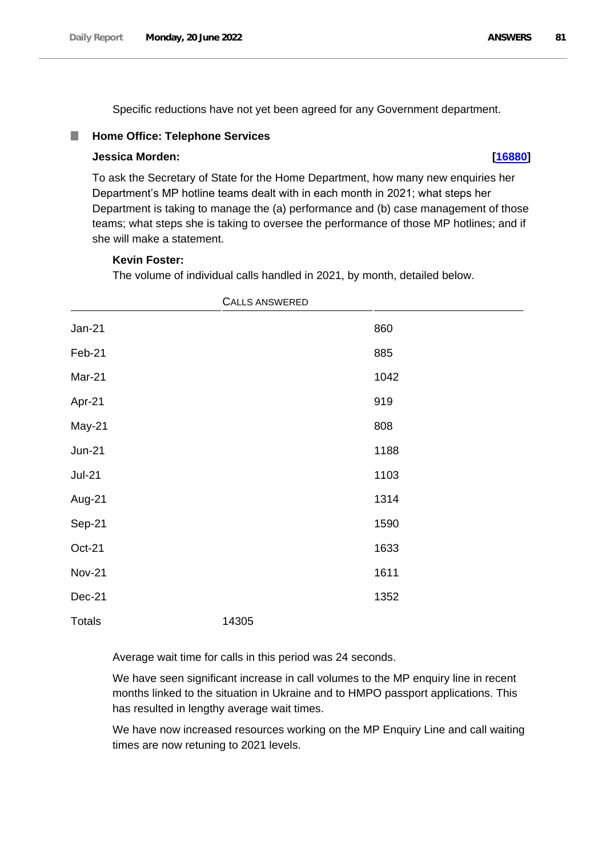Specific reductions have not yet been agreed for any Government department.

#### D. **Home Office: Telephone Services**

#### **Jessica Morden: [\[16880\]](http://www.parliament.uk/business/publications/written-questions-answers-statements/written-question/Commons/2022-06-13/16880)**

To ask the Secretary of State for the Home Department, how many new enquiries her Department's MP hotline teams dealt with in each month in 2021; what steps her Department is taking to manage the (a) performance and (b) case management of those teams; what steps she is taking to oversee the performance of those MP hotlines; and if she will make a statement.

#### **Kevin Foster:**

The volume of individual calls handled in 2021, by month, detailed below.

|               | <b>CALLS ANSWERED</b> |      |  |
|---------------|-----------------------|------|--|
| $Jan-21$      |                       | 860  |  |
| Feb-21        |                       | 885  |  |
| Mar-21        |                       | 1042 |  |
| Apr-21        |                       | 919  |  |
| May-21        |                       | 808  |  |
| $Jun-21$      |                       | 1188 |  |
| $Jul-21$      |                       | 1103 |  |
| Aug-21        |                       | 1314 |  |
| Sep-21        |                       | 1590 |  |
| $Oct-21$      |                       | 1633 |  |
| <b>Nov-21</b> |                       | 1611 |  |
| Dec-21        |                       | 1352 |  |
| <b>Totals</b> | 14305                 |      |  |

Average wait time for calls in this period was 24 seconds.

We have seen significant increase in call volumes to the MP enquiry line in recent months linked to the situation in Ukraine and to HMPO passport applications. This has resulted in lengthy average wait times.

We have now increased resources working on the MP Enquiry Line and call waiting times are now retuning to 2021 levels.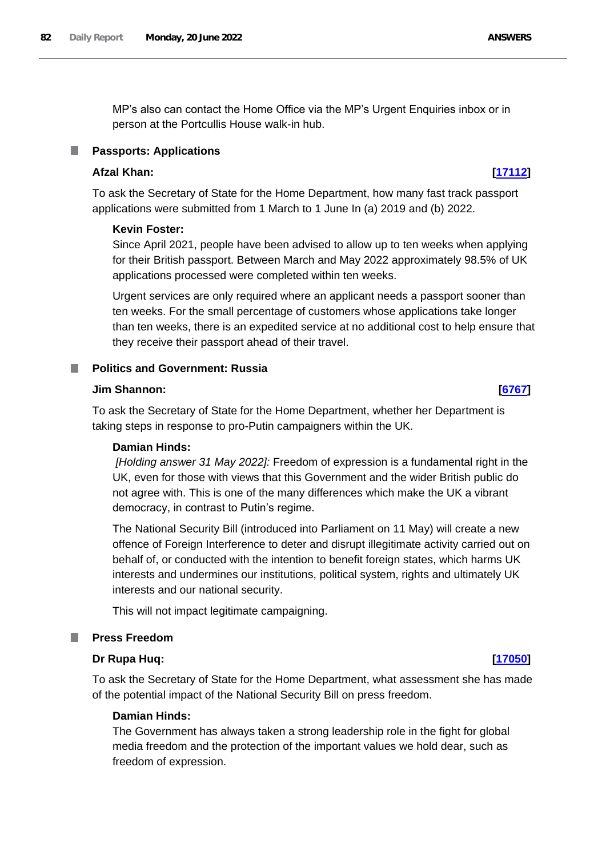MP's also can contact the Home Office via the MP's Urgent Enquiries inbox or in person at the Portcullis House walk-in hub.

#### **Passports: Applications**

# **Afzal Khan: [\[17112\]](http://www.parliament.uk/business/publications/written-questions-answers-statements/written-question/Commons/2022-06-13/17112)**

To ask the Secretary of State for the Home Department, how many fast track passport applications were submitted from 1 March to 1 June In (a) 2019 and (b) 2022.

### **Kevin Foster:**

Since April 2021, people have been advised to allow up to ten weeks when applying for their British passport. Between March and May 2022 approximately 98.5% of UK applications processed were completed within ten weeks.

Urgent services are only required where an applicant needs a passport sooner than ten weeks. For the small percentage of customers whose applications take longer than ten weeks, there is an expedited service at no additional cost to help ensure that they receive their passport ahead of their travel.

#### **Politics and Government: Russia**

## **Jim Shannon: [\[6767\]](http://www.parliament.uk/business/publications/written-questions-answers-statements/written-question/Commons/2022-05-23/6767)**

To ask the Secretary of State for the Home Department, whether her Department is taking steps in response to pro-Putin campaigners within the UK.

#### **Damian Hinds:**

*[Holding answer 31 May 2022]:* Freedom of expression is a fundamental right in the UK, even for those with views that this Government and the wider British public do not agree with. This is one of the many differences which make the UK a vibrant democracy, in contrast to Putin's regime.

The National Security Bill (introduced into Parliament on 11 May) will create a new offence of Foreign Interference to deter and disrupt illegitimate activity carried out on behalf of, or conducted with the intention to benefit foreign states, which harms UK interests and undermines our institutions, political system, rights and ultimately UK interests and our national security.

This will not impact legitimate campaigning.

### **Press Freedom**

#### **Dr Rupa Huq: [\[17050\]](http://www.parliament.uk/business/publications/written-questions-answers-statements/written-question/Commons/2022-06-13/17050)**

To ask the Secretary of State for the Home Department, what assessment she has made of the potential impact of the National Security Bill on press freedom.

### **Damian Hinds:**

The Government has always taken a strong leadership role in the fight for global media freedom and the protection of the important values we hold dear, such as freedom of expression.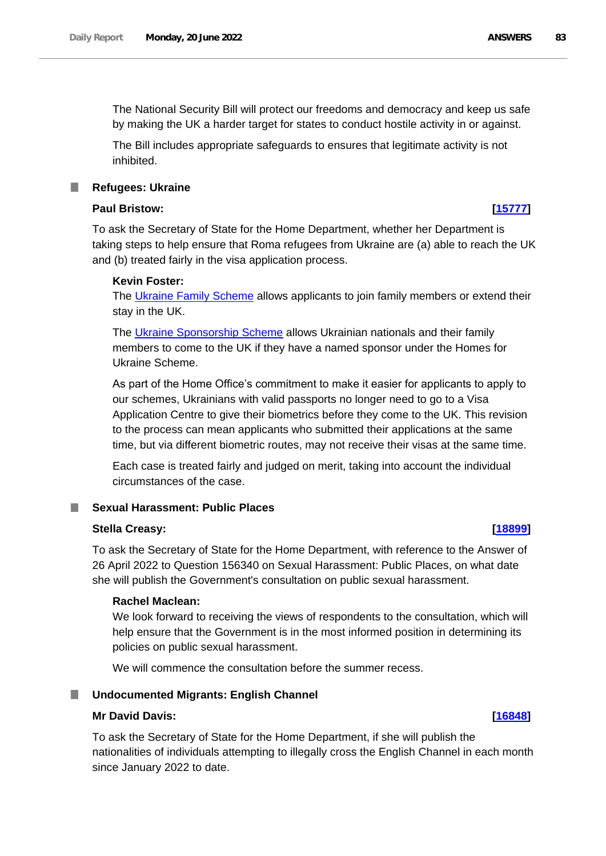The National Security Bill will protect our freedoms and democracy and keep us safe by making the UK a harder target for states to conduct hostile activity in or against.

The Bill includes appropriate safeguards to ensures that legitimate activity is not inhibited.

**Refugees: Ukraine**

## **Paul Bristow: [\[15777\]](http://www.parliament.uk/business/publications/written-questions-answers-statements/written-question/Commons/2022-06-10/15777)**

To ask the Secretary of State for the Home Department, whether her Department is taking steps to help ensure that Roma refugees from Ukraine are (a) able to reach the UK and (b) treated fairly in the visa application process.

### **Kevin Foster:**

The Ukraine Family Scheme allows applicants to join family members or extend their stay in the UK.

The [Ukraine Sponsorship Scheme](https://www.gov.uk/guidance/apply-for-a-visa-under-the-ukraine-sponsorship-scheme) allows Ukrainian nationals and their family members to come to the UK if they have a named sponsor under the Homes for Ukraine Scheme.

As part of the Home Office's commitment to make it easier for applicants to apply to our schemes, Ukrainians with valid passports no longer need to go to a Visa Application Centre to give their biometrics before they come to the UK. This revision to the process can mean applicants who submitted their applications at the same time, but via different biometric routes, may not receive their visas at the same time.

Each case is treated fairly and judged on merit, taking into account the individual circumstances of the case.

# **Sexual Harassment: Public Places**

#### **Stella Creasy: [\[18899\]](http://www.parliament.uk/business/publications/written-questions-answers-statements/written-question/Commons/2022-06-15/18899)**

To ask the Secretary of State for the Home Department, with reference to the Answer of 26 April 2022 to Question 156340 on Sexual Harassment: Public Places, on what date she will publish the Government's consultation on public sexual harassment.

#### **Rachel Maclean:**

We look forward to receiving the views of respondents to the consultation, which will help ensure that the Government is in the most informed position in determining its policies on public sexual harassment.

We will commence the consultation before the summer recess.

#### **Undocumented Migrants: English Channel**

#### **Mr David Davis: [\[16848\]](http://www.parliament.uk/business/publications/written-questions-answers-statements/written-question/Commons/2022-06-13/16848)**

To ask the Secretary of State for the Home Department, if she will publish the nationalities of individuals attempting to illegally cross the English Channel in each month since January 2022 to date.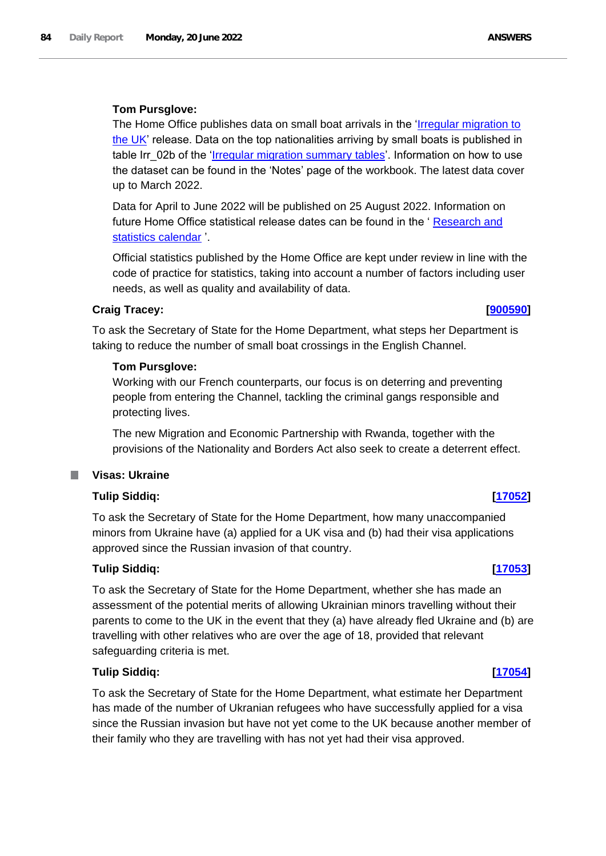## **Tom Pursglove:**

The Home Office publishes data on small boat arrivals in the 'Irregular migration to the UK' release. Data on the top nationalities arriving by small boats is published in table Irr 02b of the 'Irregular migration summary tables'. Information on how to use the dataset can be found in the 'Notes' page of the workbook. The latest data cover up to March 2022.

Data for April to June 2022 will be published on 25 August 2022. Information on future Home Office statistical release dates can be found in the ' [Research and](https://www.gov.uk/search/research-and-statistics?keywords=irregular&content_store_document_type=upcoming_statistics&organisations%5B%5D=home-office&order=relevance)  [statistics calendar](https://www.gov.uk/search/research-and-statistics?keywords=irregular&content_store_document_type=upcoming_statistics&organisations%5B%5D=home-office&order=relevance) '.

Official statistics published by the Home Office are kept under review in line with the code of practice for statistics, taking into account a number of factors including user needs, as well as quality and availability of data.

## **Craig Tracey: [\[900590\]](http://www.parliament.uk/business/publications/written-questions-answers-statements/written-question/Commons/2022-06-20/900590)**

To ask the Secretary of State for the Home Department, what steps her Department is taking to reduce the number of small boat crossings in the English Channel.

## **Tom Pursglove:**

Working with our French counterparts, our focus is on deterring and preventing people from entering the Channel, tackling the criminal gangs responsible and protecting lives.

The new Migration and Economic Partnership with Rwanda, together with the provisions of the Nationality and Borders Act also seek to create a deterrent effect.

#### **Visas: Ukraine** ш

# **Tulip Siddiq: [\[17052\]](http://www.parliament.uk/business/publications/written-questions-answers-statements/written-question/Commons/2022-06-13/17052)**

To ask the Secretary of State for the Home Department, how many unaccompanied minors from Ukraine have (a) applied for a UK visa and (b) had their visa applications approved since the Russian invasion of that country.

### **Tulip Siddiq: [\[17053\]](http://www.parliament.uk/business/publications/written-questions-answers-statements/written-question/Commons/2022-06-13/17053)**

To ask the Secretary of State for the Home Department, whether she has made an assessment of the potential merits of allowing Ukrainian minors travelling without their parents to come to the UK in the event that they (a) have already fled Ukraine and (b) are travelling with other relatives who are over the age of 18, provided that relevant safeguarding criteria is met.

### **Tulip Siddiq: [\[17054\]](http://www.parliament.uk/business/publications/written-questions-answers-statements/written-question/Commons/2022-06-13/17054)**

To ask the Secretary of State for the Home Department, what estimate her Department has made of the number of Ukranian refugees who have successfully applied for a visa since the Russian invasion but have not yet come to the UK because another member of their family who they are travelling with has not yet had their visa approved.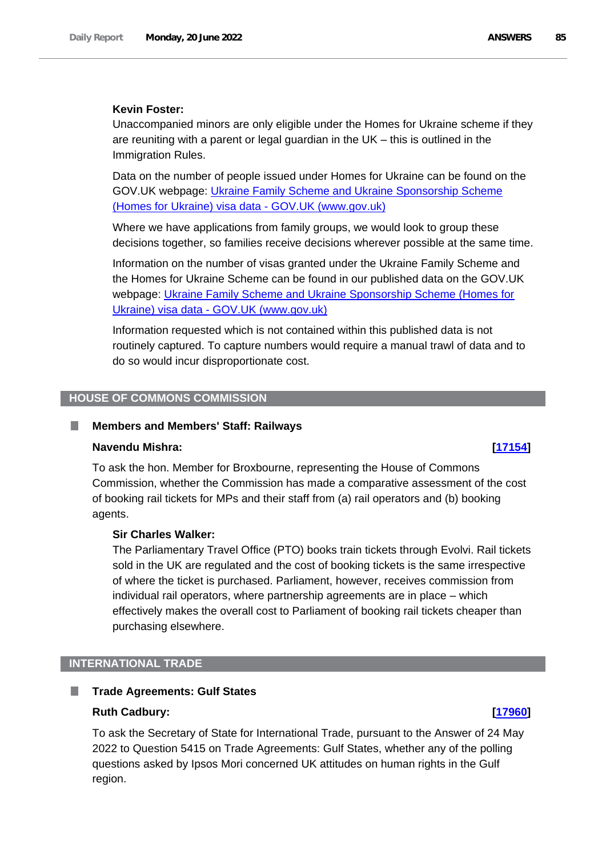### **Kevin Foster:**

Unaccompanied minors are only eligible under the Homes for Ukraine scheme if they are reuniting with a parent or legal guardian in the UK – this is outlined in the Immigration Rules.

Data on the number of people issued under Homes for Ukraine can be found on the GOV.UK webpage: [Ukraine Family Scheme and Ukraine Sponsorship Scheme](https://gbr01.safelinks.protection.outlook.com/?url=https%3A%2F%2Fwww.gov.uk%2Fgovernment%2Fpublications%2Fukraine-family-scheme-application-data%2Fukraine-family-scheme-and-ukraine-sponsorship-scheme-homes-for-ukraine-visa-data&data=05%7C01%7CKeith.Edwards42%40homeoffice.gov.uk%7Cb5c225d726754ae967c308da37f9d698%7Cf24d93ecb2914192a08af182245945c2%7C0%7C0%7C637883843419043967%7CUnknown%7CTWFpbGZsb3d8eyJWIjoiMC4wLjAwMDAiLCJQIjoiV2luMzIiLCJBTiI6Ik1haWwiLCJXVCI6Mn0%3D%7C3000%7C%7C%7C&sdata=wybHdwx%2BLx06ChkkjDGypcD%2B6KrUOu6E9yFlcmpfgAQ%3D&reserved=0)  [\(Homes for Ukraine\) visa data -](https://gbr01.safelinks.protection.outlook.com/?url=https%3A%2F%2Fwww.gov.uk%2Fgovernment%2Fpublications%2Fukraine-family-scheme-application-data%2Fukraine-family-scheme-and-ukraine-sponsorship-scheme-homes-for-ukraine-visa-data&data=05%7C01%7CKeith.Edwards42%40homeoffice.gov.uk%7Cb5c225d726754ae967c308da37f9d698%7Cf24d93ecb2914192a08af182245945c2%7C0%7C0%7C637883843419043967%7CUnknown%7CTWFpbGZsb3d8eyJWIjoiMC4wLjAwMDAiLCJQIjoiV2luMzIiLCJBTiI6Ik1haWwiLCJXVCI6Mn0%3D%7C3000%7C%7C%7C&sdata=wybHdwx%2BLx06ChkkjDGypcD%2B6KrUOu6E9yFlcmpfgAQ%3D&reserved=0) GOV.UK (www.gov.uk)

Where we have applications from family groups, we would look to group these decisions together, so families receive decisions wherever possible at the same time.

Information on the number of visas granted under the Ukraine Family Scheme and the Homes for Ukraine Scheme can be found in our published data on the GOV.UK webpage: [Ukraine Family Scheme and Ukraine Sponsorship Scheme \(Homes for](https://gbr01.safelinks.protection.outlook.com/?url=https%3A%2F%2Fwww.gov.uk%2Fgovernment%2Fpublications%2Fukraine-family-scheme-application-data%2Fukraine-family-scheme-and-ukraine-sponsorship-scheme-homes-for-ukraine-visa-data&data=05%7C01%7CKeith.Edwards42%40homeoffice.gov.uk%7Cb5c225d726754ae967c308da37f9d698%7Cf24d93ecb2914192a08af182245945c2%7C0%7C0%7C637883843419043967%7CUnknown%7CTWFpbGZsb3d8eyJWIjoiMC4wLjAwMDAiLCJQIjoiV2luMzIiLCJBTiI6Ik1haWwiLCJXVCI6Mn0%3D%7C3000%7C%7C%7C&sdata=wybHdwx%2BLx06ChkkjDGypcD%2B6KrUOu6E9yFlcmpfgAQ%3D&reserved=0)  Ukraine) visa data - [GOV.UK \(www.gov.uk\)](https://gbr01.safelinks.protection.outlook.com/?url=https%3A%2F%2Fwww.gov.uk%2Fgovernment%2Fpublications%2Fukraine-family-scheme-application-data%2Fukraine-family-scheme-and-ukraine-sponsorship-scheme-homes-for-ukraine-visa-data&data=05%7C01%7CKeith.Edwards42%40homeoffice.gov.uk%7Cb5c225d726754ae967c308da37f9d698%7Cf24d93ecb2914192a08af182245945c2%7C0%7C0%7C637883843419043967%7CUnknown%7CTWFpbGZsb3d8eyJWIjoiMC4wLjAwMDAiLCJQIjoiV2luMzIiLCJBTiI6Ik1haWwiLCJXVCI6Mn0%3D%7C3000%7C%7C%7C&sdata=wybHdwx%2BLx06ChkkjDGypcD%2B6KrUOu6E9yFlcmpfgAQ%3D&reserved=0)

Information requested which is not contained within this published data is not routinely captured. To capture numbers would require a manual trawl of data and to do so would incur disproportionate cost.

#### **HOUSE OF COMMONS COMMISSION**

#### **Members and Members' Staff: Railways** ш

#### **Navendu Mishra: [\[17154\]](http://www.parliament.uk/business/publications/written-questions-answers-statements/written-question/Commons/2022-06-13/17154)**

To ask the hon. Member for Broxbourne, representing the House of Commons Commission, whether the Commission has made a comparative assessment of the cost of booking rail tickets for MPs and their staff from (a) rail operators and (b) booking agents.

### **Sir Charles Walker:**

The Parliamentary Travel Office (PTO) books train tickets through Evolvi. Rail tickets sold in the UK are regulated and the cost of booking tickets is the same irrespective of where the ticket is purchased. Parliament, however, receives commission from individual rail operators, where partnership agreements are in place – which effectively makes the overall cost to Parliament of booking rail tickets cheaper than purchasing elsewhere.

### **INTERNATIONAL TRADE**

#### ш **Trade Agreements: Gulf States**

#### **Ruth Cadbury: [\[17960\]](http://www.parliament.uk/business/publications/written-questions-answers-statements/written-question/Commons/2022-06-14/17960)**

To ask the Secretary of State for International Trade, pursuant to the Answer of 24 May 2022 to Question 5415 on Trade Agreements: Gulf States, whether any of the polling questions asked by Ipsos Mori concerned UK attitudes on human rights in the Gulf region.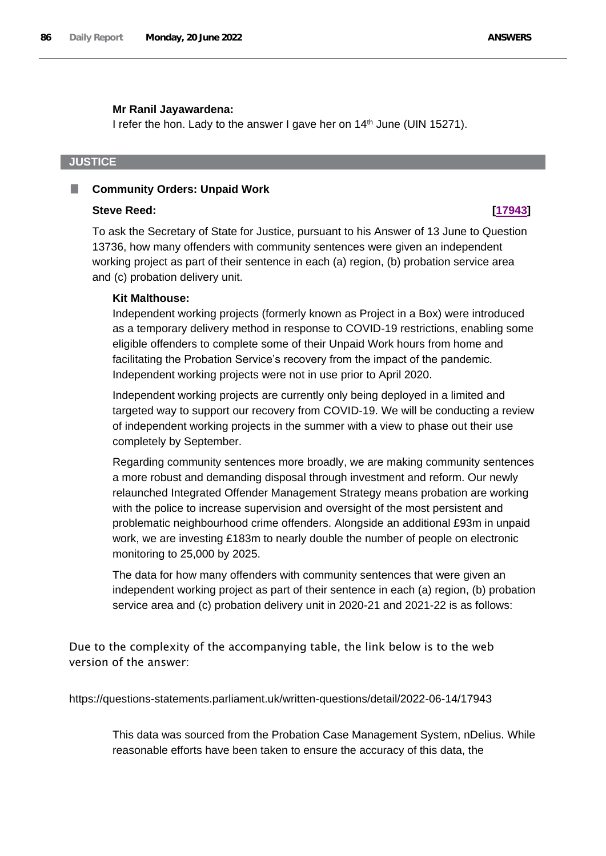#### **Mr Ranil Jayawardena:**

I refer the hon. Lady to the answer I gave her on  $14<sup>th</sup>$  June (UIN 15271).

## **JUSTICE**

#### П **Community Orders: Unpaid Work**

#### **Steve Reed: [\[17943\]](http://www.parliament.uk/business/publications/written-questions-answers-statements/written-question/Commons/2022-06-14/17943)**

To ask the Secretary of State for Justice, pursuant to his Answer of 13 June to Question 13736, how many offenders with community sentences were given an independent working project as part of their sentence in each (a) region, (b) probation service area and (c) probation delivery unit.

### **Kit Malthouse:**

Independent working projects (formerly known as Project in a Box) were introduced as a temporary delivery method in response to COVID-19 restrictions, enabling some eligible offenders to complete some of their Unpaid Work hours from home and facilitating the Probation Service's recovery from the impact of the pandemic. Independent working projects were not in use prior to April 2020.

Independent working projects are currently only being deployed in a limited and targeted way to support our recovery from COVID-19. We will be conducting a review of independent working projects in the summer with a view to phase out their use completely by September.

Regarding community sentences more broadly, we are making community sentences a more robust and demanding disposal through investment and reform. Our newly relaunched Integrated Offender Management Strategy means probation are working with the police to increase supervision and oversight of the most persistent and problematic neighbourhood crime offenders. Alongside an additional £93m in unpaid work, we are investing £183m to nearly double the number of people on electronic monitoring to 25,000 by 2025.

The data for how many offenders with community sentences that were given an independent working project as part of their sentence in each (a) region, (b) probation service area and (c) probation delivery unit in 2020-21 and 2021-22 is as follows:

Due to the complexity of the accompanying table, the link below is to the web version of the answer:

https://questions-statements.parliament.uk/written-questions/detail/2022-06-14/17943

This data was sourced from the Probation Case Management System, nDelius. While reasonable efforts have been taken to ensure the accuracy of this data, the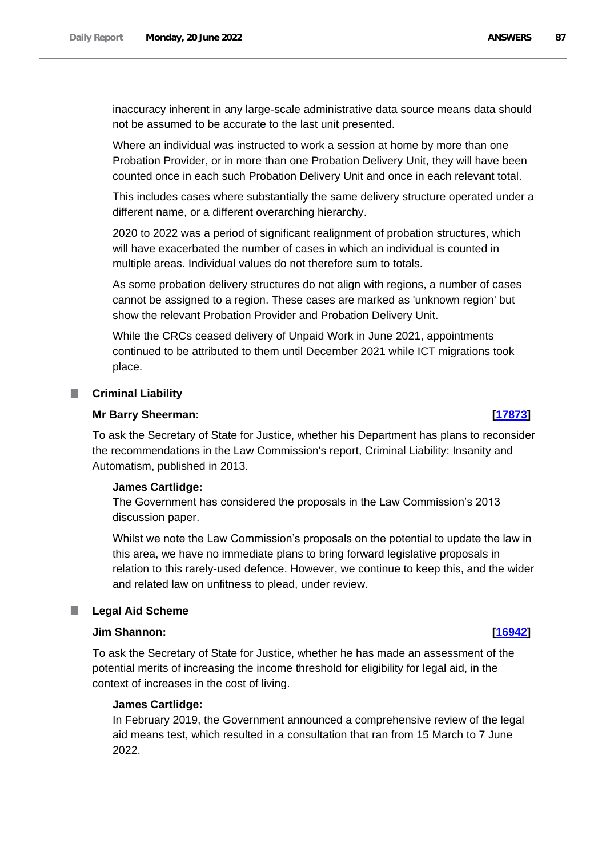inaccuracy inherent in any large-scale administrative data source means data should not be assumed to be accurate to the last unit presented.

Where an individual was instructed to work a session at home by more than one Probation Provider, or in more than one Probation Delivery Unit, they will have been counted once in each such Probation Delivery Unit and once in each relevant total.

This includes cases where substantially the same delivery structure operated under a different name, or a different overarching hierarchy.

2020 to 2022 was a period of significant realignment of probation structures, which will have exacerbated the number of cases in which an individual is counted in multiple areas. Individual values do not therefore sum to totals.

As some probation delivery structures do not align with regions, a number of cases cannot be assigned to a region. These cases are marked as 'unknown region' but show the relevant Probation Provider and Probation Delivery Unit.

While the CRCs ceased delivery of Unpaid Work in June 2021, appointments continued to be attributed to them until December 2021 while ICT migrations took place.

#### **Criminal Liability**

#### **Mr Barry Sheerman: [\[17873\]](http://www.parliament.uk/business/publications/written-questions-answers-statements/written-question/Commons/2022-06-14/17873)**

To ask the Secretary of State for Justice, whether his Department has plans to reconsider the recommendations in the Law Commission's report, Criminal Liability: Insanity and Automatism, published in 2013.

### **James Cartlidge:**

The Government has considered the proposals in the Law Commission's 2013 discussion paper.

Whilst we note the Law Commission's proposals on the potential to update the law in this area, we have no immediate plans to bring forward legislative proposals in relation to this rarely-used defence. However, we continue to keep this, and the wider and related law on unfitness to plead, under review.

### **Legal Aid Scheme**

#### **Jim Shannon: [\[16942\]](http://www.parliament.uk/business/publications/written-questions-answers-statements/written-question/Commons/2022-06-13/16942)**

To ask the Secretary of State for Justice, whether he has made an assessment of the potential merits of increasing the income threshold for eligibility for legal aid, in the context of increases in the cost of living.

#### **James Cartlidge:**

In February 2019, the Government announced a comprehensive review of the legal aid means test, which resulted in a consultation that ran from 15 March to 7 June 2022.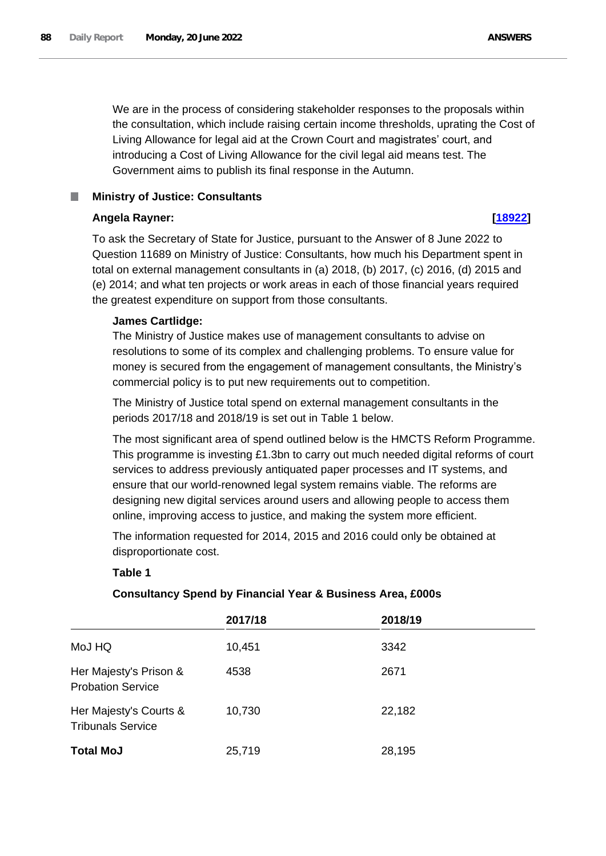We are in the process of considering stakeholder responses to the proposals within the consultation, which include raising certain income thresholds, uprating the Cost of Living Allowance for legal aid at the Crown Court and magistrates' court, and introducing a Cost of Living Allowance for the civil legal aid means test. The Government aims to publish its final response in the Autumn.

# **Ministry of Justice: Consultants**

# **Angela Rayner: [\[18922\]](http://www.parliament.uk/business/publications/written-questions-answers-statements/written-question/Commons/2022-06-15/18922)**

To ask the Secretary of State for Justice, pursuant to the Answer of 8 June 2022 to Question 11689 on Ministry of Justice: Consultants, how much his Department spent in total on external management consultants in (a) 2018, (b) 2017, (c) 2016, (d) 2015 and (e) 2014; and what ten projects or work areas in each of those financial years required the greatest expenditure on support from those consultants.

# **James Cartlidge:**

The Ministry of Justice makes use of management consultants to advise on resolutions to some of its complex and challenging problems. To ensure value for money is secured from the engagement of management consultants, the Ministry's commercial policy is to put new requirements out to competition.

The Ministry of Justice total spend on external management consultants in the periods 2017/18 and 2018/19 is set out in Table 1 below.

The most significant area of spend outlined below is the HMCTS Reform Programme. This programme is investing £1.3bn to carry out much needed digital reforms of court services to address previously antiquated paper processes and IT systems, and ensure that our world-renowned legal system remains viable. The reforms are designing new digital services around users and allowing people to access them online, improving access to justice, and making the system more efficient.

The information requested for 2014, 2015 and 2016 could only be obtained at disproportionate cost.

# **Table 1**

# **Consultancy Spend by Financial Year & Business Area, £000s**

|                                                    | 2017/18 | 2018/19 |
|----------------------------------------------------|---------|---------|
| MoJ HQ                                             | 10,451  | 3342    |
| Her Majesty's Prison &<br><b>Probation Service</b> | 4538    | 2671    |
| Her Majesty's Courts &<br><b>Tribunals Service</b> | 10,730  | 22,182  |
| <b>Total MoJ</b>                                   | 25,719  | 28,195  |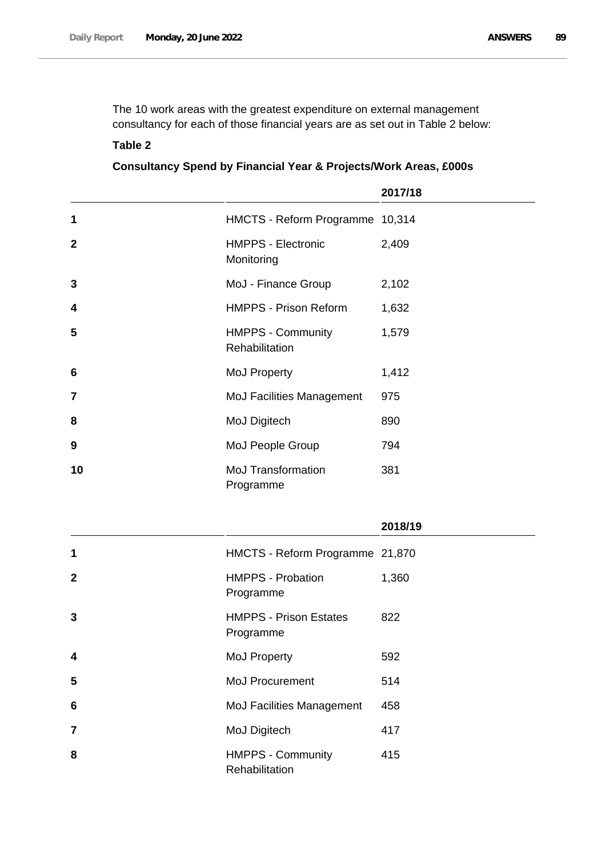The 10 work areas with the greatest expenditure on external management consultancy for each of those financial years are as set out in Table 2 below:

### **Table 2**

# **Consultancy Spend by Financial Year & Projects/Work Areas, £000s**

|                |                                            | 2017/18 |
|----------------|--------------------------------------------|---------|
| 1              | <b>HMCTS - Reform Programme</b>            | 10,314  |
| 2              | <b>HMPPS - Electronic</b><br>Monitoring    | 2,409   |
| 3              | MoJ - Finance Group                        | 2,102   |
| 4              | <b>HMPPS - Prison Reform</b>               | 1,632   |
| 5              | <b>HMPPS - Community</b><br>Rehabilitation | 1,579   |
| 6              | MoJ Property                               | 1,412   |
| 7              | <b>MoJ Facilities Management</b>           | 975     |
| 8              | MoJ Digitech                               | 890     |
| 9              | MoJ People Group                           | 794     |
| 10             | <b>MoJ Transformation</b><br>Programme     | 381     |
|                |                                            | 2018/19 |
| 1              | HMCTS - Reform Programme 21,870            |         |
| 2              | <b>HMPPS - Probation</b><br>Programme      | 1,360   |
| 3              | <b>HMPPS - Prison Estates</b><br>Programme | 822     |
| 4              | MoJ Property                               | 592     |
| 5              | MoJ Procurement                            | 514     |
| 6              | MoJ Facilities Management                  | 458     |
| $\overline{7}$ | MoJ Digitech                               | 417     |
| 8              | <b>HMPPS - Community</b>                   | 415     |

**Rehabilitation**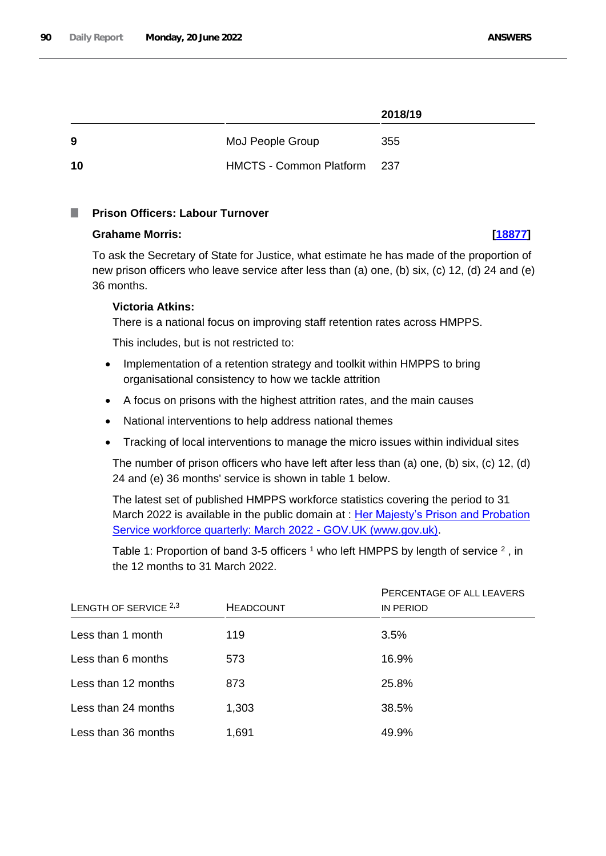### **2018/19**

| -9  | MoJ People Group               | 355   |
|-----|--------------------------------|-------|
| -10 | <b>HMCTS - Common Platform</b> | - 237 |

#### **Prison Officers: Labour Turnover I**

### **Grahame Morris: [\[18877\]](http://www.parliament.uk/business/publications/written-questions-answers-statements/written-question/Commons/2022-06-15/18877)**

To ask the Secretary of State for Justice, what estimate he has made of the proportion of new prison officers who leave service after less than (a) one, (b) six, (c) 12, (d) 24 and (e) 36 months.

# **Victoria Atkins:**

There is a national focus on improving staff retention rates across HMPPS.

This includes, but is not restricted to:

- Implementation of a retention strategy and toolkit within HMPPS to bring organisational consistency to how we tackle attrition
- A focus on prisons with the highest attrition rates, and the main causes
- National interventions to help address national themes
- Tracking of local interventions to manage the micro issues within individual sites

The number of prison officers who have left after less than (a) one, (b) six, (c) 12, (d) 24 and (e) 36 months' service is shown in table 1 below.

The latest set of published HMPPS workforce statistics covering the period to 31 March 2022 is available in the public domain at : Her Majesty's Prison and Probation [Service workforce quarterly: March 2022 -](https://www.gov.uk/government/statistics/her-majestys-prison-and-probation-service-workforce-quarterly-march-2022/her-majestys-prison-and-probation-service-workforce-quarterly-march-2022) GOV.UK (www.gov.uk).

Table 1: Proportion of band 3-5 officers  $1$  who left HMPPS by length of service  $2$ , in the 12 months to 31 March 2022.

|                       |                  | PERCENTAGE OF ALL LEAVERS |  |
|-----------------------|------------------|---------------------------|--|
| LENGTH OF SERVICE 2,3 | <b>HEADCOUNT</b> | <b>IN PERIOD</b>          |  |
| Less than 1 month     | 119              | 3.5%                      |  |
| Less than 6 months    | 573              | 16.9%                     |  |
| Less than 12 months   | 873              | 25.8%                     |  |
| Less than 24 months   | 1,303            | 38.5%                     |  |
| Less than 36 months   | 1,691            | 49.9%                     |  |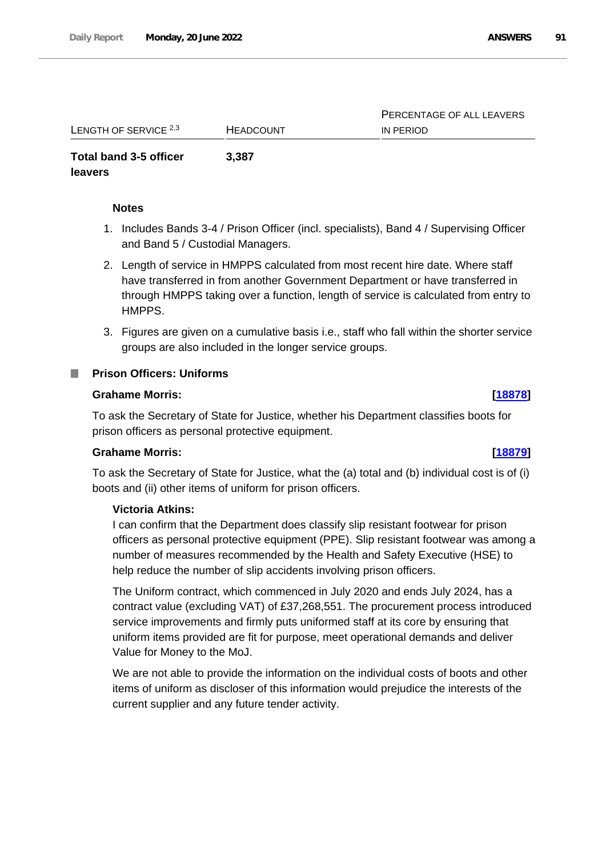PERCENTAGE OF ALL LEAVERS

IN PERIOD

| LENGTH OF SERVICE $2,3$ | <b>HEADCOUNT</b> |  |
|-------------------------|------------------|--|
| Total band 3-5 officer  | 3,387            |  |

# **leavers**

### **Notes**

- 1. Includes Bands 3-4 / Prison Officer (incl. specialists), Band 4 / Supervising Officer and Band 5 / Custodial Managers.
- 2. Length of service in HMPPS calculated from most recent hire date. Where staff have transferred in from another Government Department or have transferred in through HMPPS taking over a function, length of service is calculated from entry to HMPPS.
- 3. Figures are given on a cumulative basis i.e., staff who fall within the shorter service groups are also included in the longer service groups.

## **Prison Officers: Uniforms**

### **Grahame Morris: [\[18878\]](http://www.parliament.uk/business/publications/written-questions-answers-statements/written-question/Commons/2022-06-15/18878)**

To ask the Secretary of State for Justice, whether his Department classifies boots for prison officers as personal protective equipment.

# **Grahame Morris: [\[18879\]](http://www.parliament.uk/business/publications/written-questions-answers-statements/written-question/Commons/2022-06-15/18879)**

To ask the Secretary of State for Justice, what the (a) total and (b) individual cost is of (i) boots and (ii) other items of uniform for prison officers.

# **Victoria Atkins:**

I can confirm that the Department does classify slip resistant footwear for prison officers as personal protective equipment (PPE). Slip resistant footwear was among a number of measures recommended by the Health and Safety Executive (HSE) to help reduce the number of slip accidents involving prison officers.

The Uniform contract, which commenced in July 2020 and ends July 2024, has a contract value (excluding VAT) of £37,268,551. The procurement process introduced service improvements and firmly puts uniformed staff at its core by ensuring that uniform items provided are fit for purpose, meet operational demands and deliver Value for Money to the MoJ.

We are not able to provide the information on the individual costs of boots and other items of uniform as discloser of this information would prejudice the interests of the current supplier and any future tender activity.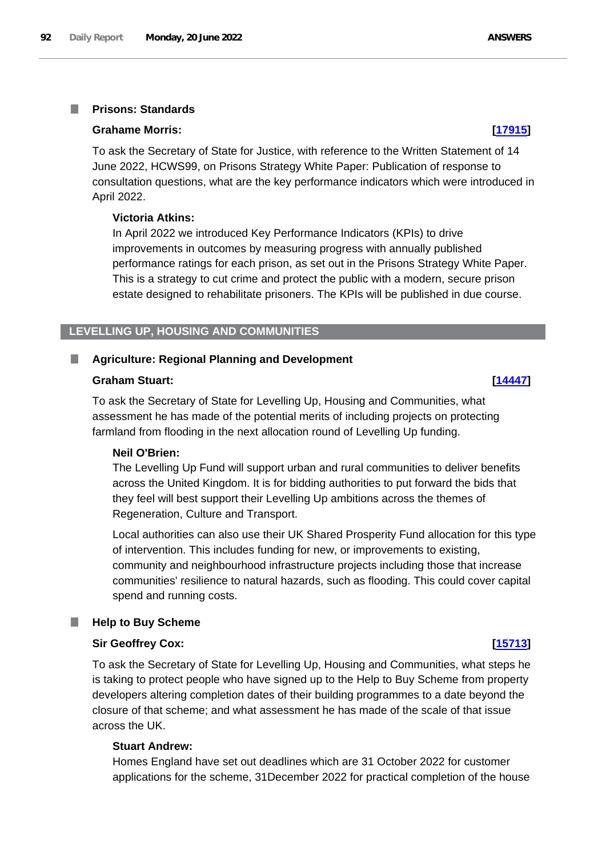#### **Prisons: Standards** T.

#### **Grahame Morris: [\[17915\]](http://www.parliament.uk/business/publications/written-questions-answers-statements/written-question/Commons/2022-06-14/17915)**

To ask the Secretary of State for Justice, with reference to the Written Statement of 14 June 2022, HCWS99, on Prisons Strategy White Paper: Publication of response to consultation questions, what are the key performance indicators which were introduced in April 2022.

### **Victoria Atkins:**

In April 2022 we introduced Key Performance Indicators (KPIs) to drive improvements in outcomes by measuring progress with annually published performance ratings for each prison, as set out in the Prisons Strategy White Paper. This is a strategy to cut crime and protect the public with a modern, secure prison estate designed to rehabilitate prisoners. The KPIs will be published in due course.

### **LEVELLING UP, HOUSING AND COMMUNITIES**

#### **Agriculture: Regional Planning and Development**

#### **Graham Stuart: [\[14447\]](http://www.parliament.uk/business/publications/written-questions-answers-statements/written-question/Commons/2022-06-08/14447)**

To ask the Secretary of State for Levelling Up, Housing and Communities, what assessment he has made of the potential merits of including projects on protecting farmland from flooding in the next allocation round of Levelling Up funding.

#### **Neil O'Brien:**

The Levelling Up Fund will support urban and rural communities to deliver benefits across the United Kingdom. It is for bidding authorities to put forward the bids that they feel will best support their Levelling Up ambitions across the themes of Regeneration, Culture and Transport.

Local authorities can also use their UK Shared Prosperity Fund allocation for this type of intervention. This includes funding for new, or improvements to existing, community and neighbourhood infrastructure projects including those that increase communities' resilience to natural hazards, such as flooding. This could cover capital spend and running costs.

#### **Help to Buy Scheme**

### **Sir Geoffrey Cox: [\[15713\]](http://www.parliament.uk/business/publications/written-questions-answers-statements/written-question/Commons/2022-06-10/15713)**

To ask the Secretary of State for Levelling Up, Housing and Communities, what steps he is taking to protect people who have signed up to the Help to Buy Scheme from property developers altering completion dates of their building programmes to a date beyond the closure of that scheme; and what assessment he has made of the scale of that issue across the UK.

#### **Stuart Andrew:**

Homes England have set out deadlines which are 31 October 2022 for customer applications for the scheme, 31December 2022 for practical completion of the house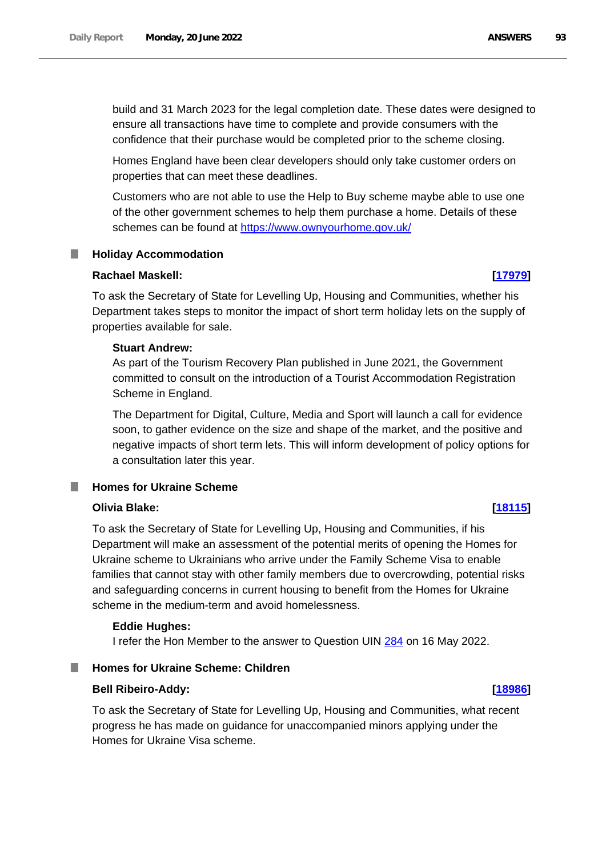build and 31 March 2023 for the legal completion date. These dates were designed to ensure all transactions have time to complete and provide consumers with the confidence that their purchase would be completed prior to the scheme closing.

Homes England have been clear developers should only take customer orders on properties that can meet these deadlines.

Customers who are not able to use the Help to Buy scheme maybe able to use one of the other government schemes to help them purchase a home. Details of these schemes can be found at [https://www.ownyourhome.gov.uk/](https://gbr01.safelinks.protection.outlook.com/?url=https%3A%2F%2Fwww.ownyourhome.gov.uk%2F&data=05%7C01%7CParliamentary%40levellingup.gov.uk%7C74f41ac29cda4123444008da52c31046%7Cbf3468109c7d43dea87224a2ef3995a8%7C0%7C0%7C637913294976661427%7CUnknown%7CTWFpbGZsb3d8eyJWIjoiMC4wLjAwMDAiLCJQIjoiV2luMzIiLCJBTiI6Ik1haWwiLCJXVCI6Mn0%3D%7C3000%7C%7C%7C&sdata=1nV5E6tqnJWZzjvgCiKnORyjkwMc7VhAKm0oHlnvQZQ%3D&reserved=0)

#### **Holiday Accommodation** L.

### **Rachael Maskell: [\[17979\]](http://www.parliament.uk/business/publications/written-questions-answers-statements/written-question/Commons/2022-06-14/17979)**

To ask the Secretary of State for Levelling Up, Housing and Communities, whether his Department takes steps to monitor the impact of short term holiday lets on the supply of properties available for sale.

#### **Stuart Andrew:**

As part of the Tourism Recovery Plan published in June 2021, the Government committed to consult on the introduction of a Tourist Accommodation Registration Scheme in England.

The Department for Digital, Culture, Media and Sport will launch a call for evidence soon, to gather evidence on the size and shape of the market, and the positive and negative impacts of short term lets. This will inform development of policy options for a consultation later this year.

#### **Homes for Ukraine Scheme** m.

### **Olivia Blake: [\[18115\]](http://www.parliament.uk/business/publications/written-questions-answers-statements/written-question/Commons/2022-06-14/18115)**

To ask the Secretary of State for Levelling Up, Housing and Communities, if his Department will make an assessment of the potential merits of opening the Homes for Ukraine scheme to Ukrainians who arrive under the Family Scheme Visa to enable families that cannot stay with other family members due to overcrowding, potential risks and safeguarding concerns in current housing to benefit from the Homes for Ukraine scheme in the medium-term and avoid homelessness.

### **Eddie Hughes:**

I refer the Hon Member to the answer to Question UIN 284 on 16 May 2022.

# **Homes for Ukraine Scheme: Children**

### **Bell Ribeiro-Addy: [\[18986\]](http://www.parliament.uk/business/publications/written-questions-answers-statements/written-question/Commons/2022-06-15/18986)**

To ask the Secretary of State for Levelling Up, Housing and Communities, what recent progress he has made on guidance for unaccompanied minors applying under the Homes for Ukraine Visa scheme.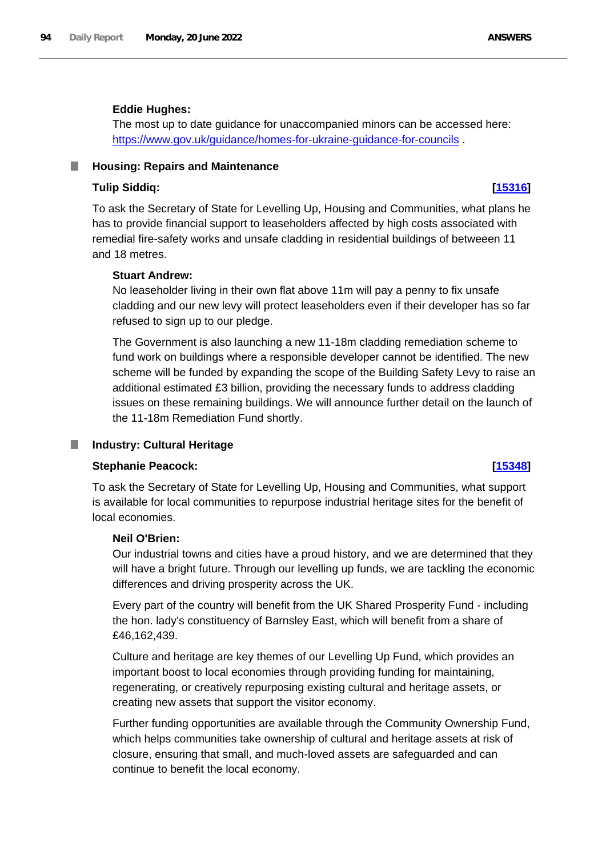#### **Eddie Hughes:**

The most up to date guidance for unaccompanied minors can be accessed here: https://www.gov.uk/guidance/homes-for-ukraine-guidance-for-councils

#### **Housing: Repairs and Maintenance** ш

#### **Tulip Siddiq: [\[15316\]](http://www.parliament.uk/business/publications/written-questions-answers-statements/written-question/Commons/2022-06-09/15316)**

To ask the Secretary of State for Levelling Up, Housing and Communities, what plans he has to provide financial support to leaseholders affected by high costs associated with remedial fire-safety works and unsafe cladding in residential buildings of betweeen 11 and 18 metres.

### **Stuart Andrew:**

No leaseholder living in their own flat above 11m will pay a penny to fix unsafe cladding and our new levy will protect leaseholders even if their developer has so far refused to sign up to our pledge.

The Government is also launching a new 11-18m cladding remediation scheme to fund work on buildings where a responsible developer cannot be identified. The new scheme will be funded by expanding the scope of the Building Safety Levy to raise an additional estimated £3 billion, providing the necessary funds to address cladding issues on these remaining buildings. We will announce further detail on the launch of the 11-18m Remediation Fund shortly.

### **Industry: Cultural Heritage**

#### **Stephanie Peacock: [\[15348\]](http://www.parliament.uk/business/publications/written-questions-answers-statements/written-question/Commons/2022-06-09/15348)**

To ask the Secretary of State for Levelling Up, Housing and Communities, what support is available for local communities to repurpose industrial heritage sites for the benefit of local economies.

### **Neil O'Brien:**

Our industrial towns and cities have a proud history, and we are determined that they will have a bright future. Through our levelling up funds, we are tackling the economic differences and driving prosperity across the UK.

Every part of the country will benefit from the UK Shared Prosperity Fund - including the hon. lady's constituency of Barnsley East, which will benefit from a share of £46,162,439.

Culture and heritage are key themes of our Levelling Up Fund, which provides an important boost to local economies through providing funding for maintaining, regenerating, or creatively repurposing existing cultural and heritage assets, or creating new assets that support the visitor economy.

Further funding opportunities are available through the Community Ownership Fund, which helps communities take ownership of cultural and heritage assets at risk of closure, ensuring that small, and much-loved assets are safeguarded and can continue to benefit the local economy.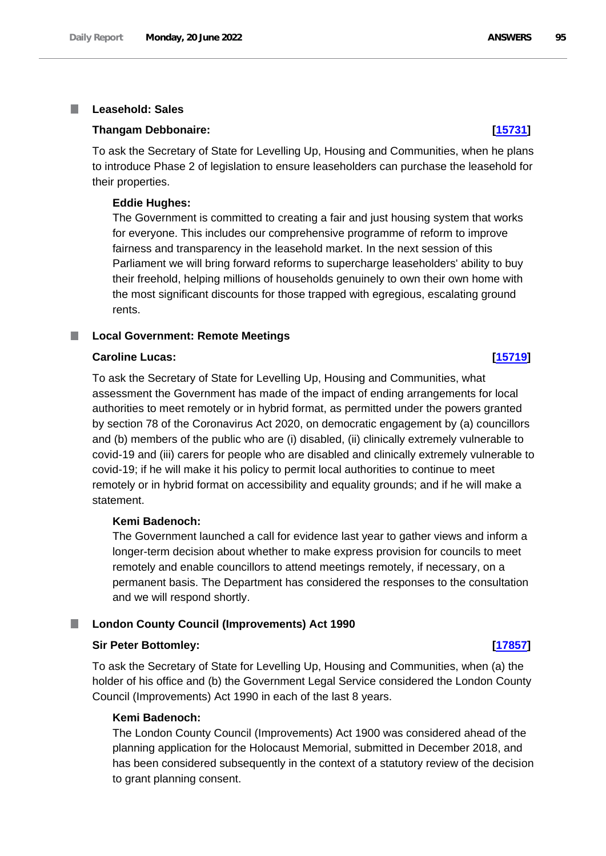#### **Leasehold: Sales** T.

#### **Thangam Debbonaire: [\[15731\]](http://www.parliament.uk/business/publications/written-questions-answers-statements/written-question/Commons/2022-06-10/15731)**

To ask the Secretary of State for Levelling Up, Housing and Communities, when he plans to introduce Phase 2 of legislation to ensure leaseholders can purchase the leasehold for their properties.

#### **Eddie Hughes:**

The Government is committed to creating a fair and just housing system that works for everyone. This includes our comprehensive programme of reform to improve fairness and transparency in the leasehold market. In the next session of this Parliament we will bring forward reforms to supercharge leaseholders' ability to buy their freehold, helping millions of households genuinely to own their own home with the most significant discounts for those trapped with egregious, escalating ground rents.

#### **Local Government: Remote Meetings**

#### **Caroline Lucas: [\[15719\]](http://www.parliament.uk/business/publications/written-questions-answers-statements/written-question/Commons/2022-06-10/15719)**

To ask the Secretary of State for Levelling Up, Housing and Communities, what assessment the Government has made of the impact of ending arrangements for local authorities to meet remotely or in hybrid format, as permitted under the powers granted by section 78 of the Coronavirus Act 2020, on democratic engagement by (a) councillors and (b) members of the public who are (i) disabled, (ii) clinically extremely vulnerable to covid-19 and (iii) carers for people who are disabled and clinically extremely vulnerable to covid-19; if he will make it his policy to permit local authorities to continue to meet remotely or in hybrid format on accessibility and equality grounds; and if he will make a statement.

### **Kemi Badenoch:**

The Government launched a call for evidence last year to gather views and inform a longer-term decision about whether to make express provision for councils to meet remotely and enable councillors to attend meetings remotely, if necessary, on a permanent basis. The Department has considered the responses to the consultation and we will respond shortly.

#### **London County Council (Improvements) Act 1990**

#### **Sir Peter Bottomley: [\[17857\]](http://www.parliament.uk/business/publications/written-questions-answers-statements/written-question/Commons/2022-06-14/17857)**

To ask the Secretary of State for Levelling Up, Housing and Communities, when (a) the holder of his office and (b) the Government Legal Service considered the London County Council (Improvements) Act 1990 in each of the last 8 years.

#### **Kemi Badenoch:**

The London County Council (Improvements) Act 1900 was considered ahead of the planning application for the Holocaust Memorial, submitted in December 2018, and has been considered subsequently in the context of a statutory review of the decision to grant planning consent.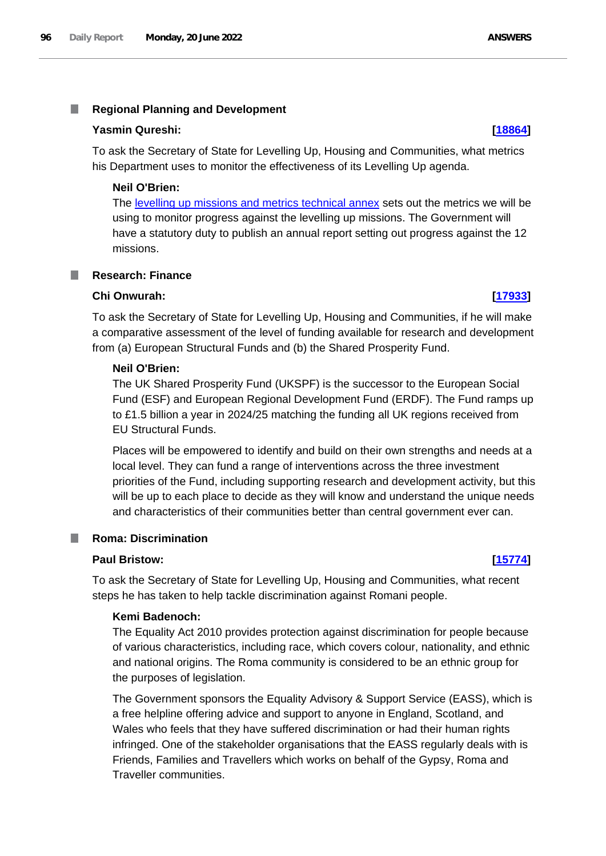#### T. **Regional Planning and Development**

### **Yasmin Qureshi: [\[18864\]](http://www.parliament.uk/business/publications/written-questions-answers-statements/written-question/Commons/2022-06-15/18864)**

To ask the Secretary of State for Levelling Up, Housing and Communities, what metrics his Department uses to monitor the effectiveness of its Levelling Up agenda.

## **Neil O'Brien:**

The levelling up missions and metrics technical annex sets out the metrics we will be using to monitor progress against the levelling up missions. The Government will have a statutory duty to publish an annual report setting out progress against the 12 missions.

#### **Research: Finance** I.

### **Chi Onwurah: [\[17933\]](http://www.parliament.uk/business/publications/written-questions-answers-statements/written-question/Commons/2022-06-14/17933)**

To ask the Secretary of State for Levelling Up, Housing and Communities, if he will make a comparative assessment of the level of funding available for research and development from (a) European Structural Funds and (b) the Shared Prosperity Fund.

# **Neil O'Brien:**

The UK Shared Prosperity Fund (UKSPF) is the successor to the European Social Fund (ESF) and European Regional Development Fund (ERDF). The Fund ramps up to £1.5 billion a year in 2024/25 matching the funding all UK regions received from EU Structural Funds.

Places will be empowered to identify and build on their own strengths and needs at a local level. They can fund a range of interventions across the three investment priorities of the Fund, including supporting research and development activity, but this will be up to each place to decide as they will know and understand the unique needs and characteristics of their communities better than central government ever can.

### **Roma: Discrimination**

### **Paul Bristow: [\[15774\]](http://www.parliament.uk/business/publications/written-questions-answers-statements/written-question/Commons/2022-06-10/15774)**

To ask the Secretary of State for Levelling Up, Housing and Communities, what recent steps he has taken to help tackle discrimination against Romani people.

# **Kemi Badenoch:**

The Equality Act 2010 provides protection against discrimination for people because of various characteristics, including race, which covers colour, nationality, and ethnic and national origins. The Roma community is considered to be an ethnic group for the purposes of legislation.

The Government sponsors the Equality Advisory & Support Service (EASS), which is a free helpline offering advice and support to anyone in England, Scotland, and Wales who feels that they have suffered discrimination or had their human rights infringed. One of the stakeholder organisations that the EASS regularly deals with is Friends, Families and Travellers which works on behalf of the Gypsy, Roma and Traveller communities.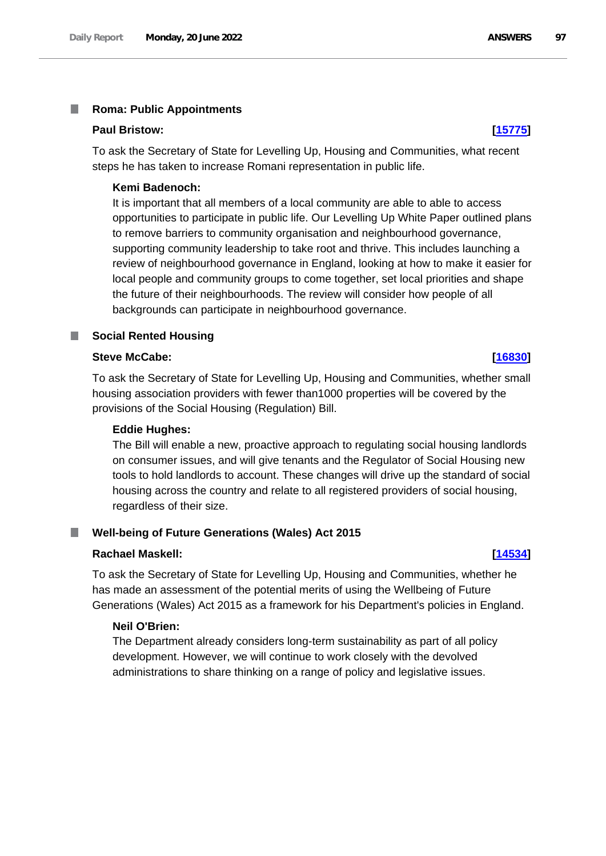#### T. **Roma: Public Appointments**

#### **Paul Bristow: [\[15775\]](http://www.parliament.uk/business/publications/written-questions-answers-statements/written-question/Commons/2022-06-09/15775)**

To ask the Secretary of State for Levelling Up, Housing and Communities, what recent steps he has taken to increase Romani representation in public life.

#### **Kemi Badenoch:**

It is important that all members of a local community are able to able to access opportunities to participate in public life. Our Levelling Up White Paper outlined plans to remove barriers to community organisation and neighbourhood governance, supporting community leadership to take root and thrive. This includes launching a review of neighbourhood governance in England, looking at how to make it easier for local people and community groups to come together, set local priorities and shape the future of their neighbourhoods. The review will consider how people of all backgrounds can participate in neighbourhood governance.

#### **Social Rented Housing**

#### **Steve McCabe: [\[16830\]](http://www.parliament.uk/business/publications/written-questions-answers-statements/written-question/Commons/2022-06-13/16830)**

To ask the Secretary of State for Levelling Up, Housing and Communities, whether small housing association providers with fewer than1000 properties will be covered by the provisions of the Social Housing (Regulation) Bill.

### **Eddie Hughes:**

The Bill will enable a new, proactive approach to regulating social housing landlords on consumer issues, and will give tenants and the Regulator of Social Housing new tools to hold landlords to account. These changes will drive up the standard of social housing across the country and relate to all registered providers of social housing, regardless of their size.

#### **Well-being of Future Generations (Wales) Act 2015**

#### **Rachael Maskell: [\[14534\]](http://www.parliament.uk/business/publications/written-questions-answers-statements/written-question/Commons/2022-06-08/14534)**

To ask the Secretary of State for Levelling Up, Housing and Communities, whether he has made an assessment of the potential merits of using the Wellbeing of Future Generations (Wales) Act 2015 as a framework for his Department's policies in England.

#### **Neil O'Brien:**

The Department already considers long-term sustainability as part of all policy development. However, we will continue to work closely with the devolved administrations to share thinking on a range of policy and legislative issues.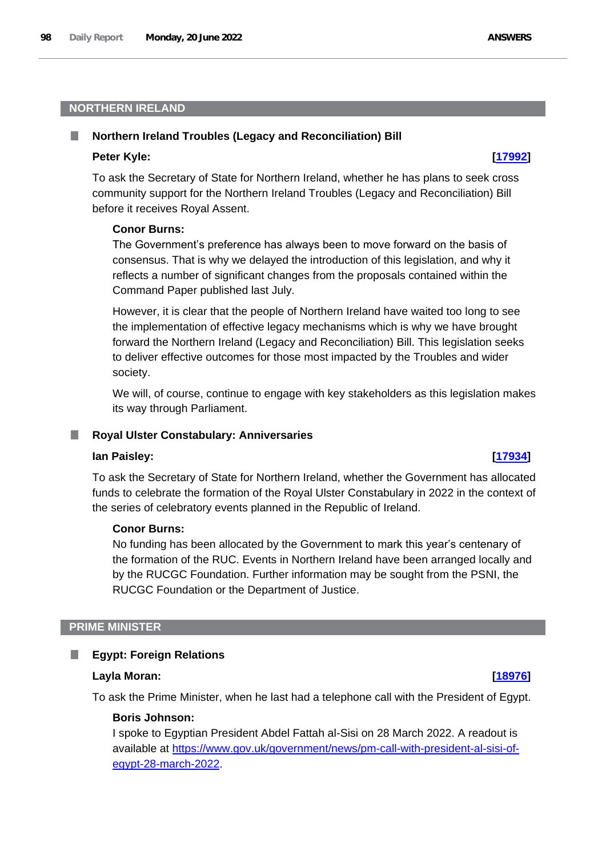# **NORTHERN IRELAND**

#### **Northern Ireland Troubles (Legacy and Reconciliation) Bill**

#### **Peter Kyle: [\[17992\]](http://www.parliament.uk/business/publications/written-questions-answers-statements/written-question/Commons/2022-06-14/17992)**

To ask the Secretary of State for Northern Ireland, whether he has plans to seek cross community support for the Northern Ireland Troubles (Legacy and Reconciliation) Bill before it receives Royal Assent.

#### **Conor Burns:**

The Government's preference has always been to move forward on the basis of consensus. That is why we delayed the introduction of this legislation, and why it reflects a number of significant changes from the proposals contained within the Command Paper published last July.

However, it is clear that the people of Northern Ireland have waited too long to see the implementation of effective legacy mechanisms which is why we have brought forward the Northern Ireland (Legacy and Reconciliation) Bill. This legislation seeks to deliver effective outcomes for those most impacted by the Troubles and wider society.

We will, of course, continue to engage with key stakeholders as this legislation makes its way through Parliament.

#### ш **Royal Ulster Constabulary: Anniversaries**

#### **Ian Paisley: [\[17934\]](http://www.parliament.uk/business/publications/written-questions-answers-statements/written-question/Commons/2022-06-14/17934)**

To ask the Secretary of State for Northern Ireland, whether the Government has allocated funds to celebrate the formation of the Royal Ulster Constabulary in 2022 in the context of the series of celebratory events planned in the Republic of Ireland.

### **Conor Burns:**

No funding has been allocated by the Government to mark this year's centenary of the formation of the RUC. Events in Northern Ireland have been arranged locally and by the RUCGC Foundation. Further information may be sought from the PSNI, the RUCGC Foundation or the Department of Justice.

## **PRIME MINISTER**

#### **Egypt: Foreign Relations** ш

#### **Layla Moran: [\[18976\]](http://www.parliament.uk/business/publications/written-questions-answers-statements/written-question/Commons/2022-06-15/18976)**

To ask the Prime Minister, when he last had a telephone call with the President of Egypt.

#### **Boris Johnson:**

I spoke to Egyptian President Abdel Fattah al-Sisi on 28 March 2022. A readout is available at https://www.gov.uk/government/news/pm-call-with-president-al-sisi-ofegypt-28-march-2022.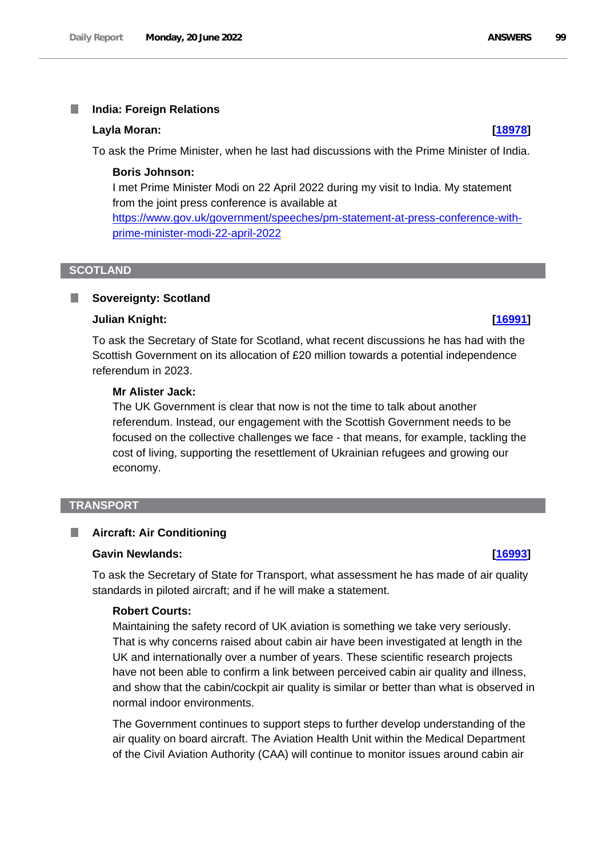#### П **India: Foreign Relations**

#### **Layla Moran: [\[18978\]](http://www.parliament.uk/business/publications/written-questions-answers-statements/written-question/Commons/2022-06-15/18978)**

To ask the Prime Minister, when he last had discussions with the Prime Minister of India.

# **Boris Johnson:**

I met Prime Minister Modi on 22 April 2022 during my visit to India. My statement from the joint press conference is available at https://www.gov.uk/government/speeches/pm-statement-at-press-conference-with-

prime-minister-modi-22-april-2022

#### **SCOTLAND**

ш

# **Sovereignty: Scotland**

### **Julian Knight: [\[16991\]](http://www.parliament.uk/business/publications/written-questions-answers-statements/written-question/Commons/2022-06-13/16991)**

To ask the Secretary of State for Scotland, what recent discussions he has had with the Scottish Government on its allocation of £20 million towards a potential independence referendum in 2023.

### **Mr Alister Jack:**

The UK Government is clear that now is not the time to talk about another referendum. Instead, our engagement with the Scottish Government needs to be focused on the collective challenges we face - that means, for example, tackling the cost of living, supporting the resettlement of Ukrainian refugees and growing our economy.

### **TRANSPORT**

#### **Aircraft: Air Conditioning** П

## **Gavin Newlands: [\[16993\]](http://www.parliament.uk/business/publications/written-questions-answers-statements/written-question/Commons/2022-06-13/16993)**

To ask the Secretary of State for Transport, what assessment he has made of air quality standards in piloted aircraft; and if he will make a statement.

### **Robert Courts:**

Maintaining the safety record of UK aviation is something we take very seriously. That is why concerns raised about cabin air have been investigated at length in the UK and internationally over a number of years. These scientific research projects have not been able to confirm a link between perceived cabin air quality and illness, and show that the cabin/cockpit air quality is similar or better than what is observed in normal indoor environments.

The Government continues to support steps to further develop understanding of the air quality on board aircraft. The Aviation Health Unit within the Medical Department of the Civil Aviation Authority (CAA) will continue to monitor issues around cabin air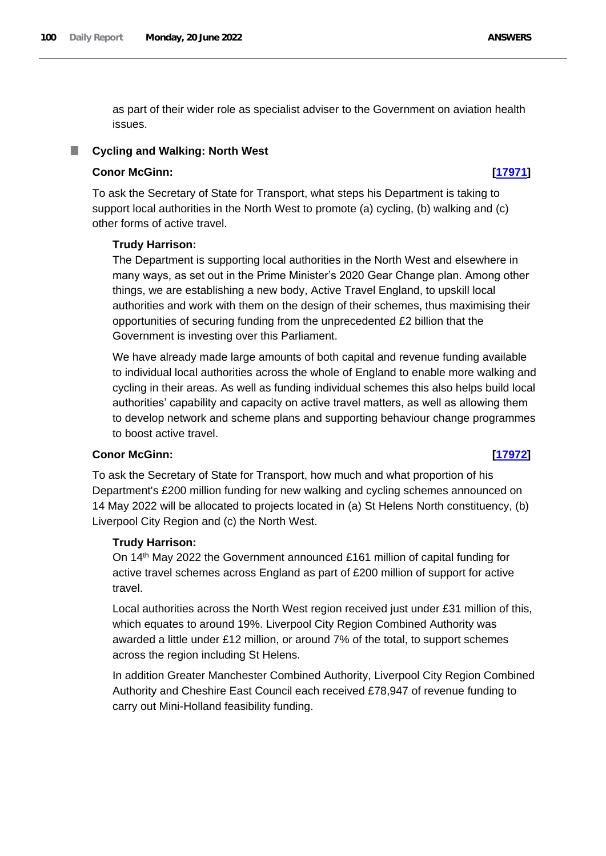as part of their wider role as specialist adviser to the Government on aviation health issues.

#### **Cycling and Walking: North West**

### **Conor McGinn: [\[17971\]](http://www.parliament.uk/business/publications/written-questions-answers-statements/written-question/Commons/2022-06-14/17971)**

To ask the Secretary of State for Transport, what steps his Department is taking to support local authorities in the North West to promote (a) cycling, (b) walking and (c) other forms of active travel.

#### **Trudy Harrison:**

The Department is supporting local authorities in the North West and elsewhere in many ways, as set out in the Prime Minister's 2020 Gear Change plan. Among other things, we are establishing a new body, Active Travel England, to upskill local authorities and work with them on the design of their schemes, thus maximising their opportunities of securing funding from the unprecedented £2 billion that the Government is investing over this Parliament.

We have already made large amounts of both capital and revenue funding available to individual local authorities across the whole of England to enable more walking and cycling in their areas. As well as funding individual schemes this also helps build local authorities' capability and capacity on active travel matters, as well as allowing them to develop network and scheme plans and supporting behaviour change programmes to boost active travel.

## **Conor McGinn: [\[17972\]](http://www.parliament.uk/business/publications/written-questions-answers-statements/written-question/Commons/2022-06-14/17972)**

To ask the Secretary of State for Transport, how much and what proportion of his Department's £200 million funding for new walking and cycling schemes announced on 14 May 2022 will be allocated to projects located in (a) St Helens North constituency, (b) Liverpool City Region and (c) the North West.

### **Trudy Harrison:**

On 14th May 2022 the Government announced £161 million of capital funding for active travel schemes across England as part of £200 million of support for active travel.

Local authorities across the North West region received just under £31 million of this, which equates to around 19%. Liverpool City Region Combined Authority was awarded a little under £12 million, or around 7% of the total, to support schemes across the region including St Helens.

In addition Greater Manchester Combined Authority, Liverpool City Region Combined Authority and Cheshire East Council each received £78,947 of revenue funding to carry out Mini-Holland feasibility funding.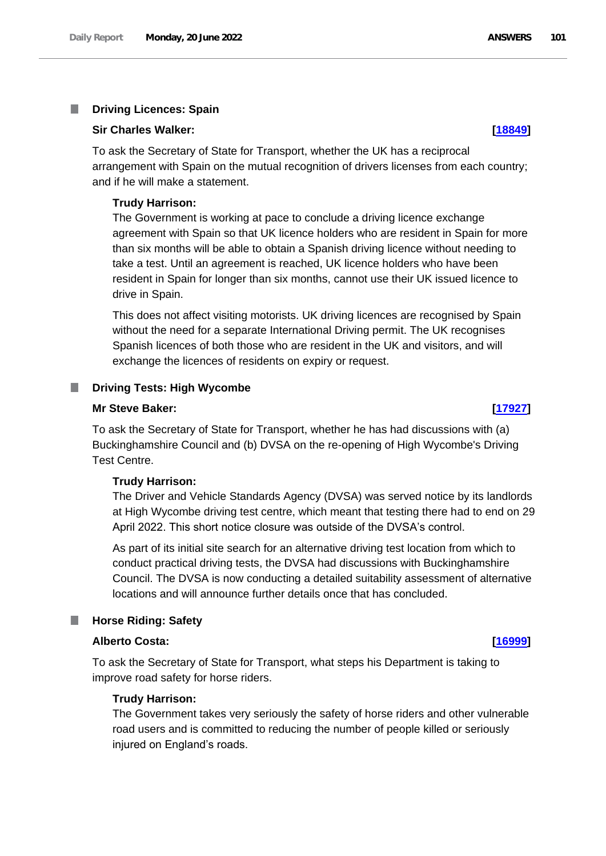#### T. **Driving Licences: Spain**

#### **Sir Charles Walker: [\[18849\]](http://www.parliament.uk/business/publications/written-questions-answers-statements/written-question/Commons/2022-06-15/18849)**

To ask the Secretary of State for Transport, whether the UK has a reciprocal arrangement with Spain on the mutual recognition of drivers licenses from each country; and if he will make a statement.

### **Trudy Harrison:**

The Government is working at pace to conclude a driving licence exchange agreement with Spain so that UK licence holders who are resident in Spain for more than six months will be able to obtain a Spanish driving licence without needing to take a test. Until an agreement is reached, UK licence holders who have been resident in Spain for longer than six months, cannot use their UK issued licence to drive in Spain.

This does not affect visiting motorists. UK driving licences are recognised by Spain without the need for a separate International Driving permit. The UK recognises Spanish licences of both those who are resident in the UK and visitors, and will exchange the licences of residents on expiry or request.

#### **Driving Tests: High Wycombe**

#### **Mr Steve Baker: [\[17927\]](http://www.parliament.uk/business/publications/written-questions-answers-statements/written-question/Commons/2022-06-14/17927)**

To ask the Secretary of State for Transport, whether he has had discussions with (a) Buckinghamshire Council and (b) DVSA on the re-opening of High Wycombe's Driving Test Centre.

#### **Trudy Harrison:**

The Driver and Vehicle Standards Agency (DVSA) was served notice by its landlords at High Wycombe driving test centre, which meant that testing there had to end on 29 April 2022. This short notice closure was outside of the DVSA's control.

As part of its initial site search for an alternative driving test location from which to conduct practical driving tests, the DVSA had discussions with Buckinghamshire Council. The DVSA is now conducting a detailed suitability assessment of alternative locations and will announce further details once that has concluded.

#### **Horse Riding: Safety** a an

#### **Alberto Costa: [\[16999\]](http://www.parliament.uk/business/publications/written-questions-answers-statements/written-question/Commons/2022-06-13/16999)**

To ask the Secretary of State for Transport, what steps his Department is taking to improve road safety for horse riders.

## **Trudy Harrison:**

The Government takes very seriously the safety of horse riders and other vulnerable road users and is committed to reducing the number of people killed or seriously injured on England's roads.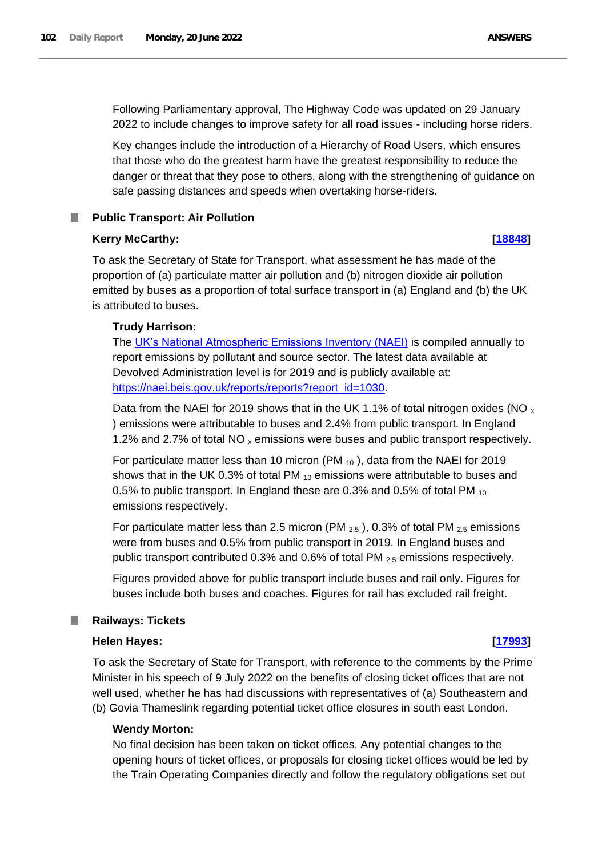Following Parliamentary approval, The Highway Code was updated on 29 January 2022 to include changes to improve safety for all road issues - including horse riders.

Key changes include the introduction of a Hierarchy of Road Users, which ensures that those who do the greatest harm have the greatest responsibility to reduce the danger or threat that they pose to others, along with the strengthening of guidance on safe passing distances and speeds when overtaking horse-riders.

## **Public Transport: Air Pollution**

#### **Kerry McCarthy: [\[18848\]](http://www.parliament.uk/business/publications/written-questions-answers-statements/written-question/Commons/2022-06-15/18848)**

To ask the Secretary of State for Transport, what assessment he has made of the proportion of (a) particulate matter air pollution and (b) nitrogen dioxide air pollution emitted by buses as a proportion of total surface transport in (a) England and (b) the UK is attributed to buses.

### **Trudy Harrison:**

The UK's National Atmospheric Emissions Inventory (NAEI) is compiled annually to report emissions by pollutant and source sector. The latest data available at Devolved Administration level is for 2019 and is publicly available at: https://naei.beis.gov.uk/reports/reports?report\_id=1030.

Data from the NAEI for 2019 shows that in the UK 1.1% of total nitrogen oxides (NO  $_{x}$ ) emissions were attributable to buses and 2.4% from public transport. In England 1.2% and 2.7% of total NO  $_{x}$  emissions were buses and public transport respectively.

For particulate matter less than 10 micron (PM  $_{10}$ ), data from the NAEI for 2019 shows that in the UK 0.3% of total PM  $_{10}$  emissions were attributable to buses and 0.5% to public transport. In England these are 0.3% and 0.5% of total PM <sup>10</sup> emissions respectively.

For particulate matter less than 2.5 micron (PM  $_{2.5}$ ), 0.3% of total PM  $_{2.5}$  emissions were from buses and 0.5% from public transport in 2019. In England buses and public transport contributed 0.3% and 0.6% of total PM 2.5 emissions respectively.

Figures provided above for public transport include buses and rail only. Figures for buses include both buses and coaches. Figures for rail has excluded rail freight.

### **Railways: Tickets**

### **Helen Hayes: [\[17993\]](http://www.parliament.uk/business/publications/written-questions-answers-statements/written-question/Commons/2022-06-14/17993)**

To ask the Secretary of State for Transport, with reference to the comments by the Prime Minister in his speech of 9 July 2022 on the benefits of closing ticket offices that are not well used, whether he has had discussions with representatives of (a) Southeastern and (b) Govia Thameslink regarding potential ticket office closures in south east London.

### **Wendy Morton:**

No final decision has been taken on ticket offices. Any potential changes to the opening hours of ticket offices, or proposals for closing ticket offices would be led by the Train Operating Companies directly and follow the regulatory obligations set out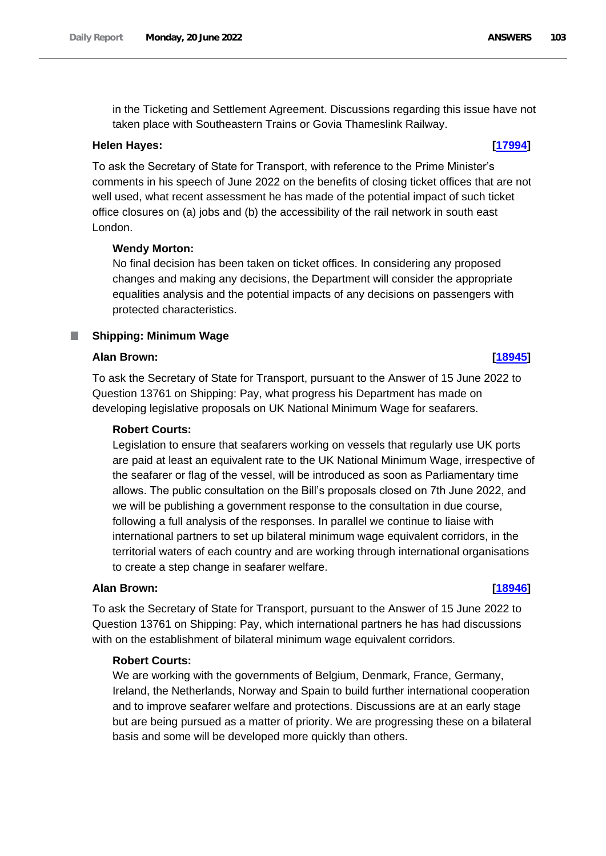### **Helen Hayes: [\[17994\]](http://www.parliament.uk/business/publications/written-questions-answers-statements/written-question/Commons/2022-06-14/17994)**

To ask the Secretary of State for Transport, with reference to the Prime Minister's comments in his speech of June 2022 on the benefits of closing ticket offices that are not well used, what recent assessment he has made of the potential impact of such ticket office closures on (a) jobs and (b) the accessibility of the rail network in south east London.

# **Wendy Morton:**

No final decision has been taken on ticket offices. In considering any proposed changes and making any decisions, the Department will consider the appropriate equalities analysis and the potential impacts of any decisions on passengers with protected characteristics.

## **Shipping: Minimum Wage**

### **Alan Brown: [\[18945\]](http://www.parliament.uk/business/publications/written-questions-answers-statements/written-question/Commons/2022-06-15/18945)**

To ask the Secretary of State for Transport, pursuant to the Answer of 15 June 2022 to Question 13761 on Shipping: Pay, what progress his Department has made on developing legislative proposals on UK National Minimum Wage for seafarers.

#### **Robert Courts:**

Legislation to ensure that seafarers working on vessels that regularly use UK ports are paid at least an equivalent rate to the UK National Minimum Wage, irrespective of the seafarer or flag of the vessel, will be introduced as soon as Parliamentary time allows. The public consultation on the Bill's proposals closed on 7th June 2022, and we will be publishing a government response to the consultation in due course, following a full analysis of the responses. In parallel we continue to liaise with international partners to set up bilateral minimum wage equivalent corridors, in the territorial waters of each country and are working through international organisations to create a step change in seafarer welfare.

#### **Alan Brown: [\[18946\]](http://www.parliament.uk/business/publications/written-questions-answers-statements/written-question/Commons/2022-06-15/18946)**

To ask the Secretary of State for Transport, pursuant to the Answer of 15 June 2022 to Question 13761 on Shipping: Pay, which international partners he has had discussions with on the establishment of bilateral minimum wage equivalent corridors.

### **Robert Courts:**

We are working with the governments of Belgium, Denmark, France, Germany, Ireland, the Netherlands, Norway and Spain to build further international cooperation and to improve seafarer welfare and protections. Discussions are at an early stage but are being pursued as a matter of priority. We are progressing these on a bilateral basis and some will be developed more quickly than others.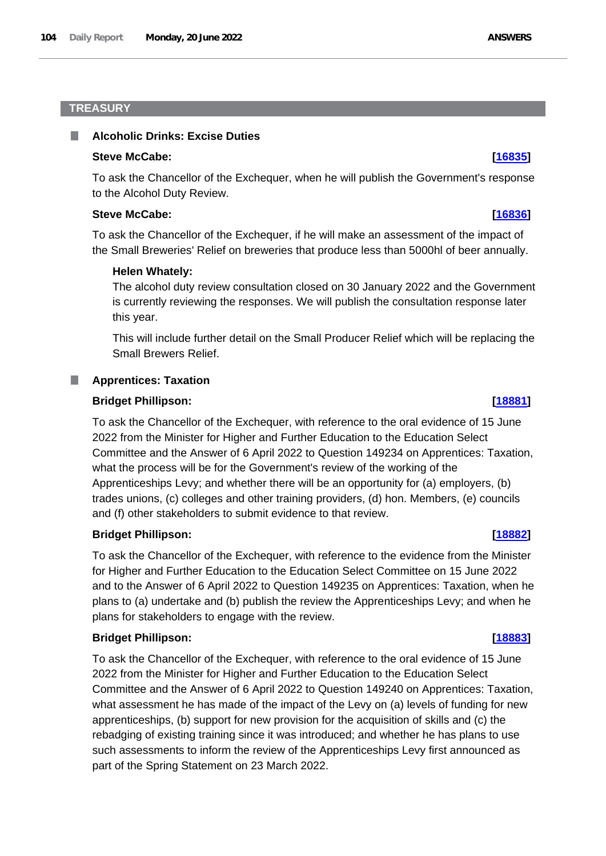## **TREASURY**

#### **Alcoholic Drinks: Excise Duties**

#### **Steve McCabe: [\[16835\]](http://www.parliament.uk/business/publications/written-questions-answers-statements/written-question/Commons/2022-06-13/16835)**

To ask the Chancellor of the Exchequer, when he will publish the Government's response to the Alcohol Duty Review.

#### **Steve McCabe: [\[16836\]](http://www.parliament.uk/business/publications/written-questions-answers-statements/written-question/Commons/2022-06-13/16836)**

To ask the Chancellor of the Exchequer, if he will make an assessment of the impact of the Small Breweries' Relief on breweries that produce less than 5000hl of beer annually.

#### **Helen Whately:**

The alcohol duty review consultation closed on 30 January 2022 and the Government is currently reviewing the responses. We will publish the consultation response later this year.

This will include further detail on the Small Producer Relief which will be replacing the Small Brewers Relief.

#### **Apprentices: Taxation**

#### **Bridget Phillipson: [\[18881\]](http://www.parliament.uk/business/publications/written-questions-answers-statements/written-question/Commons/2022-06-15/18881)**

To ask the Chancellor of the Exchequer, with reference to the oral evidence of 15 June 2022 from the Minister for Higher and Further Education to the Education Select Committee and the Answer of 6 April 2022 to Question 149234 on Apprentices: Taxation, what the process will be for the Government's review of the working of the Apprenticeships Levy; and whether there will be an opportunity for (a) employers, (b) trades unions, (c) colleges and other training providers, (d) hon. Members, (e) councils and (f) other stakeholders to submit evidence to that review.

#### **Bridget Phillipson: [\[18882\]](http://www.parliament.uk/business/publications/written-questions-answers-statements/written-question/Commons/2022-06-15/18882)**

To ask the Chancellor of the Exchequer, with reference to the evidence from the Minister for Higher and Further Education to the Education Select Committee on 15 June 2022 and to the Answer of 6 April 2022 to Question 149235 on Apprentices: Taxation, when he plans to (a) undertake and (b) publish the review the Apprenticeships Levy; and when he plans for stakeholders to engage with the review.

#### **Bridget Phillipson: [\[18883\]](http://www.parliament.uk/business/publications/written-questions-answers-statements/written-question/Commons/2022-06-15/18883)**

To ask the Chancellor of the Exchequer, with reference to the oral evidence of 15 June 2022 from the Minister for Higher and Further Education to the Education Select Committee and the Answer of 6 April 2022 to Question 149240 on Apprentices: Taxation, what assessment he has made of the impact of the Levy on (a) levels of funding for new apprenticeships, (b) support for new provision for the acquisition of skills and (c) the rebadging of existing training since it was introduced; and whether he has plans to use such assessments to inform the review of the Apprenticeships Levy first announced as part of the Spring Statement on 23 March 2022.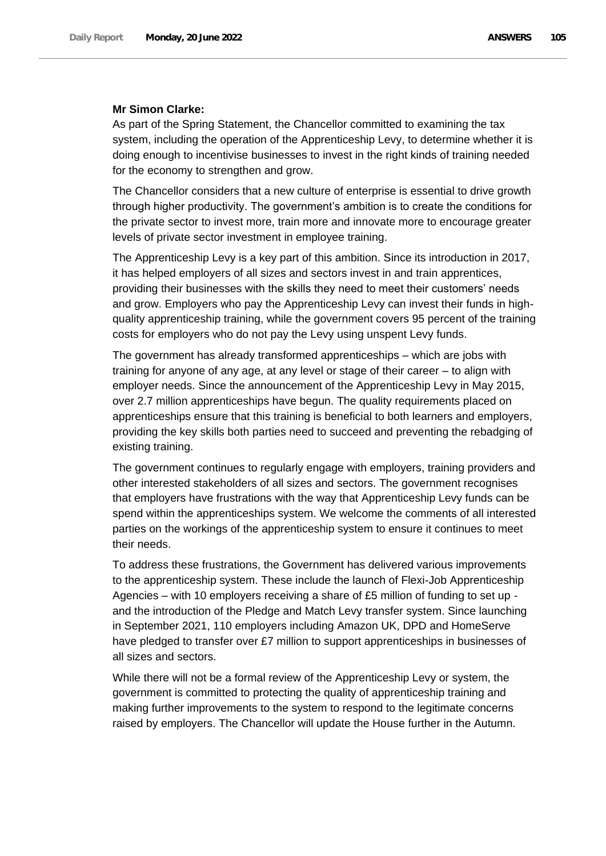### **Mr Simon Clarke:**

As part of the Spring Statement, the Chancellor committed to examining the tax system, including the operation of the Apprenticeship Levy, to determine whether it is doing enough to incentivise businesses to invest in the right kinds of training needed for the economy to strengthen and grow.

The Chancellor considers that a new culture of enterprise is essential to drive growth through higher productivity. The government's ambition is to create the conditions for the private sector to invest more, train more and innovate more to encourage greater levels of private sector investment in employee training.

The Apprenticeship Levy is a key part of this ambition. Since its introduction in 2017, it has helped employers of all sizes and sectors invest in and train apprentices, providing their businesses with the skills they need to meet their customers' needs and grow. Employers who pay the Apprenticeship Levy can invest their funds in highquality apprenticeship training, while the government covers 95 percent of the training costs for employers who do not pay the Levy using unspent Levy funds.

The government has already transformed apprenticeships – which are jobs with training for anyone of any age, at any level or stage of their career – to align with employer needs. Since the announcement of the Apprenticeship Levy in May 2015, over 2.7 million apprenticeships have begun. The quality requirements placed on apprenticeships ensure that this training is beneficial to both learners and employers, providing the key skills both parties need to succeed and preventing the rebadging of existing training.

The government continues to regularly engage with employers, training providers and other interested stakeholders of all sizes and sectors. The government recognises that employers have frustrations with the way that Apprenticeship Levy funds can be spend within the apprenticeships system. We welcome the comments of all interested parties on the workings of the apprenticeship system to ensure it continues to meet their needs.

To address these frustrations, the Government has delivered various improvements to the apprenticeship system. These include the launch of Flexi-Job Apprenticeship Agencies – with 10 employers receiving a share of £5 million of funding to set up and the introduction of the Pledge and Match Levy transfer system. Since launching in September 2021, 110 employers including Amazon UK, DPD and HomeServe have pledged to transfer over £7 million to support apprenticeships in businesses of all sizes and sectors.

While there will not be a formal review of the Apprenticeship Levy or system, the government is committed to protecting the quality of apprenticeship training and making further improvements to the system to respond to the legitimate concerns raised by employers. The Chancellor will update the House further in the Autumn.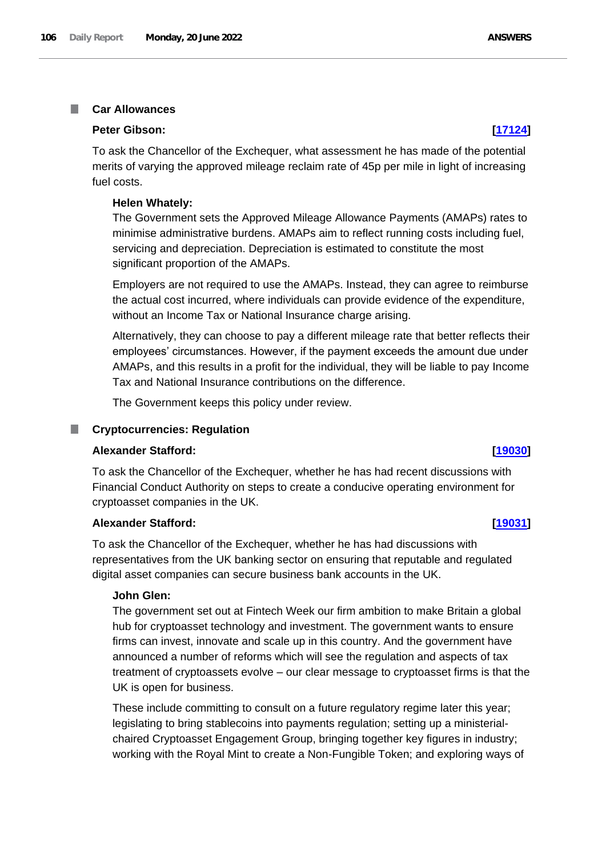#### **Car Allowances In**

## **Peter Gibson: [\[17124\]](http://www.parliament.uk/business/publications/written-questions-answers-statements/written-question/Commons/2022-06-13/17124)**

To ask the Chancellor of the Exchequer, what assessment he has made of the potential merits of varying the approved mileage reclaim rate of 45p per mile in light of increasing fuel costs.

#### **Helen Whately:**

The Government sets the Approved Mileage Allowance Payments (AMAPs) rates to minimise administrative burdens. AMAPs aim to reflect running costs including fuel, servicing and depreciation. Depreciation is estimated to constitute the most significant proportion of the AMAPs.

Employers are not required to use the AMAPs. Instead, they can agree to reimburse the actual cost incurred, where individuals can provide evidence of the expenditure, without an Income Tax or National Insurance charge arising.

Alternatively, they can choose to pay a different mileage rate that better reflects their employees' circumstances. However, if the payment exceeds the amount due under AMAPs, and this results in a profit for the individual, they will be liable to pay Income Tax and National Insurance contributions on the difference.

The Government keeps this policy under review.

#### m. **Cryptocurrencies: Regulation**

### **Alexander Stafford: [\[19030\]](http://www.parliament.uk/business/publications/written-questions-answers-statements/written-question/Commons/2022-06-15/19030)**

To ask the Chancellor of the Exchequer, whether he has had recent discussions with Financial Conduct Authority on steps to create a conducive operating environment for cryptoasset companies in the UK.

#### **Alexander Stafford: [\[19031\]](http://www.parliament.uk/business/publications/written-questions-answers-statements/written-question/Commons/2022-06-15/19031)**

To ask the Chancellor of the Exchequer, whether he has had discussions with representatives from the UK banking sector on ensuring that reputable and regulated digital asset companies can secure business bank accounts in the UK.

#### **John Glen:**

The government set out at Fintech Week our firm ambition to make Britain a global hub for cryptoasset technology and investment. The government wants to ensure firms can invest, innovate and scale up in this country. And the government have announced a number of reforms which will see the regulation and aspects of tax treatment of cryptoassets evolve – our clear message to cryptoasset firms is that the UK is open for business.

These include committing to consult on a future regulatory regime later this year; legislating to bring stablecoins into payments regulation; setting up a ministerialchaired Cryptoasset Engagement Group, bringing together key figures in industry; working with the Royal Mint to create a Non-Fungible Token; and exploring ways of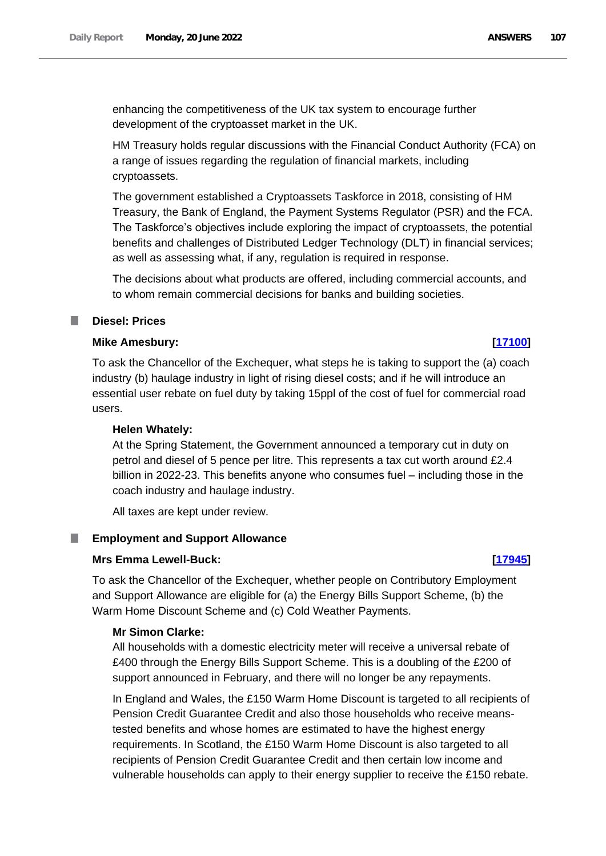enhancing the competitiveness of the UK tax system to encourage further development of the cryptoasset market in the UK.

HM Treasury holds regular discussions with the Financial Conduct Authority (FCA) on a range of issues regarding the regulation of financial markets, including cryptoassets.

The government established a Cryptoassets Taskforce in 2018, consisting of HM Treasury, the Bank of England, the Payment Systems Regulator (PSR) and the FCA. The Taskforce's objectives include exploring the impact of cryptoassets, the potential benefits and challenges of Distributed Ledger Technology (DLT) in financial services; as well as assessing what, if any, regulation is required in response.

The decisions about what products are offered, including commercial accounts, and to whom remain commercial decisions for banks and building societies.

## **Diesel: Prices**

### **Mike Amesbury: [\[17100\]](http://www.parliament.uk/business/publications/written-questions-answers-statements/written-question/Commons/2022-06-13/17100)**

To ask the Chancellor of the Exchequer, what steps he is taking to support the (a) coach industry (b) haulage industry in light of rising diesel costs; and if he will introduce an essential user rebate on fuel duty by taking 15ppl of the cost of fuel for commercial road users.

#### **Helen Whately:**

At the Spring Statement, the Government announced a temporary cut in duty on petrol and diesel of 5 pence per litre. This represents a tax cut worth around £2.4 billion in 2022-23. This benefits anyone who consumes fuel – including those in the coach industry and haulage industry.

All taxes are kept under review.

#### T. **Employment and Support Allowance**

#### **Mrs Emma Lewell-Buck: [\[17945\]](http://www.parliament.uk/business/publications/written-questions-answers-statements/written-question/Commons/2022-06-14/17945)**

To ask the Chancellor of the Exchequer, whether people on Contributory Employment and Support Allowance are eligible for (a) the Energy Bills Support Scheme, (b) the Warm Home Discount Scheme and (c) Cold Weather Payments.

#### **Mr Simon Clarke:**

All households with a domestic electricity meter will receive a universal rebate of £400 through the Energy Bills Support Scheme. This is a doubling of the £200 of support announced in February, and there will no longer be any repayments.

In England and Wales, the £150 Warm Home Discount is targeted to all recipients of Pension Credit Guarantee Credit and also those households who receive meanstested benefits and whose homes are estimated to have the highest energy requirements. In Scotland, the £150 Warm Home Discount is also targeted to all recipients of Pension Credit Guarantee Credit and then certain low income and vulnerable households can apply to their energy supplier to receive the £150 rebate.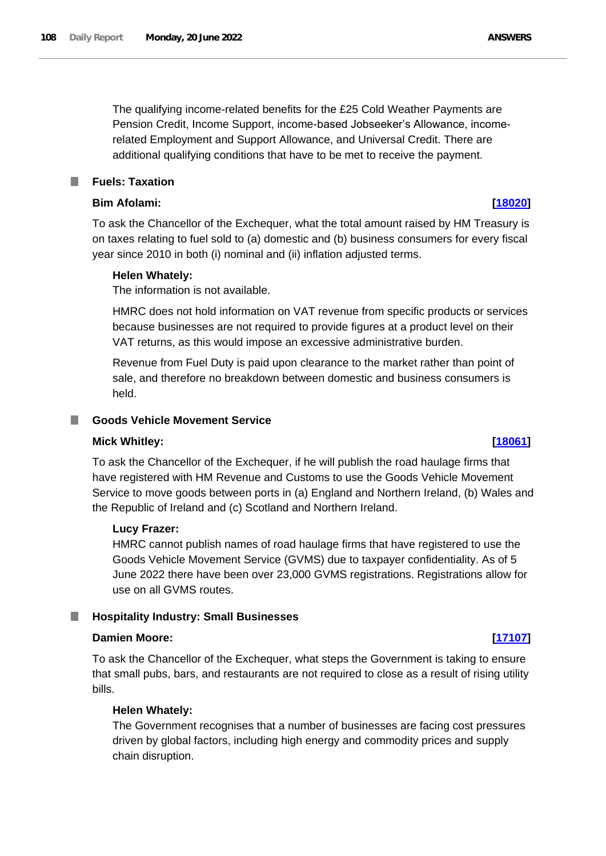The qualifying income-related benefits for the £25 Cold Weather Payments are Pension Credit, Income Support, income-based Jobseeker's Allowance, incomerelated Employment and Support Allowance, and Universal Credit. There are additional qualifying conditions that have to be met to receive the payment.

**Fuels: Taxation**

# **Bim Afolami: [\[18020\]](http://www.parliament.uk/business/publications/written-questions-answers-statements/written-question/Commons/2022-06-14/18020)**

To ask the Chancellor of the Exchequer, what the total amount raised by HM Treasury is on taxes relating to fuel sold to (a) domestic and (b) business consumers for every fiscal year since 2010 in both (i) nominal and (ii) inflation adjusted terms.

### **Helen Whately:**

The information is not available.

HMRC does not hold information on VAT revenue from specific products or services because businesses are not required to provide figures at a product level on their VAT returns, as this would impose an excessive administrative burden.

Revenue from Fuel Duty is paid upon clearance to the market rather than point of sale, and therefore no breakdown between domestic and business consumers is held.

# **Goods Vehicle Movement Service**

### **Mick Whitley: [\[18061\]](http://www.parliament.uk/business/publications/written-questions-answers-statements/written-question/Commons/2022-06-14/18061)**

To ask the Chancellor of the Exchequer, if he will publish the road haulage firms that have registered with HM Revenue and Customs to use the Goods Vehicle Movement Service to move goods between ports in (a) England and Northern Ireland, (b) Wales and the Republic of Ireland and (c) Scotland and Northern Ireland.

### **Lucy Frazer:**

HMRC cannot publish names of road haulage firms that have registered to use the Goods Vehicle Movement Service (GVMS) due to taxpayer confidentiality. As of 5 June 2022 there have been over 23,000 GVMS registrations. Registrations allow for use on all GVMS routes.

# **Hospitality Industry: Small Businesses**

### **Damien Moore: [\[17107\]](http://www.parliament.uk/business/publications/written-questions-answers-statements/written-question/Commons/2022-06-13/17107)**

To ask the Chancellor of the Exchequer, what steps the Government is taking to ensure that small pubs, bars, and restaurants are not required to close as a result of rising utility bills.

### **Helen Whately:**

The Government recognises that a number of businesses are facing cost pressures driven by global factors, including high energy and commodity prices and supply chain disruption.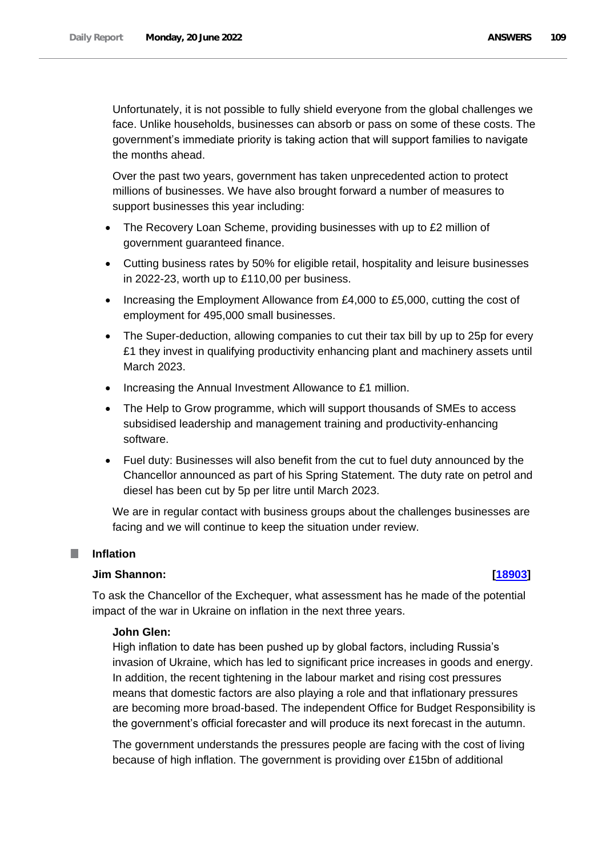Unfortunately, it is not possible to fully shield everyone from the global challenges we face. Unlike households, businesses can absorb or pass on some of these costs. The government's immediate priority is taking action that will support families to navigate the months ahead.

Over the past two years, government has taken unprecedented action to protect millions of businesses. We have also brought forward a number of measures to support businesses this year including:

- The Recovery Loan Scheme, providing businesses with up to £2 million of government guaranteed finance.
- Cutting business rates by 50% for eligible retail, hospitality and leisure businesses in 2022-23, worth up to £110,00 per business.
- Increasing the Employment Allowance from £4,000 to £5,000, cutting the cost of employment for 495,000 small businesses.
- The Super-deduction, allowing companies to cut their tax bill by up to 25p for every £1 they invest in qualifying productivity enhancing plant and machinery assets until March 2023.
- Increasing the Annual Investment Allowance to £1 million.
- The Help to Grow programme, which will support thousands of SMEs to access subsidised leadership and management training and productivity-enhancing software.
- Fuel duty: Businesses will also benefit from the cut to fuel duty announced by the Chancellor announced as part of his Spring Statement. The duty rate on petrol and diesel has been cut by 5p per litre until March 2023.

We are in regular contact with business groups about the challenges businesses are facing and we will continue to keep the situation under review.

## **Inflation**

## **Jim Shannon: [\[18903\]](http://www.parliament.uk/business/publications/written-questions-answers-statements/written-question/Commons/2022-06-15/18903)**

To ask the Chancellor of the Exchequer, what assessment has he made of the potential impact of the war in Ukraine on inflation in the next three years.

#### **John Glen:**

High inflation to date has been pushed up by global factors, including Russia's invasion of Ukraine, which has led to significant price increases in goods and energy. In addition, the recent tightening in the labour market and rising cost pressures means that domestic factors are also playing a role and that inflationary pressures are becoming more broad-based. The independent Office for Budget Responsibility is the government's official forecaster and will produce its next forecast in the autumn.

The government understands the pressures people are facing with the cost of living because of high inflation. The government is providing over £15bn of additional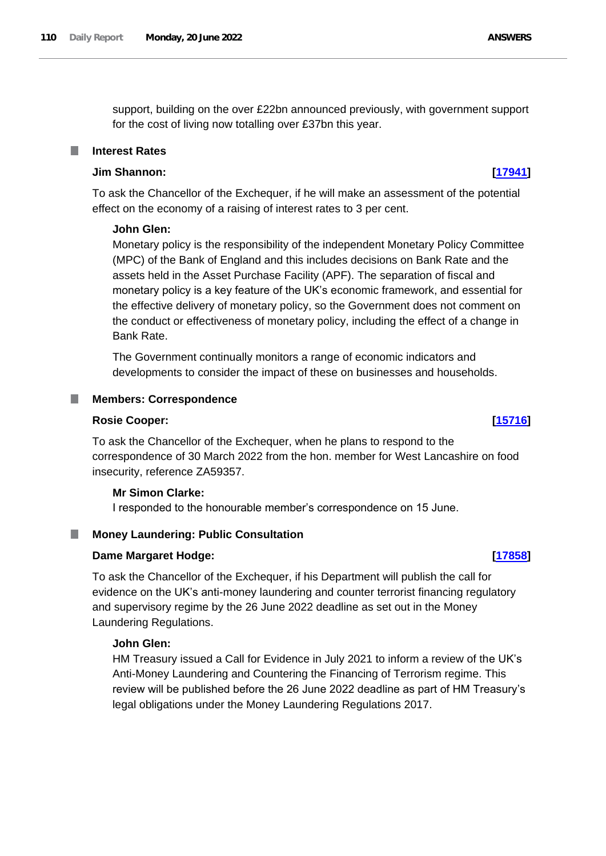support, building on the over £22bn announced previously, with government support for the cost of living now totalling over £37bn this year.

#### **Interest Rates**

# **Jim Shannon: [\[17941\]](http://www.parliament.uk/business/publications/written-questions-answers-statements/written-question/Commons/2022-06-14/17941)**

To ask the Chancellor of the Exchequer, if he will make an assessment of the potential effect on the economy of a raising of interest rates to 3 per cent.

#### **John Glen:**

Monetary policy is the responsibility of the independent Monetary Policy Committee (MPC) of the Bank of England and this includes decisions on Bank Rate and the assets held in the Asset Purchase Facility (APF). The separation of fiscal and monetary policy is a key feature of the UK's economic framework, and essential for the effective delivery of monetary policy, so the Government does not comment on the conduct or effectiveness of monetary policy, including the effect of a change in Bank Rate.

The Government continually monitors a range of economic indicators and developments to consider the impact of these on businesses and households.

#### **Members: Correspondence**

#### **Rosie Cooper: [\[15716\]](http://www.parliament.uk/business/publications/written-questions-answers-statements/written-question/Commons/2022-06-10/15716)**

To ask the Chancellor of the Exchequer, when he plans to respond to the correspondence of 30 March 2022 from the hon. member for West Lancashire on food insecurity, reference ZA59357.

#### **Mr Simon Clarke:**

I responded to the honourable member's correspondence on 15 June.

#### **Money Laundering: Public Consultation**

#### **Dame Margaret Hodge: [\[17858\]](http://www.parliament.uk/business/publications/written-questions-answers-statements/written-question/Commons/2022-06-14/17858)**

To ask the Chancellor of the Exchequer, if his Department will publish the call for evidence on the UK's anti-money laundering and counter terrorist financing regulatory and supervisory regime by the 26 June 2022 deadline as set out in the Money Laundering Regulations.

# **John Glen:**

HM Treasury issued a Call for Evidence in July 2021 to inform a review of the UK's Anti-Money Laundering and Countering the Financing of Terrorism regime. This review will be published before the 26 June 2022 deadline as part of HM Treasury's legal obligations under the Money Laundering Regulations 2017.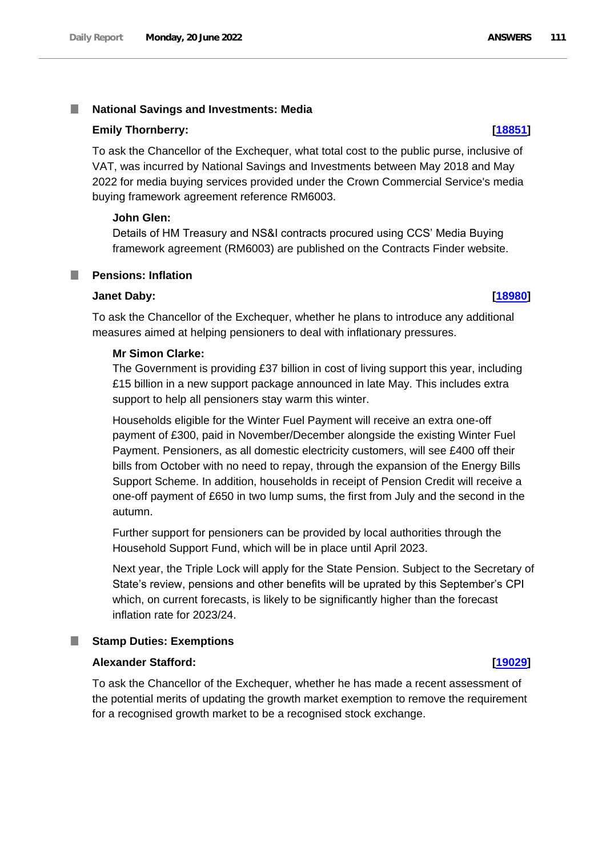#### T. **National Savings and Investments: Media**

#### **Emily Thornberry: [\[18851\]](http://www.parliament.uk/business/publications/written-questions-answers-statements/written-question/Commons/2022-06-15/18851)**

To ask the Chancellor of the Exchequer, what total cost to the public purse, inclusive of VAT, was incurred by National Savings and Investments between May 2018 and May 2022 for media buying services provided under the Crown Commercial Service's media buying framework agreement reference RM6003.

## **John Glen:**

Details of HM Treasury and NS&I contracts procured using CCS' Media Buying framework agreement (RM6003) are published on the Contracts Finder website.

#### **Pensions: Inflation** T.

#### **Janet Daby: [\[18980\]](http://www.parliament.uk/business/publications/written-questions-answers-statements/written-question/Commons/2022-06-15/18980)**

To ask the Chancellor of the Exchequer, whether he plans to introduce any additional measures aimed at helping pensioners to deal with inflationary pressures.

#### **Mr Simon Clarke:**

The Government is providing £37 billion in cost of living support this year, including £15 billion in a new support package announced in late May. This includes extra support to help all pensioners stay warm this winter.

Households eligible for the Winter Fuel Payment will receive an extra one-off payment of £300, paid in November/December alongside the existing Winter Fuel Payment. Pensioners, as all domestic electricity customers, will see £400 off their bills from October with no need to repay, through the expansion of the Energy Bills Support Scheme. In addition, households in receipt of Pension Credit will receive a one-off payment of £650 in two lump sums, the first from July and the second in the autumn.

Further support for pensioners can be provided by local authorities through the Household Support Fund, which will be in place until April 2023.

Next year, the Triple Lock will apply for the State Pension. Subject to the Secretary of State's review, pensions and other benefits will be uprated by this September's CPI which, on current forecasts, is likely to be significantly higher than the forecast inflation rate for 2023/24.

#### ш **Stamp Duties: Exemptions**

## **Alexander Stafford: [\[19029\]](http://www.parliament.uk/business/publications/written-questions-answers-statements/written-question/Commons/2022-06-15/19029)**

To ask the Chancellor of the Exchequer, whether he has made a recent assessment of the potential merits of updating the growth market exemption to remove the requirement for a recognised growth market to be a recognised stock exchange.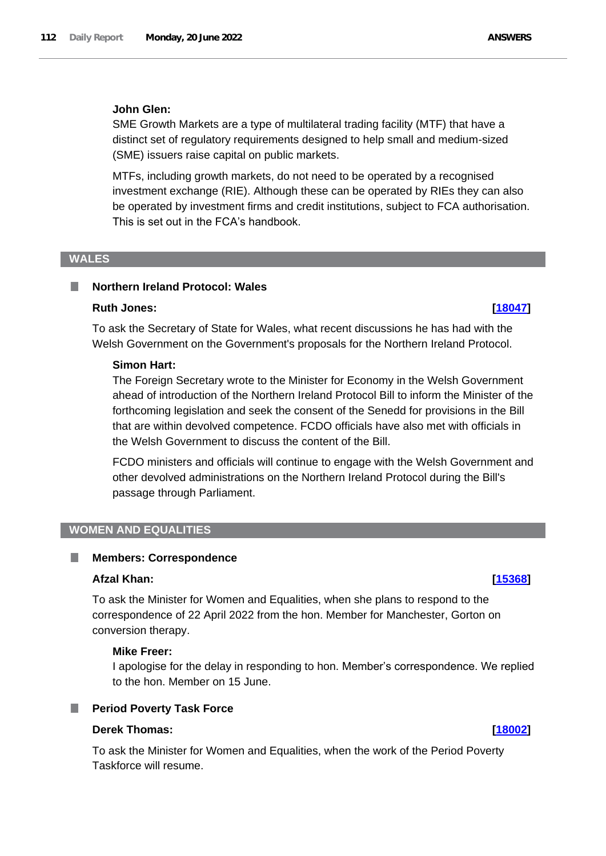### **John Glen:**

SME Growth Markets are a type of multilateral trading facility (MTF) that have a distinct set of regulatory requirements designed to help small and medium-sized (SME) issuers raise capital on public markets.

MTFs, including growth markets, do not need to be operated by a recognised investment exchange (RIE). Although these can be operated by RIEs they can also be operated by investment firms and credit institutions, subject to FCA authorisation. This is set out in the FCA's handbook.

#### **WALES**

# **Northern Ireland Protocol: Wales**

# **Ruth Jones: [\[18047\]](http://www.parliament.uk/business/publications/written-questions-answers-statements/written-question/Commons/2022-06-14/18047)**

To ask the Secretary of State for Wales, what recent discussions he has had with the Welsh Government on the Government's proposals for the Northern Ireland Protocol.

#### **Simon Hart:**

The Foreign Secretary wrote to the Minister for Economy in the Welsh Government ahead of introduction of the Northern Ireland Protocol Bill to inform the Minister of the forthcoming legislation and seek the consent of the Senedd for provisions in the Bill that are within devolved competence. FCDO officials have also met with officials in the Welsh Government to discuss the content of the Bill.

FCDO ministers and officials will continue to engage with the Welsh Government and other devolved administrations on the Northern Ireland Protocol during the Bill's passage through Parliament.

# **WOMEN AND EQUALITIES**

#### H **Members: Correspondence**

## **Afzal Khan: [\[15368\]](http://www.parliament.uk/business/publications/written-questions-answers-statements/written-question/Commons/2022-06-09/15368)**

To ask the Minister for Women and Equalities, when she plans to respond to the correspondence of 22 April 2022 from the hon. Member for Manchester, Gorton on conversion therapy.

### **Mike Freer:**

I apologise for the delay in responding to hon. Member's correspondence. We replied to the hon. Member on 15 June.

#### **Period Poverty Task Force** ш

## **Derek Thomas: [\[18002\]](http://www.parliament.uk/business/publications/written-questions-answers-statements/written-question/Commons/2022-06-14/18002)**

To ask the Minister for Women and Equalities, when the work of the Period Poverty Taskforce will resume.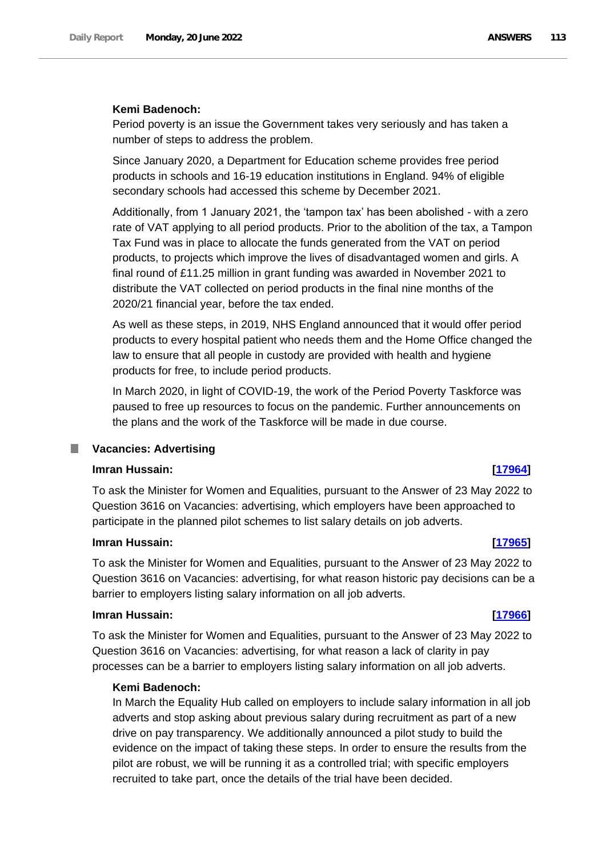### **Kemi Badenoch:**

Period poverty is an issue the Government takes very seriously and has taken a number of steps to address the problem.

Since January 2020, a Department for Education scheme provides free period products in schools and 16-19 education institutions in England. 94% of eligible secondary schools had accessed this scheme by December 2021.

Additionally, from 1 January 2021, the 'tampon tax' has been abolished - with a zero rate of VAT applying to all period products. Prior to the abolition of the tax, a Tampon Tax Fund was in place to allocate the funds generated from the VAT on period products, to projects which improve the lives of disadvantaged women and girls. A final round of £11.25 million in grant funding was awarded in November 2021 to distribute the VAT collected on period products in the final nine months of the 2020/21 financial year, before the tax ended.

As well as these steps, in 2019, NHS England announced that it would offer period products to every hospital patient who needs them and the Home Office changed the law to ensure that all people in custody are provided with health and hygiene products for free, to include period products.

In March 2020, in light of COVID-19, the work of the Period Poverty Taskforce was paused to free up resources to focus on the pandemic. Further announcements on the plans and the work of the Taskforce will be made in due course.

#### **Vacancies: Advertising**

## **Imran Hussain: [\[17964\]](http://www.parliament.uk/business/publications/written-questions-answers-statements/written-question/Commons/2022-06-14/17964)**

To ask the Minister for Women and Equalities, pursuant to the Answer of 23 May 2022 to Question 3616 on Vacancies: advertising, which employers have been approached to participate in the planned pilot schemes to list salary details on job adverts.

#### **Imran Hussain: [\[17965\]](http://www.parliament.uk/business/publications/written-questions-answers-statements/written-question/Commons/2022-06-14/17965)**

To ask the Minister for Women and Equalities, pursuant to the Answer of 23 May 2022 to Question 3616 on Vacancies: advertising, for what reason historic pay decisions can be a barrier to employers listing salary information on all job adverts.

#### **Imran Hussain: [\[17966\]](http://www.parliament.uk/business/publications/written-questions-answers-statements/written-question/Commons/2022-06-14/17966)**

To ask the Minister for Women and Equalities, pursuant to the Answer of 23 May 2022 to Question 3616 on Vacancies: advertising, for what reason a lack of clarity in pay processes can be a barrier to employers listing salary information on all job adverts.

#### **Kemi Badenoch:**

In March the Equality Hub called on employers to include salary information in all job adverts and stop asking about previous salary during recruitment as part of a new drive on pay transparency. We additionally announced a pilot study to build the evidence on the impact of taking these steps. In order to ensure the results from the pilot are robust, we will be running it as a controlled trial; with specific employers recruited to take part, once the details of the trial have been decided.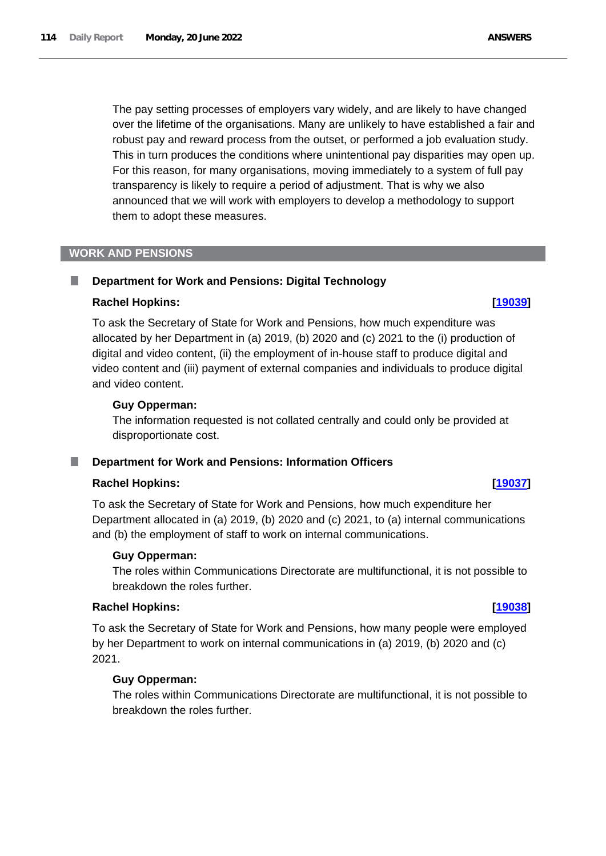The pay setting processes of employers vary widely, and are likely to have changed over the lifetime of the organisations. Many are unlikely to have established a fair and robust pay and reward process from the outset, or performed a job evaluation study. This in turn produces the conditions where unintentional pay disparities may open up. For this reason, for many organisations, moving immediately to a system of full pay transparency is likely to require a period of adjustment. That is why we also announced that we will work with employers to develop a methodology to support

# **WORK AND PENSIONS**

L.

# **Department for Work and Pensions: Digital Technology**

them to adopt these measures.

### **Rachel Hopkins: [\[19039\]](http://www.parliament.uk/business/publications/written-questions-answers-statements/written-question/Commons/2022-06-15/19039)**

To ask the Secretary of State for Work and Pensions, how much expenditure was allocated by her Department in (a) 2019, (b) 2020 and (c) 2021 to the (i) production of digital and video content, (ii) the employment of in-house staff to produce digital and video content and (iii) payment of external companies and individuals to produce digital and video content.

### **Guy Opperman:**

The information requested is not collated centrally and could only be provided at disproportionate cost.

## **Department for Work and Pensions: Information Officers**

## **Rachel Hopkins: [\[19037\]](http://www.parliament.uk/business/publications/written-questions-answers-statements/written-question/Commons/2022-06-15/19037)**

To ask the Secretary of State for Work and Pensions, how much expenditure her Department allocated in (a) 2019, (b) 2020 and (c) 2021, to (a) internal communications and (b) the employment of staff to work on internal communications.

#### **Guy Opperman:**

The roles within Communications Directorate are multifunctional, it is not possible to breakdown the roles further.

### **Rachel Hopkins: [\[19038\]](http://www.parliament.uk/business/publications/written-questions-answers-statements/written-question/Commons/2022-06-15/19038)**

To ask the Secretary of State for Work and Pensions, how many people were employed by her Department to work on internal communications in (a) 2019, (b) 2020 and (c) 2021.

#### **Guy Opperman:**

The roles within Communications Directorate are multifunctional, it is not possible to breakdown the roles further.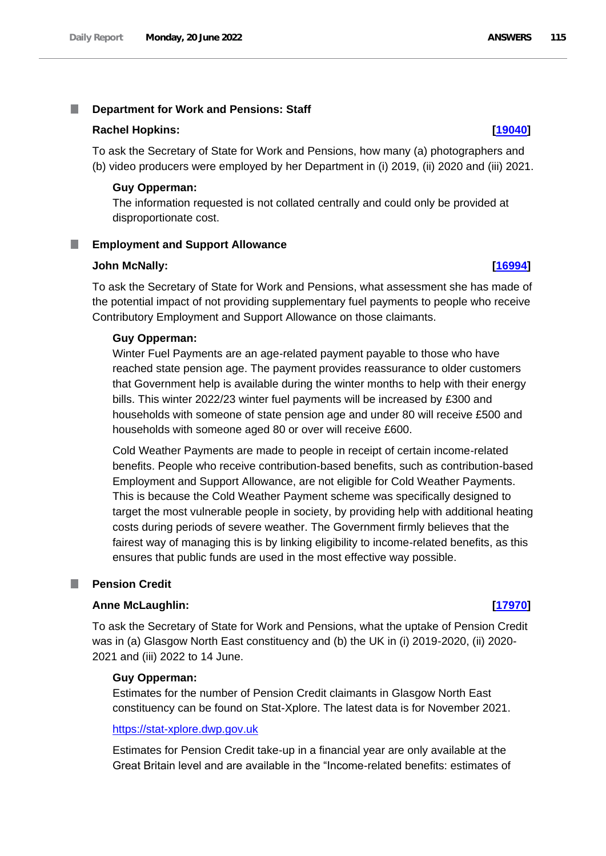#### T. **Department for Work and Pensions: Staff**

#### **Rachel Hopkins: [\[19040\]](http://www.parliament.uk/business/publications/written-questions-answers-statements/written-question/Commons/2022-06-15/19040)**

To ask the Secretary of State for Work and Pensions, how many (a) photographers and (b) video producers were employed by her Department in (i) 2019, (ii) 2020 and (iii) 2021.

#### **Guy Opperman:**

The information requested is not collated centrally and could only be provided at disproportionate cost.

### **Employment and Support Allowance**

#### **John McNally: [\[16994\]](http://www.parliament.uk/business/publications/written-questions-answers-statements/written-question/Commons/2022-06-13/16994)**

To ask the Secretary of State for Work and Pensions, what assessment she has made of the potential impact of not providing supplementary fuel payments to people who receive Contributory Employment and Support Allowance on those claimants.

### **Guy Opperman:**

Winter Fuel Payments are an age-related payment payable to those who have reached state pension age. The payment provides reassurance to older customers that Government help is available during the winter months to help with their energy bills. This winter 2022/23 winter fuel payments will be increased by £300 and households with someone of state pension age and under 80 will receive £500 and households with someone aged 80 or over will receive £600.

Cold Weather Payments are made to people in receipt of certain income-related benefits. People who receive contribution-based benefits, such as contribution-based Employment and Support Allowance, are not eligible for Cold Weather Payments. This is because the Cold Weather Payment scheme was specifically designed to target the most vulnerable people in society, by providing help with additional heating costs during periods of severe weather. The Government firmly believes that the fairest way of managing this is by linking eligibility to income-related benefits, as this ensures that public funds are used in the most effective way possible.

#### m. **Pension Credit**

#### **Anne McLaughlin: [\[17970\]](http://www.parliament.uk/business/publications/written-questions-answers-statements/written-question/Commons/2022-06-14/17970)**

To ask the Secretary of State for Work and Pensions, what the uptake of Pension Credit was in (a) Glasgow North East constituency and (b) the UK in (i) 2019-2020, (ii) 2020-2021 and (iii) 2022 to 14 June.

#### **Guy Opperman:**

Estimates for the number of Pension Credit claimants in Glasgow North East constituency can be found on Stat-Xplore. The latest data is for November 2021.

#### [https://stat-xplore.dwp.gov.uk](https://stat-xplore.dwp.gov.uk/)

Estimates for Pension Credit take-up in a financial year are only available at the Great Britain level and are available in the "Income-related benefits: estimates of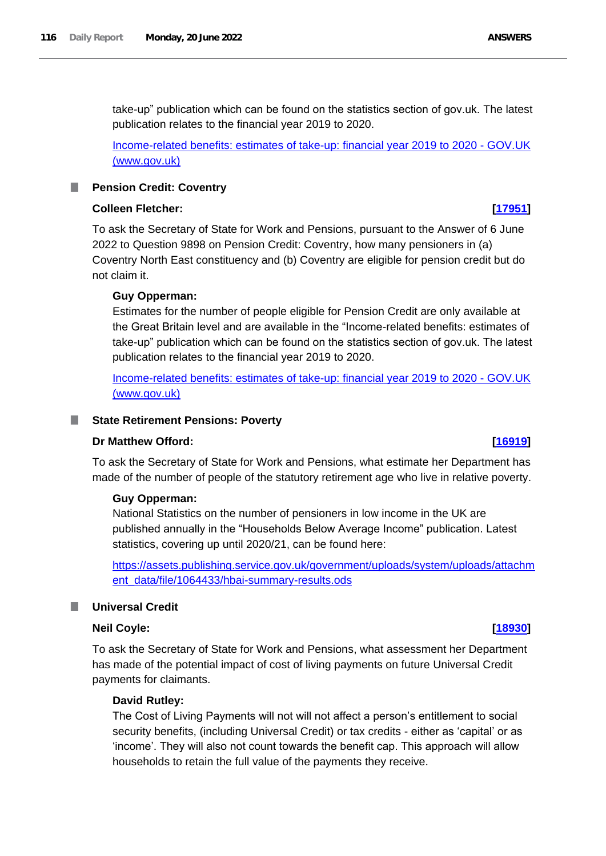take-up" publication which can be found on the statistics section of gov.uk. The latest publication relates to the financial year 2019 to 2020.

[Income-related benefits: estimates of take-up: financial year 2019 to 2020 -](https://www.gov.uk/government/statistics/income-related-benefits-estimates-of-take-up-financial-year-2019-to-2020) GOV.UK [\(www.gov.uk\)](https://www.gov.uk/government/statistics/income-related-benefits-estimates-of-take-up-financial-year-2019-to-2020)

### **Pension Credit: Coventry**

## **Colleen Fletcher: [\[17951\]](http://www.parliament.uk/business/publications/written-questions-answers-statements/written-question/Commons/2022-06-14/17951)**

To ask the Secretary of State for Work and Pensions, pursuant to the Answer of 6 June 2022 to Question 9898 on Pension Credit: Coventry, how many pensioners in (a) Coventry North East constituency and (b) Coventry are eligible for pension credit but do not claim it.

### **Guy Opperman:**

Estimates for the number of people eligible for Pension Credit are only available at the Great Britain level and are available in the "Income-related benefits: estimates of take-up" publication which can be found on the statistics section of gov.uk. The latest publication relates to the financial year 2019 to 2020.

[Income-related benefits: estimates of take-up: financial year 2019 to 2020 -](https://www.gov.uk/government/statistics/income-related-benefits-estimates-of-take-up-financial-year-2019-to-2020) GOV.UK [\(www.gov.uk\)](https://www.gov.uk/government/statistics/income-related-benefits-estimates-of-take-up-financial-year-2019-to-2020)

#### **State Retirement Pensions: Poverty**

#### **Dr Matthew Offord: [\[16919\]](http://www.parliament.uk/business/publications/written-questions-answers-statements/written-question/Commons/2022-06-13/16919)**

To ask the Secretary of State for Work and Pensions, what estimate her Department has made of the number of people of the statutory retirement age who live in relative poverty.

#### **Guy Opperman:**

National Statistics on the number of pensioners in low income in the UK are published annually in the "Households Below Average Income" publication. Latest statistics, covering up until 2020/21, can be found here:

[https://assets.publishing.service.gov.uk/government/uploads/system/uploads/attachm](https://assets.publishing.service.gov.uk/government/uploads/system/uploads/attachment_data/file/1064433/hbai-summary-results.ods) [ent\\_data/file/1064433/hbai-summary-results.ods](https://assets.publishing.service.gov.uk/government/uploads/system/uploads/attachment_data/file/1064433/hbai-summary-results.ods)

### **Universal Credit**

## **Neil Coyle: [\[18930\]](http://www.parliament.uk/business/publications/written-questions-answers-statements/written-question/Commons/2022-06-15/18930)**

To ask the Secretary of State for Work and Pensions, what assessment her Department has made of the potential impact of cost of living payments on future Universal Credit payments for claimants.

## **David Rutley:**

The Cost of Living Payments will not will not affect a person's entitlement to social security benefits, (including Universal Credit) or tax credits - either as 'capital' or as 'income'. They will also not count towards the benefit cap. This approach will allow households to retain the full value of the payments they receive.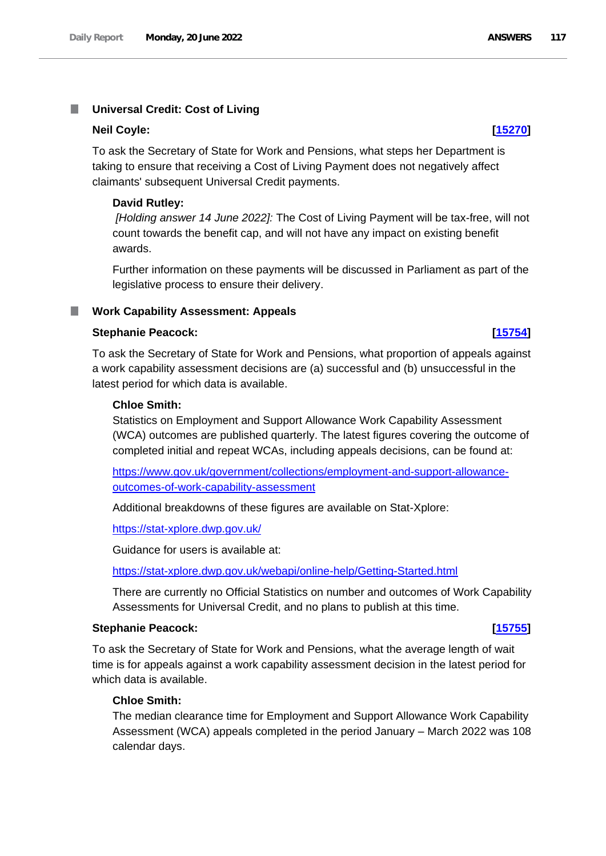#### **Universal Credit: Cost of Living** T.

#### **Neil Coyle: [\[15270\]](http://www.parliament.uk/business/publications/written-questions-answers-statements/written-question/Commons/2022-06-09/15270)**

To ask the Secretary of State for Work and Pensions, what steps her Department is taking to ensure that receiving a Cost of Living Payment does not negatively affect claimants' subsequent Universal Credit payments.

#### **David Rutley:**

*[Holding answer 14 June 2022]:* The Cost of Living Payment will be tax-free, will not count towards the benefit cap, and will not have any impact on existing benefit awards.

Further information on these payments will be discussed in Parliament as part of the legislative process to ensure their delivery.

### **Work Capability Assessment: Appeals**

## **Stephanie Peacock: [\[15754\]](http://www.parliament.uk/business/publications/written-questions-answers-statements/written-question/Commons/2022-06-10/15754)**

To ask the Secretary of State for Work and Pensions, what proportion of appeals against a work capability assessment decisions are (a) successful and (b) unsuccessful in the latest period for which data is available.

#### **Chloe Smith:**

Statistics on Employment and Support Allowance Work Capability Assessment (WCA) outcomes are published quarterly. The latest figures covering the outcome of completed initial and repeat WCAs, including appeals decisions, can be found at:

[https://www.gov.uk/government/collections/employment-and-support-allowance](https://www.gov.uk/government/collections/employment-and-support-allowance-outcomes-of-work-capability-assessment)[outcomes-of-work-capability-assessment](https://www.gov.uk/government/collections/employment-and-support-allowance-outcomes-of-work-capability-assessment)

Additional breakdowns of these figures are available on Stat-Xplore:

<https://stat-xplore.dwp.gov.uk/>

Guidance for users is available at:

<https://stat-xplore.dwp.gov.uk/webapi/online-help/Getting-Started.html>

There are currently no Official Statistics on number and outcomes of Work Capability Assessments for Universal Credit, and no plans to publish at this time.

### **Stephanie Peacock: [\[15755\]](http://www.parliament.uk/business/publications/written-questions-answers-statements/written-question/Commons/2022-06-10/15755)**

To ask the Secretary of State for Work and Pensions, what the average length of wait time is for appeals against a work capability assessment decision in the latest period for which data is available.

## **Chloe Smith:**

The median clearance time for Employment and Support Allowance Work Capability Assessment (WCA) appeals completed in the period January – March 2022 was 108 calendar days.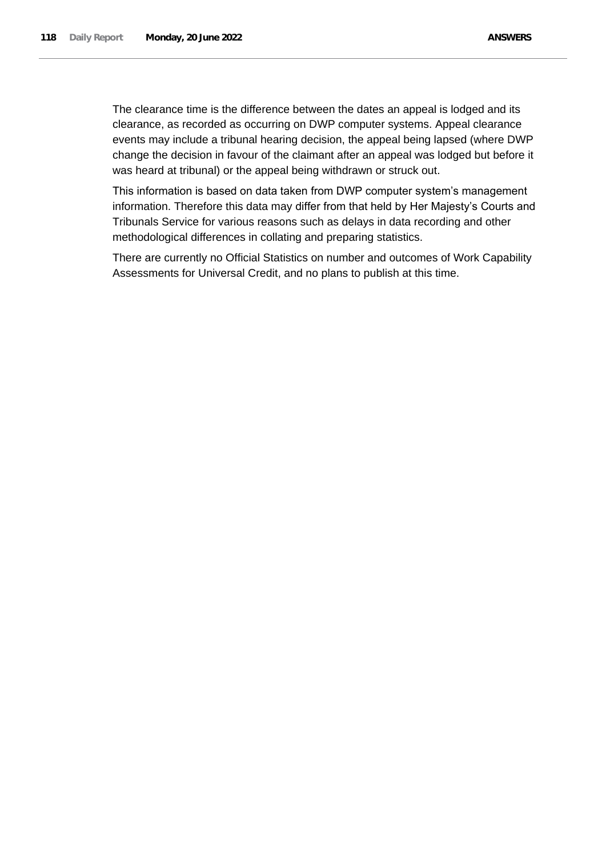The clearance time is the difference between the dates an appeal is lodged and its clearance, as recorded as occurring on DWP computer systems. Appeal clearance events may include a tribunal hearing decision, the appeal being lapsed (where DWP change the decision in favour of the claimant after an appeal was lodged but before it was heard at tribunal) or the appeal being withdrawn or struck out.

This information is based on data taken from DWP computer system's management information. Therefore this data may differ from that held by Her Majesty's Courts and Tribunals Service for various reasons such as delays in data recording and other methodological differences in collating and preparing statistics.

There are currently no Official Statistics on number and outcomes of Work Capability Assessments for Universal Credit, and no plans to publish at this time.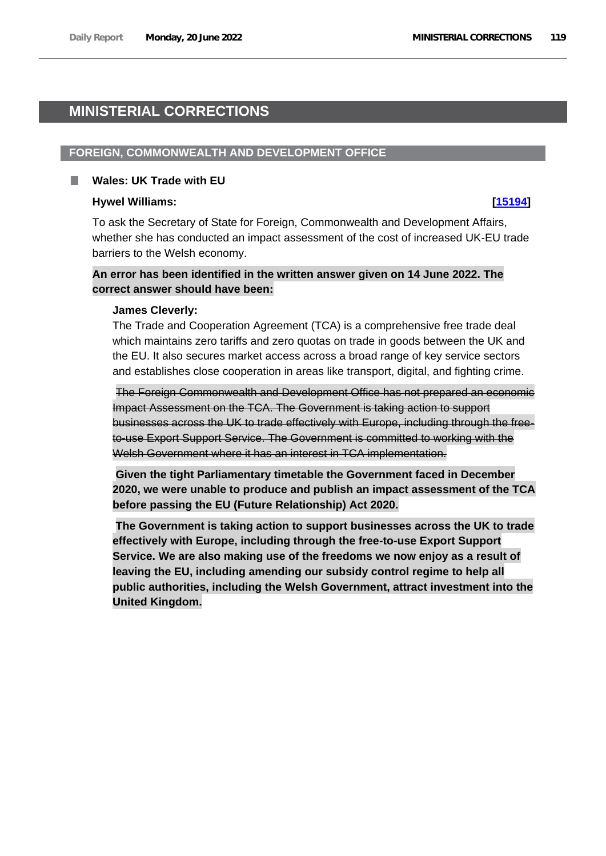# **MINISTERIAL CORRECTIONS**

## **FOREIGN, COMMONWEALTH AND DEVELOPMENT OFFICE**

#### **Wales: UK Trade with EU**

#### **Hywel Williams: [\[15194\]](http://www.parliament.uk/business/publications/written-questions-answers-statements/written-question/Commons/2022-06-09/15194)**

To ask the Secretary of State for Foreign, Commonwealth and Development Affairs, whether she has conducted an impact assessment of the cost of increased UK-EU trade barriers to the Welsh economy.

# **An error has been identified in the written answer given on 14 June 2022. The correct answer should have been:**

#### **James Cleverly:**

The Trade and Cooperation Agreement (TCA) is a comprehensive free trade deal which maintains zero tariffs and zero quotas on trade in goods between the UK and the EU. It also secures market access across a broad range of key service sectors and establishes close cooperation in areas like transport, digital, and fighting crime.

The Foreign Commonwealth and Development Office has not prepared an economic Impact Assessment on the TCA. The Government is taking action to support businesses across the UK to trade effectively with Europe, including through the freeto-use Export Support Service. The Government is committed to working with the Welsh Government where it has an interest in TCA implementation.

**Given the tight Parliamentary timetable the Government faced in December 2020, we were unable to produce and publish an impact assessment of the TCA before passing the EU (Future Relationship) Act 2020.**

**The Government is taking action to support businesses across the UK to trade effectively with Europe, including through the free-to-use Export Support Service. We are also making use of the freedoms we now enjoy as a result of leaving the EU, including amending our subsidy control regime to help all public authorities, including the Welsh Government, attract investment into the United Kingdom.**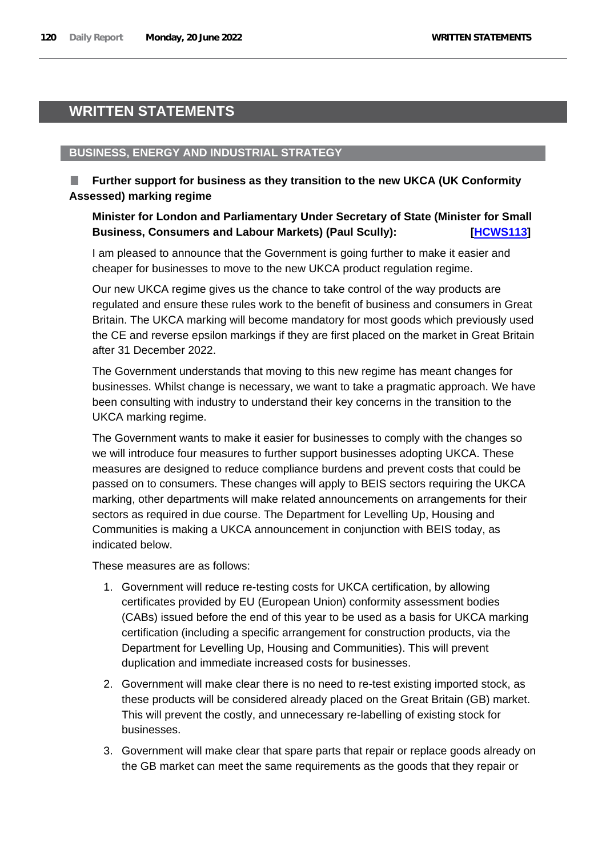# **WRITTEN STATEMENTS**

# **BUSINESS, ENERGY AND INDUSTRIAL STRATEGY**

# **Further support for business as they transition to the new UKCA (UK Conformity Assessed) marking regime**

# **Minister for London and Parliamentary Under Secretary of State (Minister for Small**  Business, Consumers and Labour Markets) (Paul Scully): **Fack 19 and Labour Markets** *[HCWS113]*

I am pleased to announce that the Government is going further to make it easier and cheaper for businesses to move to the new UKCA product regulation regime.

Our new UKCA regime gives us the chance to take control of the way products are regulated and ensure these rules work to the benefit of business and consumers in Great Britain. The UKCA marking will become mandatory for most goods which previously used the CE and reverse epsilon markings if they are first placed on the market in Great Britain after 31 December 2022.

The Government understands that moving to this new regime has meant changes for businesses. Whilst change is necessary, we want to take a pragmatic approach. We have been consulting with industry to understand their key concerns in the transition to the UKCA marking regime.

The Government wants to make it easier for businesses to comply with the changes so we will introduce four measures to further support businesses adopting UKCA. These measures are designed to reduce compliance burdens and prevent costs that could be passed on to consumers. These changes will apply to BEIS sectors requiring the UKCA marking, other departments will make related announcements on arrangements for their sectors as required in due course. The Department for Levelling Up, Housing and Communities is making a UKCA announcement in conjunction with BEIS today, as indicated below.

These measures are as follows:

- 1. Government will reduce re-testing costs for UKCA certification, by allowing certificates provided by EU (European Union) conformity assessment bodies (CABs) issued before the end of this year to be used as a basis for UKCA marking certification (including a specific arrangement for construction products, via the Department for Levelling Up, Housing and Communities). This will prevent duplication and immediate increased costs for businesses.
- 2. Government will make clear there is no need to re-test existing imported stock, as these products will be considered already placed on the Great Britain (GB) market. This will prevent the costly, and unnecessary re-labelling of existing stock for businesses.
- 3. Government will make clear that spare parts that repair or replace goods already on the GB market can meet the same requirements as the goods that they repair or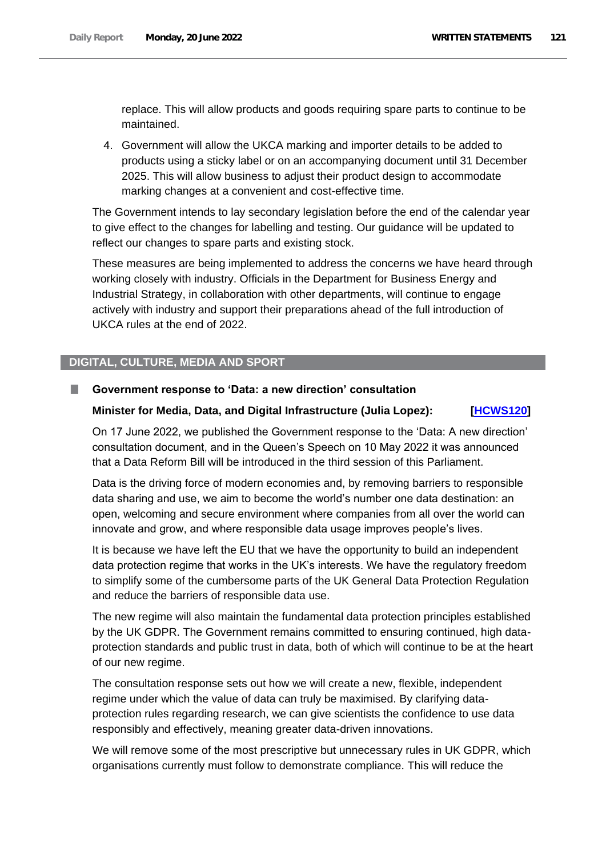replace. This will allow products and goods requiring spare parts to continue to be maintained.

4. Government will allow the UKCA marking and importer details to be added to products using a sticky label or on an accompanying document until 31 December 2025. This will allow business to adjust their product design to accommodate marking changes at a convenient and cost-effective time.

The Government intends to lay secondary legislation before the end of the calendar year to give effect to the changes for labelling and testing. Our guidance will be updated to reflect our changes to spare parts and existing stock.

These measures are being implemented to address the concerns we have heard through working closely with industry. Officials in the Department for Business Energy and Industrial Strategy, in collaboration with other departments, will continue to engage actively with industry and support their preparations ahead of the full introduction of UKCA rules at the end of 2022.

### **DIGITAL, CULTURE, MEDIA AND SPORT**

#### **Government response to 'Data: a new direction' consultation** a a

### **Minister for Media, Data, and Digital Infrastructure (Julia Lopez): [\[HCWS120\]](http://www.parliament.uk/business/publications/written-questions-answers-statements/written-statement/Commons/2022-06-20/HCWS120/)**

On 17 June 2022, we published the Government response to the 'Data: A new direction' consultation document, and in the Queen's Speech on 10 May 2022 it was announced that a Data Reform Bill will be introduced in the third session of this Parliament.

Data is the driving force of modern economies and, by removing barriers to responsible data sharing and use, we aim to become the world's number one data destination: an open, welcoming and secure environment where companies from all over the world can innovate and grow, and where responsible data usage improves people's lives.

It is because we have left the EU that we have the opportunity to build an independent data protection regime that works in the UK's interests. We have the regulatory freedom to simplify some of the cumbersome parts of the UK General Data Protection Regulation and reduce the barriers of responsible data use.

The new regime will also maintain the fundamental data protection principles established by the UK GDPR. The Government remains committed to ensuring continued, high dataprotection standards and public trust in data, both of which will continue to be at the heart of our new regime.

The consultation response sets out how we will create a new, flexible, independent regime under which the value of data can truly be maximised. By clarifying dataprotection rules regarding research, we can give scientists the confidence to use data responsibly and effectively, meaning greater data-driven innovations.

We will remove some of the most prescriptive but unnecessary rules in UK GDPR, which organisations currently must follow to demonstrate compliance. This will reduce the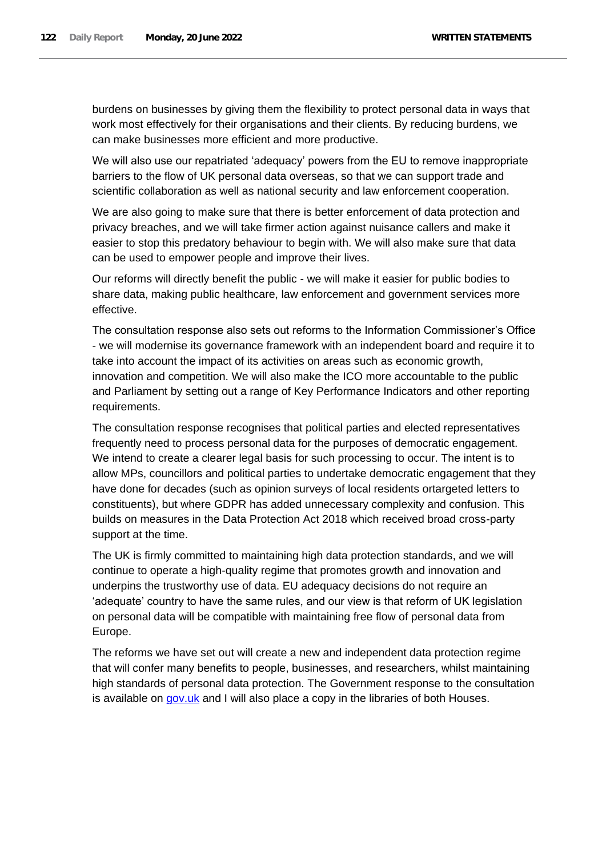burdens on businesses by giving them the flexibility to protect personal data in ways that work most effectively for their organisations and their clients. By reducing burdens, we can make businesses more efficient and more productive.

We will also use our repatriated 'adequacy' powers from the EU to remove inappropriate barriers to the flow of UK personal data overseas, so that we can support trade and scientific collaboration as well as national security and law enforcement cooperation.

We are also going to make sure that there is better enforcement of data protection and privacy breaches, and we will take firmer action against nuisance callers and make it easier to stop this predatory behaviour to begin with. We will also make sure that data can be used to empower people and improve their lives.

Our reforms will directly benefit the public - we will make it easier for public bodies to share data, making public healthcare, law enforcement and government services more effective.

The consultation response also sets out reforms to the Information Commissioner's Office - we will modernise its governance framework with an independent board and require it to take into account the impact of its activities on areas such as economic growth, innovation and competition. We will also make the ICO more accountable to the public and Parliament by setting out a range of Key Performance Indicators and other reporting requirements.

The consultation response recognises that political parties and elected representatives frequently need to process personal data for the purposes of democratic engagement. We intend to create a clearer legal basis for such processing to occur. The intent is to allow MPs, councillors and political parties to undertake democratic engagement that they have done for decades (such as opinion surveys of local residents ortargeted letters to constituents), but where GDPR has added unnecessary complexity and confusion. This builds on measures in the Data Protection Act 2018 which received broad cross-party support at the time.

The UK is firmly committed to maintaining high data protection standards, and we will continue to operate a high-quality regime that promotes growth and innovation and underpins the trustworthy use of data. EU adequacy decisions do not require an 'adequate' country to have the same rules, and our view is that reform of UK legislation on personal data will be compatible with maintaining free flow of personal data from Europe.

The reforms we have set out will create a new and independent data protection regime that will confer many benefits to people, businesses, and researchers, whilst maintaining high standards of personal data protection. The Government response to the consultation is available on [gov.uk](https://www.gov.uk/government/consultations/data-a-new-direction/outcome/data-a-new-direction-government-response-to-consultation) and I will also place a copy in the libraries of both Houses.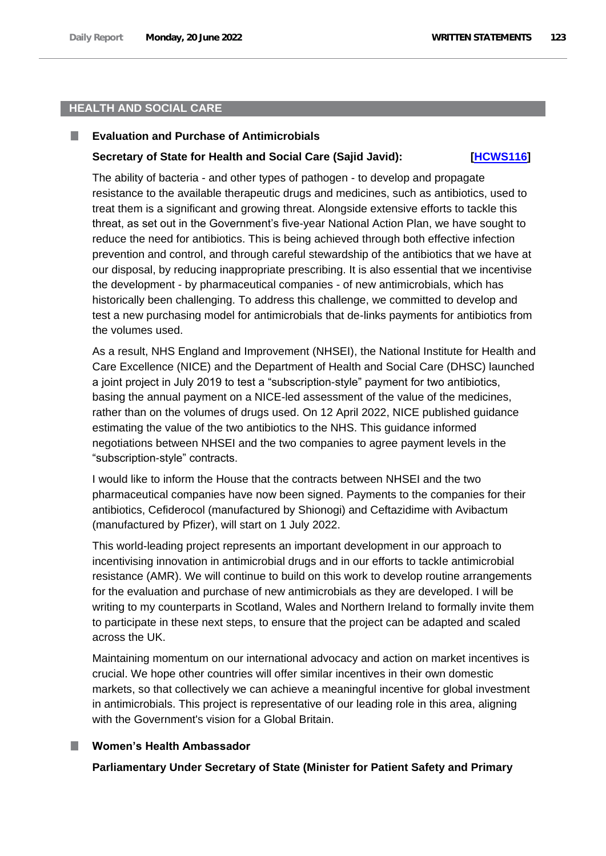# **HEALTH AND SOCIAL CARE**

#### **Evaluation and Purchase of Antimicrobials** ш

# **Secretary of State for Health and Social Care (Sajid Javid): [\[HCWS116\]](http://www.parliament.uk/business/publications/written-questions-answers-statements/written-statement/Commons/2022-06-20/HCWS116/)**

The ability of bacteria - and other types of pathogen - to develop and propagate resistance to the available therapeutic drugs and medicines, such as antibiotics, used to treat them is a significant and growing threat. Alongside extensive efforts to tackle this threat, as set out in the Government's five-year National Action Plan, we have sought to reduce the need for antibiotics. This is being achieved through both effective infection prevention and control, and through careful stewardship of the antibiotics that we have at our disposal, by reducing inappropriate prescribing. It is also essential that we incentivise the development - by pharmaceutical companies - of new antimicrobials, which has historically been challenging. To address this challenge, we committed to develop and test a new purchasing model for antimicrobials that de-links payments for antibiotics from the volumes used.

As a result, NHS England and Improvement (NHSEI), the National Institute for Health and Care Excellence (NICE) and the Department of Health and Social Care (DHSC) launched a joint project in July 2019 to test a "subscription-style" payment for two antibiotics, basing the annual payment on a NICE-led assessment of the value of the medicines, rather than on the volumes of drugs used. On 12 April 2022, NICE published guidance estimating the value of the two antibiotics to the NHS. This guidance informed negotiations between NHSEI and the two companies to agree payment levels in the "subscription-style" contracts.

I would like to inform the House that the contracts between NHSEI and the two pharmaceutical companies have now been signed. Payments to the companies for their antibiotics, Cefiderocol (manufactured by Shionogi) and Ceftazidime with Avibactum (manufactured by Pfizer), will start on 1 July 2022.

This world-leading project represents an important development in our approach to incentivising innovation in antimicrobial drugs and in our efforts to tackle antimicrobial resistance (AMR). We will continue to build on this work to develop routine arrangements for the evaluation and purchase of new antimicrobials as they are developed. I will be writing to my counterparts in Scotland, Wales and Northern Ireland to formally invite them to participate in these next steps, to ensure that the project can be adapted and scaled across the UK.

Maintaining momentum on our international advocacy and action on market incentives is crucial. We hope other countries will offer similar incentives in their own domestic markets, so that collectively we can achieve a meaningful incentive for global investment in antimicrobials. This project is representative of our leading role in this area, aligning with the Government's vision for a Global Britain.

### **Women's Health Ambassador**

**Parliamentary Under Secretary of State (Minister for Patient Safety and Primary**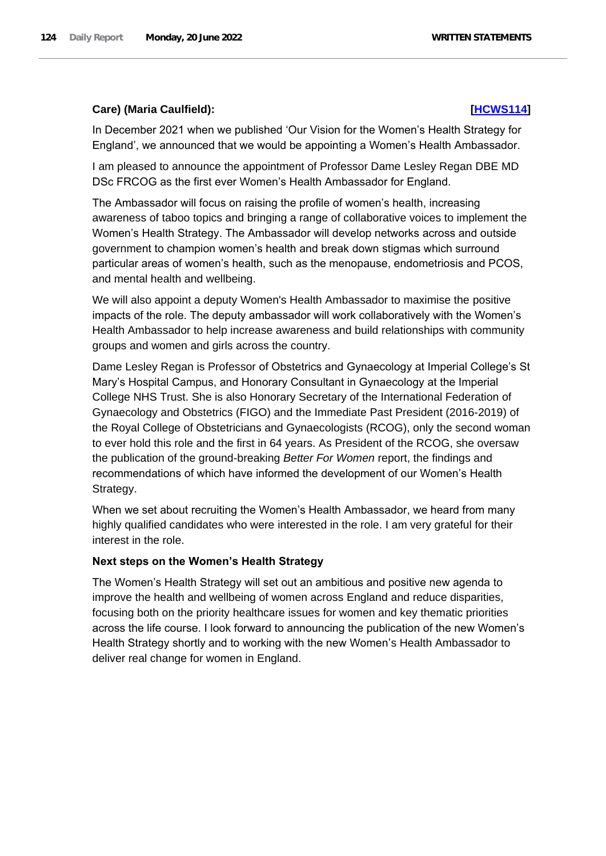## **Care) (Maria Caulfield): [\[HCWS114\]](http://www.parliament.uk/business/publications/written-questions-answers-statements/written-statement/Commons/2022-06-20/HCWS114/)**

In December 2021 when we published 'Our Vision for the Women's Health Strategy for England', we announced that we would be appointing a Women's Health Ambassador.

I am pleased to announce the appointment of Professor Dame Lesley Regan DBE MD DSc FRCOG as the first ever Women's Health Ambassador for England.

The Ambassador will focus on raising the profile of women's health, increasing awareness of taboo topics and bringing a range of collaborative voices to implement the Women's Health Strategy. The Ambassador will develop networks across and outside government to champion women's health and break down stigmas which surround particular areas of women's health, such as the menopause, endometriosis and PCOS, and mental health and wellbeing.

We will also appoint a deputy Women's Health Ambassador to maximise the positive impacts of the role. The deputy ambassador will work collaboratively with the Women's Health Ambassador to help increase awareness and build relationships with community groups and women and girls across the country.

Dame Lesley Regan is Professor of Obstetrics and Gynaecology at Imperial College's St Mary's Hospital Campus, and Honorary Consultant in Gynaecology at the Imperial College NHS Trust. She is also Honorary Secretary of the International Federation of Gynaecology and Obstetrics (FIGO) and the Immediate Past President (2016-2019) of the Royal College of Obstetricians and Gynaecologists (RCOG), only the second woman to ever hold this role and the first in 64 years. As President of the RCOG, she oversaw the publication of the ground-breaking *Better For Women* report, the findings and recommendations of which have informed the development of our Women's Health Strategy.

When we set about recruiting the Women's Health Ambassador, we heard from many highly qualified candidates who were interested in the role. I am very grateful for their interest in the role.

## **Next steps on the Women's Health Strategy**

The Women's Health Strategy will set out an ambitious and positive new agenda to improve the health and wellbeing of women across England and reduce disparities, focusing both on the priority healthcare issues for women and key thematic priorities across the life course. I look forward to announcing the publication of the new Women's Health Strategy shortly and to working with the new Women's Health Ambassador to deliver real change for women in England.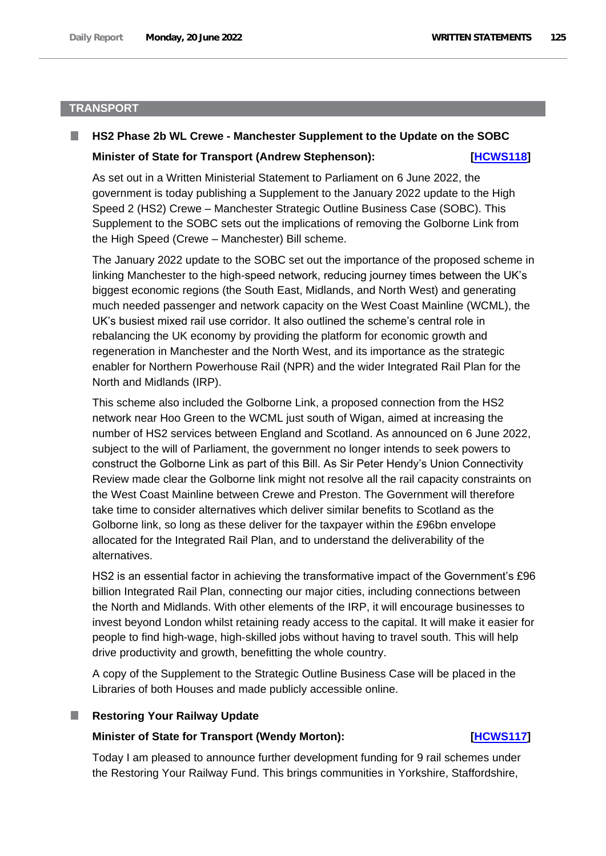## **TRANSPORT**

### **HS2 Phase 2b WL Crewe - Manchester Supplement to the Update on the SOBC**

#### **Minister of State for Transport (Andrew Stephenson): [HCWS118]**

As set out in a Written Ministerial Statement to Parliament on 6 June 2022, the government is today publishing a Supplement to the January 2022 update to the High Speed 2 (HS2) Crewe – Manchester Strategic Outline Business Case (SOBC). This Supplement to the SOBC sets out the implications of removing the Golborne Link from the High Speed (Crewe – Manchester) Bill scheme.

The January 2022 update to the SOBC set out the importance of the proposed scheme in linking Manchester to the high-speed network, reducing journey times between the UK's biggest economic regions (the South East, Midlands, and North West) and generating much needed passenger and network capacity on the West Coast Mainline (WCML), the UK's busiest mixed rail use corridor. It also outlined the scheme's central role in rebalancing the UK economy by providing the platform for economic growth and regeneration in Manchester and the North West, and its importance as the strategic enabler for Northern Powerhouse Rail (NPR) and the wider Integrated Rail Plan for the North and Midlands (IRP).

This scheme also included the Golborne Link, a proposed connection from the HS2 network near Hoo Green to the WCML just south of Wigan, aimed at increasing the number of HS2 services between England and Scotland. As announced on 6 June 2022, subject to the will of Parliament, the government no longer intends to seek powers to construct the Golborne Link as part of this Bill. As Sir Peter Hendy's Union Connectivity Review made clear the Golborne link might not resolve all the rail capacity constraints on the West Coast Mainline between Crewe and Preston. The Government will therefore take time to consider alternatives which deliver similar benefits to Scotland as the Golborne link, so long as these deliver for the taxpayer within the £96bn envelope allocated for the Integrated Rail Plan, and to understand the deliverability of the alternatives.

HS2 is an essential factor in achieving the transformative impact of the Government's £96 billion Integrated Rail Plan, connecting our major cities, including connections between the North and Midlands. With other elements of the IRP, it will encourage businesses to invest beyond London whilst retaining ready access to the capital. It will make it easier for people to find high-wage, high-skilled jobs without having to travel south. This will help drive productivity and growth, benefitting the whole country.

A copy of the Supplement to the Strategic Outline Business Case will be placed in the Libraries of both Houses and made publicly accessible online.

## **Restoring Your Railway Update**

## **Minister of State for Transport (Wendy Morton): [\[HCWS117\]](http://www.parliament.uk/business/publications/written-questions-answers-statements/written-statement/Commons/2022-06-20/HCWS117/)**

Today I am pleased to announce further development funding for 9 rail schemes under the Restoring Your Railway Fund. This brings communities in Yorkshire, Staffordshire,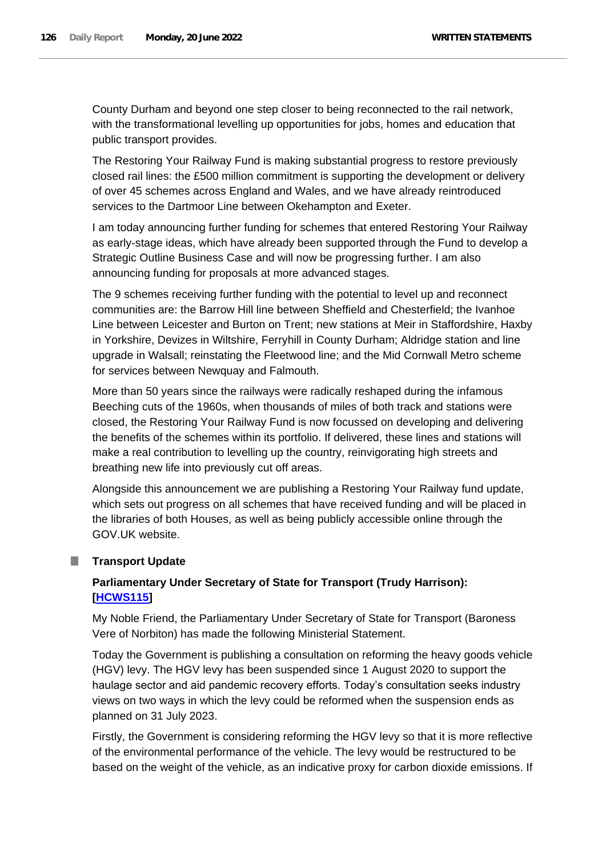County Durham and beyond one step closer to being reconnected to the rail network, with the transformational levelling up opportunities for jobs, homes and education that public transport provides.

The Restoring Your Railway Fund is making substantial progress to restore previously closed rail lines: the £500 million commitment is supporting the development or delivery of over 45 schemes across England and Wales, and we have already reintroduced services to the Dartmoor Line between Okehampton and Exeter.

I am today announcing further funding for schemes that entered Restoring Your Railway as early-stage ideas, which have already been supported through the Fund to develop a Strategic Outline Business Case and will now be progressing further. I am also announcing funding for proposals at more advanced stages.

The 9 schemes receiving further funding with the potential to level up and reconnect communities are: the Barrow Hill line between Sheffield and Chesterfield; the Ivanhoe Line between Leicester and Burton on Trent; new stations at Meir in Staffordshire, Haxby in Yorkshire, Devizes in Wiltshire, Ferryhill in County Durham; Aldridge station and line upgrade in Walsall; reinstating the Fleetwood line; and the Mid Cornwall Metro scheme for services between Newquay and Falmouth.

More than 50 years since the railways were radically reshaped during the infamous Beeching cuts of the 1960s, when thousands of miles of both track and stations were closed, the Restoring Your Railway Fund is now focussed on developing and delivering the benefits of the schemes within its portfolio. If delivered, these lines and stations will make a real contribution to levelling up the country, reinvigorating high streets and breathing new life into previously cut off areas.

Alongside this announcement we are publishing a Restoring Your Railway fund update, which sets out progress on all schemes that have received funding and will be placed in the libraries of both Houses, as well as being publicly accessible online through the GOV.UK website.

## **Transport Update**

# **Parliamentary Under Secretary of State for Transport (Trudy Harrison): [\[HCWS115\]](http://www.parliament.uk/business/publications/written-questions-answers-statements/written-statement/Commons/2022-06-20/HCWS115/)**

My Noble Friend, the Parliamentary Under Secretary of State for Transport (Baroness Vere of Norbiton) has made the following Ministerial Statement.

Today the Government is publishing a consultation on reforming the heavy goods vehicle (HGV) levy. The HGV levy has been suspended since 1 August 2020 to support the haulage sector and aid pandemic recovery efforts. Today's consultation seeks industry views on two ways in which the levy could be reformed when the suspension ends as planned on 31 July 2023.

Firstly, the Government is considering reforming the HGV levy so that it is more reflective of the environmental performance of the vehicle. The levy would be restructured to be based on the weight of the vehicle, as an indicative proxy for carbon dioxide emissions. If